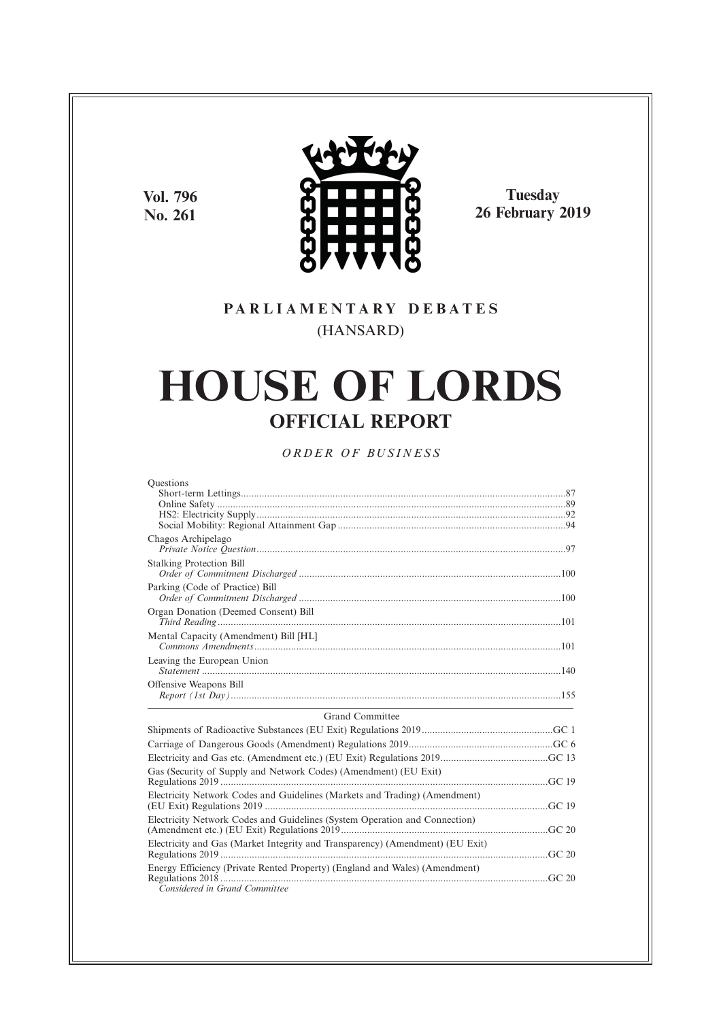**Vol. 796 No. 261**



**Tuesday 26 February 2019**

# **P A R L I A M E N T A R Y D E B A T E S** (HANSARD)

# **HOUSE OF LORDS OFFICIAL REPORT**

*O R D E R O F BU S I N E S S*

| Questions                                                                     |  |
|-------------------------------------------------------------------------------|--|
|                                                                               |  |
|                                                                               |  |
|                                                                               |  |
|                                                                               |  |
| Chagos Archipelago                                                            |  |
| <b>Stalking Protection Bill</b>                                               |  |
| Parking (Code of Practice) Bill                                               |  |
| Organ Donation (Deemed Consent) Bill                                          |  |
| Mental Capacity (Amendment) Bill [HL]                                         |  |
| Leaving the European Union                                                    |  |
|                                                                               |  |
| Offensive Weapons Bill                                                        |  |
| Grand Committee                                                               |  |
|                                                                               |  |
|                                                                               |  |
|                                                                               |  |
| Gas (Security of Supply and Network Codes) (Amendment) (EU Exit)              |  |
| Electricity Network Codes and Guidelines (Markets and Trading) (Amendment)    |  |
| Electricity Network Codes and Guidelines (System Operation and Connection)    |  |
|                                                                               |  |
| Electricity and Gas (Market Integrity and Transparency) (Amendment) (EU Exit) |  |
| Energy Efficiency (Private Rented Property) (England and Wales) (Amendment)   |  |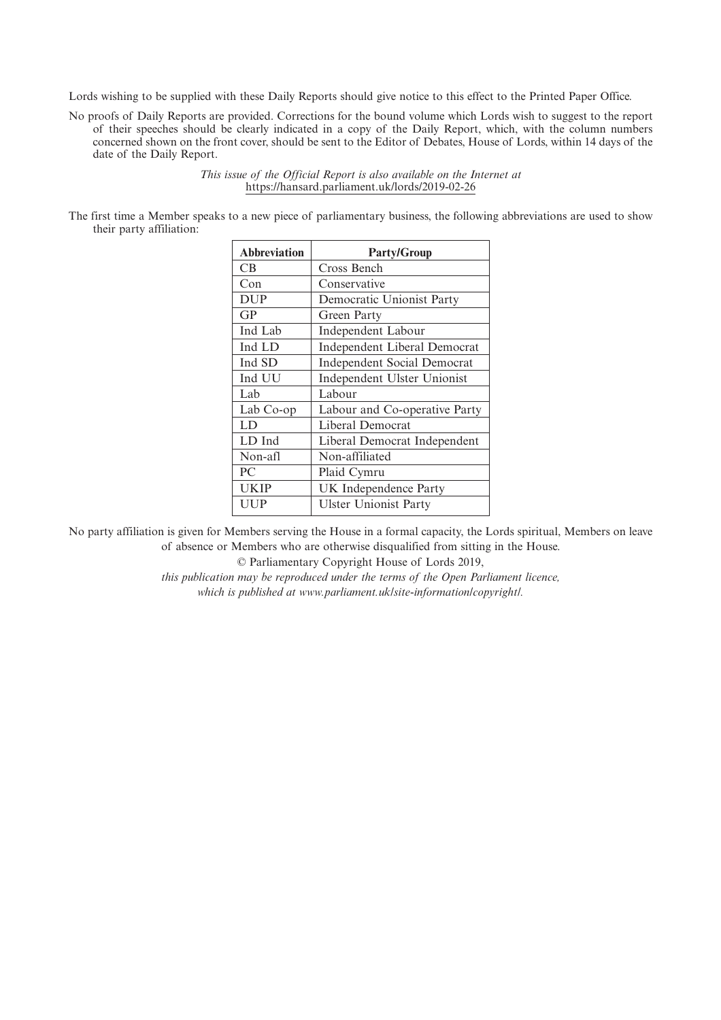Lords wishing to be supplied with these Daily Reports should give notice to this effect to the Printed Paper Office.

No proofs of Daily Reports are provided. Corrections for the bound volume which Lords wish to suggest to the report of their speeches should be clearly indicated in a copy of the Daily Report, which, with the column numbers concerned shown on the front cover, should be sent to the Editor of Debates, House of Lords, within 14 days of the date of the Daily Report.

> *This issue of the Official Report is also available on the Internet at* https://hansard.parliament.uk/lords/2019-02-26

The first time a Member speaks to a new piece of parliamentary business, the following abbreviations are used to show their party affiliation:

| <b>Abbreviation</b> | <b>Party/Group</b>                 |
|---------------------|------------------------------------|
| CВ                  | Cross Bench                        |
| Con                 | Conservative                       |
| <b>DUP</b>          | Democratic Unionist Party          |
| GP                  | Green Party                        |
| Ind Lab             | Independent Labour                 |
| Ind LD              | Independent Liberal Democrat       |
| Ind SD              | <b>Independent Social Democrat</b> |
| Ind UU              | Independent Ulster Unionist        |
| Lab                 | Labour                             |
| Lab Co-op           | Labour and Co-operative Party      |
| LD                  | Liberal Democrat                   |
| LD Ind              | Liberal Democrat Independent       |
| Non-afl             | Non-affiliated                     |
| PC                  | Plaid Cymru                        |
| UKIP                | UK Independence Party              |
| UUP                 | <b>Ulster Unionist Party</b>       |

No party affiliation is given for Members serving the House in a formal capacity, the Lords spiritual, Members on leave of absence or Members who are otherwise disqualified from sitting in the House.

© Parliamentary Copyright House of Lords 2019,

*this publication may be reproduced under the terms of the Open Parliament licence, which is published at www.parliament.uk/site-information/copyright/.*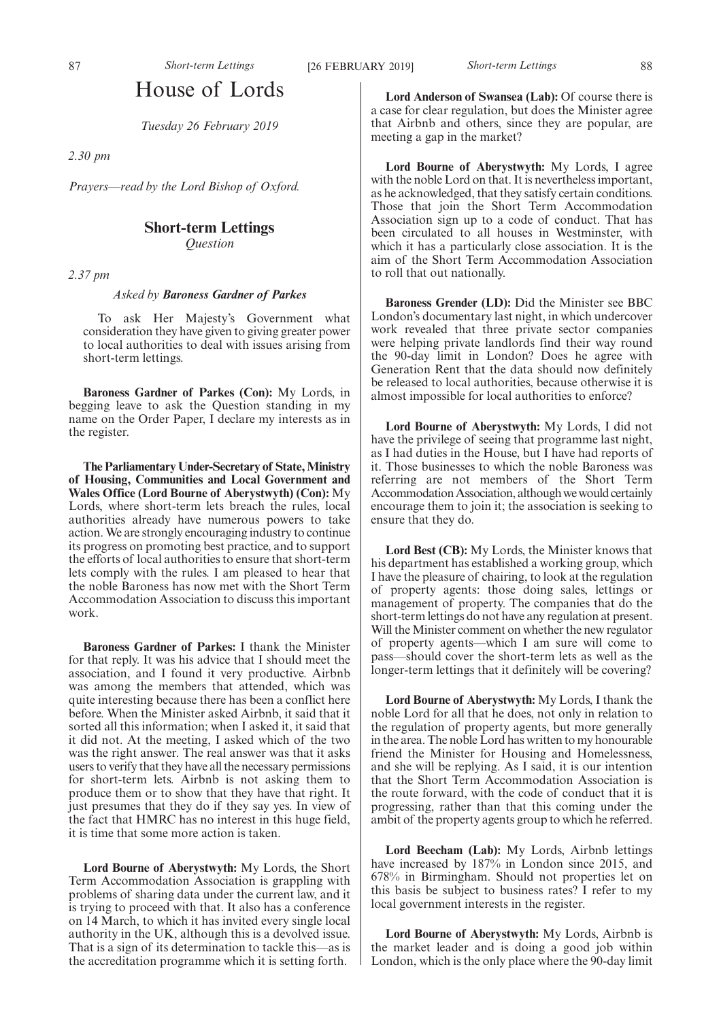*Tuesday 26 February 2019*

*2.30 pm*

*Prayers—read by the Lord Bishop of Oxford.*

# **Short-term Lettings**

*Question*

*2.37 pm*

#### *Asked by Baroness Gardner of Parkes*

To ask Her Majesty's Government what consideration they have given to giving greater power to local authorities to deal with issues arising from short-term lettings.

**Baroness Gardner of Parkes (Con):** My Lords, in begging leave to ask the Question standing in my name on the Order Paper, I declare my interests as in the register.

**The Parliamentary Under-Secretary of State, Ministry of Housing, Communities and Local Government and Wales Office (Lord Bourne of Aberystwyth) (Con):** My Lords, where short-term lets breach the rules, local authorities already have numerous powers to take action. We are strongly encouraging industry to continue its progress on promoting best practice, and to support the efforts of local authorities to ensure that short-term lets comply with the rules. I am pleased to hear that the noble Baroness has now met with the Short Term Accommodation Association to discuss this important work.

**Baroness Gardner of Parkes:** I thank the Minister for that reply. It was his advice that I should meet the association, and I found it very productive. Airbnb was among the members that attended, which was quite interesting because there has been a conflict here before. When the Minister asked Airbnb, it said that it sorted all this information; when I asked it, it said that it did not. At the meeting, I asked which of the two was the right answer. The real answer was that it asks users to verify that they have all the necessary permissions for short-term lets. Airbnb is not asking them to produce them or to show that they have that right. It just presumes that they do if they say yes. In view of the fact that HMRC has no interest in this huge field, it is time that some more action is taken.

**Lord Bourne of Aberystwyth:** My Lords, the Short Term Accommodation Association is grappling with problems of sharing data under the current law, and it is trying to proceed with that. It also has a conference on 14 March, to which it has invited every single local authority in the UK, although this is a devolved issue. That is a sign of its determination to tackle this—as is the accreditation programme which it is setting forth.

**Lord Anderson of Swansea (Lab):** Of course there is a case for clear regulation, but does the Minister agree that Airbnb and others, since they are popular, are meeting a gap in the market?

**Lord Bourne of Aberystwyth:** My Lords, I agree with the noble Lord on that. It is nevertheless important, as he acknowledged, that they satisfy certain conditions. Those that join the Short Term Accommodation Association sign up to a code of conduct. That has been circulated to all houses in Westminster, with which it has a particularly close association. It is the aim of the Short Term Accommodation Association to roll that out nationally.

**Baroness Grender (LD):** Did the Minister see BBC London's documentary last night, in which undercover work revealed that three private sector companies were helping private landlords find their way round the 90-day limit in London? Does he agree with Generation Rent that the data should now definitely be released to local authorities, because otherwise it is almost impossible for local authorities to enforce?

**Lord Bourne of Aberystwyth:** My Lords, I did not have the privilege of seeing that programme last night, as I had duties in the House, but I have had reports of it. Those businesses to which the noble Baroness was referring are not members of the Short Term Accommodation Association, although we would certainly encourage them to join it; the association is seeking to ensure that they do.

**Lord Best (CB):** My Lords, the Minister knows that his department has established a working group, which I have the pleasure of chairing, to look at the regulation of property agents: those doing sales, lettings or management of property. The companies that do the short-term lettings do not have any regulation at present. Will the Minister comment on whether the new regulator of property agents—which I am sure will come to pass—should cover the short-term lets as well as the longer-term lettings that it definitely will be covering?

**Lord Bourne of Aberystwyth:** My Lords, I thank the noble Lord for all that he does, not only in relation to the regulation of property agents, but more generally in the area. The noble Lord has written to my honourable friend the Minister for Housing and Homelessness, and she will be replying. As I said, it is our intention that the Short Term Accommodation Association is the route forward, with the code of conduct that it is progressing, rather than that this coming under the ambit of the property agents group to which he referred.

**Lord Beecham (Lab):** My Lords, Airbnb lettings have increased by 187% in London since 2015, and 678% in Birmingham. Should not properties let on this basis be subject to business rates? I refer to my local government interests in the register.

**Lord Bourne of Aberystwyth:** My Lords, Airbnb is the market leader and is doing a good job within London, which is the only place where the 90-day limit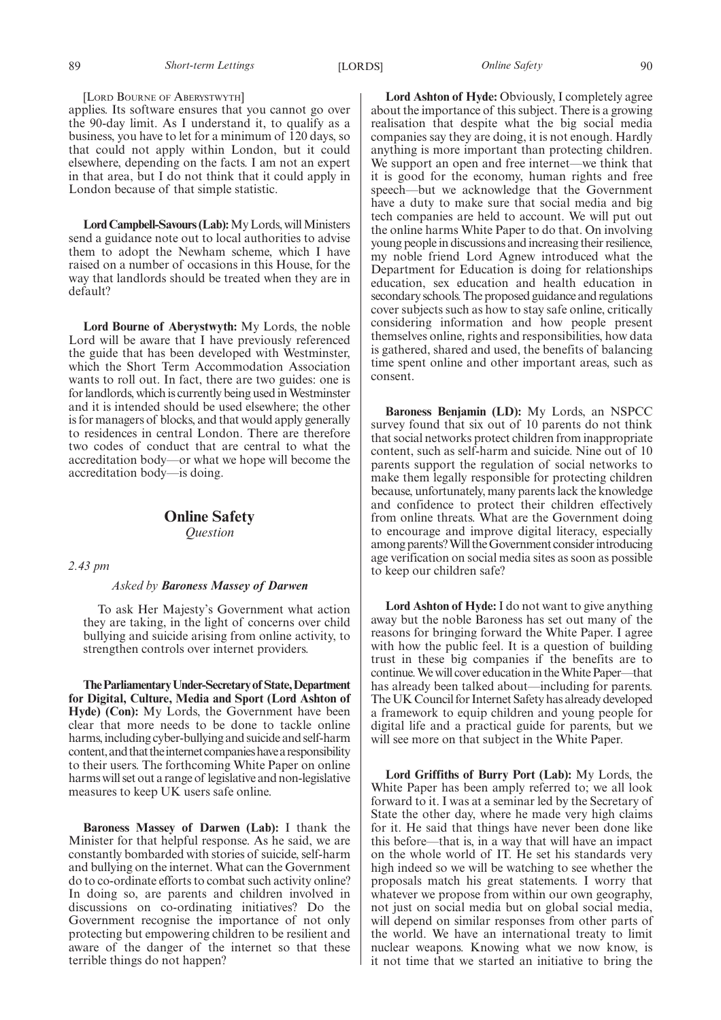89 *Short-term Lettings* [LORDS] *Online Safety* 90

applies. Its software ensures that you cannot go over the 90-day limit. As I understand it, to qualify as a business, you have to let for a minimum of 120 days, so that could not apply within London, but it could elsewhere, depending on the facts. I am not an expert in that area, but I do not think that it could apply in London because of that simple statistic.

**Lord Campbell-Savours (Lab):**My Lords, will Ministers send a guidance note out to local authorities to advise them to adopt the Newham scheme, which I have raised on a number of occasions in this House, for the way that landlords should be treated when they are in default?

**Lord Bourne of Aberystwyth:** My Lords, the noble Lord will be aware that I have previously referenced the guide that has been developed with Westminster, which the Short Term Accommodation Association wants to roll out. In fact, there are two guides: one is for landlords, which is currently being used in Westminster and it is intended should be used elsewhere; the other is for managers of blocks, and that would apply generally to residences in central London. There are therefore two codes of conduct that are central to what the accreditation body—or what we hope will become the accreditation body—is doing.

# **Online Safety** *Question*

## *2.43 pm*

#### *Asked by Baroness Massey of Darwen*

To ask Her Majesty's Government what action they are taking, in the light of concerns over child bullying and suicide arising from online activity, to strengthen controls over internet providers.

**TheParliamentaryUnder-Secretaryof State,Department for Digital, Culture, Media and Sport (Lord Ashton of Hyde) (Con):** My Lords, the Government have been clear that more needs to be done to tackle online harms, including cyber-bullying and suicide and self-harm content, and that the internet companies have a responsibility to their users. The forthcoming White Paper on online harms will set out a range of legislative and non-legislative measures to keep UK users safe online.

**Baroness Massey of Darwen (Lab):** I thank the Minister for that helpful response. As he said, we are constantly bombarded with stories of suicide, self-harm and bullying on the internet. What can the Government do to co-ordinate efforts to combat such activity online? In doing so, are parents and children involved in discussions on co-ordinating initiatives? Do the Government recognise the importance of not only protecting but empowering children to be resilient and aware of the danger of the internet so that these terrible things do not happen?

**Lord Ashton of Hyde:** Obviously, I completely agree about the importance of this subject. There is a growing realisation that despite what the big social media companies say they are doing, it is not enough. Hardly anything is more important than protecting children. We support an open and free internet—we think that it is good for the economy, human rights and free speech—but we acknowledge that the Government have a duty to make sure that social media and big tech companies are held to account. We will put out the online harms White Paper to do that. On involving young people in discussions and increasing their resilience, my noble friend Lord Agnew introduced what the Department for Education is doing for relationships education, sex education and health education in secondary schools. The proposed guidance and regulations cover subjects such as how to stay safe online, critically considering information and how people present themselves online, rights and responsibilities, how data is gathered, shared and used, the benefits of balancing time spent online and other important areas, such as consent.

**Baroness Benjamin (LD):** My Lords, an NSPCC survey found that six out of 10 parents do not think that social networks protect children from inappropriate content, such as self-harm and suicide. Nine out of 10 parents support the regulation of social networks to make them legally responsible for protecting children because, unfortunately, many parents lack the knowledge and confidence to protect their children effectively from online threats. What are the Government doing to encourage and improve digital literacy, especially among parents? Will the Government consider introducing age verification on social media sites as soon as possible to keep our children safe?

**Lord Ashton of Hyde:** I do not want to give anything away but the noble Baroness has set out many of the reasons for bringing forward the White Paper. I agree with how the public feel. It is a question of building trust in these big companies if the benefits are to continue. We will cover education in the White Paper—that has already been talked about—including for parents. The UK Council for Internet Safety has already developed a framework to equip children and young people for digital life and a practical guide for parents, but we will see more on that subject in the White Paper.

**Lord Griffiths of Burry Port (Lab):** My Lords, the White Paper has been amply referred to; we all look forward to it. I was at a seminar led by the Secretary of State the other day, where he made very high claims for it. He said that things have never been done like this before—that is, in a way that will have an impact on the whole world of IT. He set his standards very high indeed so we will be watching to see whether the proposals match his great statements. I worry that whatever we propose from within our own geography, not just on social media but on global social media, will depend on similar responses from other parts of the world. We have an international treaty to limit nuclear weapons. Knowing what we now know, is it not time that we started an initiative to bring the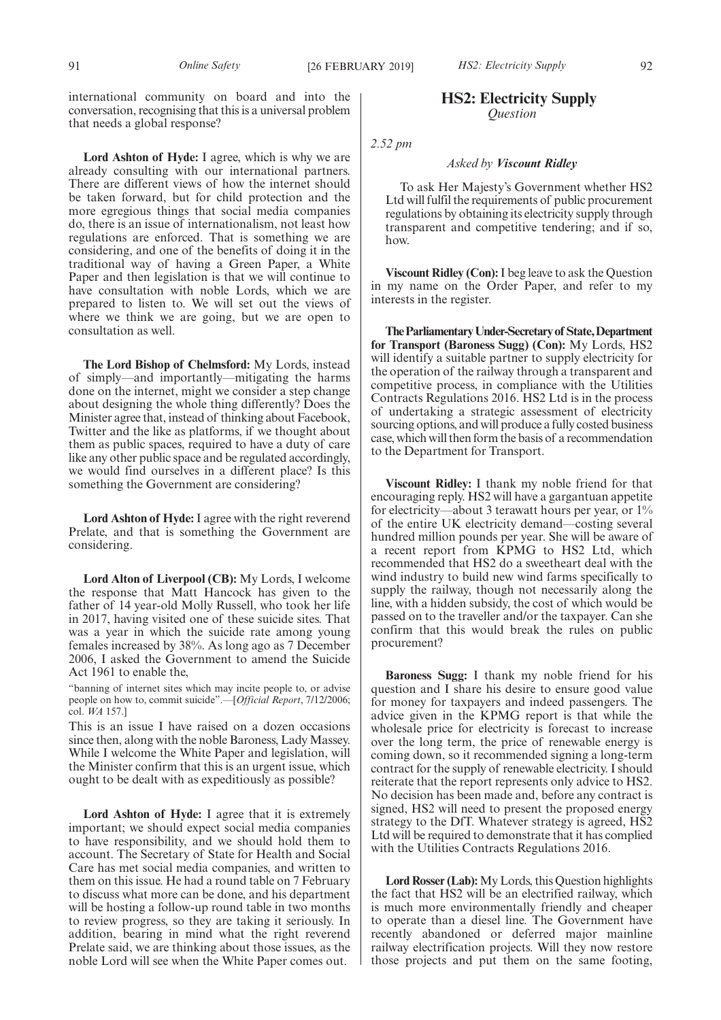international community on board and into the conversation, recognising that this is a universal problem that needs a global response?

**Lord Ashton of Hyde:** I agree, which is why we are already consulting with our international partners. There are different views of how the internet should be taken forward, but for child protection and the more egregious things that social media companies do, there is an issue of internationalism, not least how regulations are enforced. That is something we are considering, and one of the benefits of doing it in the traditional way of having a Green Paper, a White Paper and then legislation is that we will continue to have consultation with noble Lords, which we are prepared to listen to. We will set out the views of where we think we are going, but we are open to consultation as well.

**The Lord Bishop of Chelmsford:** My Lords, instead of simply—and importantly—mitigating the harms done on the internet, might we consider a step change about designing the whole thing differently? Does the Minister agree that, instead of thinking about Facebook, Twitter and the like as platforms, if we thought about them as public spaces, required to have a duty of care like any other public space and be regulated accordingly, we would find ourselves in a different place? Is this something the Government are considering?

**Lord Ashton of Hyde:** I agree with the right reverend Prelate, and that is something the Government are considering.

**Lord Alton of Liverpool (CB):** My Lords, I welcome the response that Matt Hancock has given to the father of 14 year-old Molly Russell, who took her life in 2017, having visited one of these suicide sites. That was a year in which the suicide rate among young females increased by 38%. As long ago as 7 December 2006, I asked the Government to amend the Suicide Act 1961 to enable the,

"banning of internet sites which may incite people to, or advise people on how to, commit suicide".—[*Official Report*, 7/12/2006; col. *WA* 157.]

This is an issue I have raised on a dozen occasions since then, along with the noble Baroness, Lady Massey. While I welcome the White Paper and legislation, will the Minister confirm that this is an urgent issue, which ought to be dealt with as expeditiously as possible?

**Lord Ashton of Hyde:** I agree that it is extremely important; we should expect social media companies to have responsibility, and we should hold them to account. The Secretary of State for Health and Social Care has met social media companies, and written to them on this issue. He had a round table on 7 February to discuss what more can be done, and his department will be hosting a follow-up round table in two months to review progress, so they are taking it seriously. In addition, bearing in mind what the right reverend Prelate said, we are thinking about those issues, as the noble Lord will see when the White Paper comes out.

# **HS2: Electricity Supply** *Question*

*2.52 pm*

#### *Asked by Viscount Ridley*

To ask Her Majesty's Government whether HS2 Ltd will fulfil the requirements of public procurement regulations by obtaining its electricity supply through transparent and competitive tendering; and if so, how.

**Viscount Ridley (Con):**I beg leave to ask the Question in my name on the Order Paper, and refer to my interests in the register.

**TheParliamentaryUnder-Secretaryof State,Department for Transport (Baroness Sugg) (Con):** My Lords, HS2 will identify a suitable partner to supply electricity for the operation of the railway through a transparent and competitive process, in compliance with the Utilities Contracts Regulations 2016. HS2 Ltd is in the process of undertaking a strategic assessment of electricity sourcing options, and will produce a fully costed business case, which will then form the basis of a recommendation to the Department for Transport.

**Viscount Ridley:** I thank my noble friend for that encouraging reply. HS2 will have a gargantuan appetite for electricity—about 3 terawatt hours per year, or 1% of the entire UK electricity demand—costing several hundred million pounds per year. She will be aware of a recent report from KPMG to HS2 Ltd, which recommended that HS2 do a sweetheart deal with the wind industry to build new wind farms specifically to supply the railway, though not necessarily along the line, with a hidden subsidy, the cost of which would be passed on to the traveller and/or the taxpayer. Can she confirm that this would break the rules on public procurement?

**Baroness Sugg:** I thank my noble friend for his question and I share his desire to ensure good value for money for taxpayers and indeed passengers. The advice given in the KPMG report is that while the wholesale price for electricity is forecast to increase over the long term, the price of renewable energy is coming down, so it recommended signing a long-term contract for the supply of renewable electricity. I should reiterate that the report represents only advice to HS2. No decision has been made and, before any contract is signed, HS2 will need to present the proposed energy strategy to the DfT. Whatever strategy is agreed, HS2 Ltd will be required to demonstrate that it has complied with the Utilities Contracts Regulations 2016.

**Lord Rosser (Lab):**My Lords, this Question highlights the fact that HS2 will be an electrified railway, which is much more environmentally friendly and cheaper to operate than a diesel line. The Government have recently abandoned or deferred major mainline railway electrification projects. Will they now restore those projects and put them on the same footing,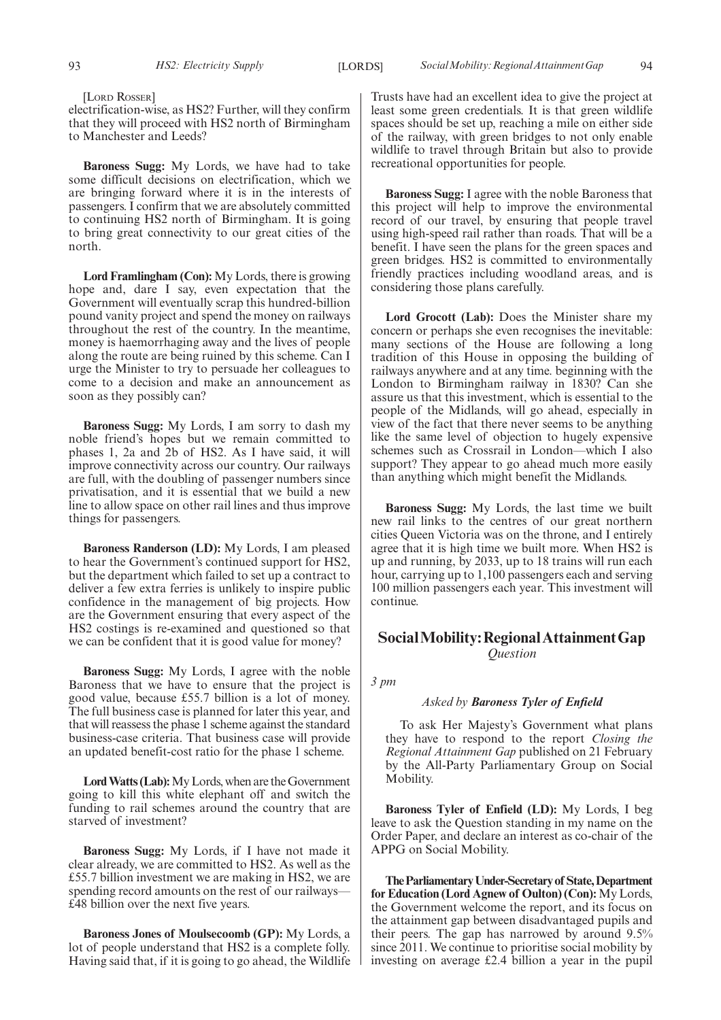[LORD ROSSER]

electrification-wise, as HS2? Further, will they confirm that they will proceed with HS2 north of Birmingham to Manchester and Leeds?

**Baroness Sugg:** My Lords, we have had to take some difficult decisions on electrification, which we are bringing forward where it is in the interests of passengers. I confirm that we are absolutely committed to continuing HS2 north of Birmingham. It is going to bring great connectivity to our great cities of the north.

**Lord Framlingham (Con):** My Lords, there is growing hope and, dare I say, even expectation that the Government will eventually scrap this hundred-billion pound vanity project and spend the money on railways throughout the rest of the country. In the meantime, money is haemorrhaging away and the lives of people along the route are being ruined by this scheme. Can I urge the Minister to try to persuade her colleagues to come to a decision and make an announcement as soon as they possibly can?

**Baroness Sugg:** My Lords, I am sorry to dash my noble friend's hopes but we remain committed to phases 1, 2a and 2b of HS2. As I have said, it will improve connectivity across our country. Our railways are full, with the doubling of passenger numbers since privatisation, and it is essential that we build a new line to allow space on other rail lines and thus improve things for passengers.

**Baroness Randerson (LD):** My Lords, I am pleased to hear the Government's continued support for HS2, but the department which failed to set up a contract to deliver a few extra ferries is unlikely to inspire public confidence in the management of big projects. How are the Government ensuring that every aspect of the HS2 costings is re-examined and questioned so that we can be confident that it is good value for money?

**Baroness Sugg:** My Lords, I agree with the noble Baroness that we have to ensure that the project is good value, because £55.7 billion is a lot of money. The full business case is planned for later this year, and that will reassess the phase 1 scheme against the standard business-case criteria. That business case will provide an updated benefit-cost ratio for the phase 1 scheme.

**Lord Watts (Lab):**My Lords, when are the Government going to kill this white elephant off and switch the funding to rail schemes around the country that are starved of investment?

**Baroness Sugg:** My Lords, if I have not made it clear already, we are committed to HS2. As well as the £55.7 billion investment we are making in HS2, we are spending record amounts on the rest of our railways— £48 billion over the next five years.

**Baroness Jones of Moulsecoomb (GP):** My Lords, a lot of people understand that HS2 is a complete folly. Having said that, if it is going to go ahead, the Wildlife Trusts have had an excellent idea to give the project at least some green credentials. It is that green wildlife spaces should be set up, reaching a mile on either side of the railway, with green bridges to not only enable wildlife to travel through Britain but also to provide recreational opportunities for people.

**Baroness Sugg:** I agree with the noble Baroness that this project will help to improve the environmental record of our travel, by ensuring that people travel using high-speed rail rather than roads. That will be a benefit. I have seen the plans for the green spaces and green bridges. HS2 is committed to environmentally friendly practices including woodland areas, and is considering those plans carefully.

**Lord Grocott (Lab):** Does the Minister share my concern or perhaps she even recognises the inevitable: many sections of the House are following a long tradition of this House in opposing the building of railways anywhere and at any time. beginning with the London to Birmingham railway in 1830? Can she assure us that this investment, which is essential to the people of the Midlands, will go ahead, especially in view of the fact that there never seems to be anything like the same level of objection to hugely expensive schemes such as Crossrail in London—which I also support? They appear to go ahead much more easily than anything which might benefit the Midlands.

**Baroness Sugg:** My Lords, the last time we built new rail links to the centres of our great northern cities Queen Victoria was on the throne, and I entirely agree that it is high time we built more. When HS2 is up and running, by 2033, up to 18 trains will run each hour, carrying up to 1,100 passengers each and serving 100 million passengers each year. This investment will continue.

# **SocialMobility:RegionalAttainmentGap** *Question*

*3 pm*

#### *Asked by Baroness Tyler of Enfield*

To ask Her Majesty's Government what plans they have to respond to the report *Closing the Regional Attainment Gap* published on 21 February by the All-Party Parliamentary Group on Social Mobility.

**Baroness Tyler of Enfield (LD):** My Lords, I beg leave to ask the Question standing in my name on the Order Paper, and declare an interest as co-chair of the APPG on Social Mobility.

**TheParliamentaryUnder-Secretaryof State,Department for Education (Lord Agnew of Oulton) (Con):** My Lords, the Government welcome the report, and its focus on the attainment gap between disadvantaged pupils and their peers. The gap has narrowed by around 9.5% since 2011. We continue to prioritise social mobility by investing on average £2.4 billion a year in the pupil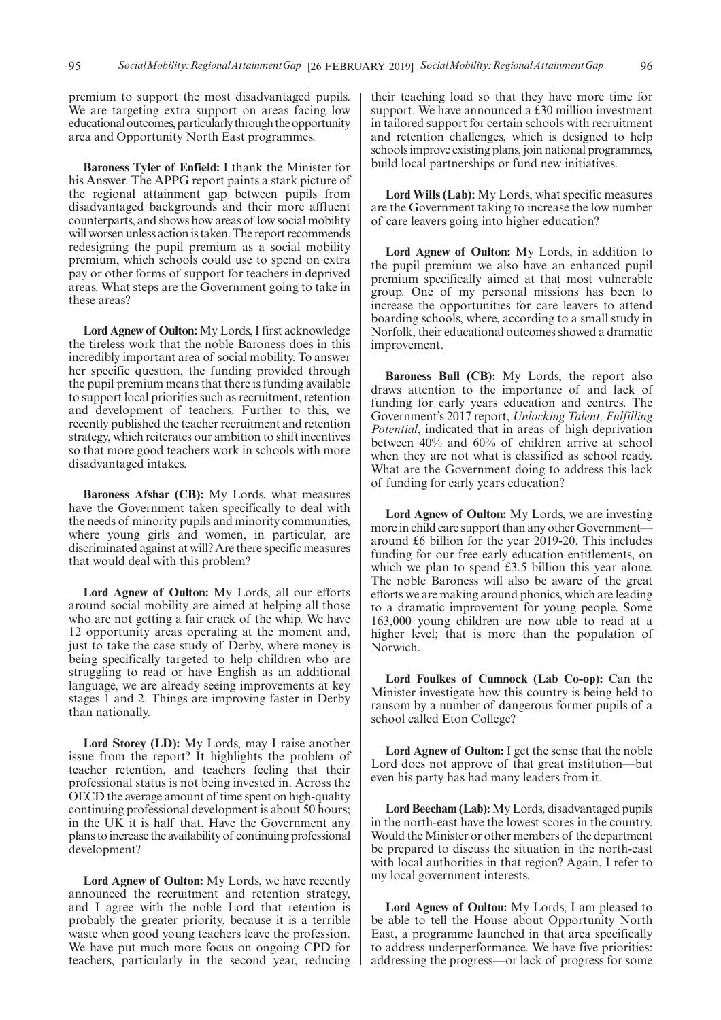premium to support the most disadvantaged pupils. We are targeting extra support on areas facing low educational outcomes, particularly through the opportunity area and Opportunity North East programmes.

**Baroness Tyler of Enfield:** I thank the Minister for his Answer. The APPG report paints a stark picture of the regional attainment gap between pupils from disadvantaged backgrounds and their more affluent counterparts, and shows how areas of low social mobility will worsen unless action is taken. The report recommends redesigning the pupil premium as a social mobility premium, which schools could use to spend on extra pay or other forms of support for teachers in deprived areas. What steps are the Government going to take in these areas?

**Lord Agnew of Oulton:** My Lords, I first acknowledge the tireless work that the noble Baroness does in this incredibly important area of social mobility. To answer her specific question, the funding provided through the pupil premium means that there is funding available to support local priorities such as recruitment, retention and development of teachers. Further to this, we recently published the teacher recruitment and retention strategy, which reiterates our ambition to shift incentives so that more good teachers work in schools with more disadvantaged intakes.

**Baroness Afshar (CB):** My Lords, what measures have the Government taken specifically to deal with the needs of minority pupils and minority communities, where young girls and women, in particular, are discriminated against at will? Are there specific measures that would deal with this problem?

**Lord Agnew of Oulton:** My Lords, all our efforts around social mobility are aimed at helping all those who are not getting a fair crack of the whip. We have 12 opportunity areas operating at the moment and, just to take the case study of Derby, where money is being specifically targeted to help children who are struggling to read or have English as an additional language, we are already seeing improvements at key stages 1 and 2. Things are improving faster in Derby than nationally.

**Lord Storey (LD):** My Lords, may I raise another issue from the report? It highlights the problem of teacher retention, and teachers feeling that their professional status is not being invested in. Across the OECD the average amount of time spent on high-quality continuing professional development is about 50 hours; in the UK it is half that. Have the Government any plans to increase the availability of continuing professional development?

**Lord Agnew of Oulton:** My Lords, we have recently announced the recruitment and retention strategy, and I agree with the noble Lord that retention is probably the greater priority, because it is a terrible waste when good young teachers leave the profession. We have put much more focus on ongoing CPD for teachers, particularly in the second year, reducing their teaching load so that they have more time for support. We have announced a £30 million investment in tailored support for certain schools with recruitment and retention challenges, which is designed to help schools improve existing plans, join national programmes, build local partnerships or fund new initiatives.

**Lord Wills (Lab):** My Lords, what specific measures are the Government taking to increase the low number of care leavers going into higher education?

**Lord Agnew of Oulton:** My Lords, in addition to the pupil premium we also have an enhanced pupil premium specifically aimed at that most vulnerable group. One of my personal missions has been to increase the opportunities for care leavers to attend boarding schools, where, according to a small study in Norfolk, their educational outcomes showed a dramatic improvement.

**Baroness Bull (CB):** My Lords, the report also draws attention to the importance of and lack of funding for early years education and centres. The Government's 2017 report, *Unlocking Talent, Fulfilling Potential*, indicated that in areas of high deprivation between 40% and 60% of children arrive at school when they are not what is classified as school ready. What are the Government doing to address this lack of funding for early years education?

**Lord Agnew of Oulton:** My Lords, we are investing more in child care support than any other Governmentaround £6 billion for the year 2019-20. This includes funding for our free early education entitlements, on which we plan to spend £3.5 billion this year alone. The noble Baroness will also be aware of the great efforts we are making around phonics, which are leading to a dramatic improvement for young people. Some 163,000 young children are now able to read at a higher level; that is more than the population of Norwich.

**Lord Foulkes of Cumnock (Lab Co-op):** Can the Minister investigate how this country is being held to ransom by a number of dangerous former pupils of a school called Eton College?

**Lord Agnew of Oulton:** I get the sense that the noble Lord does not approve of that great institution—but even his party has had many leaders from it.

**Lord Beecham (Lab):**My Lords, disadvantaged pupils in the north-east have the lowest scores in the country. Would the Minister or other members of the department be prepared to discuss the situation in the north-east with local authorities in that region? Again, I refer to my local government interests.

**Lord Agnew of Oulton:** My Lords, I am pleased to be able to tell the House about Opportunity North East, a programme launched in that area specifically to address underperformance. We have five priorities: addressing the progress—or lack of progress for some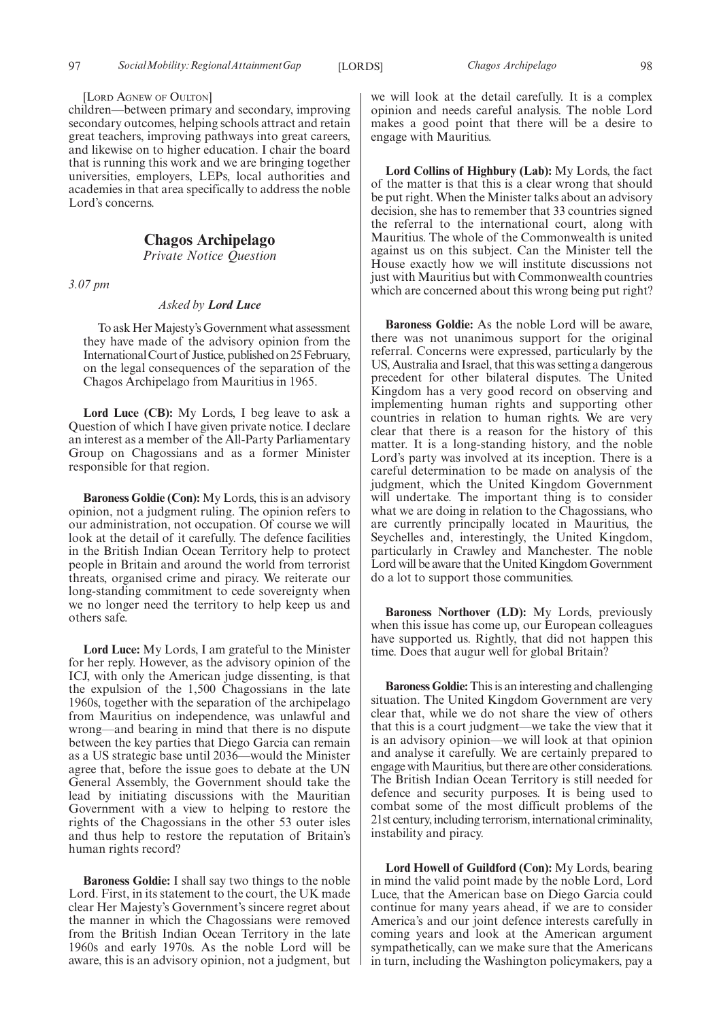#### [LORD AGNEW OF OULTON]

children—between primary and secondary, improving secondary outcomes, helping schools attract and retain great teachers, improving pathways into great careers, and likewise on to higher education. I chair the board that is running this work and we are bringing together universities, employers, LEPs, local authorities and academies in that area specifically to address the noble Lord's concerns.

# **Chagos Archipelago**

*Private Notice Question*

*3.07 pm*

#### *Asked by Lord Luce*

To ask Her Majesty's Government what assessment they have made of the advisory opinion from the International Court of Justice, published on 25 February, on the legal consequences of the separation of the Chagos Archipelago from Mauritius in 1965.

**Lord Luce (CB):** My Lords, I beg leave to ask a Question of which I have given private notice. I declare an interest as a member of the All-Party Parliamentary Group on Chagossians and as a former Minister responsible for that region.

**Baroness Goldie (Con):** My Lords, this is an advisory opinion, not a judgment ruling. The opinion refers to our administration, not occupation. Of course we will look at the detail of it carefully. The defence facilities in the British Indian Ocean Territory help to protect people in Britain and around the world from terrorist threats, organised crime and piracy. We reiterate our long-standing commitment to cede sovereignty when we no longer need the territory to help keep us and others safe.

**Lord Luce:** My Lords, I am grateful to the Minister for her reply. However, as the advisory opinion of the ICJ, with only the American judge dissenting, is that the expulsion of the 1,500 Chagossians in the late 1960s, together with the separation of the archipelago from Mauritius on independence, was unlawful and wrong—and bearing in mind that there is no dispute between the key parties that Diego Garcia can remain as a US strategic base until 2036—would the Minister agree that, before the issue goes to debate at the UN General Assembly, the Government should take the lead by initiating discussions with the Mauritian Government with a view to helping to restore the rights of the Chagossians in the other 53 outer isles and thus help to restore the reputation of Britain's human rights record?

**Baroness Goldie:** I shall say two things to the noble Lord. First, in its statement to the court, the UK made clear Her Majesty's Government's sincere regret about the manner in which the Chagossians were removed from the British Indian Ocean Territory in the late 1960s and early 1970s. As the noble Lord will be aware, this is an advisory opinion, not a judgment, but we will look at the detail carefully. It is a complex opinion and needs careful analysis. The noble Lord makes a good point that there will be a desire to engage with Mauritius.

**Lord Collins of Highbury (Lab):** My Lords, the fact of the matter is that this is a clear wrong that should be put right. When the Minister talks about an advisory decision, she has to remember that 33 countries signed the referral to the international court, along with Mauritius. The whole of the Commonwealth is united against us on this subject. Can the Minister tell the House exactly how we will institute discussions not just with Mauritius but with Commonwealth countries which are concerned about this wrong being put right?

**Baroness Goldie:** As the noble Lord will be aware, there was not unanimous support for the original referral. Concerns were expressed, particularly by the US, Australia and Israel, that this was setting a dangerous precedent for other bilateral disputes. The United Kingdom has a very good record on observing and implementing human rights and supporting other countries in relation to human rights. We are very clear that there is a reason for the history of this matter. It is a long-standing history, and the noble Lord's party was involved at its inception. There is a careful determination to be made on analysis of the judgment, which the United Kingdom Government will undertake. The important thing is to consider what we are doing in relation to the Chagossians, who are currently principally located in Mauritius, the Seychelles and, interestingly, the United Kingdom, particularly in Crawley and Manchester. The noble Lord will be aware that the United Kingdom Government do a lot to support those communities.

**Baroness Northover (LD):** My Lords, previously when this issue has come up, our European colleagues have supported us. Rightly, that did not happen this time. Does that augur well for global Britain?

**Baroness Goldie:**This is an interesting and challenging situation. The United Kingdom Government are very clear that, while we do not share the view of others that this is a court judgment—we take the view that it is an advisory opinion—we will look at that opinion and analyse it carefully. We are certainly prepared to engage with Mauritius, but there are other considerations. The British Indian Ocean Territory is still needed for defence and security purposes. It is being used to combat some of the most difficult problems of the 21st century, including terrorism, international criminality, instability and piracy.

**Lord Howell of Guildford (Con):** My Lords, bearing in mind the valid point made by the noble Lord, Lord Luce, that the American base on Diego Garcia could continue for many years ahead, if we are to consider America's and our joint defence interests carefully in coming years and look at the American argument sympathetically, can we make sure that the Americans in turn, including the Washington policymakers, pay a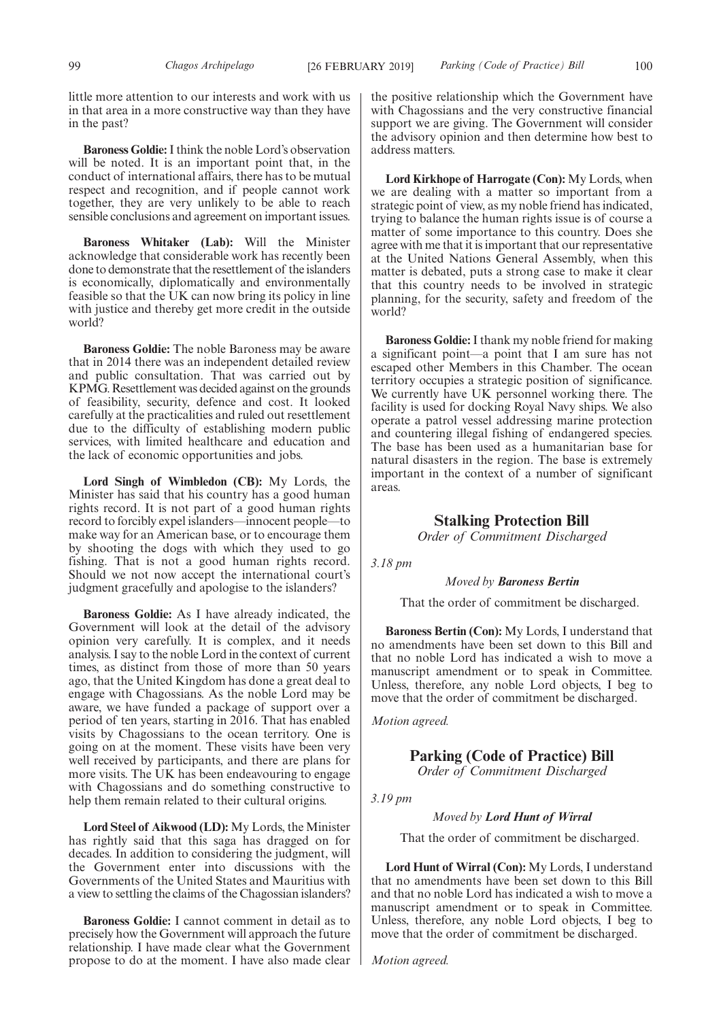little more attention to our interests and work with us in that area in a more constructive way than they have in the past?

**Baroness Goldie:**I think the noble Lord's observation will be noted. It is an important point that, in the conduct of international affairs, there has to be mutual respect and recognition, and if people cannot work together, they are very unlikely to be able to reach sensible conclusions and agreement on important issues.

**Baroness Whitaker (Lab):** Will the Minister acknowledge that considerable work has recently been done to demonstrate that the resettlement of the islanders is economically, diplomatically and environmentally feasible so that the UK can now bring its policy in line with justice and thereby get more credit in the outside world?

**Baroness Goldie:** The noble Baroness may be aware that in 2014 there was an independent detailed review and public consultation. That was carried out by KPMG. Resettlement was decided against on the grounds of feasibility, security, defence and cost. It looked carefully at the practicalities and ruled out resettlement due to the difficulty of establishing modern public services, with limited healthcare and education and the lack of economic opportunities and jobs.

**Lord Singh of Wimbledon (CB):** My Lords, the Minister has said that his country has a good human rights record. It is not part of a good human rights record to forcibly expel islanders—innocent people—to make way for an American base, or to encourage them by shooting the dogs with which they used to go fishing. That is not a good human rights record. Should we not now accept the international court's judgment gracefully and apologise to the islanders?

**Baroness Goldie:** As I have already indicated, the Government will look at the detail of the advisory opinion very carefully. It is complex, and it needs analysis. I say to the noble Lord in the context of current times, as distinct from those of more than 50 years ago, that the United Kingdom has done a great deal to engage with Chagossians. As the noble Lord may be aware, we have funded a package of support over a period of ten years, starting in 2016. That has enabled visits by Chagossians to the ocean territory. One is going on at the moment. These visits have been very well received by participants, and there are plans for more visits. The UK has been endeavouring to engage with Chagossians and do something constructive to help them remain related to their cultural origins.

**Lord Steel of Aikwood (LD):** My Lords, the Minister has rightly said that this saga has dragged on for decades. In addition to considering the judgment, will the Government enter into discussions with the Governments of the United States and Mauritius with a view to settling the claims of the Chagossian islanders?

**Baroness Goldie:** I cannot comment in detail as to precisely how the Government will approach the future relationship. I have made clear what the Government propose to do at the moment. I have also made clear the positive relationship which the Government have with Chagossians and the very constructive financial support we are giving. The Government will consider the advisory opinion and then determine how best to address matters.

**Lord Kirkhope of Harrogate (Con):** My Lords, when we are dealing with a matter so important from a strategic point of view, as my noble friend has indicated, trying to balance the human rights issue is of course a matter of some importance to this country. Does she agree with me that it is important that our representative at the United Nations General Assembly, when this matter is debated, puts a strong case to make it clear that this country needs to be involved in strategic planning, for the security, safety and freedom of the world?

**Baroness Goldie:**I thank my noble friend for making a significant point—a point that I am sure has not escaped other Members in this Chamber. The ocean territory occupies a strategic position of significance. We currently have UK personnel working there. The facility is used for docking Royal Navy ships. We also operate a patrol vessel addressing marine protection and countering illegal fishing of endangered species. The base has been used as a humanitarian base for natural disasters in the region. The base is extremely important in the context of a number of significant areas.

# **Stalking Protection Bill**

*Order of Commitment Discharged*

*3.18 pm*

#### *Moved by Baroness Bertin*

That the order of commitment be discharged.

**Baroness Bertin (Con):** My Lords, I understand that no amendments have been set down to this Bill and that no noble Lord has indicated a wish to move a manuscript amendment or to speak in Committee. Unless, therefore, any noble Lord objects, I beg to move that the order of commitment be discharged.

*Motion agreed.*

**Parking (Code of Practice) Bill**

*Order of Commitment Discharged*

*3.19 pm*

*Moved by Lord Hunt of Wirral*

That the order of commitment be discharged.

**Lord Hunt of Wirral (Con):** My Lords, I understand that no amendments have been set down to this Bill and that no noble Lord has indicated a wish to move a manuscript amendment or to speak in Committee. Unless, therefore, any noble Lord objects, I beg to move that the order of commitment be discharged.

*Motion agreed.*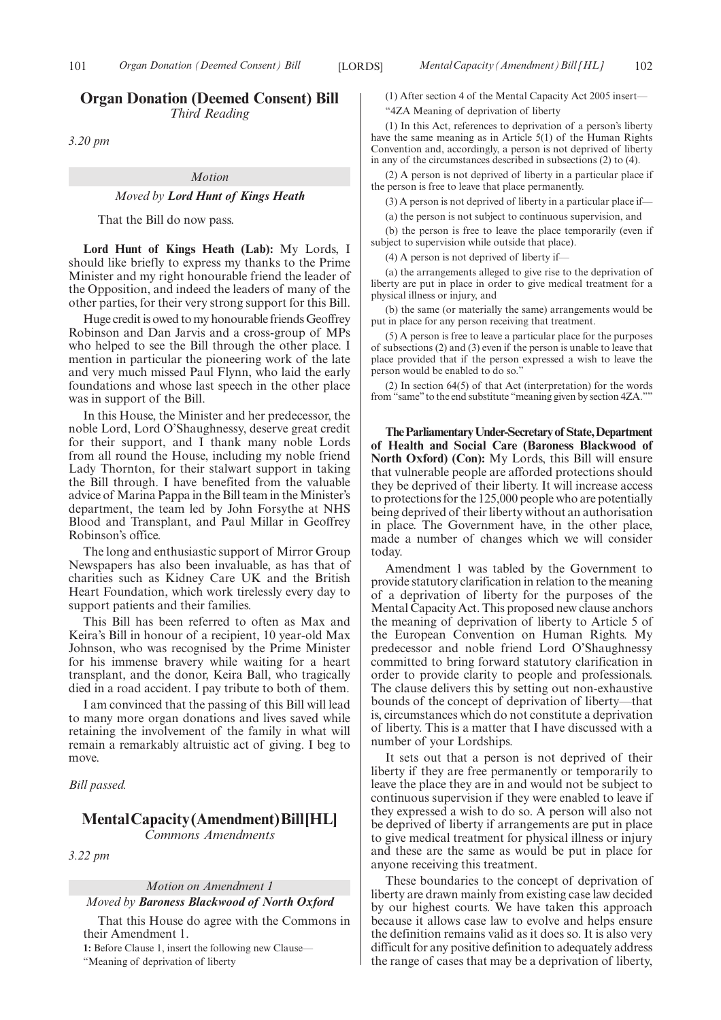# **Organ Donation (Deemed Consent) Bill** *Third Reading*

*3.20 pm*

#### *Motion*

#### *Moved by Lord Hunt of Kings Heath*

That the Bill do now pass.

**Lord Hunt of Kings Heath (Lab):** My Lords, I should like briefly to express my thanks to the Prime Minister and my right honourable friend the leader of the Opposition, and indeed the leaders of many of the other parties, for their very strong support for this Bill.

Huge credit is owed to my honourable friends Geoffrey Robinson and Dan Jarvis and a cross-group of MPs who helped to see the Bill through the other place. I mention in particular the pioneering work of the late and very much missed Paul Flynn, who laid the early foundations and whose last speech in the other place was in support of the Bill.

In this House, the Minister and her predecessor, the noble Lord, Lord O'Shaughnessy, deserve great credit for their support, and I thank many noble Lords from all round the House, including my noble friend Lady Thornton, for their stalwart support in taking the Bill through. I have benefited from the valuable advice of Marina Pappa in the Bill team in the Minister's department, the team led by John Forsythe at NHS Blood and Transplant, and Paul Millar in Geoffrey Robinson's office.

The long and enthusiastic support of Mirror Group Newspapers has also been invaluable, as has that of charities such as Kidney Care UK and the British Heart Foundation, which work tirelessly every day to support patients and their families.

This Bill has been referred to often as Max and Keira's Bill in honour of a recipient, 10 year-old Max Johnson, who was recognised by the Prime Minister for his immense bravery while waiting for a heart transplant, and the donor, Keira Ball, who tragically died in a road accident. I pay tribute to both of them.

I am convinced that the passing of this Bill will lead to many more organ donations and lives saved while retaining the involvement of the family in what will remain a remarkably altruistic act of giving. I beg to move.

*Bill passed.*

# **MentalCapacity(Amendment)Bill[HL]**

*Commons Amendments*

*3.22 pm*

*Motion on Amendment 1*

#### *Moved by Baroness Blackwood of North Oxford*

That this House do agree with the Commons in their Amendment 1.

**1:** Before Clause 1, insert the following new Clause—

"Meaning of deprivation of liberty

(1) After section 4 of the Mental Capacity Act 2005 insert—

"4ZA Meaning of deprivation of liberty

(1) In this Act, references to deprivation of a person's liberty have the same meaning as in Article 5(1) of the Human Rights Convention and, accordingly, a person is not deprived of liberty in any of the circumstances described in subsections (2) to (4).

(2) A person is not deprived of liberty in a particular place if the person is free to leave that place permanently.

(3) A person is not deprived of liberty in a particular place if—

(a) the person is not subject to continuous supervision, and

(b) the person is free to leave the place temporarily (even if subject to supervision while outside that place).

(4) A person is not deprived of liberty if—

(a) the arrangements alleged to give rise to the deprivation of liberty are put in place in order to give medical treatment for a physical illness or injury, and

(b) the same (or materially the same) arrangements would be put in place for any person receiving that treatment.

(5) A person is free to leave a particular place for the purposes of subsections (2) and (3) even if the person is unable to leave that place provided that if the person expressed a wish to leave the person would be enabled to do so."

(2) In section 64(5) of that Act (interpretation) for the words from "same" to the end substitute "meaning given by section 4ZA.""

**TheParliamentaryUnder-Secretaryof State,Department of Health and Social Care (Baroness Blackwood of North Oxford) (Con):** My Lords, this Bill will ensure that vulnerable people are afforded protections should they be deprived of their liberty. It will increase access to protections for the 125,000 people who are potentially being deprived of their liberty without an authorisation in place. The Government have, in the other place, made a number of changes which we will consider today.

Amendment 1 was tabled by the Government to provide statutory clarification in relation to the meaning of a deprivation of liberty for the purposes of the Mental Capacity Act. This proposed new clause anchors the meaning of deprivation of liberty to Article 5 of the European Convention on Human Rights. My predecessor and noble friend Lord O'Shaughnessy committed to bring forward statutory clarification in order to provide clarity to people and professionals. The clause delivers this by setting out non-exhaustive bounds of the concept of deprivation of liberty—that is, circumstances which do not constitute a deprivation of liberty. This is a matter that I have discussed with a number of your Lordships.

It sets out that a person is not deprived of their liberty if they are free permanently or temporarily to leave the place they are in and would not be subject to continuous supervision if they were enabled to leave if they expressed a wish to do so. A person will also not be deprived of liberty if arrangements are put in place to give medical treatment for physical illness or injury and these are the same as would be put in place for anyone receiving this treatment.

These boundaries to the concept of deprivation of liberty are drawn mainly from existing case law decided by our highest courts. We have taken this approach because it allows case law to evolve and helps ensure the definition remains valid as it does so. It is also very difficult for any positive definition to adequately address the range of cases that may be a deprivation of liberty,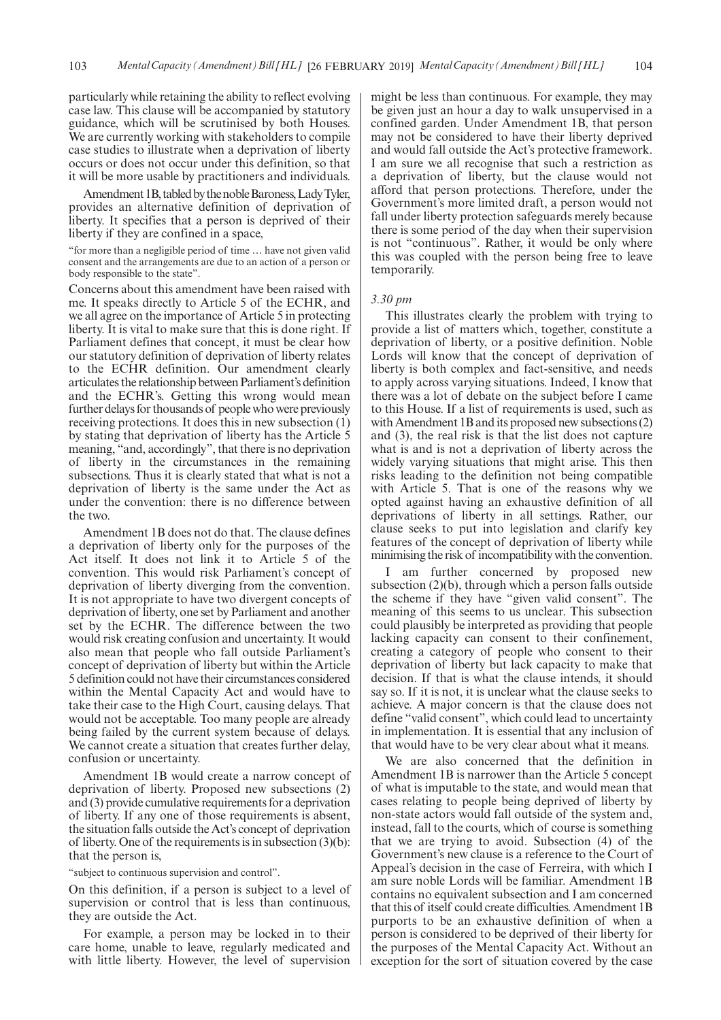particularly while retaining the ability to reflect evolving case law. This clause will be accompanied by statutory guidance, which will be scrutinised by both Houses. We are currently working with stakeholders to compile case studies to illustrate when a deprivation of liberty occurs or does not occur under this definition, so that it will be more usable by practitioners and individuals.

Amendment 1B, tabled by the noble Baroness, Lady Tyler, provides an alternative definition of deprivation of liberty. It specifies that a person is deprived of their liberty if they are confined in a space,

"for more than a negligible period of time … have not given valid consent and the arrangements are due to an action of a person or body responsible to the state".

Concerns about this amendment have been raised with me. It speaks directly to Article 5 of the ECHR, and we all agree on the importance of Article 5 in protecting liberty. It is vital to make sure that this is done right. If Parliament defines that concept, it must be clear how our statutory definition of deprivation of liberty relates to the ECHR definition. Our amendment clearly articulates the relationship between Parliament's definition and the ECHR's. Getting this wrong would mean further delays for thousands of people who were previously receiving protections. It does this in new subsection (1) by stating that deprivation of liberty has the Article 5 meaning, "and, accordingly", that there is no deprivation of liberty in the circumstances in the remaining subsections. Thus it is clearly stated that what is not a deprivation of liberty is the same under the Act as under the convention: there is no difference between the two.

Amendment 1B does not do that. The clause defines a deprivation of liberty only for the purposes of the Act itself. It does not link it to Article 5 of the convention. This would risk Parliament's concept of deprivation of liberty diverging from the convention. It is not appropriate to have two divergent concepts of deprivation of liberty, one set by Parliament and another set by the ECHR. The difference between the two would risk creating confusion and uncertainty. It would also mean that people who fall outside Parliament's concept of deprivation of liberty but within the Article 5 definition could not have their circumstances considered within the Mental Capacity Act and would have to take their case to the High Court, causing delays. That would not be acceptable. Too many people are already being failed by the current system because of delays. We cannot create a situation that creates further delay, confusion or uncertainty.

Amendment 1B would create a narrow concept of deprivation of liberty. Proposed new subsections (2) and (3) provide cumulative requirements for a deprivation of liberty. If any one of those requirements is absent, the situation falls outside the Act's concept of deprivation of liberty. One of the requirements is in subsection (3)(b): that the person is,

"subject to continuous supervision and control".

On this definition, if a person is subject to a level of supervision or control that is less than continuous, they are outside the Act.

For example, a person may be locked in to their care home, unable to leave, regularly medicated and with little liberty. However, the level of supervision might be less than continuous. For example, they may be given just an hour a day to walk unsupervised in a confined garden. Under Amendment 1B, that person may not be considered to have their liberty deprived and would fall outside the Act's protective framework. I am sure we all recognise that such a restriction as a deprivation of liberty, but the clause would not afford that person protections. Therefore, under the Government's more limited draft, a person would not fall under liberty protection safeguards merely because there is some period of the day when their supervision is not "continuous". Rather, it would be only where this was coupled with the person being free to leave temporarily.

#### *3.30 pm*

This illustrates clearly the problem with trying to provide a list of matters which, together, constitute a deprivation of liberty, or a positive definition. Noble Lords will know that the concept of deprivation of liberty is both complex and fact-sensitive, and needs to apply across varying situations. Indeed, I know that there was a lot of debate on the subject before I came to this House. If a list of requirements is used, such as with Amendment 1B and its proposed new subsections (2) and (3), the real risk is that the list does not capture what is and is not a deprivation of liberty across the widely varying situations that might arise. This then risks leading to the definition not being compatible with Article 5. That is one of the reasons why we opted against having an exhaustive definition of all deprivations of liberty in all settings. Rather, our clause seeks to put into legislation and clarify key features of the concept of deprivation of liberty while minimising the risk of incompatibility with the convention.

I am further concerned by proposed new subsection (2)(b), through which a person falls outside the scheme if they have "given valid consent". The meaning of this seems to us unclear. This subsection could plausibly be interpreted as providing that people lacking capacity can consent to their confinement, creating a category of people who consent to their deprivation of liberty but lack capacity to make that decision. If that is what the clause intends, it should say so. If it is not, it is unclear what the clause seeks to achieve. A major concern is that the clause does not define "valid consent", which could lead to uncertainty in implementation. It is essential that any inclusion of that would have to be very clear about what it means.

We are also concerned that the definition in Amendment 1B is narrower than the Article 5 concept of what is imputable to the state, and would mean that cases relating to people being deprived of liberty by non-state actors would fall outside of the system and, instead, fall to the courts, which of course is something that we are trying to avoid. Subsection (4) of the Government's new clause is a reference to the Court of Appeal's decision in the case of Ferreira, with which I am sure noble Lords will be familiar. Amendment 1B contains no equivalent subsection and I am concerned that this of itself could create difficulties. Amendment 1B purports to be an exhaustive definition of when a person is considered to be deprived of their liberty for the purposes of the Mental Capacity Act. Without an exception for the sort of situation covered by the case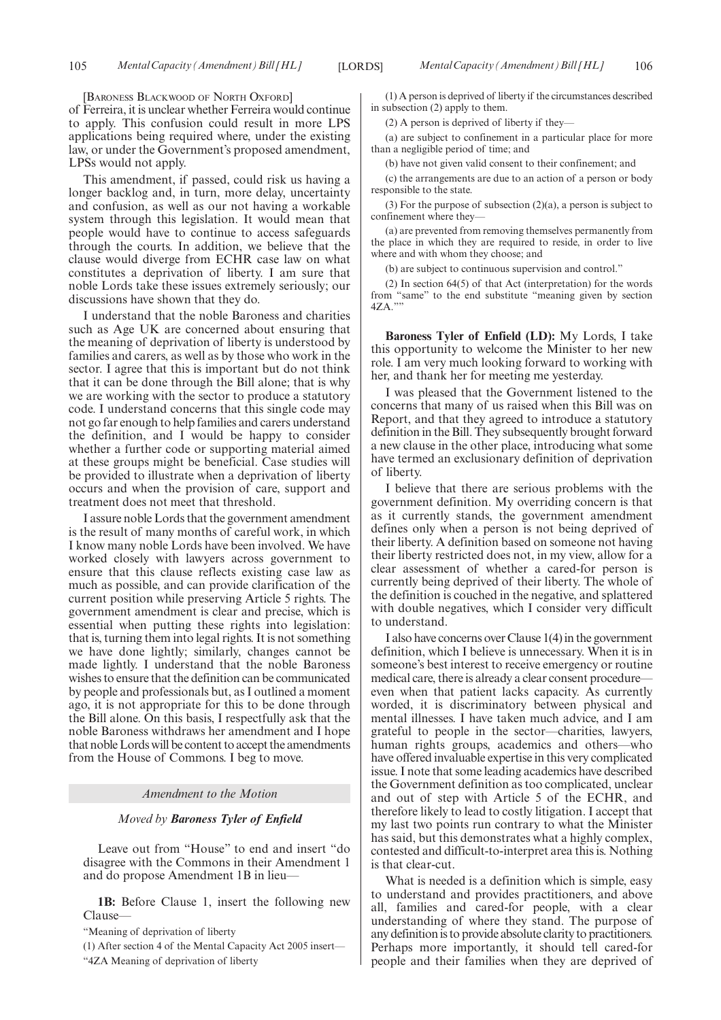[BARONESS BLACKWOOD OF NORTH OXFORD]

of Ferreira, it is unclear whether Ferreira would continue to apply. This confusion could result in more LPS applications being required where, under the existing law, or under the Government's proposed amendment, LPSs would not apply.

This amendment, if passed, could risk us having a longer backlog and, in turn, more delay, uncertainty and confusion, as well as our not having a workable system through this legislation. It would mean that people would have to continue to access safeguards through the courts. In addition, we believe that the clause would diverge from ECHR case law on what constitutes a deprivation of liberty. I am sure that noble Lords take these issues extremely seriously; our discussions have shown that they do.

I understand that the noble Baroness and charities such as Age UK are concerned about ensuring that the meaning of deprivation of liberty is understood by families and carers, as well as by those who work in the sector. I agree that this is important but do not think that it can be done through the Bill alone; that is why we are working with the sector to produce a statutory code. I understand concerns that this single code may not go far enough to help families and carers understand the definition, and I would be happy to consider whether a further code or supporting material aimed at these groups might be beneficial. Case studies will be provided to illustrate when a deprivation of liberty occurs and when the provision of care, support and treatment does not meet that threshold.

I assure noble Lords that the government amendment is the result of many months of careful work, in which I know many noble Lords have been involved. We have worked closely with lawyers across government to ensure that this clause reflects existing case law as much as possible, and can provide clarification of the current position while preserving Article 5 rights. The government amendment is clear and precise, which is essential when putting these rights into legislation: that is, turning them into legal rights. It is not something we have done lightly; similarly, changes cannot be made lightly. I understand that the noble Baroness wishes to ensure that the definition can be communicated by people and professionals but, as I outlined a moment ago, it is not appropriate for this to be done through the Bill alone. On this basis, I respectfully ask that the noble Baroness withdraws her amendment and I hope that noble Lords will be content to accept the amendments from the House of Commons. I beg to move.

#### *Amendment to the Motion*

#### *Moved by Baroness Tyler of Enfield*

Leave out from "House" to end and insert "do disagree with the Commons in their Amendment 1 and do propose Amendment 1B in lieu—

- **1B:** Before Clause 1, insert the following new Clause—
- "Meaning of deprivation of liberty
- (1) After section 4 of the Mental Capacity Act 2005 insert— "4ZA Meaning of deprivation of liberty

(1) A person is deprived of liberty if the circumstances described in subsection (2) apply to them.

(2) A person is deprived of liberty if they—

(a) are subject to confinement in a particular place for more than a negligible period of time; and

(b) have not given valid consent to their confinement; and

(c) the arrangements are due to an action of a person or body responsible to the state.

(3) For the purpose of subsection  $(2)(a)$ , a person is subject to confinement where they—

(a) are prevented from removing themselves permanently from the place in which they are required to reside, in order to live where and with whom they choose; and

(b) are subject to continuous supervision and control."

(2) In section 64(5) of that Act (interpretation) for the words from "same" to the end substitute "meaning given by section 4ZA.""

**Baroness Tyler of Enfield (LD):** My Lords, I take this opportunity to welcome the Minister to her new role. I am very much looking forward to working with her, and thank her for meeting me yesterday.

I was pleased that the Government listened to the concerns that many of us raised when this Bill was on Report, and that they agreed to introduce a statutory definition in the Bill. They subsequently brought forward a new clause in the other place, introducing what some have termed an exclusionary definition of deprivation of liberty.

I believe that there are serious problems with the government definition. My overriding concern is that as it currently stands, the government amendment defines only when a person is not being deprived of their liberty. A definition based on someone not having their liberty restricted does not, in my view, allow for a clear assessment of whether a cared-for person is currently being deprived of their liberty. The whole of the definition is couched in the negative, and splattered with double negatives, which I consider very difficult to understand.

I also have concerns over Clause 1(4) in the government definition, which I believe is unnecessary. When it is in someone's best interest to receive emergency or routine medical care, there is already a clear consent procedure even when that patient lacks capacity. As currently worded, it is discriminatory between physical and mental illnesses. I have taken much advice, and I am grateful to people in the sector—charities, lawyers, human rights groups, academics and others—who have offered invaluable expertise in this very complicated issue. I note that some leading academics have described the Government definition as too complicated, unclear and out of step with Article 5 of the ECHR, and therefore likely to lead to costly litigation. I accept that my last two points run contrary to what the Minister has said, but this demonstrates what a highly complex, contested and difficult-to-interpret area this is. Nothing is that clear-cut.

What is needed is a definition which is simple, easy to understand and provides practitioners, and above all, families and cared-for people, with a clear understanding of where they stand. The purpose of any definition is to provide absolute clarity to practitioners. Perhaps more importantly, it should tell cared-for people and their families when they are deprived of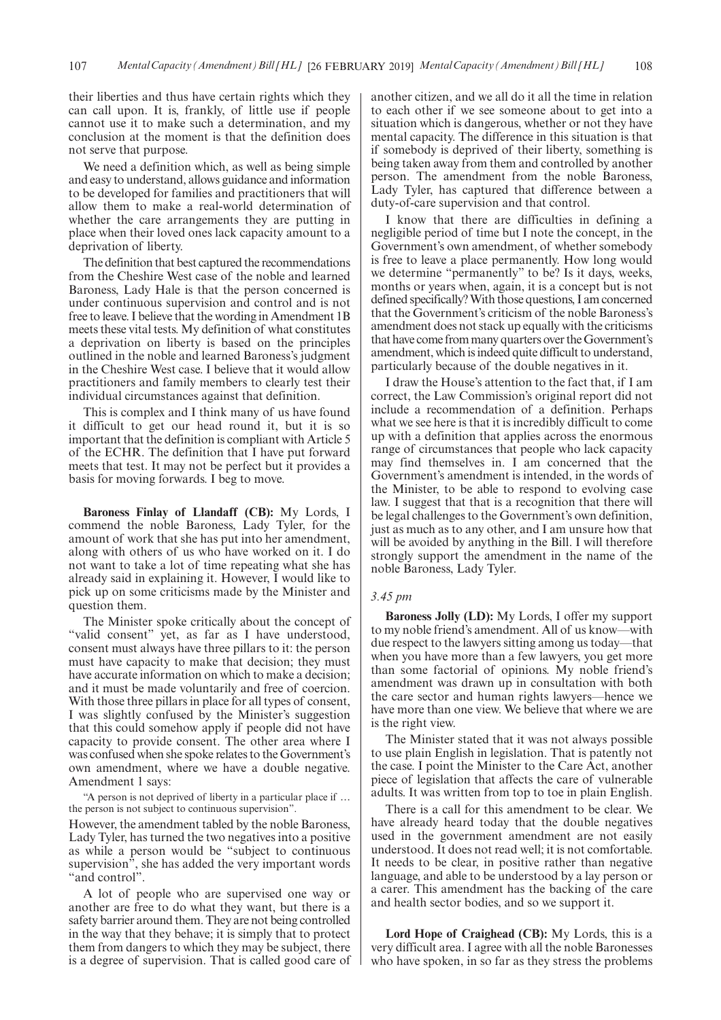their liberties and thus have certain rights which they can call upon. It is, frankly, of little use if people cannot use it to make such a determination, and my conclusion at the moment is that the definition does not serve that purpose.

We need a definition which, as well as being simple and easy to understand, allows guidance and information to be developed for families and practitioners that will allow them to make a real-world determination of whether the care arrangements they are putting in place when their loved ones lack capacity amount to a deprivation of liberty.

The definition that best captured the recommendations from the Cheshire West case of the noble and learned Baroness, Lady Hale is that the person concerned is under continuous supervision and control and is not free to leave. I believe that the wording in Amendment 1B meets these vital tests. My definition of what constitutes a deprivation on liberty is based on the principles outlined in the noble and learned Baroness's judgment in the Cheshire West case. I believe that it would allow practitioners and family members to clearly test their individual circumstances against that definition.

This is complex and I think many of us have found it difficult to get our head round it, but it is so important that the definition is compliant with Article 5 of the ECHR. The definition that I have put forward meets that test. It may not be perfect but it provides a basis for moving forwards. I beg to move.

**Baroness Finlay of Llandaff (CB):** My Lords, I commend the noble Baroness, Lady Tyler, for the amount of work that she has put into her amendment, along with others of us who have worked on it. I do not want to take a lot of time repeating what she has already said in explaining it. However, I would like to pick up on some criticisms made by the Minister and question them.

The Minister spoke critically about the concept of "valid consent" yet, as far as I have understood, consent must always have three pillars to it: the person must have capacity to make that decision; they must have accurate information on which to make a decision; and it must be made voluntarily and free of coercion. With those three pillars in place for all types of consent, I was slightly confused by the Minister's suggestion that this could somehow apply if people did not have capacity to provide consent. The other area where I was confused when she spoke relates to the Government's own amendment, where we have a double negative. Amendment 1 says:

"A person is not deprived of liberty in a particular place if … the person is not subject to continuous supervision".

However, the amendment tabled by the noble Baroness, Lady Tyler, has turned the two negatives into a positive as while a person would be "subject to continuous supervision", she has added the very important words "and control".

A lot of people who are supervised one way or another are free to do what they want, but there is a safety barrier around them. They are not being controlled in the way that they behave; it is simply that to protect them from dangers to which they may be subject, there is a degree of supervision. That is called good care of another citizen, and we all do it all the time in relation to each other if we see someone about to get into a situation which is dangerous, whether or not they have mental capacity. The difference in this situation is that if somebody is deprived of their liberty, something is being taken away from them and controlled by another person. The amendment from the noble Baroness, Lady Tyler, has captured that difference between a duty-of-care supervision and that control.

I know that there are difficulties in defining a negligible period of time but I note the concept, in the Government's own amendment, of whether somebody is free to leave a place permanently. How long would we determine "permanently" to be? Is it days, weeks, months or years when, again, it is a concept but is not defined specifically? With those questions, I am concerned that the Government's criticism of the noble Baroness's amendment does not stack up equally with the criticisms that have come from many quarters over the Government's amendment, which is indeed quite difficult to understand, particularly because of the double negatives in it.

I draw the House's attention to the fact that, if I am correct, the Law Commission's original report did not include a recommendation of a definition. Perhaps what we see here is that it is incredibly difficult to come up with a definition that applies across the enormous range of circumstances that people who lack capacity may find themselves in. I am concerned that the Government's amendment is intended, in the words of the Minister, to be able to respond to evolving case law. I suggest that that is a recognition that there will be legal challenges to the Government's own definition, just as much as to any other, and I am unsure how that will be avoided by anything in the Bill. I will therefore strongly support the amendment in the name of the noble Baroness, Lady Tyler.

#### *3.45 pm*

**Baroness Jolly (LD):** My Lords, I offer my support to my noble friend's amendment. All of us know—with due respect to the lawyers sitting among us today—that when you have more than a few lawyers, you get more than some factorial of opinions. My noble friend's amendment was drawn up in consultation with both the care sector and human rights lawyers—hence we have more than one view. We believe that where we are is the right view.

The Minister stated that it was not always possible to use plain English in legislation. That is patently not the case. I point the Minister to the Care Act, another piece of legislation that affects the care of vulnerable adults. It was written from top to toe in plain English.

There is a call for this amendment to be clear. We have already heard today that the double negatives used in the government amendment are not easily understood. It does not read well; it is not comfortable. It needs to be clear, in positive rather than negative language, and able to be understood by a lay person or a carer. This amendment has the backing of the care and health sector bodies, and so we support it.

**Lord Hope of Craighead (CB):** My Lords, this is a very difficult area. I agree with all the noble Baronesses who have spoken, in so far as they stress the problems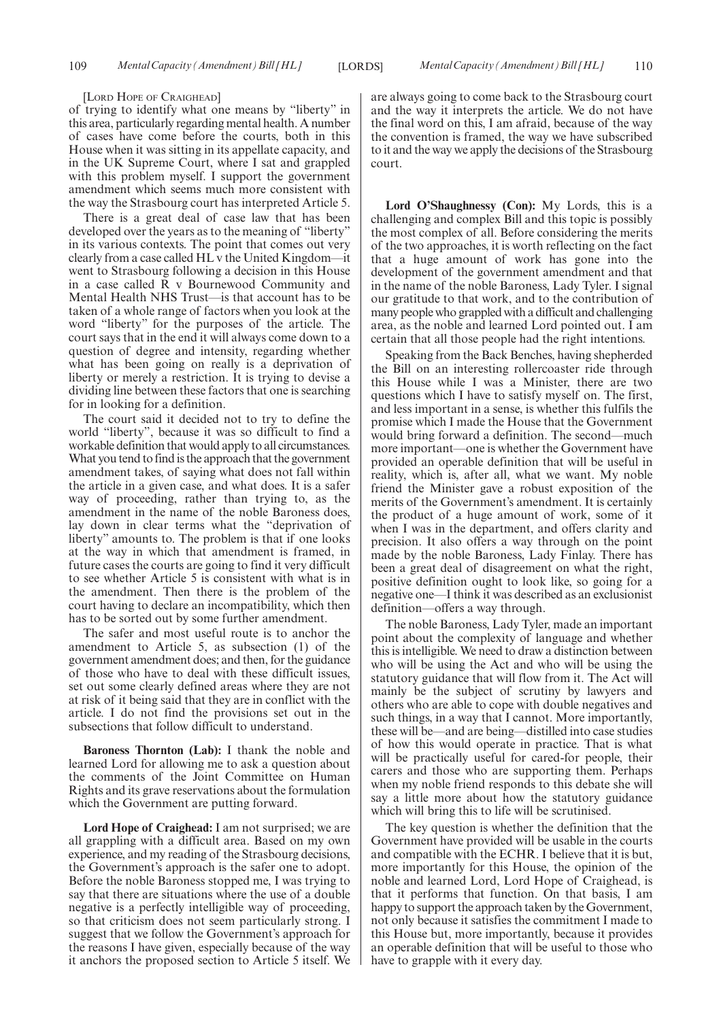#### [LORD HOPE OF CRAIGHEAD]

of trying to identify what one means by "liberty" in this area, particularly regarding mental health. A number of cases have come before the courts, both in this House when it was sitting in its appellate capacity, and in the UK Supreme Court, where I sat and grappled with this problem myself. I support the government amendment which seems much more consistent with the way the Strasbourg court has interpreted Article 5.

There is a great deal of case law that has been developed over the years as to the meaning of "liberty" in its various contexts. The point that comes out very clearly from a case called HL v the United Kingdom—it went to Strasbourg following a decision in this House in a case called R v Bournewood Community and Mental Health NHS Trust—is that account has to be taken of a whole range of factors when you look at the word "liberty" for the purposes of the article. The court says that in the end it will always come down to a question of degree and intensity, regarding whether what has been going on really is a deprivation of liberty or merely a restriction. It is trying to devise a dividing line between these factors that one is searching for in looking for a definition.

The court said it decided not to try to define the world "liberty", because it was so difficult to find a workable definition that would apply to all circumstances. What you tend to find is the approach that the government amendment takes, of saying what does not fall within the article in a given case, and what does. It is a safer way of proceeding, rather than trying to, as the amendment in the name of the noble Baroness does, lay down in clear terms what the "deprivation of liberty" amounts to. The problem is that if one looks at the way in which that amendment is framed, in future cases the courts are going to find it very difficult to see whether Article 5 is consistent with what is in the amendment. Then there is the problem of the court having to declare an incompatibility, which then has to be sorted out by some further amendment.

The safer and most useful route is to anchor the amendment to Article 5, as subsection (1) of the government amendment does; and then, for the guidance of those who have to deal with these difficult issues, set out some clearly defined areas where they are not at risk of it being said that they are in conflict with the article. I do not find the provisions set out in the subsections that follow difficult to understand.

**Baroness Thornton (Lab):** I thank the noble and learned Lord for allowing me to ask a question about the comments of the Joint Committee on Human Rights and its grave reservations about the formulation which the Government are putting forward.

**Lord Hope of Craighead:** I am not surprised; we are all grappling with a difficult area. Based on my own experience, and my reading of the Strasbourg decisions, the Government's approach is the safer one to adopt. Before the noble Baroness stopped me, I was trying to say that there are situations where the use of a double negative is a perfectly intelligible way of proceeding, so that criticism does not seem particularly strong. I suggest that we follow the Government's approach for the reasons I have given, especially because of the way it anchors the proposed section to Article 5 itself. We are always going to come back to the Strasbourg court and the way it interprets the article. We do not have the final word on this, I am afraid, because of the way the convention is framed, the way we have subscribed to it and the way we apply the decisions of the Strasbourg court.

**Lord O'Shaughnessy (Con):** My Lords, this is a challenging and complex Bill and this topic is possibly the most complex of all. Before considering the merits of the two approaches, it is worth reflecting on the fact that a huge amount of work has gone into the development of the government amendment and that in the name of the noble Baroness, Lady Tyler. I signal our gratitude to that work, and to the contribution of many people who grappled with a difficult and challenging area, as the noble and learned Lord pointed out. I am certain that all those people had the right intentions.

Speaking from the Back Benches, having shepherded the Bill on an interesting rollercoaster ride through this House while I was a Minister, there are two questions which I have to satisfy myself on. The first, and less important in a sense, is whether this fulfils the promise which I made the House that the Government would bring forward a definition. The second—much more important—one is whether the Government have provided an operable definition that will be useful in reality, which is, after all, what we want. My noble friend the Minister gave a robust exposition of the merits of the Government's amendment. It is certainly the product of a huge amount of work, some of it when I was in the department, and offers clarity and precision. It also offers a way through on the point made by the noble Baroness, Lady Finlay. There has been a great deal of disagreement on what the right, positive definition ought to look like, so going for a negative one—I think it was described as an exclusionist definition—offers a way through.

The noble Baroness, Lady Tyler, made an important point about the complexity of language and whether this is intelligible. We need to draw a distinction between who will be using the Act and who will be using the statutory guidance that will flow from it. The Act will mainly be the subject of scrutiny by lawyers and others who are able to cope with double negatives and such things, in a way that I cannot. More importantly, these will be—and are being—distilled into case studies of how this would operate in practice. That is what will be practically useful for cared-for people, their carers and those who are supporting them. Perhaps when my noble friend responds to this debate she will say a little more about how the statutory guidance which will bring this to life will be scrutinised.

The key question is whether the definition that the Government have provided will be usable in the courts and compatible with the ECHR. I believe that it is but, more importantly for this House, the opinion of the noble and learned Lord, Lord Hope of Craighead, is that it performs that function. On that basis, I am happy to support the approach taken by the Government, not only because it satisfies the commitment I made to this House but, more importantly, because it provides an operable definition that will be useful to those who have to grapple with it every day.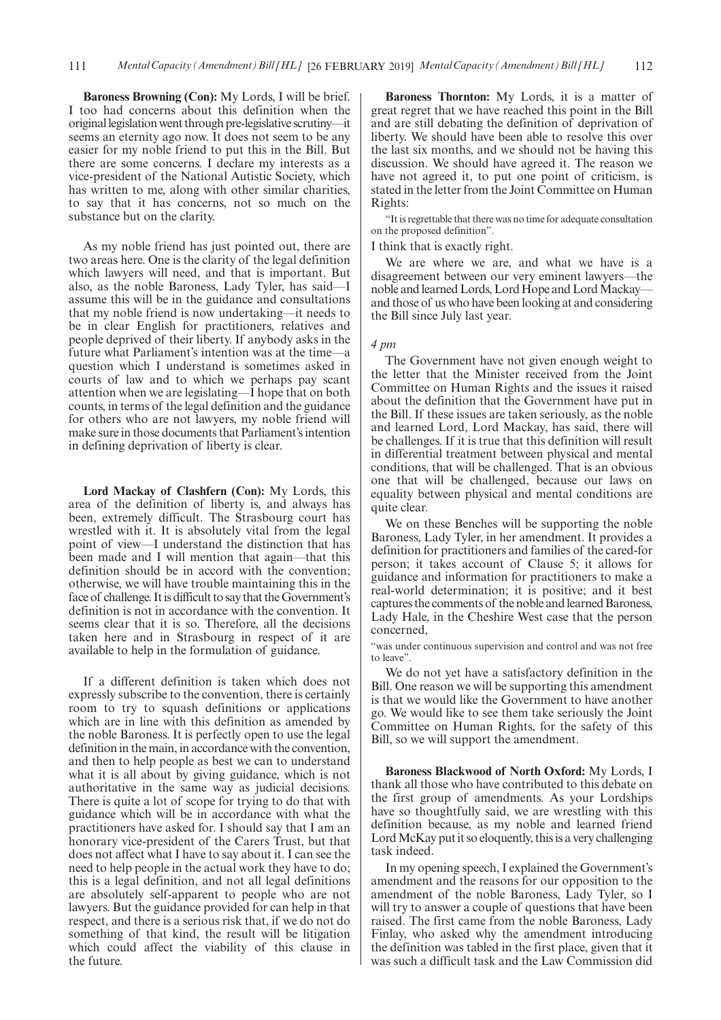**Baroness Browning (Con):** My Lords, I will be brief. I too had concerns about this definition when the original legislation went through pre-legislative scrutiny—it seems an eternity ago now. It does not seem to be any easier for my noble friend to put this in the Bill. But there are some concerns. I declare my interests as a vice-president of the National Autistic Society, which has written to me, along with other similar charities, to say that it has concerns, not so much on the substance but on the clarity.

As my noble friend has just pointed out, there are two areas here. One is the clarity of the legal definition which lawyers will need, and that is important. But also, as the noble Baroness, Lady Tyler, has said—I assume this will be in the guidance and consultations that my noble friend is now undertaking—it needs to be in clear English for practitioners, relatives and people deprived of their liberty. If anybody asks in the future what Parliament's intention was at the time—a question which I understand is sometimes asked in courts of law and to which we perhaps pay scant attention when we are legislating—I hope that on both counts, in terms of the legal definition and the guidance for others who are not lawyers, my noble friend will make sure in those documents that Parliament's intention in defining deprivation of liberty is clear.

**Lord Mackay of Clashfern (Con):** My Lords, this area of the definition of liberty is, and always has been, extremely difficult. The Strasbourg court has wrestled with it. It is absolutely vital from the legal point of view—I understand the distinction that has been made and I will mention that again—that this definition should be in accord with the convention; otherwise, we will have trouble maintaining this in the face of challenge. It is difficult to say that the Government's definition is not in accordance with the convention. It seems clear that it is so. Therefore, all the decisions taken here and in Strasbourg in respect of it are available to help in the formulation of guidance.

If a different definition is taken which does not expressly subscribe to the convention, there is certainly room to try to squash definitions or applications which are in line with this definition as amended by the noble Baroness. It is perfectly open to use the legal definition in the main, in accordance with the convention, and then to help people as best we can to understand what it is all about by giving guidance, which is not authoritative in the same way as judicial decisions. There is quite a lot of scope for trying to do that with guidance which will be in accordance with what the practitioners have asked for. I should say that I am an honorary vice-president of the Carers Trust, but that does not affect what I have to say about it. I can see the need to help people in the actual work they have to do; this is a legal definition, and not all legal definitions are absolutely self-apparent to people who are not lawyers. But the guidance provided for can help in that respect, and there is a serious risk that, if we do not do something of that kind, the result will be litigation which could affect the viability of this clause in the future.

**Baroness Thornton:** My Lords, it is a matter of great regret that we have reached this point in the Bill and are still debating the definition of deprivation of liberty. We should have been able to resolve this over the last six months, and we should not be having this discussion. We should have agreed it. The reason we have not agreed it, to put one point of criticism, is stated in the letter from the Joint Committee on Human Rights:

"It is regrettable that there was no time for adequate consultation on the proposed definition".

I think that is exactly right.

We are where we are, and what we have is a disagreement between our very eminent lawyers—the noble and learned Lords, Lord Hope and Lord Mackay and those of us who have been looking at and considering the Bill since July last year.

#### *4 pm*

The Government have not given enough weight to the letter that the Minister received from the Joint Committee on Human Rights and the issues it raised about the definition that the Government have put in the Bill. If these issues are taken seriously, as the noble and learned Lord, Lord Mackay, has said, there will be challenges. If it is true that this definition will result in differential treatment between physical and mental conditions, that will be challenged. That is an obvious one that will be challenged, because our laws on equality between physical and mental conditions are quite clear.

We on these Benches will be supporting the noble Baroness, Lady Tyler, in her amendment. It provides a definition for practitioners and families of the cared-for person; it takes account of Clause 5; it allows for guidance and information for practitioners to make a real-world determination; it is positive; and it best captures the comments of the noble and learned Baroness, Lady Hale, in the Cheshire West case that the person concerned,

"was under continuous supervision and control and was not free to leave".

We do not yet have a satisfactory definition in the Bill. One reason we will be supporting this amendment is that we would like the Government to have another go. We would like to see them take seriously the Joint Committee on Human Rights, for the safety of this Bill, so we will support the amendment.

**Baroness Blackwood of North Oxford:** My Lords, I thank all those who have contributed to this debate on the first group of amendments. As your Lordships have so thoughtfully said, we are wrestling with this definition because, as my noble and learned friend Lord McKay put it so eloquently, this is a very challenging task indeed.

In my opening speech, I explained the Government's amendment and the reasons for our opposition to the amendment of the noble Baroness, Lady Tyler, so I will try to answer a couple of questions that have been raised. The first came from the noble Baroness, Lady Finlay, who asked why the amendment introducing the definition was tabled in the first place, given that it was such a difficult task and the Law Commission did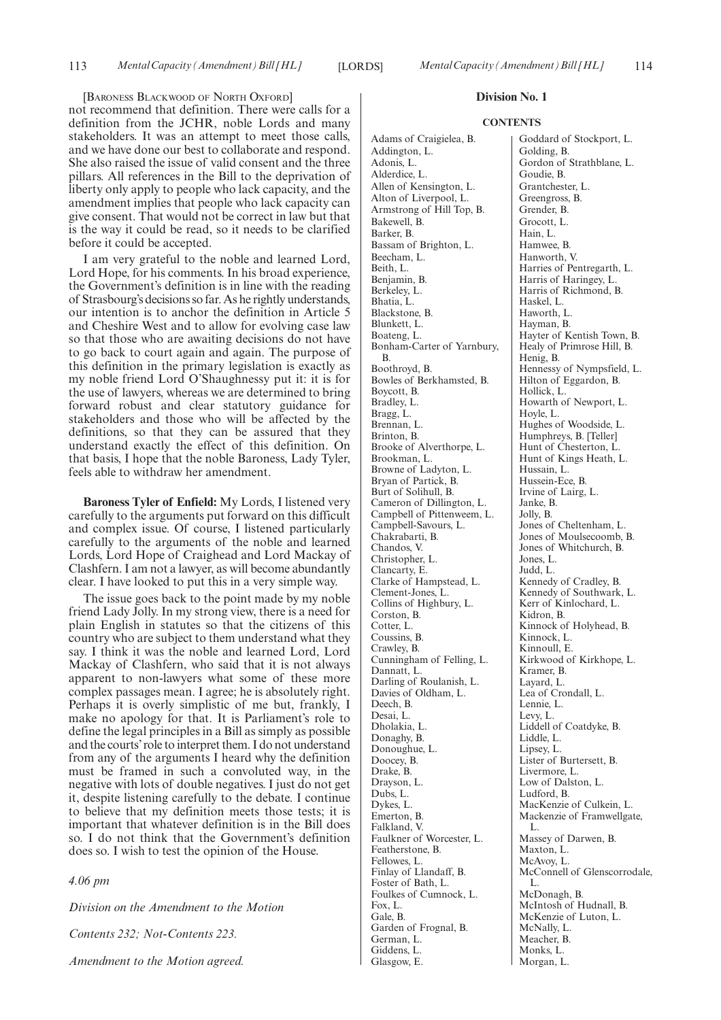[BARONESS BLACKWOOD OF NORTH OXFORD]

not recommend that definition. There were calls for a definition from the JCHR, noble Lords and many stakeholders. It was an attempt to meet those calls, and we have done our best to collaborate and respond. She also raised the issue of valid consent and the three pillars. All references in the Bill to the deprivation of liberty only apply to people who lack capacity, and the amendment implies that people who lack capacity can give consent. That would not be correct in law but that is the way it could be read, so it needs to be clarified before it could be accepted.

I am very grateful to the noble and learned Lord, Lord Hope, for his comments. In his broad experience, the Government's definition is in line with the reading of Strasbourg's decisions so far. As he rightly understands, our intention is to anchor the definition in Article 5 and Cheshire West and to allow for evolving case law so that those who are awaiting decisions do not have to go back to court again and again. The purpose of this definition in the primary legislation is exactly as my noble friend Lord O'Shaughnessy put it: it is for the use of lawyers, whereas we are determined to bring forward robust and clear statutory guidance for stakeholders and those who will be affected by the definitions, so that they can be assured that they understand exactly the effect of this definition. On that basis, I hope that the noble Baroness, Lady Tyler, feels able to withdraw her amendment.

**Baroness Tyler of Enfield:** My Lords, I listened very carefully to the arguments put forward on this difficult and complex issue. Of course, I listened particularly carefully to the arguments of the noble and learned Lords, Lord Hope of Craighead and Lord Mackay of Clashfern. I am not a lawyer, as will become abundantly clear. I have looked to put this in a very simple way.

The issue goes back to the point made by my noble friend Lady Jolly. In my strong view, there is a need for plain English in statutes so that the citizens of this country who are subject to them understand what they say. I think it was the noble and learned Lord, Lord Mackay of Clashfern, who said that it is not always apparent to non-lawyers what some of these more complex passages mean. I agree; he is absolutely right. Perhaps it is overly simplistic of me but, frankly, I make no apology for that. It is Parliament's role to define the legal principles in a Bill as simply as possible and the courts'role to interpret them. I do not understand from any of the arguments I heard why the definition must be framed in such a convoluted way, in the negative with lots of double negatives. I just do not get it, despite listening carefully to the debate. I continue to believe that my definition meets those tests; it is important that whatever definition is in the Bill does so. I do not think that the Government's definition does so. I wish to test the opinion of the House.

*4.06 pm*

*Division on the Amendment to the Motion*

*Contents 232; Not-Contents 223.*

*Amendment to the Motion agreed.*

# **Division No. 1**

#### **CONTENTS**

Adams of Craigielea, B. Addington, L. Adonis, L. Alderdice, L. Allen of Kensington, L. Alton of Liverpool, L. Armstrong of Hill Top, B. Bakewell, B. Barker, B. Bassam of Brighton, L. Beecham, L. Beith, L. Benjamin, B. Berkeley, L. Bhatia, L. Blackstone, B. Blunkett, L. Boateng, L. Bonham-Carter of Yarnbury, B. Boothroyd, B. Bowles of Berkhamsted, B. Boycott, B. Bradley, L. Bragg, L. Brennan, L. Brinton, B. Brooke of Alverthorpe, L. Brookman, L. Browne of Ladyton, L. Bryan of Partick, B. Burt of Solihull, B. Cameron of Dillington, L. Campbell of Pittenweem, L. Campbell-Savours, L. Chakrabarti, B. Chandos, V. Christopher, L. Clancarty, E. Clarke of Hampstead, L. Clement-Jones, L. Collins of Highbury, L. Corston, B. Cotter, L. Coussins, B. Crawley, B. Cunningham of Felling, L. Dannatt, L. Darling of Roulanish, L. Davies of Oldham, L. Deech, B. Desai, L. Dholakia, L. Donaghy, B. Donoughue, L. Doocey, B. Drake, B. Drayson, L. Dubs, L. Dykes, L. Emerton, B. Falkland, V. Faulkner of Worcester, L. Featherstone, B. Fellowes, L. Finlay of Llandaff, B. Foster of Bath, L. Foulkes of Cumnock, L. Fox, L. Gale, B. Garden of Frognal, B. German, L. Giddens, L. Glasgow, E.

Goddard of Stockport, L. Golding, B. Gordon of Strathblane, L. Goudie, B. Grantchester, L. Greengross, B. Grender, B. Grocott, L. Hain, L. Hamwee, B. Hanworth, V. Harries of Pentregarth, L. Harris of Haringey, L. Harris of Richmond, B. Haskel, L. Haworth, L. Hayman, B. Hayter of Kentish Town, B. Healy of Primrose Hill, B. Henig, B. Hennessy of Nympsfield, L. Hilton of Eggardon, B. Hollick, L. Howarth of Newport, L. Hoyle, L. Hughes of Woodside, L. Humphreys, B. [Teller] Hunt of Chesterton, L. Hunt of Kings Heath, L. Hussain, L. Hussein-Ece, B. Irvine of Lairg, L. Janke, B. Jolly, B. Jones of Cheltenham, L. Jones of Moulsecoomb, B. Jones of Whitchurch, B. Jones, L. Judd, L. Kennedy of Cradley, B. Kennedy of Southwark, L. Kerr of Kinlochard, L. Kidron, B. Kinnock of Holyhead, B. Kinnock, L. Kinnoull, E. Kirkwood of Kirkhope, L. Kramer, B. Layard, L. Lea of Crondall, L. Lennie, L. Levy, L. Liddell of Coatdyke, B. Liddle, L. Lipsey, L. Lister of Burtersett, B. Livermore, L. Low of Dalston, L. Ludford, B. MacKenzie of Culkein, L. Mackenzie of Framwellgate, L. Massey of Darwen, B. Maxton, L. McAvoy, L. McConnell of Glenscorrodale, L. McDonagh, B. McIntosh of Hudnall, B. McKenzie of Luton, L. McNally, L. Meacher, B. Monks, L.

Morgan, L.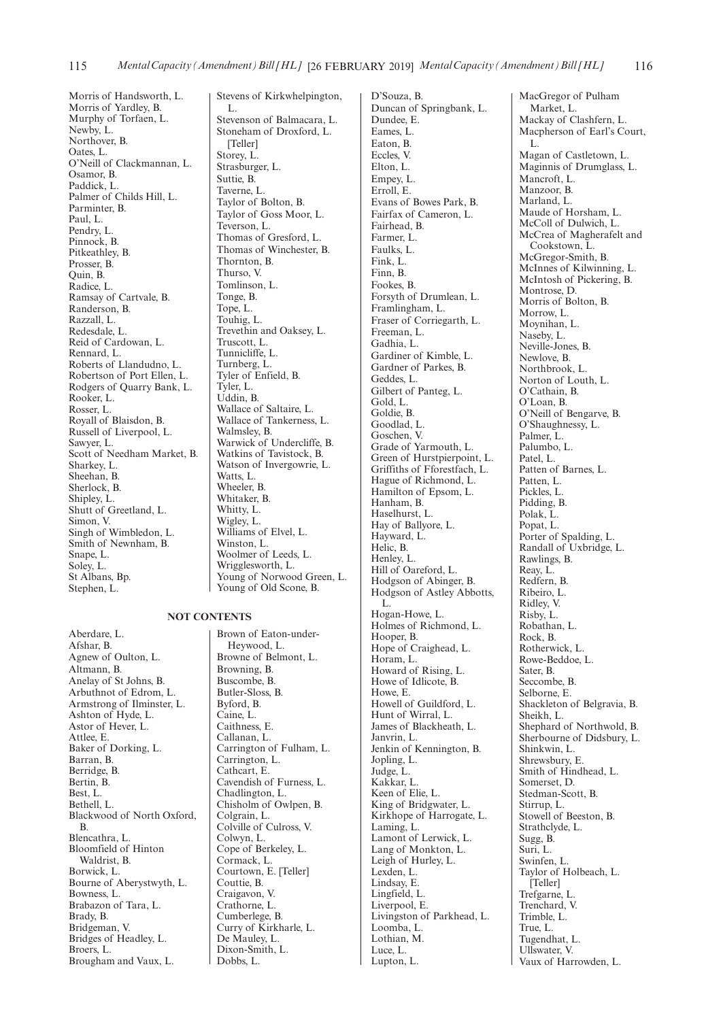Morris of Handsworth, L. Morris of Yardley, B. Murphy of Torfaen, L. Newby, L. Northover, B. Oates, L. O'Neill of Clackmannan, L. Osamor, B. Paddick, L. Palmer of Childs Hill, L. Parminter, B. Paul, L. Pendry, L. Pinnock, B. Pitkeathley, B. Prosser, B. Quin, B. Radice, L. Ramsay of Cartvale, B. Randerson, B. Razzall, L. Redesdale, L. Reid of Cardowan, L. Rennard, L. Roberts of Llandudno, L. Robertson of Port Ellen, L. Rodgers of Quarry Bank, L. Rooker, L. Rosser, L. Royall of Blaisdon, B. Russell of Liverpool, L. Sawyer, L. Scott of Needham Market, B. Sharkey, L. Sheehan, B. Sherlock, B. Shipley, L. Shutt of Greetland, L. Simon, V. Singh of Wimbledon, L. Smith of Newnham, B. Snape, L. Soley, L. St Albans, Bp. Stephen, L.

**NOT CONTENTS**

Aberdare, L. Afshar, B. Agnew of Oulton, L. Altmann, B. Anelay of St Johns, B. Arbuthnot of Edrom, L. Armstrong of Ilminster, L. Ashton of Hyde, L. Astor of Hever, L. Attlee, E. Baker of Dorking, L. Barran, B. Berridge, B. Bertin, B. Best, L. Bethell, L. Blackwood of North Oxford, B. Blencathra, L. Bloomfield of Hinton Waldrist, B. Borwick, L. Bourne of Aberystwyth, L. Bowness, L. Brabazon of Tara, L. Brady, B. Bridgeman, V. Bridges of Headley, L. Broers, L. Brougham and Vaux, L.

Stevens of Kirkwhelpington, L. Stevenson of Balmacara, L. Stoneham of Droxford, L. [Teller] Storey, L. Strasburger, L. Suttie, B. Taverne, L. Taylor of Bolton, B. Taylor of Goss Moor, L. Teverson, L. Thomas of Gresford, L. Thomas of Winchester, B. Thornton, B. Thurso, V. Tomlinson, L. Tonge, B. Tope, L. Touhig, L. Trevethin and Oaksey, L. Truscott, L. Tunnicliffe, L. Turnberg, L. Tyler of Enfield, B. Tyler, L. Uddin, B. Wallace of Saltaire, L. Wallace of Tankerness, L. Walmsley, B. Warwick of Undercliffe, B. Watkins of Tavistock, B. Watson of Invergowrie, L. Watts, L. Wheeler, B. Whitaker, B. Whitty, L. Wigley, L. Williams of Elvel, L. Winston, L. Woolmer of Leeds, L. Wrigglesworth, L. Young of Norwood Green, L. Young of Old Scone, B.

Heywood, L. Browne of Belmont, L. Browning, B. Buscombe, B.

Butler-Sloss, B. Byford, B. Caine, L. Caithness, E. Callanan, L. Carrington of Fulham, L. Carrington, L. Cathcart, E. Cavendish of Furness, L. Chadlington, L. Chisholm of Owlpen, B. Colgrain, L. Colville of Culross, V. Colwyn, L. Cope of Berkeley, L. Cormack, L. Courtown, E. [Teller] Couttie, B. Craigavon, V. Crathorne, L. Cumberlege, B. Curry of Kirkharle, L. De Mauley, L. Dixon-Smith, L. Dobbs, L.

Brown of Eaton-under-

D'Souza, B. Duncan of Springbank, L. Dundee, E. Eames, L. Eaton, B. Eccles, V. Elton, L. Empey, L. Erroll, E. Evans of Bowes Park, B. Fairfax of Cameron, L. Fairhead, B. Farmer, L. Faulks, L. Fink, L. Finn, B. Fookes, B. Forsyth of Drumlean, L. Framlingham, L. Fraser of Corriegarth, L. Freeman, L. Gadhia, L. Gardiner of Kimble, L. Gardner of Parkes, B. Geddes, L. Gilbert of Panteg, L. Gold, L. Goldie, B. Goodlad, L. Goschen, V. Grade of Yarmouth, L. Green of Hurstpierpoint, L. Griffiths of Fforestfach, L. Hague of Richmond, L. Hamilton of Epsom, L. Hanham, B. Haselhurst, L. Hay of Ballyore, L. Hayward, L. Helic, B. Henley, L. Hill of Oareford, L. Hodgson of Abinger, B. Hodgson of Astley Abbotts, L. Hogan-Howe, L. Holmes of Richmond, L. Hooper, B. Hope of Craighead, L. Horam, L. Howard of Rising, L. Howe of Idlicote, B. Howe, E. Howell of Guildford, L. Hunt of Wirral, L. James of Blackheath, L. Janvrin, L. Jenkin of Kennington, B. Jopling, L. Judge, L. Kakkar, L. Keen of Elie, L. King of Bridgwater, L. Kirkhope of Harrogate, L. Laming, L. Lamont of Lerwick, L. Lang of Monkton, L. Leigh of Hurley, L. Lexden, L. Lindsay, E. Lingfield, L. Liverpool, E. Livingston of Parkhead, L. Loomba, L. Lothian, M. Luce, L. Lupton, L.

MacGregor of Pulham Market, L. Mackay of Clashfern, L. Macpherson of Earl's Court, L. Magan of Castletown, L. Maginnis of Drumglass, L. Mancroft, L. Manzoor, B. Marland, L. Maude of Horsham, L. McColl of Dulwich, L. McCrea of Magherafelt and Cookstown, L. McGregor-Smith, B. McInnes of Kilwinning, L. McIntosh of Pickering, B. Montrose, D. Morris of Bolton, B. Morrow, L. Moynihan, L. Naseby, L. Neville-Jones, B. Newlove, B. Northbrook, L. Norton of Louth, L. O'Cathain, B. O'Loan, B. O'Neill of Bengarve, B. O'Shaughnessy, L. Palmer, L. Palumbo, L. Patel, L. Patten of Barnes, L. Patten, L. Pickles, L. Pidding, B. Polak, L. Popat, L. Porter of Spalding, L. Randall of Uxbridge, L. Rawlings, B. Reay, L. Redfern, B. Ribeiro, L. Ridley, V. Risby, L. Robathan, L. Rock, B. Rotherwick, L. Rowe-Beddoe, L. Sater, B. Seccombe, B. Selborne, E. Shackleton of Belgravia, B. Sheikh, L. Shephard of Northwold, B. Sherbourne of Didsbury, L. Shinkwin, L. Shrewsbury, E. Smith of Hindhead, L. Somerset, D. Stedman-Scott, B. Stirrup, L. Stowell of Beeston, B. Strathclyde, L. Sugg, B. Suri, L. Swinfen, L. Taylor of Holbeach, L. [Teller] Trefgarne, L. Trenchard, V. Trimble, L. True, L. Tugendhat, L. Ullswater, V. Vaux of Harrowden, L.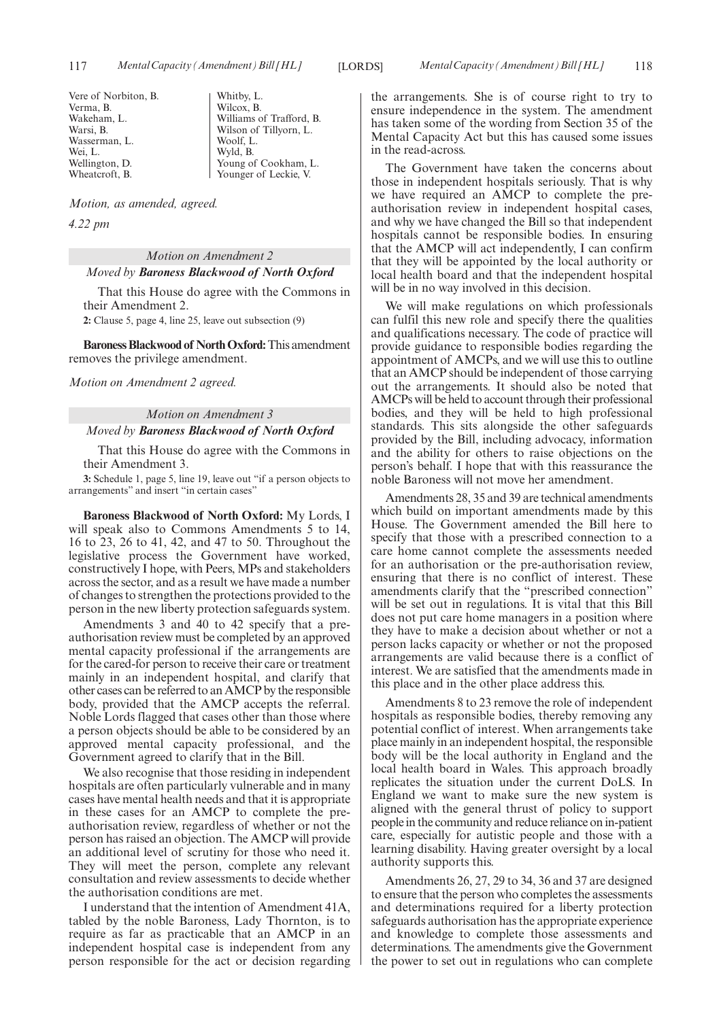Vere of Norbiton, B. Verma, B. Wakeham, L. Warsi, B. Wasserman, L. Wei, L. Wellington, D. Wheatcroft, B.

Whitby, L. Wilcox, B. Williams of Trafford, B. Wilson of Tillyorn, L. Woolf L. Wyld, B. Young of Cookham, L. Younger of Leckie, V.

*Motion, as amended, agreed.*

*4.22 pm*

*Motion on Amendment 2 Moved by Baroness Blackwood of North Oxford*

That this House do agree with the Commons in their Amendment 2.

**2:** Clause 5, page 4, line 25, leave out subsection (9)

**Baroness Blackwood of North Oxford:**This amendment removes the privilege amendment.

*Motion on Amendment 2 agreed.*

# *Motion on Amendment 3 Moved by Baroness Blackwood of North Oxford*

That this House do agree with the Commons in their Amendment 3.

**3:** Schedule 1, page 5, line 19, leave out "if a person objects to arrangements" and insert "in certain cases"

**Baroness Blackwood of North Oxford:** My Lords, I will speak also to Commons Amendments 5 to 14, 16 to 23, 26 to 41, 42, and 47 to 50. Throughout the legislative process the Government have worked, constructively I hope, with Peers, MPs and stakeholders across the sector, and as a result we have made a number of changes to strengthen the protections provided to the person in the new liberty protection safeguards system.

Amendments 3 and 40 to 42 specify that a preauthorisation review must be completed by an approved mental capacity professional if the arrangements are for the cared-for person to receive their care or treatment mainly in an independent hospital, and clarify that other cases can be referred to an AMCP by the responsible body, provided that the AMCP accepts the referral. Noble Lords flagged that cases other than those where a person objects should be able to be considered by an approved mental capacity professional, and the Government agreed to clarify that in the Bill.

We also recognise that those residing in independent hospitals are often particularly vulnerable and in many cases have mental health needs and that it is appropriate in these cases for an AMCP to complete the preauthorisation review, regardless of whether or not the person has raised an objection. The AMCP will provide an additional level of scrutiny for those who need it. They will meet the person, complete any relevant consultation and review assessments to decide whether the authorisation conditions are met.

I understand that the intention of Amendment 41A, tabled by the noble Baroness, Lady Thornton, is to require as far as practicable that an AMCP in an independent hospital case is independent from any person responsible for the act or decision regarding the arrangements. She is of course right to try to ensure independence in the system. The amendment has taken some of the wording from Section 35 of the Mental Capacity Act but this has caused some issues in the read-across.

The Government have taken the concerns about those in independent hospitals seriously. That is why we have required an AMCP to complete the preauthorisation review in independent hospital cases, and why we have changed the Bill so that independent hospitals cannot be responsible bodies. In ensuring that the AMCP will act independently, I can confirm that they will be appointed by the local authority or local health board and that the independent hospital will be in no way involved in this decision.

We will make regulations on which professionals can fulfil this new role and specify there the qualities and qualifications necessary. The code of practice will provide guidance to responsible bodies regarding the appointment of AMCPs, and we will use this to outline that an AMCP should be independent of those carrying out the arrangements. It should also be noted that AMCPs will be held to account through their professional bodies, and they will be held to high professional standards. This sits alongside the other safeguards provided by the Bill, including advocacy, information and the ability for others to raise objections on the person's behalf. I hope that with this reassurance the noble Baroness will not move her amendment.

Amendments 28, 35 and 39 are technical amendments which build on important amendments made by this House. The Government amended the Bill here to specify that those with a prescribed connection to a care home cannot complete the assessments needed for an authorisation or the pre-authorisation review, ensuring that there is no conflict of interest. These amendments clarify that the "prescribed connection" will be set out in regulations. It is vital that this Bill does not put care home managers in a position where they have to make a decision about whether or not a person lacks capacity or whether or not the proposed arrangements are valid because there is a conflict of interest. We are satisfied that the amendments made in this place and in the other place address this.

Amendments 8 to 23 remove the role of independent hospitals as responsible bodies, thereby removing any potential conflict of interest. When arrangements take place mainly in an independent hospital, the responsible body will be the local authority in England and the local health board in Wales. This approach broadly replicates the situation under the current DoLS. In England we want to make sure the new system is aligned with the general thrust of policy to support people in the community and reduce reliance on in-patient care, especially for autistic people and those with a learning disability. Having greater oversight by a local authority supports this.

Amendments 26, 27, 29 to 34, 36 and 37 are designed to ensure that the person who completes the assessments and determinations required for a liberty protection safeguards authorisation has the appropriate experience and knowledge to complete those assessments and determinations. The amendments give the Government the power to set out in regulations who can complete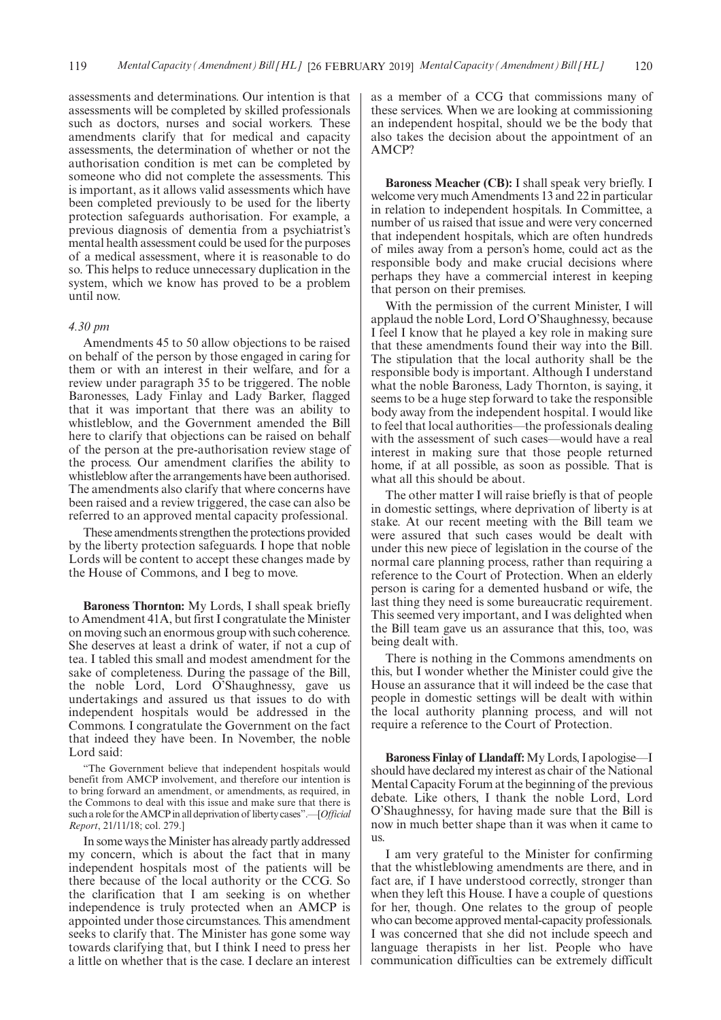assessments and determinations. Our intention is that assessments will be completed by skilled professionals such as doctors, nurses and social workers. These amendments clarify that for medical and capacity assessments, the determination of whether or not the authorisation condition is met can be completed by someone who did not complete the assessments. This is important, as it allows valid assessments which have been completed previously to be used for the liberty protection safeguards authorisation. For example, a previous diagnosis of dementia from a psychiatrist's mental health assessment could be used for the purposes of a medical assessment, where it is reasonable to do so. This helps to reduce unnecessary duplication in the system, which we know has proved to be a problem until now.

#### *4.30 pm*

Amendments 45 to 50 allow objections to be raised on behalf of the person by those engaged in caring for them or with an interest in their welfare, and for a review under paragraph 35 to be triggered. The noble Baronesses, Lady Finlay and Lady Barker, flagged that it was important that there was an ability to whistleblow, and the Government amended the Bill here to clarify that objections can be raised on behalf of the person at the pre-authorisation review stage of the process. Our amendment clarifies the ability to whistleblow after the arrangements have been authorised. The amendments also clarify that where concerns have been raised and a review triggered, the case can also be referred to an approved mental capacity professional.

These amendments strengthen the protections provided by the liberty protection safeguards. I hope that noble Lords will be content to accept these changes made by the House of Commons, and I beg to move.

**Baroness Thornton:** My Lords, I shall speak briefly to Amendment 41A, but first I congratulate the Minister on moving such an enormous group with such coherence. She deserves at least a drink of water, if not a cup of tea. I tabled this small and modest amendment for the sake of completeness. During the passage of the Bill, the noble Lord, Lord O'Shaughnessy, gave us undertakings and assured us that issues to do with independent hospitals would be addressed in the Commons. I congratulate the Government on the fact that indeed they have been. In November, the noble Lord said:

The Government believe that independent hospitals would benefit from AMCP involvement, and therefore our intention is to bring forward an amendment, or amendments, as required, in the Commons to deal with this issue and make sure that there is such a role for the AMCP in all deprivation of liberty cases".—[*Official Report*, 21/11/18; col. 279.]

In some ways the Minister has already partly addressed my concern, which is about the fact that in many independent hospitals most of the patients will be there because of the local authority or the CCG. So the clarification that I am seeking is on whether independence is truly protected when an AMCP is appointed under those circumstances. This amendment seeks to clarify that. The Minister has gone some way towards clarifying that, but I think I need to press her a little on whether that is the case. I declare an interest as a member of a CCG that commissions many of these services. When we are looking at commissioning an independent hospital, should we be the body that also takes the decision about the appointment of an AMCP?

**Baroness Meacher (CB):** I shall speak very briefly. I welcome very much Amendments 13 and 22 in particular in relation to independent hospitals. In Committee, a number of us raised that issue and were very concerned that independent hospitals, which are often hundreds of miles away from a person's home, could act as the responsible body and make crucial decisions where perhaps they have a commercial interest in keeping that person on their premises.

With the permission of the current Minister, I will applaud the noble Lord, Lord O'Shaughnessy, because I feel I know that he played a key role in making sure that these amendments found their way into the Bill. The stipulation that the local authority shall be the responsible body is important. Although I understand what the noble Baroness, Lady Thornton, is saying, it seems to be a huge step forward to take the responsible body away from the independent hospital. I would like to feel that local authorities—the professionals dealing with the assessment of such cases—would have a real interest in making sure that those people returned home, if at all possible, as soon as possible. That is what all this should be about.

The other matter I will raise briefly is that of people in domestic settings, where deprivation of liberty is at stake. At our recent meeting with the Bill team we were assured that such cases would be dealt with under this new piece of legislation in the course of the normal care planning process, rather than requiring a reference to the Court of Protection. When an elderly person is caring for a demented husband or wife, the last thing they need is some bureaucratic requirement. This seemed very important, and I was delighted when the Bill team gave us an assurance that this, too, was being dealt with.

There is nothing in the Commons amendments on this, but I wonder whether the Minister could give the House an assurance that it will indeed be the case that people in domestic settings will be dealt with within the local authority planning process, and will not require a reference to the Court of Protection.

**Baroness Finlay of Llandaff:**My Lords, I apologise—I should have declared my interest as chair of the National Mental Capacity Forum at the beginning of the previous debate. Like others, I thank the noble Lord, Lord O'Shaughnessy, for having made sure that the Bill is now in much better shape than it was when it came to us.

I am very grateful to the Minister for confirming that the whistleblowing amendments are there, and in fact are, if I have understood correctly, stronger than when they left this House. I have a couple of questions for her, though. One relates to the group of people who can become approved mental-capacity professionals. I was concerned that she did not include speech and language therapists in her list. People who have communication difficulties can be extremely difficult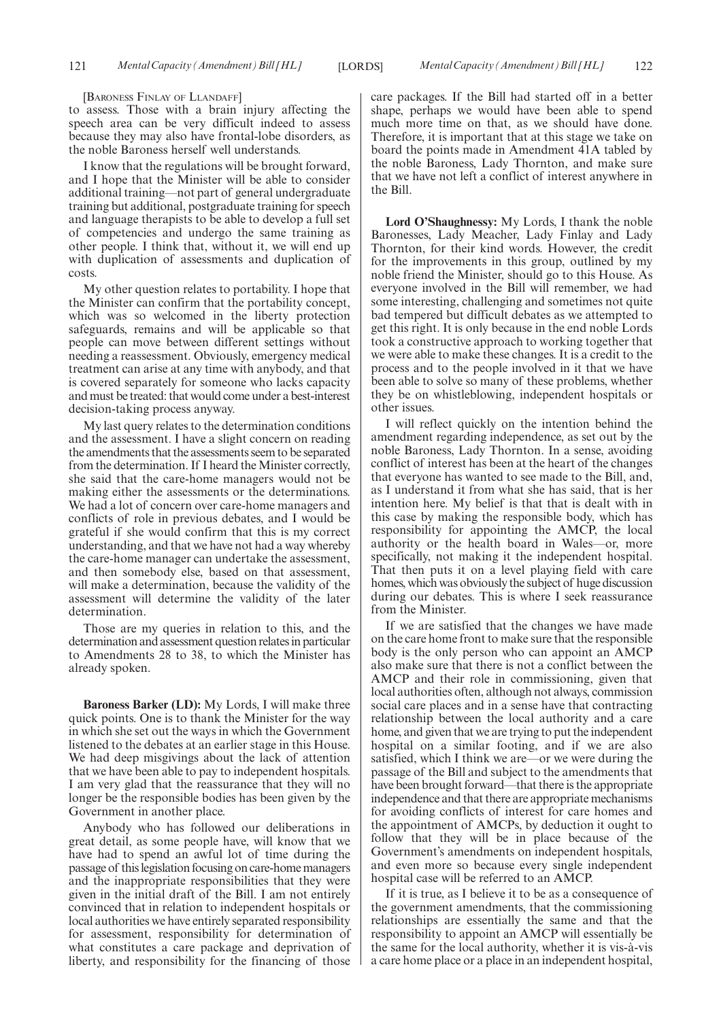[BARONESS FINLAY OF LLANDAFF]

to assess. Those with a brain injury affecting the speech area can be very difficult indeed to assess because they may also have frontal-lobe disorders, as the noble Baroness herself well understands.

I know that the regulations will be brought forward, and I hope that the Minister will be able to consider additional training—not part of general undergraduate training but additional, postgraduate training for speech and language therapists to be able to develop a full set of competencies and undergo the same training as other people. I think that, without it, we will end up with duplication of assessments and duplication of costs.

My other question relates to portability. I hope that the Minister can confirm that the portability concept, which was so welcomed in the liberty protection safeguards, remains and will be applicable so that people can move between different settings without needing a reassessment. Obviously, emergency medical treatment can arise at any time with anybody, and that is covered separately for someone who lacks capacity and must be treated: that would come under a best-interest decision-taking process anyway.

My last query relates to the determination conditions and the assessment. I have a slight concern on reading the amendments that the assessments seem to be separated from the determination. If I heard the Minister correctly, she said that the care-home managers would not be making either the assessments or the determinations. We had a lot of concern over care-home managers and conflicts of role in previous debates, and I would be grateful if she would confirm that this is my correct understanding, and that we have not had a way whereby the care-home manager can undertake the assessment, and then somebody else, based on that assessment, will make a determination, because the validity of the assessment will determine the validity of the later determination.

Those are my queries in relation to this, and the determination and assessment question relates in particular to Amendments 28 to 38, to which the Minister has already spoken.

**Baroness Barker (LD):** My Lords, I will make three quick points. One is to thank the Minister for the way in which she set out the ways in which the Government listened to the debates at an earlier stage in this House. We had deep misgivings about the lack of attention that we have been able to pay to independent hospitals. I am very glad that the reassurance that they will no longer be the responsible bodies has been given by the Government in another place.

Anybody who has followed our deliberations in great detail, as some people have, will know that we have had to spend an awful lot of time during the passage of this legislation focusing on care-home managers and the inappropriate responsibilities that they were given in the initial draft of the Bill. I am not entirely convinced that in relation to independent hospitals or local authorities we have entirely separated responsibility for assessment, responsibility for determination of what constitutes a care package and deprivation of liberty, and responsibility for the financing of those

care packages. If the Bill had started off in a better shape, perhaps we would have been able to spend much more time on that, as we should have done. Therefore, it is important that at this stage we take on board the points made in Amendment 41A tabled by the noble Baroness, Lady Thornton, and make sure that we have not left a conflict of interest anywhere in the Bill.

**Lord O'Shaughnessy:** My Lords, I thank the noble Baronesses, Lady Meacher, Lady Finlay and Lady Thornton, for their kind words. However, the credit for the improvements in this group, outlined by my noble friend the Minister, should go to this House. As everyone involved in the Bill will remember, we had some interesting, challenging and sometimes not quite bad tempered but difficult debates as we attempted to get this right. It is only because in the end noble Lords took a constructive approach to working together that we were able to make these changes. It is a credit to the process and to the people involved in it that we have been able to solve so many of these problems, whether they be on whistleblowing, independent hospitals or other issues.

I will reflect quickly on the intention behind the amendment regarding independence, as set out by the noble Baroness, Lady Thornton. In a sense, avoiding conflict of interest has been at the heart of the changes that everyone has wanted to see made to the Bill, and, as I understand it from what she has said, that is her intention here. My belief is that that is dealt with in this case by making the responsible body, which has responsibility for appointing the AMCP, the local authority or the health board in Wales—or, more specifically, not making it the independent hospital. That then puts it on a level playing field with care homes, which was obviously the subject of huge discussion during our debates. This is where I seek reassurance from the Minister.

If we are satisfied that the changes we have made on the care home front to make sure that the responsible body is the only person who can appoint an AMCP also make sure that there is not a conflict between the AMCP and their role in commissioning, given that local authorities often, although not always, commission social care places and in a sense have that contracting relationship between the local authority and a care home, and given that we are trying to put the independent hospital on a similar footing, and if we are also satisfied, which I think we are—or we were during the passage of the Bill and subject to the amendments that have been brought forward—that there is the appropriate independence and that there are appropriate mechanisms for avoiding conflicts of interest for care homes and the appointment of AMCPs, by deduction it ought to follow that they will be in place because of the Government's amendments on independent hospitals, and even more so because every single independent hospital case will be referred to an AMCP.

If it is true, as I believe it to be as a consequence of the government amendments, that the commissioning relationships are essentially the same and that the responsibility to appoint an AMCP will essentially be the same for the local authority, whether it is vis-à-vis a care home place or a place in an independent hospital,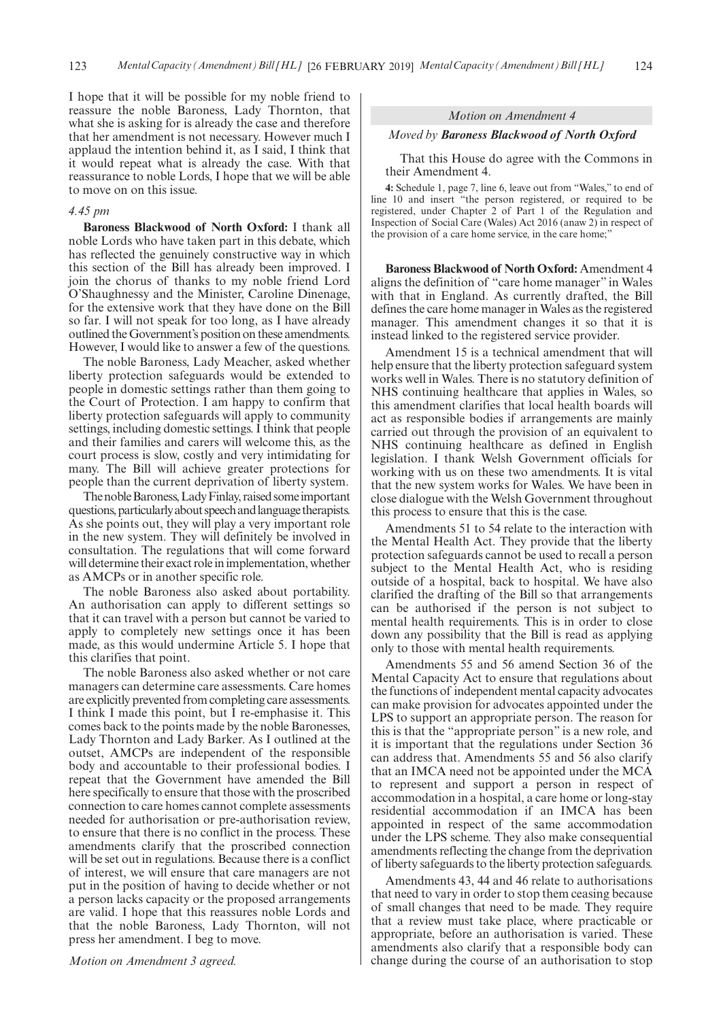I hope that it will be possible for my noble friend to reassure the noble Baroness, Lady Thornton, that what she is asking for is already the case and therefore that her amendment is not necessary. However much I applaud the intention behind it, as I said, I think that it would repeat what is already the case. With that reassurance to noble Lords, I hope that we will be able to move on on this issue.

#### *4.45 pm*

**Baroness Blackwood of North Oxford:** I thank all noble Lords who have taken part in this debate, which has reflected the genuinely constructive way in which this section of the Bill has already been improved. I join the chorus of thanks to my noble friend Lord O'Shaughnessy and the Minister, Caroline Dinenage, for the extensive work that they have done on the Bill so far. I will not speak for too long, as I have already outlined the Government's position on these amendments. However, I would like to answer a few of the questions.

The noble Baroness, Lady Meacher, asked whether liberty protection safeguards would be extended to people in domestic settings rather than them going to the Court of Protection. I am happy to confirm that liberty protection safeguards will apply to community settings, including domestic settings. I think that people and their families and carers will welcome this, as the court process is slow, costly and very intimidating for many. The Bill will achieve greater protections for people than the current deprivation of liberty system.

The noble Baroness, Lady Finlay, raised some important questions, particularly about speech and language therapists. As she points out, they will play a very important role in the new system. They will definitely be involved in consultation. The regulations that will come forward will determine their exact role in implementation, whether as AMCPs or in another specific role.

The noble Baroness also asked about portability. An authorisation can apply to different settings so that it can travel with a person but cannot be varied to apply to completely new settings once it has been made, as this would undermine Article 5. I hope that this clarifies that point.

The noble Baroness also asked whether or not care managers can determine care assessments. Care homes are explicitly prevented from completing care assessments. I think I made this point, but I re-emphasise it. This comes back to the points made by the noble Baronesses, Lady Thornton and Lady Barker. As I outlined at the outset, AMCPs are independent of the responsible body and accountable to their professional bodies. I repeat that the Government have amended the Bill here specifically to ensure that those with the proscribed connection to care homes cannot complete assessments needed for authorisation or pre-authorisation review, to ensure that there is no conflict in the process. These amendments clarify that the proscribed connection will be set out in regulations. Because there is a conflict of interest, we will ensure that care managers are not put in the position of having to decide whether or not a person lacks capacity or the proposed arrangements are valid. I hope that this reassures noble Lords and that the noble Baroness, Lady Thornton, will not press her amendment. I beg to move.

#### *Motion on Amendment 3 agreed.*

#### *Motion on Amendment 4*

#### *Moved by Baroness Blackwood of North Oxford*

That this House do agree with the Commons in their Amendment 4.

**4:** Schedule 1, page 7, line 6, leave out from "Wales," to end of line 10 and insert "the person registered, or required to be registered, under Chapter 2 of Part 1 of the Regulation and Inspection of Social Care (Wales) Act 2016 (anaw 2) in respect of the provision of a care home service, in the care home;"

**Baroness Blackwood of North Oxford:** Amendment 4 aligns the definition of "care home manager" in Wales with that in England. As currently drafted, the Bill defines the care home manager in Wales as the registered manager. This amendment changes it so that it is instead linked to the registered service provider.

Amendment 15 is a technical amendment that will help ensure that the liberty protection safeguard system works well in Wales. There is no statutory definition of NHS continuing healthcare that applies in Wales, so this amendment clarifies that local health boards will act as responsible bodies if arrangements are mainly carried out through the provision of an equivalent to NHS continuing healthcare as defined in English legislation. I thank Welsh Government officials for working with us on these two amendments. It is vital that the new system works for Wales. We have been in close dialogue with the Welsh Government throughout this process to ensure that this is the case.

Amendments 51 to 54 relate to the interaction with the Mental Health Act. They provide that the liberty protection safeguards cannot be used to recall a person subject to the Mental Health Act, who is residing outside of a hospital, back to hospital. We have also clarified the drafting of the Bill so that arrangements can be authorised if the person is not subject to mental health requirements. This is in order to close down any possibility that the Bill is read as applying only to those with mental health requirements.

Amendments 55 and 56 amend Section 36 of the Mental Capacity Act to ensure that regulations about the functions of independent mental capacity advocates can make provision for advocates appointed under the LPS to support an appropriate person. The reason for this is that the "appropriate person" is a new role, and it is important that the regulations under Section 36 can address that. Amendments 55 and 56 also clarify that an IMCA need not be appointed under the MCA to represent and support a person in respect of accommodation in a hospital, a care home or long-stay residential accommodation if an IMCA has been appointed in respect of the same accommodation under the LPS scheme. They also make consequential amendments reflecting the change from the deprivation of liberty safeguards to the liberty protection safeguards.

Amendments 43, 44 and 46 relate to authorisations that need to vary in order to stop them ceasing because of small changes that need to be made. They require that a review must take place, where practicable or appropriate, before an authorisation is varied. These amendments also clarify that a responsible body can change during the course of an authorisation to stop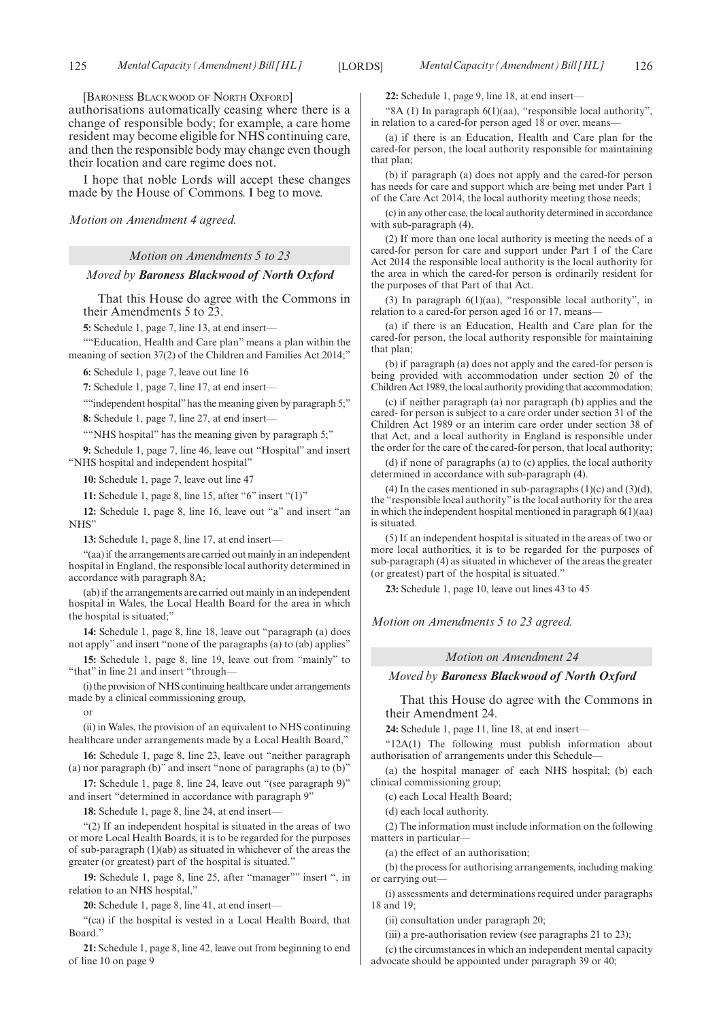[BARONESS BLACKWOOD OF NORTH OXFORD]

authorisations automatically ceasing where there is a change of responsible body; for example, a care home resident may become eligible for NHS continuing care, and then the responsible body may change even though their location and care regime does not.

I hope that noble Lords will accept these changes made by the House of Commons. I beg to move.

#### *Motion on Amendment 4 agreed.*

#### *Motion on Amendments 5 to 23*

#### *Moved by Baroness Blackwood of North Oxford*

That this House do agree with the Commons in their Amendments 5 to 23.

**5:** Schedule 1, page 7, line 13, at end insert—

""Education, Health and Care plan" means a plan within the meaning of section 37(2) of the Children and Families Act 2014;"

**6:** Schedule 1, page 7, leave out line 16

**7:** Schedule 1, page 7, line 17, at end insert—

""independent hospital" has the meaning given by paragraph 5;"

**8:** Schedule 1, page 7, line 27, at end insert—

""NHS hospital" has the meaning given by paragraph 5;"

**9:** Schedule 1, page 7, line 46, leave out "Hospital" and insert "NHS hospital and independent hospital"

**10:** Schedule 1, page 7, leave out line 47

**11:** Schedule 1, page 8, line 15, after "6" insert "(1)"

**12:** Schedule 1, page 8, line 16, leave out "a" and insert "an NHS"

**13:** Schedule 1, page 8, line 17, at end insert—

"(aa) if the arrangements are carried out mainly in an independent hospital in England, the responsible local authority determined in accordance with paragraph 8A;

(ab) if the arrangements are carried out mainly in an independent hospital in Wales, the Local Health Board for the area in which the hospital is situated;"

**14:** Schedule 1, page 8, line 18, leave out "paragraph (a) does not apply" and insert "none of the paragraphs (a) to (ab) applies"

**15:** Schedule 1, page 8, line 19, leave out from "mainly" to "that" in line 21 and insert "through—

(i) the provision of NHS continuing healthcare under arrangements made by a clinical commissioning group,

or

(ii) in Wales, the provision of an equivalent to NHS continuing healthcare under arrangements made by a Local Health Board,"

**16:** Schedule 1, page 8, line 23, leave out "neither paragraph (a) nor paragraph (b)" and insert "none of paragraphs (a) to (b)"

**17:** Schedule 1, page 8, line 24, leave out "(see paragraph 9)" and insert "determined in accordance with paragraph 9"

**18:** Schedule 1, page 8, line 24, at end insert—

"(2) If an independent hospital is situated in the areas of two or more Local Health Boards, it is to be regarded for the purposes of sub-paragraph (1)(ab) as situated in whichever of the areas the greater (or greatest) part of the hospital is situated."

**19:** Schedule 1, page 8, line 25, after "manager"" insert ", in relation to an NHS hospital,"

**20:** Schedule 1, page 8, line 41, at end insert—

"(ca) if the hospital is vested in a Local Health Board, that Board."

**21:** Schedule 1, page 8, line 42, leave out from beginning to end of line 10 on page 9

**22:** Schedule 1, page 9, line 18, at end insert—

"8A (1) In paragraph 6(1)(aa), "responsible local authority", in relation to a cared-for person aged 18 or over, means

(a) if there is an Education, Health and Care plan for the cared-for person, the local authority responsible for maintaining that plan:

(b) if paragraph (a) does not apply and the cared-for person has needs for care and support which are being met under Part 1 of the Care Act 2014, the local authority meeting those needs;

(c) in any other case, the local authority determined in accordance with sub-paragraph (4).

(2) If more than one local authority is meeting the needs of a cared-for person for care and support under Part 1 of the Care Act 2014 the responsible local authority is the local authority for the area in which the cared-for person is ordinarily resident for the purposes of that Part of that Act.

(3) In paragraph 6(1)(aa), "responsible local authority", in relation to a cared-for person aged 16 or 17, means-

(a) if there is an Education, Health and Care plan for the cared-for person, the local authority responsible for maintaining that plan;

(b) if paragraph (a) does not apply and the cared-for person is being provided with accommodation under section 20 of the Children Act 1989, the local authority providing that accommodation;

(c) if neither paragraph (a) nor paragraph (b) applies and the cared- for person is subject to a care order under section 31 of the Children Act 1989 or an interim care order under section 38 of that Act, and a local authority in England is responsible under the order for the care of the cared-for person, that local authority;

(d) if none of paragraphs (a) to (c) applies, the local authority determined in accordance with sub-paragraph (4).

(4) In the cases mentioned in sub-paragraphs  $(1)(c)$  and  $(3)(d)$ , the "responsible local authority" is the local authority for the area in which the independent hospital mentioned in paragraph 6(1)(aa) is situated.

(5) If an independent hospital is situated in the areas of two or more local authorities, it is to be regarded for the purposes of sub-paragraph (4) as situated in whichever of the areas the greater (or greatest) part of the hospital is situated."

**23:** Schedule 1, page 10, leave out lines 43 to 45

*Motion on Amendments 5 to 23 agreed.*

#### *Motion on Amendment 24*

#### *Moved by Baroness Blackwood of North Oxford*

That this House do agree with the Commons in their Amendment 24.

**24:** Schedule 1, page 11, line 18, at end insert—

"12A(1) The following must publish information about authorisation of arrangements under this Schedule—

(a) the hospital manager of each NHS hospital; (b) each clinical commissioning group;

(c) each Local Health Board;

(d) each local authority.

(2) The information must include information on the following matters in particular—

(a) the effect of an authorisation;

(b) the process for authorising arrangements, including making or carrying out—

(i) assessments and determinations required under paragraphs 18 and 19;

(ii) consultation under paragraph 20;

(iii) a pre-authorisation review (see paragraphs 21 to 23);

(c) the circumstances in which an independent mental capacity advocate should be appointed under paragraph 39 or 40;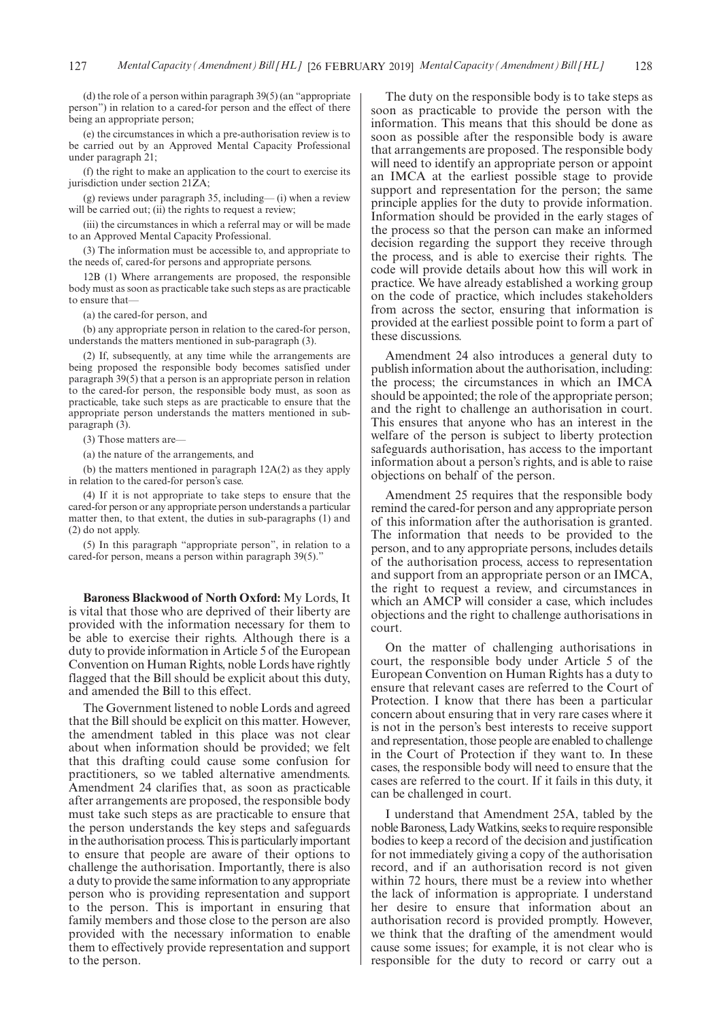(d) the role of a person within paragraph 39(5) (an "appropriate person") in relation to a cared-for person and the effect of there being an appropriate person;

(e) the circumstances in which a pre-authorisation review is to be carried out by an Approved Mental Capacity Professional under paragraph 21;

(f) the right to make an application to the court to exercise its jurisdiction under section 21ZA;

(g) reviews under paragraph 35, including— (i) when a review will be carried out; (ii) the rights to request a review;

(iii) the circumstances in which a referral may or will be made to an Approved Mental Capacity Professional.

(3) The information must be accessible to, and appropriate to the needs of, cared-for persons and appropriate persons.

12B (1) Where arrangements are proposed, the responsible body must as soon as practicable take such steps as are practicable to ensure that—

(a) the cared-for person, and

(b) any appropriate person in relation to the cared-for person, understands the matters mentioned in sub-paragraph (3).

(2) If, subsequently, at any time while the arrangements are being proposed the responsible body becomes satisfied under paragraph 39(5) that a person is an appropriate person in relation to the cared-for person, the responsible body must, as soon as practicable, take such steps as are practicable to ensure that the appropriate person understands the matters mentioned in subparagraph (3).

(3) Those matters are—

(a) the nature of the arrangements, and

(b) the matters mentioned in paragraph 12A(2) as they apply in relation to the cared-for person's case.

(4) If it is not appropriate to take steps to ensure that the cared-for person or any appropriate person understands a particular matter then, to that extent, the duties in sub-paragraphs (1) and (2) do not apply.

(5) In this paragraph "appropriate person", in relation to a cared-for person, means a person within paragraph 39(5)."

**Baroness Blackwood of North Oxford:** My Lords, It is vital that those who are deprived of their liberty are provided with the information necessary for them to be able to exercise their rights. Although there is a duty to provide information in Article 5 of the European Convention on Human Rights, noble Lords have rightly flagged that the Bill should be explicit about this duty, and amended the Bill to this effect.

The Government listened to noble Lords and agreed that the Bill should be explicit on this matter. However, the amendment tabled in this place was not clear about when information should be provided; we felt that this drafting could cause some confusion for practitioners, so we tabled alternative amendments. Amendment 24 clarifies that, as soon as practicable after arrangements are proposed, the responsible body must take such steps as are practicable to ensure that the person understands the key steps and safeguards in the authorisation process. This is particularly important to ensure that people are aware of their options to challenge the authorisation. Importantly, there is also a duty to provide the same information to any appropriate person who is providing representation and support to the person. This is important in ensuring that family members and those close to the person are also provided with the necessary information to enable them to effectively provide representation and support to the person.

The duty on the responsible body is to take steps as soon as practicable to provide the person with the information. This means that this should be done as soon as possible after the responsible body is aware that arrangements are proposed. The responsible body will need to identify an appropriate person or appoint an IMCA at the earliest possible stage to provide support and representation for the person; the same principle applies for the duty to provide information. Information should be provided in the early stages of the process so that the person can make an informed decision regarding the support they receive through the process, and is able to exercise their rights. The code will provide details about how this will work in practice. We have already established a working group on the code of practice, which includes stakeholders from across the sector, ensuring that information is provided at the earliest possible point to form a part of these discussions.

Amendment 24 also introduces a general duty to publish information about the authorisation, including: the process; the circumstances in which an IMCA should be appointed; the role of the appropriate person; and the right to challenge an authorisation in court. This ensures that anyone who has an interest in the welfare of the person is subject to liberty protection safeguards authorisation, has access to the important information about a person's rights, and is able to raise objections on behalf of the person.

Amendment 25 requires that the responsible body remind the cared-for person and any appropriate person of this information after the authorisation is granted. The information that needs to be provided to the person, and to any appropriate persons, includes details of the authorisation process, access to representation and support from an appropriate person or an IMCA, the right to request a review, and circumstances in which an AMCP will consider a case, which includes objections and the right to challenge authorisations in court.

On the matter of challenging authorisations in court, the responsible body under Article 5 of the European Convention on Human Rights has a duty to ensure that relevant cases are referred to the Court of Protection. I know that there has been a particular concern about ensuring that in very rare cases where it is not in the person's best interests to receive support and representation, those people are enabled to challenge in the Court of Protection if they want to. In these cases, the responsible body will need to ensure that the cases are referred to the court. If it fails in this duty, it can be challenged in court.

I understand that Amendment 25A, tabled by the noble Baroness, Lady Watkins, seeks to require responsible bodies to keep a record of the decision and justification for not immediately giving a copy of the authorisation record, and if an authorisation record is not given within 72 hours, there must be a review into whether the lack of information is appropriate. I understand her desire to ensure that information about an authorisation record is provided promptly. However, we think that the drafting of the amendment would cause some issues; for example, it is not clear who is responsible for the duty to record or carry out a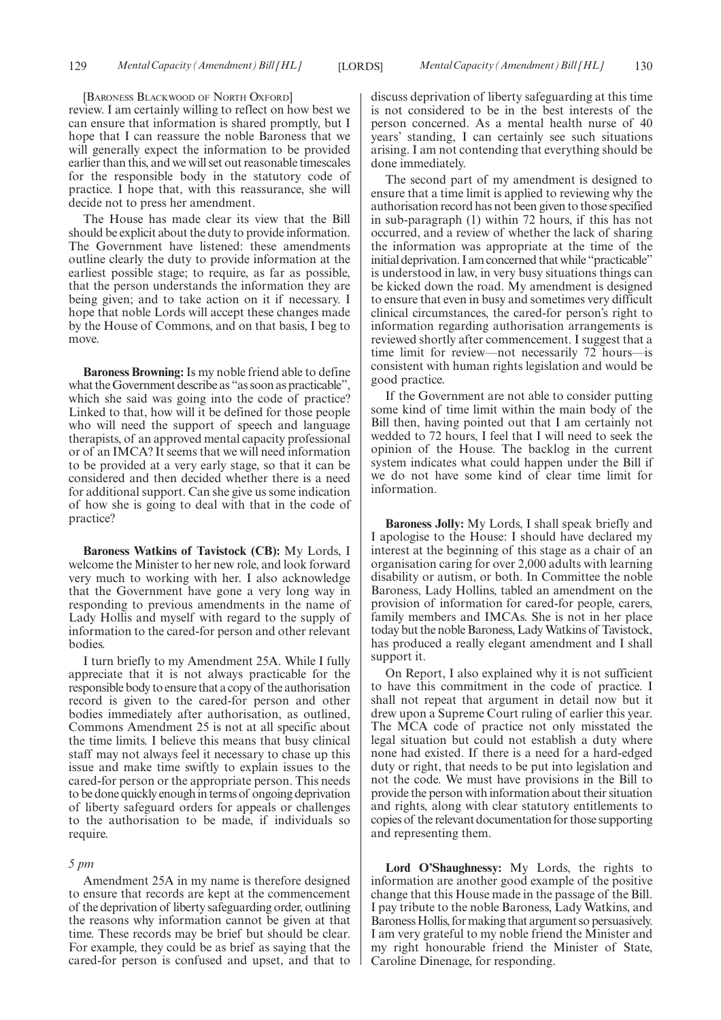[BARONESS BLACKWOOD OF NORTH OXFORD]

review. I am certainly willing to reflect on how best we can ensure that information is shared promptly, but I hope that I can reassure the noble Baroness that we will generally expect the information to be provided earlier than this, and we will set out reasonable timescales for the responsible body in the statutory code of practice. I hope that, with this reassurance, she will decide not to press her amendment.

The House has made clear its view that the Bill should be explicit about the duty to provide information. The Government have listened: these amendments outline clearly the duty to provide information at the earliest possible stage; to require, as far as possible, that the person understands the information they are being given; and to take action on it if necessary. I hope that noble Lords will accept these changes made by the House of Commons, and on that basis, I beg to move.

**Baroness Browning:** Is my noble friend able to define what the Government describe as "as soon as practicable", which she said was going into the code of practice? Linked to that, how will it be defined for those people who will need the support of speech and language therapists, of an approved mental capacity professional or of an IMCA? It seems that we will need information to be provided at a very early stage, so that it can be considered and then decided whether there is a need for additional support. Can she give us some indication of how she is going to deal with that in the code of practice?

**Baroness Watkins of Tavistock (CB):** My Lords, I welcome the Minister to her new role, and look forward very much to working with her. I also acknowledge that the Government have gone a very long way in responding to previous amendments in the name of Lady Hollis and myself with regard to the supply of information to the cared-for person and other relevant bodies.

I turn briefly to my Amendment 25A. While I fully appreciate that it is not always practicable for the responsible body to ensure that a copy of the authorisation record is given to the cared-for person and other bodies immediately after authorisation, as outlined, Commons Amendment 25 is not at all specific about the time limits. I believe this means that busy clinical staff may not always feel it necessary to chase up this issue and make time swiftly to explain issues to the cared-for person or the appropriate person. This needs to be done quickly enough in terms of ongoing deprivation of liberty safeguard orders for appeals or challenges to the authorisation to be made, if individuals so require.

#### *5 pm*

Amendment 25A in my name is therefore designed to ensure that records are kept at the commencement of the deprivation of liberty safeguarding order, outlining the reasons why information cannot be given at that time. These records may be brief but should be clear. For example, they could be as brief as saying that the cared-for person is confused and upset, and that to

discuss deprivation of liberty safeguarding at this time is not considered to be in the best interests of the person concerned. As a mental health nurse of 40 years' standing, I can certainly see such situations arising. I am not contending that everything should be done immediately.

The second part of my amendment is designed to ensure that a time limit is applied to reviewing why the authorisation record has not been given to those specified in sub-paragraph (1) within 72 hours, if this has not occurred, and a review of whether the lack of sharing the information was appropriate at the time of the initial deprivation. I am concerned that while "practicable" is understood in law, in very busy situations things can be kicked down the road. My amendment is designed to ensure that even in busy and sometimes very difficult clinical circumstances, the cared-for person's right to information regarding authorisation arrangements is reviewed shortly after commencement. I suggest that a time limit for review—not necessarily 72 hours—is consistent with human rights legislation and would be good practice.

If the Government are not able to consider putting some kind of time limit within the main body of the Bill then, having pointed out that I am certainly not wedded to 72 hours, I feel that I will need to seek the opinion of the House. The backlog in the current system indicates what could happen under the Bill if we do not have some kind of clear time limit for information.

**Baroness Jolly:** My Lords, I shall speak briefly and I apologise to the House: I should have declared my interest at the beginning of this stage as a chair of an organisation caring for over 2,000 adults with learning disability or autism, or both. In Committee the noble Baroness, Lady Hollins, tabled an amendment on the provision of information for cared-for people, carers, family members and IMCAs. She is not in her place today but the noble Baroness, Lady Watkins of Tavistock, has produced a really elegant amendment and I shall support it.

On Report, I also explained why it is not sufficient to have this commitment in the code of practice. I shall not repeat that argument in detail now but it drew upon a Supreme Court ruling of earlier this year. The MCA code of practice not only misstated the legal situation but could not establish a duty where none had existed. If there is a need for a hard-edged duty or right, that needs to be put into legislation and not the code. We must have provisions in the Bill to provide the person with information about their situation and rights, along with clear statutory entitlements to copies of the relevant documentation for those supporting and representing them.

**Lord O'Shaughnessy:** My Lords, the rights to information are another good example of the positive change that this House made in the passage of the Bill. I pay tribute to the noble Baroness, Lady Watkins, and Baroness Hollis, for making that argument so persuasively. I am very grateful to my noble friend the Minister and my right honourable friend the Minister of State, Caroline Dinenage, for responding.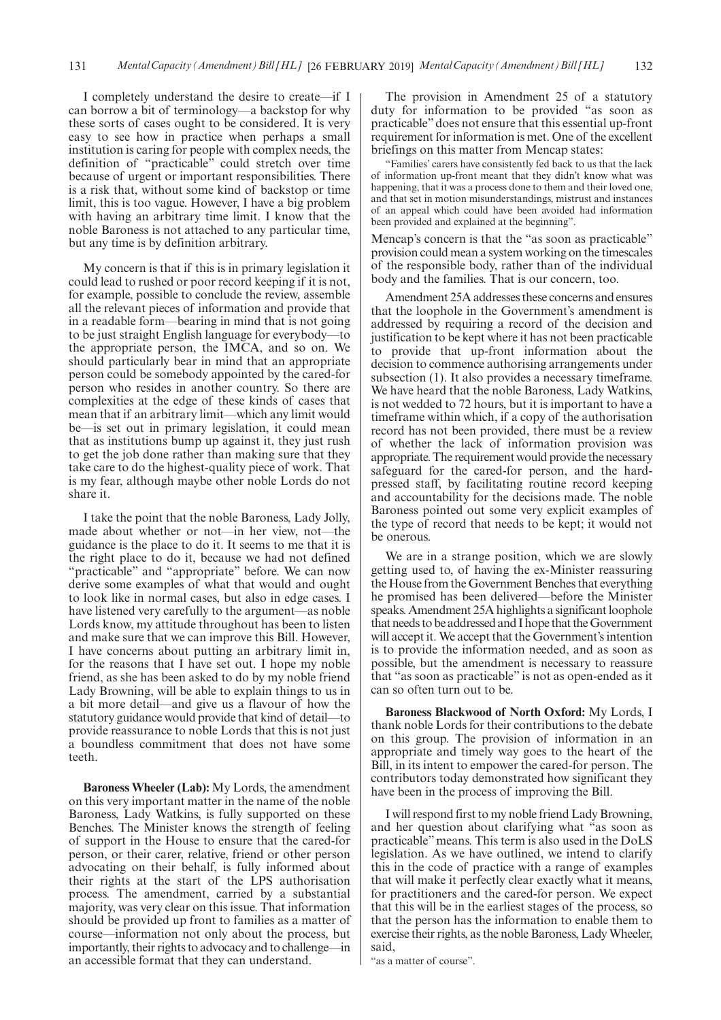I completely understand the desire to create—if I can borrow a bit of terminology—a backstop for why these sorts of cases ought to be considered. It is very easy to see how in practice when perhaps a small institution is caring for people with complex needs, the definition of "practicable" could stretch over time because of urgent or important responsibilities. There is a risk that, without some kind of backstop or time limit, this is too vague. However, I have a big problem with having an arbitrary time limit. I know that the noble Baroness is not attached to any particular time, but any time is by definition arbitrary.

My concern is that if this is in primary legislation it could lead to rushed or poor record keeping if it is not, for example, possible to conclude the review, assemble all the relevant pieces of information and provide that in a readable form—bearing in mind that is not going to be just straight English language for everybody—to the appropriate person, the IMCA, and so on. We should particularly bear in mind that an appropriate person could be somebody appointed by the cared-for person who resides in another country. So there are complexities at the edge of these kinds of cases that mean that if an arbitrary limit—which any limit would be—is set out in primary legislation, it could mean that as institutions bump up against it, they just rush to get the job done rather than making sure that they take care to do the highest-quality piece of work. That is my fear, although maybe other noble Lords do not share it.

I take the point that the noble Baroness, Lady Jolly, made about whether or not—in her view, not—the guidance is the place to do it. It seems to me that it is the right place to do it, because we had not defined "practicable" and "appropriate" before. We can now derive some examples of what that would and ought to look like in normal cases, but also in edge cases. I have listened very carefully to the argument—as noble Lords know, my attitude throughout has been to listen and make sure that we can improve this Bill. However, I have concerns about putting an arbitrary limit in, for the reasons that I have set out. I hope my noble friend, as she has been asked to do by my noble friend Lady Browning, will be able to explain things to us in a bit more detail—and give us a flavour of how the statutory guidance would provide that kind of detail—to provide reassurance to noble Lords that this is not just a boundless commitment that does not have some teeth.

**Baroness Wheeler (Lab):** My Lords, the amendment on this very important matter in the name of the noble Baroness, Lady Watkins, is fully supported on these Benches. The Minister knows the strength of feeling of support in the House to ensure that the cared-for person, or their carer, relative, friend or other person advocating on their behalf, is fully informed about their rights at the start of the LPS authorisation process. The amendment, carried by a substantial majority, was very clear on this issue. That information should be provided up front to families as a matter of course—information not only about the process, but importantly, their rights to advocacy and to challenge—in an accessible format that they can understand.

The provision in Amendment 25 of a statutory duty for information to be provided "as soon as practicable" does not ensure that this essential up-front requirement for information is met. One of the excellent briefings on this matter from Mencap states:

"Families' carers have consistently fed back to us that the lack of information up-front meant that they didn't know what was happening, that it was a process done to them and their loved one, and that set in motion misunderstandings, mistrust and instances of an appeal which could have been avoided had information been provided and explained at the beginning".

Mencap's concern is that the "as soon as practicable" provision could mean a system working on the timescales of the responsible body, rather than of the individual body and the families. That is our concern, too.

Amendment 25A addresses these concerns and ensures that the loophole in the Government's amendment is addressed by requiring a record of the decision and justification to be kept where it has not been practicable to provide that up-front information about the decision to commence authorising arrangements under subsection (1). It also provides a necessary timeframe. We have heard that the noble Baroness, Lady Watkins, is not wedded to 72 hours, but it is important to have a timeframe within which, if a copy of the authorisation record has not been provided, there must be a review of whether the lack of information provision was appropriate. The requirement would provide the necessary safeguard for the cared-for person, and the hardpressed staff, by facilitating routine record keeping and accountability for the decisions made. The noble Baroness pointed out some very explicit examples of the type of record that needs to be kept; it would not be onerous.

We are in a strange position, which we are slowly getting used to, of having the ex-Minister reassuring the House from the Government Benches that everything he promised has been delivered—before the Minister speaks. Amendment 25A highlights a significant loophole that needs to be addressed and I hope that the Government will accept it. We accept that the Government's intention is to provide the information needed, and as soon as possible, but the amendment is necessary to reassure that "as soon as practicable" is not as open-ended as it can so often turn out to be.

**Baroness Blackwood of North Oxford:** My Lords, I thank noble Lords for their contributions to the debate on this group. The provision of information in an appropriate and timely way goes to the heart of the Bill, in its intent to empower the cared-for person. The contributors today demonstrated how significant they have been in the process of improving the Bill.

I will respond first to my noble friend Lady Browning, and her question about clarifying what "as soon as practicable" means. This term is also used in the DoLS legislation. As we have outlined, we intend to clarify this in the code of practice with a range of examples that will make it perfectly clear exactly what it means, for practitioners and the cared-for person. We expect that this will be in the earliest stages of the process, so that the person has the information to enable them to exercise their rights, as the noble Baroness, Lady Wheeler, said,

"as a matter of course".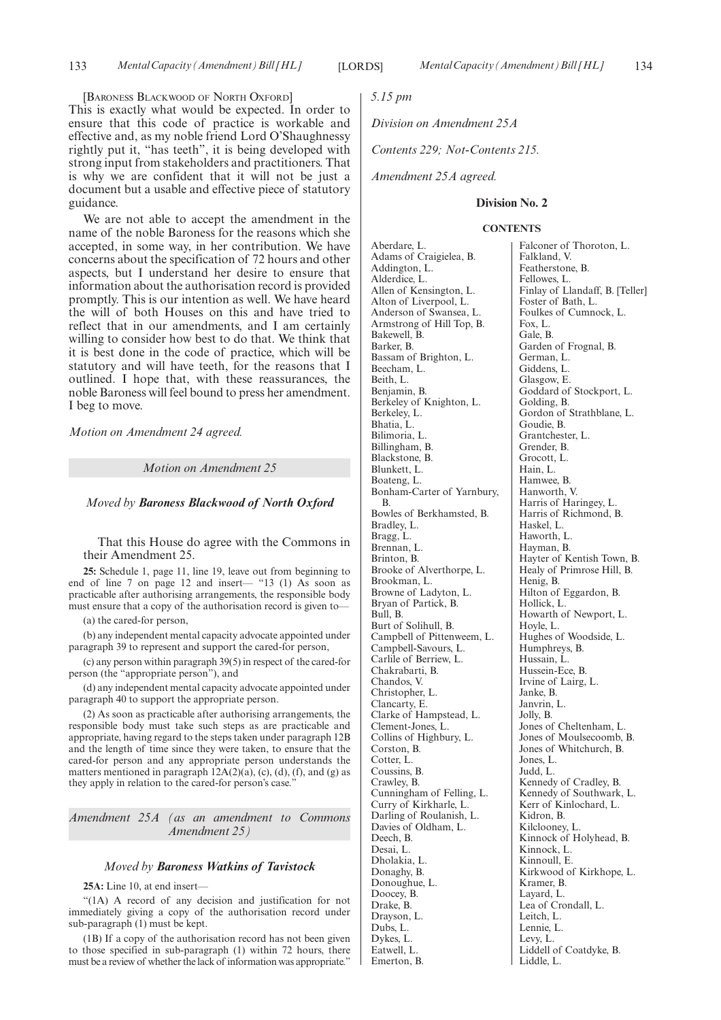[BARONESS BLACKWOOD OF NORTH OXFORD]

This is exactly what would be expected. In order to ensure that this code of practice is workable and effective and, as my noble friend Lord O'Shaughnessy rightly put it, "has teeth", it is being developed with strong input from stakeholders and practitioners. That is why we are confident that it will not be just a document but a usable and effective piece of statutory guidance.

We are not able to accept the amendment in the name of the noble Baroness for the reasons which she accepted, in some way, in her contribution. We have concerns about the specification of 72 hours and other aspects, but I understand her desire to ensure that information about the authorisation record is provided promptly. This is our intention as well. We have heard the will of both Houses on this and have tried to reflect that in our amendments, and I am certainly willing to consider how best to do that. We think that it is best done in the code of practice, which will be statutory and will have teeth, for the reasons that I outlined. I hope that, with these reassurances, the noble Baroness will feel bound to press her amendment. I beg to move.

*Motion on Amendment 24 agreed.*

*Motion on Amendment 25*

*Moved by Baroness Blackwood of North Oxford*

That this House do agree with the Commons in their Amendment 25.

**25:** Schedule 1, page 11, line 19, leave out from beginning to end of line 7 on page 12 and insert— "13 (1) As soon as practicable after authorising arrangements, the responsible body must ensure that a copy of the authorisation record is given to—

(a) the cared-for person,

(b) any independent mental capacity advocate appointed under paragraph 39 to represent and support the cared-for person,

(c) any person within paragraph 39(5) in respect of the cared-for person (the "appropriate person"), and

(d) any independent mental capacity advocate appointed under paragraph 40 to support the appropriate person.

(2) As soon as practicable after authorising arrangements, the responsible body must take such steps as are practicable and appropriate, having regard to the steps taken under paragraph 12B and the length of time since they were taken, to ensure that the cared-for person and any appropriate person understands the matters mentioned in paragraph  $12A(2)(a)$ , (c), (d), (f), and (g) as they apply in relation to the cared-for person's case."

*Amendment 25A (as an amendment to Commons Amendment 25)*

#### *Moved by Baroness Watkins of Tavistock*

**25A:** Line 10, at end insert—

"(1A) A record of any decision and justification for not immediately giving a copy of the authorisation record under sub-paragraph (1) must be kept.

(1B) If a copy of the authorisation record has not been given to those specified in sub-paragraph (1) within 72 hours, there must be a review of whether the lack of information was appropriate."

*5.15 pm*

*Division on Amendment 25A*

*Contents 229; Not-Contents 215.*

*Amendment 25A agreed.*

### **Division No. 2**

#### **CONTENTS**

Aberdare, L. Adams of Craigielea, B. Addington, L. Alderdice, L. Allen of Kensington, L. Alton of Liverpool, L. Anderson of Swansea, L. Armstrong of Hill Top, B. Bakewell, B. Barker, B. Bassam of Brighton, L. Beecham, L. Beith, L. Benjamin, B. Berkeley of Knighton, L. Berkeley, L. Bhatia, L. Bilimoria, L. Billingham, B. Blackstone, B. Blunkett, L. Boateng, L. Bonham-Carter of Yarnbury, B. Bowles of Berkhamsted, B. Bradley, L. Bragg, L. Brennan, L. Brinton, B. Brooke of Alverthorpe, L. Brookman, L. Browne of Ladyton, L. Bryan of Partick, B. Bull, B. Burt of Solihull, B. Campbell of Pittenweem, L. Campbell-Savours, L. Carlile of Berriew, L. Chakrabarti, B. Chandos, V. Christopher, L. Clancarty, E. Clarke of Hampstead, L. Clement-Jones, L. Collins of Highbury, L. Corston, B. Cotter, L. Coussins, B. Crawley, B. Cunningham of Felling, L. Curry of Kirkharle, L. Darling of Roulanish, L. Davies of Oldham, L. Deech, B. Desai, L. Dholakia, L. Donaghy, B. Donoughue, L. Doocey, B. Drake, B. Drayson, L. Dubs, L. Dykes, L. Eatwell, L. Emerton, B.

Falconer of Thoroton, L. Falkland, V. Featherstone, B. Fellowes, L. Finlay of Llandaff, B. [Teller] Foster of Bath, L. Foulkes of Cumnock, L. Fox, L. Gale, B. Garden of Frognal, B. German, L. Giddens, L. Glasgow, E. Goddard of Stockport, L. Golding, B. Gordon of Strathblane, L. Goudie, B. Grantchester, L. Grender, B. Grocott, L. Hain, L. Hamwee, B. Hanworth, V. Harris of Haringey, L. Harris of Richmond, B. Haskel, L. Haworth, L. Hayman, B. Hayter of Kentish Town, B. Healy of Primrose Hill, B. Henig, B. Hilton of Eggardon, B. Hollick, L. Howarth of Newport, L. Hoyle, L. Hughes of Woodside, L. Humphreys, B. Hussain, L. Hussein-Ece, B. Irvine of Lairg, L. Janke, B. Janvrin, L. Jolly, B. Jones of Cheltenham, L. Jones of Moulsecoomb, B. Jones of Whitchurch, B. Jones, L. Judd, L. Kennedy of Cradley, B. Kennedy of Southwark, L. Kerr of Kinlochard, L. Kidron, B. Kilclooney, L. Kinnock of Holyhead, B. Kinnock, L. Kinnoull, E. Kirkwood of Kirkhope, L. Kramer, B. Layard, L. Lea of Crondall, L. Leitch, L. Lennie, L. Levy, L. Liddell of Coatdyke, B. Liddle, L.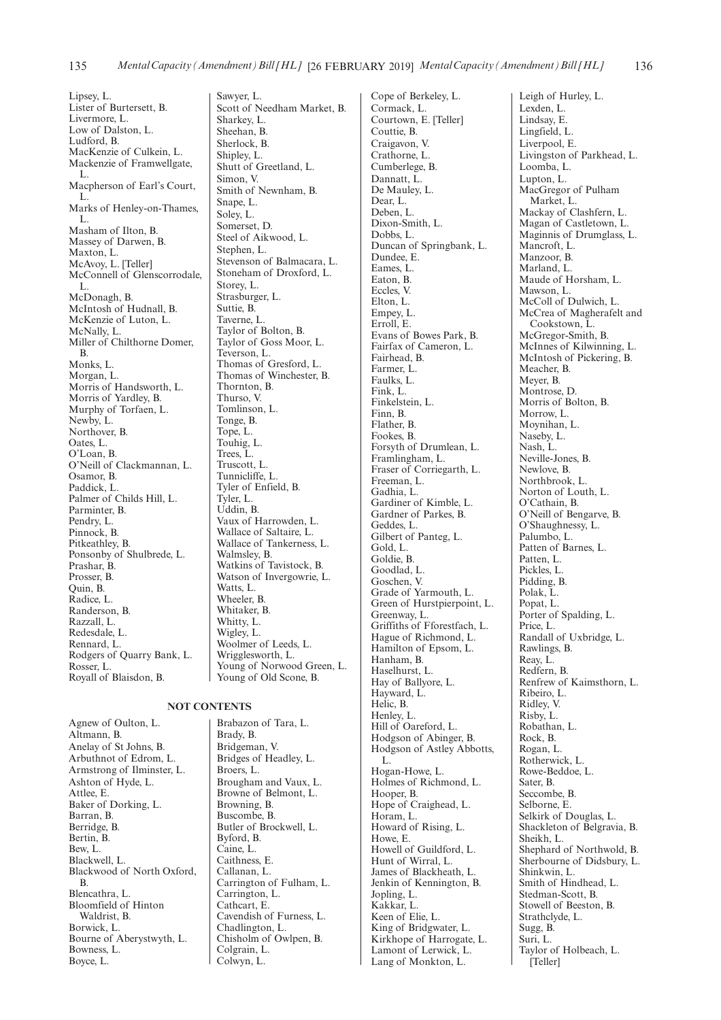Lipsey, L. Lister of Burtersett, B. Livermore, L. Low of Dalston, L. Ludford, B. MacKenzie of Culkein, L. Mackenzie of Framwellgate, L. Macpherson of Earl's Court, L. Marks of Henley-on-Thames, L. Masham of Ilton, B. Massey of Darwen, B. Maxton, L. McAvoy, L. [Teller] McConnell of Glenscorrodale, L. McDonagh, B. McIntosh of Hudnall, B. McKenzie of Luton, L. McNally, L. Miller of Chilthorne Domer, B. Monks, L. Morgan, L. Morris of Handsworth, L. Morris of Yardley, B. Murphy of Torfaen, L. Newby, L. Northover, B. Oates, L. O'Loan, B. O'Neill of Clackmannan, L. Osamor, B. Paddick, L. Palmer of Childs Hill, L. Parminter, B. Pendry, L. Pinnock, B. Pitkeathley, B. Ponsonby of Shulbrede, L. Prashar, B. Prosser, B. Quin, B. Radice, L. Randerson, B. Razzall, L. Redesdale, L. Rennard, L. Rodgers of Quarry Bank, L. Rosser, L. Royall of Blaisdon, B.

Agnew of Oulton, L. Altmann, B. Anelay of St Johns, B. Arbuthnot of Edrom, L. Armstrong of Ilminster, L. Ashton of Hyde, L. Attlee, E. Baker of Dorking, L. Barran, B. Berridge, B. Bertin, B. Bew, L. Blackwell, L. Blackwood of North Oxford, B. Blencathra, L. Bloomfield of Hinton Waldrist, B. Borwick, L. Bourne of Aberystwyth, L. Bowness, L. Boyce, L.

Sawyer, L. Scott of Needham Market, B. Sharkey, L. Sheehan, B. Sherlock, B. Shipley, L. Shutt of Greetland, L. Simon, V. Smith of Newnham, B. Snape, L. Soley, L. Somerset, D. Steel of Aikwood, L. Stephen, L. Stevenson of Balmacara, L. Stoneham of Droxford, L. Storey, L. Strasburger, L. Suttie, B. Taverne, L. Taylor of Bolton, B. Taylor of Goss Moor, L. Teverson, L. Thomas of Gresford, L. Thomas of Winchester, B. Thornton, B. Thurso, V. Tomlinson, L. Tonge, B. Tope, L. Touhig, L. Trees, L. Truscott, L. Tunnicliffe, L. Tyler of Enfield, B. Tyler, L. Uddin, B. Vaux of Harrowden, L. Wallace of Saltaire, L. Wallace of Tankerness, L. Walmsley, B. Watkins of Tavistock, B. Watson of Invergowrie, L. Watts, L. Wheeler, B. Whitaker, B. Whitty, L. Wigley, L. Woolmer of Leeds, L. Wrigglesworth, L. Young of Norwood Green, L.

#### **NOT CONTENTS**

Brabazon of Tara, L. Brady, B. Bridgeman, V. Bridges of Headley, L. Broers, L. Brougham and Vaux, L. Browne of Belmont, L. Browning, B. Buscombe, B. Butler of Brockwell, L. Byford, B. Caine, L. Caithness, E. Callanan, L. Carrington of Fulham, L. Carrington, L. Cathcart, E. Cavendish of Furness, L. Chadlington, L. Chisholm of Owlpen, B. Colgrain, L. Colwyn, L.

Young of Old Scone, B.

Cope of Berkeley, L. Cormack, L. Courtown, E. [Teller] Couttie, B. Craigavon, V. Crathorne, L. Cumberlege, B. Dannatt, L. De Mauley, L. Dear, L. Deben, L. Dixon-Smith, L. Dobbs, L. Duncan of Springbank, L. Dundee, E. Eames, L. Eaton, B. Eccles, V. Elton, L. Empey, L. Erroll, E. Evans of Bowes Park, B. Fairfax of Cameron, L. Fairhead, B. Farmer, L. Faulks, L. Fink, L. Finkelstein, L. Finn, B. Flather, B. Fookes, B. Forsyth of Drumlean, L. Framlingham, L. Fraser of Corriegarth, L. Freeman, L. Gadhia, L. Gardiner of Kimble, L. Gardner of Parkes, B. Geddes, L. Gilbert of Panteg, L. Gold, L. Goldie, B. Goodlad, L. Goschen, V. Grade of Yarmouth, L. Green of Hurstpierpoint, L. Greenway, L. Griffiths of Fforestfach, L. Hague of Richmond, L. Hamilton of Epsom, L. Hanham, B. Haselhurst, L. Hay of Ballyore, L. Hayward, L. Helic, B. Henley, L. Hill of Oareford, L. Hodgson of Abinger, B. Hodgson of Astley Abbotts, L. Hogan-Howe, L. Holmes of Richmond, L. Hooper, B. Hope of Craighead, L. Horam, L. Howard of Rising, L. Howe, E. Howell of Guildford, L. Hunt of Wirral, L. James of Blackheath, L. Jenkin of Kennington, B. Jopling, L. Kakkar, L. Keen of Elie, L. King of Bridgwater, L. Kirkhope of Harrogate, L. Lamont of Lerwick, L. Lang of Monkton, L.

Leigh of Hurley, L. Lexden, L. Lindsay, E. Lingfield, L. Liverpool, E. Livingston of Parkhead, L. Loomba, L. Lupton, L. MacGregor of Pulham Market, L. Mackay of Clashfern, L. Magan of Castletown, L. Maginnis of Drumglass, L. Mancroft, L. Manzoor, B. Marland, L. Maude of Horsham, L. Mawson, L. McColl of Dulwich, L. McCrea of Magherafelt and Cookstown, L. McGregor-Smith, B. McInnes of Kilwinning, L. McIntosh of Pickering, B. Meacher, B. Meyer, B. Montrose, D. Morris of Bolton, B. Morrow, L. Moynihan, L. Naseby, L. Nash, L. Neville-Jones, B. Newlove, B. Northbrook, L. Norton of Louth, L. O'Cathain, B. O'Neill of Bengarve, B. O'Shaughnessy, L. Palumbo, L. Patten of Barnes, L. Patten, L. Pickles, L. Pidding, B. Polak, L. Popat, L. Porter of Spalding, L. Price, L. Randall of Uxbridge, L. Rawlings, B. Reay, L. Redfern, B. Renfrew of Kaimsthorn, L. Ribeiro, L. Ridley, V. Risby, L. Robathan, L. Rock, B. Rogan, L. Rotherwick, L. Rowe-Beddoe, L. Sater, B. Seccombe, B. Selborne, E. Selkirk of Douglas, L. Shackleton of Belgravia, B. Sheikh, L. Shephard of Northwold, B. Sherbourne of Didsbury, L. Shinkwin, L. Smith of Hindhead, L. Stedman-Scott, B. Stowell of Beeston, B. Strathclyde, L. Sugg, B. Suri, L. Taylor of Holbeach, L. [Teller]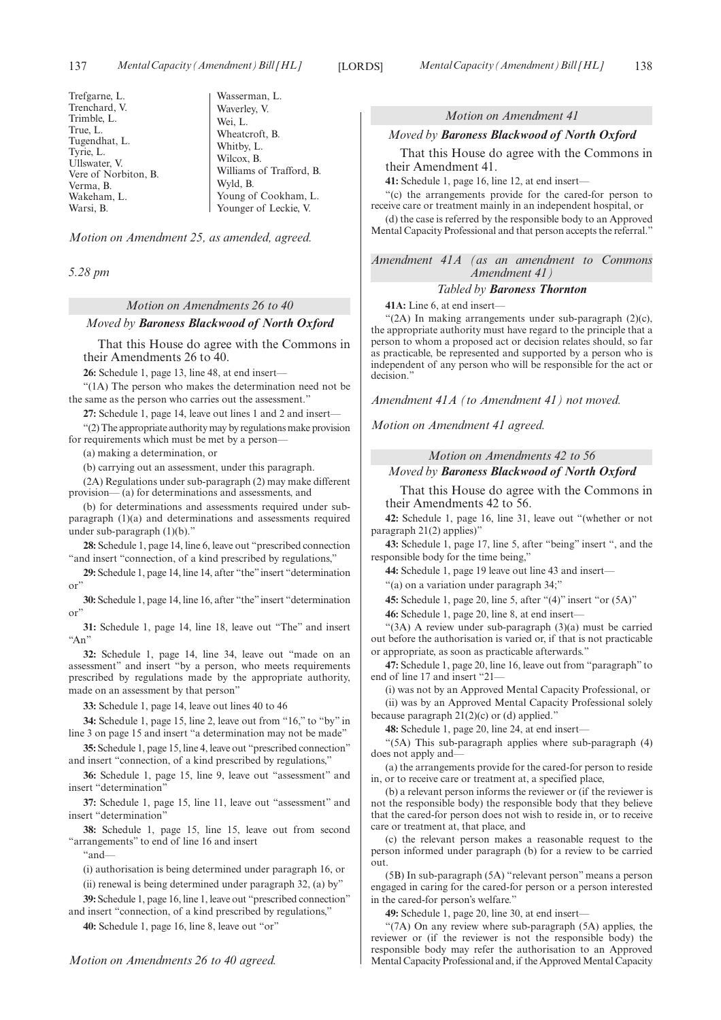| Trefgarne, L.        | Wasserman, L.            |
|----------------------|--------------------------|
| Trenchard, V.        | Waverley, V.             |
| Trimble, L.          | Wei, L.                  |
| True, L.             | Wheatcroft, B.           |
| Tugendhat, L.        | Whitby, L.               |
| Tyrie, L.            | Wilcox, B.               |
| Ullswater, V.        |                          |
| Vere of Norbiton, B. | Williams of Trafford, B. |
| Verma, B.            | Wyld, B.                 |
| Wakeham, L.          | Young of Cookham, L.     |
| Warsi, B.            | Younger of Leckie, V.    |
|                      |                          |

*Motion on Amendment 25, as amended, agreed.*

*5.28 pm*

# *Motion on Amendments 26 to 40 Moved by Baroness Blackwood of North Oxford*

That this House do agree with the Commons in their Amendments 26 to 40.

**26:** Schedule 1, page 13, line 48, at end insert—

"(1A) The person who makes the determination need not be the same as the person who carries out the assessment."

**27:** Schedule 1, page 14, leave out lines 1 and 2 and insert—

"(2) The appropriate authority may by regulations make provision for requirements which must be met by a person—

(a) making a determination, or

(b) carrying out an assessment, under this paragraph.

(2A) Regulations under sub-paragraph (2) may make different provision— (a) for determinations and assessments, and

(b) for determinations and assessments required under subparagraph (1)(a) and determinations and assessments required under sub-paragraph (1)(b)."

**28:** Schedule 1, page 14, line 6, leave out "prescribed connection "and insert "connection, of a kind prescribed by regulations,"

**29:** Schedule 1, page 14, line 14, after "the"insert "determination or"

**30:** Schedule 1, page 14, line 16, after "the"insert "determination or"

**31:** Schedule 1, page 14, line 18, leave out "The" and insert  $A_n$ 

**32:** Schedule 1, page 14, line 34, leave out "made on an assessment" and insert "by a person, who meets requirements prescribed by regulations made by the appropriate authority, made on an assessment by that person"

**33:** Schedule 1, page 14, leave out lines 40 to 46

**34:** Schedule 1, page 15, line 2, leave out from "16," to "by" in line 3 on page 15 and insert "a determination may not be made"

**35:** Schedule 1, page 15, line 4, leave out "prescribed connection" and insert "connection, of a kind prescribed by regulations,"

**36:** Schedule 1, page 15, line 9, leave out "assessment" and insert "determination"

**37:** Schedule 1, page 15, line 11, leave out "assessment" and insert "determination"

**38:** Schedule 1, page 15, line 15, leave out from second "arrangements" to end of line 16 and insert

"and—

(i) authorisation is being determined under paragraph 16, or

(ii) renewal is being determined under paragraph 32, (a) by"

**39:** Schedule 1, page 16, line 1, leave out "prescribed connection" and insert "connection, of a kind prescribed by regulations,"

**40:** Schedule 1, page 16, line 8, leave out "or"

#### *Motion on Amendment 41*

#### *Moved by Baroness Blackwood of North Oxford*

That this House do agree with the Commons in their Amendment 41.

**41:** Schedule 1, page 16, line 12, at end insert—

"(c) the arrangements provide for the cared-for person to receive care or treatment mainly in an independent hospital, or

(d) the case is referred by the responsible body to an Approved Mental Capacity Professional and that person accepts the referral."

*Amendment 41A (as an amendment to Commons Amendment 41)*

#### *Tabled by Baroness Thornton*

**41A:** Line 6, at end insert—

" $(2A)$  In making arrangements under sub-paragraph  $(2)(c)$ , the appropriate authority must have regard to the principle that a person to whom a proposed act or decision relates should, so far as practicable, be represented and supported by a person who is independent of any person who will be responsible for the act or decision."

*Amendment 41A (to Amendment 41) not moved.*

*Motion on Amendment 41 agreed.*

*Motion on Amendments 42 to 56*

#### *Moved by Baroness Blackwood of North Oxford*

That this House do agree with the Commons in their Amendments 42 to 56.

**42:** Schedule 1, page 16, line 31, leave out "(whether or not paragraph 21(2) applies)"

**43:** Schedule 1, page 17, line 5, after "being" insert ", and the responsible body for the time being,"

**44:** Schedule 1, page 19 leave out line 43 and insert—

"(a) on a variation under paragraph 34;"

**45:** Schedule 1, page 20, line 5, after "(4)" insert "or (5A)"

**46:** Schedule 1, page 20, line 8, at end insert—

"(3A) A review under sub-paragraph (3)(a) must be carried out before the authorisation is varied or, if that is not practicable or appropriate, as soon as practicable afterwards."

**47:** Schedule 1, page 20, line 16, leave out from "paragraph" to end of line 17 and insert "21—

(i) was not by an Approved Mental Capacity Professional, or (ii) was by an Approved Mental Capacity Professional solely

because paragraph  $21(2)(c)$  or (d) applied."

**48:** Schedule 1, page 20, line 24, at end insert—

"(5A) This sub-paragraph applies where sub-paragraph (4) does not apply and—

(a) the arrangements provide for the cared-for person to reside in, or to receive care or treatment at, a specified place,

(b) a relevant person informs the reviewer or (if the reviewer is not the responsible body) the responsible body that they believe that the cared-for person does not wish to reside in, or to receive care or treatment at, that place, and

(c) the relevant person makes a reasonable request to the person informed under paragraph (b) for a review to be carried out.

(5B) In sub-paragraph (5A) "relevant person" means a person engaged in caring for the cared-for person or a person interested in the cared-for person's welfare."

**49:** Schedule 1, page 20, line 30, at end insert—

"(7A) On any review where sub-paragraph (5A) applies, the reviewer or (if the reviewer is not the responsible body) the responsible body may refer the authorisation to an Approved Mental Capacity Professional and, if the Approved Mental Capacity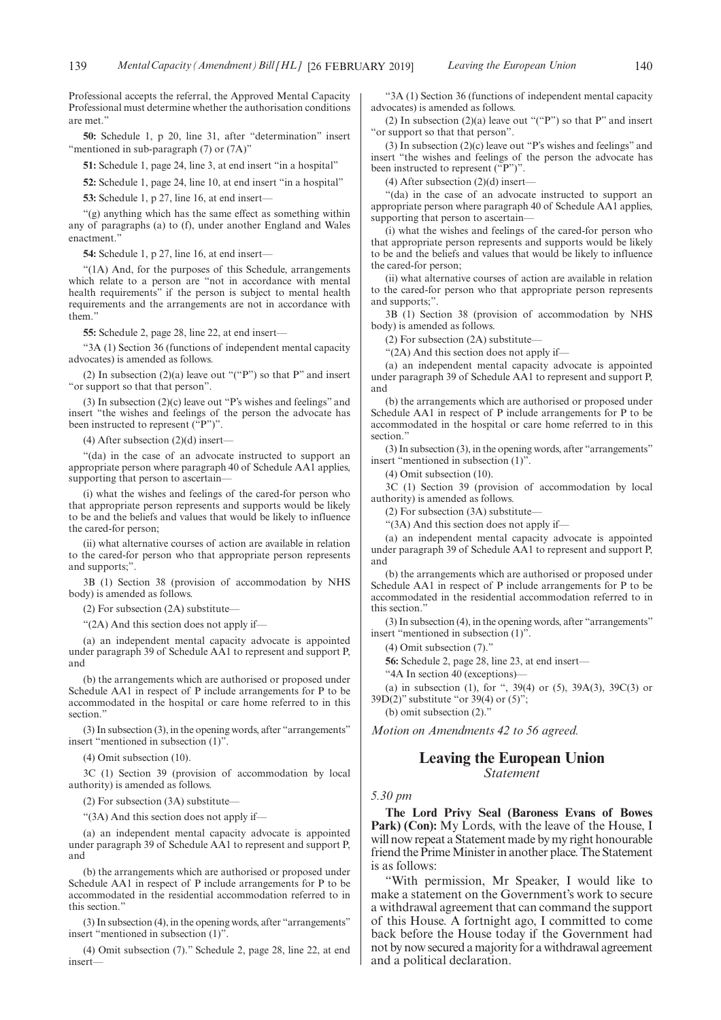Professional accepts the referral, the Approved Mental Capacity Professional must determine whether the authorisation conditions are met."

**50:** Schedule 1, p 20, line 31, after "determination" insert "mentioned in sub-paragraph (7) or (7A)"

**51:** Schedule 1, page 24, line 3, at end insert "in a hospital"

**52:** Schedule 1, page 24, line 10, at end insert "in a hospital"

**53:** Schedule 1, p 27, line 16, at end insert—

"(g) anything which has the same effect as something within any of paragraphs (a) to (f), under another England and Wales enactment."

**54:** Schedule 1, p 27, line 16, at end insert—

"(1A) And, for the purposes of this Schedule, arrangements which relate to a person are "not in accordance with mental health requirements" if the person is subject to mental health requirements and the arrangements are not in accordance with them"

**55:** Schedule 2, page 28, line 22, at end insert—

"3A (1) Section 36 (functions of independent mental capacity advocates) is amended as follows.

(2) In subsection  $(2)(a)$  leave out "("P") so that P" and insert "or support so that that person".

(3) In subsection (2)(c) leave out "P's wishes and feelings" and insert "the wishes and feelings of the person the advocate has been instructed to represent  $({}^{6}P^{\prime\prime})^{\prime\prime}$ .

(4) After subsection (2)(d) insert—

"(da) in the case of an advocate instructed to support an appropriate person where paragraph 40 of Schedule AA1 applies, supporting that person to ascertain—

(i) what the wishes and feelings of the cared-for person who that appropriate person represents and supports would be likely to be and the beliefs and values that would be likely to influence the cared-for person;

(ii) what alternative courses of action are available in relation to the cared-for person who that appropriate person represents and supports;".

3B (1) Section 38 (provision of accommodation by NHS body) is amended as follows.

(2) For subsection (2A) substitute—

"(2A) And this section does not apply if—

(a) an independent mental capacity advocate is appointed under paragraph 39 of Schedule AA1 to represent and support P, and

(b) the arrangements which are authorised or proposed under Schedule AA1 in respect of P include arrangements for P to be accommodated in the hospital or care home referred to in this section.'

(3) In subsection (3), in the opening words, after "arrangements" insert "mentioned in subsection (1)".

(4) Omit subsection (10).

3C (1) Section 39 (provision of accommodation by local authority) is amended as follows.

(2) For subsection (3A) substitute—

"(3A) And this section does not apply if—

(a) an independent mental capacity advocate is appointed under paragraph 39 of Schedule AA1 to represent and support P, and

(b) the arrangements which are authorised or proposed under Schedule AA1 in respect of P include arrangements for P to be accommodated in the residential accommodation referred to in this section."

(3) In subsection (4), in the opening words, after "arrangements" insert "mentioned in subsection (1)".

(4) Omit subsection (7)." Schedule 2, page 28, line 22, at end insert—

"3A (1) Section 36 (functions of independent mental capacity advocates) is amended as follows.

(2) In subsection (2)(a) leave out "("P") so that P" and insert "or support so that that person".

(3) In subsection (2)(c) leave out "P's wishes and feelings" and insert "the wishes and feelings of the person the advocate has been instructed to represent ("P")".

(4) After subsection (2)(d) insert—

"(da) in the case of an advocate instructed to support an appropriate person where paragraph 40 of Schedule AA1 applies, supporting that person to ascertain—

(i) what the wishes and feelings of the cared-for person who that appropriate person represents and supports would be likely to be and the beliefs and values that would be likely to influence the cared-for person;

(ii) what alternative courses of action are available in relation to the cared-for person who that appropriate person represents and supports;".

3B (1) Section 38 (provision of accommodation by NHS body) is amended as follows.

(2) For subsection (2A) substitute—

"(2A) And this section does not apply if—

(a) an independent mental capacity advocate is appointed under paragraph 39 of Schedule AA1 to represent and support P, and

(b) the arrangements which are authorised or proposed under Schedule AA1 in respect of P include arrangements for P to be accommodated in the hospital or care home referred to in this section<sup>?</sup>

(3) In subsection (3), in the opening words, after "arrangements" insert "mentioned in subsection (1)".

(4) Omit subsection (10).

3C (1) Section 39 (provision of accommodation by local authority) is amended as follows.

(2) For subsection (3A) substitute—

"(3A) And this section does not apply if—

(a) an independent mental capacity advocate is appointed under paragraph 39 of Schedule AA1 to represent and support P, and

(b) the arrangements which are authorised or proposed under Schedule AA1 in respect of P include arrangements for P to be accommodated in the residential accommodation referred to in this section."

(3) In subsection (4), in the opening words, after "arrangements" insert "mentioned in subsection (1)".

(4) Omit subsection (7)."

**56:** Schedule 2, page 28, line 23, at end insert—

"4A In section 40 (exceptions)—

(a) in subsection (1), for ", 39(4) or (5), 39A(3), 39C(3) or  $39D(2)$ " substitute "or  $39(4)$  or  $(5)$ ";

(b) omit subsection  $(2)$ ."

*Motion on Amendments 42 to 56 agreed.*

#### **Leaving the European Union** *Statement*

#### *5.30 pm*

**The Lord Privy Seal (Baroness Evans of Bowes** Park) (Con): My Lords, with the leave of the House, I will now repeat a Statement made by my right honourable friend the Prime Minister in another place. The Statement is as follows:

"With permission, Mr Speaker, I would like to make a statement on the Government's work to secure a withdrawal agreement that can command the support of this House. A fortnight ago, I committed to come back before the House today if the Government had not by now secured a majority for a withdrawal agreement and a political declaration.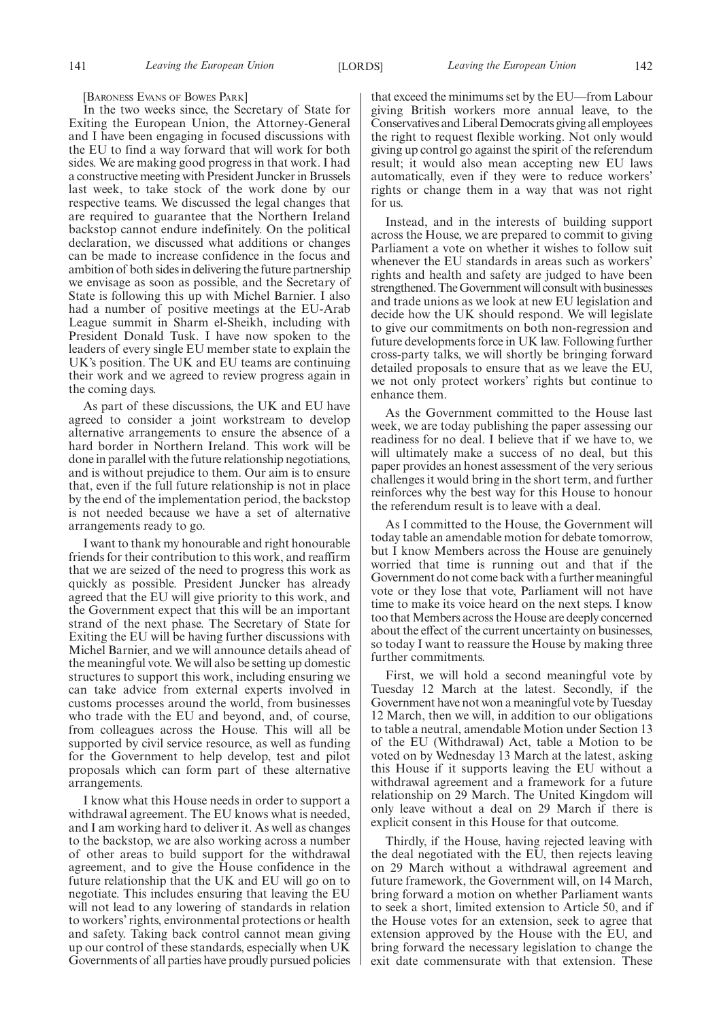[BARONESS EVANS OF BOWES PARK]

In the two weeks since, the Secretary of State for Exiting the European Union, the Attorney-General and I have been engaging in focused discussions with the EU to find a way forward that will work for both sides. We are making good progress in that work. I had a constructive meeting with President Juncker in Brussels last week, to take stock of the work done by our respective teams. We discussed the legal changes that are required to guarantee that the Northern Ireland backstop cannot endure indefinitely. On the political declaration, we discussed what additions or changes can be made to increase confidence in the focus and ambition of both sides in delivering the future partnership we envisage as soon as possible, and the Secretary of State is following this up with Michel Barnier. I also had a number of positive meetings at the EU-Arab League summit in Sharm el-Sheikh, including with President Donald Tusk. I have now spoken to the leaders of every single EU member state to explain the UK's position. The UK and EU teams are continuing their work and we agreed to review progress again in the coming days.

As part of these discussions, the UK and EU have agreed to consider a joint workstream to develop alternative arrangements to ensure the absence of a hard border in Northern Ireland. This work will be done in parallel with the future relationship negotiations, and is without prejudice to them. Our aim is to ensure that, even if the full future relationship is not in place by the end of the implementation period, the backstop is not needed because we have a set of alternative arrangements ready to go.

I want to thank my honourable and right honourable friends for their contribution to this work, and reaffirm that we are seized of the need to progress this work as quickly as possible. President Juncker has already agreed that the EU will give priority to this work, and the Government expect that this will be an important strand of the next phase. The Secretary of State for Exiting the EU will be having further discussions with Michel Barnier, and we will announce details ahead of the meaningful vote. We will also be setting up domestic structures to support this work, including ensuring we can take advice from external experts involved in customs processes around the world, from businesses who trade with the EU and beyond, and, of course, from colleagues across the House. This will all be supported by civil service resource, as well as funding for the Government to help develop, test and pilot proposals which can form part of these alternative arrangements.

I know what this House needs in order to support a withdrawal agreement. The EU knows what is needed, and I am working hard to deliver it. As well as changes to the backstop, we are also working across a number of other areas to build support for the withdrawal agreement, and to give the House confidence in the future relationship that the UK and EU will go on to negotiate. This includes ensuring that leaving the EU will not lead to any lowering of standards in relation to workers' rights, environmental protections or health and safety. Taking back control cannot mean giving up our control of these standards, especially when UK Governments of all parties have proudly pursued policies that exceed the minimums set by the EU—from Labour giving British workers more annual leave, to the Conservatives and Liberal Democrats giving all employees the right to request flexible working. Not only would giving up control go against the spirit of the referendum result; it would also mean accepting new EU laws automatically, even if they were to reduce workers' rights or change them in a way that was not right for us.

Instead, and in the interests of building support across the House, we are prepared to commit to giving Parliament a vote on whether it wishes to follow suit whenever the EU standards in areas such as workers' rights and health and safety are judged to have been strengthened. The Government will consult with businesses and trade unions as we look at new EU legislation and decide how the UK should respond. We will legislate to give our commitments on both non-regression and future developments force in UK law. Following further cross-party talks, we will shortly be bringing forward detailed proposals to ensure that as we leave the EU, we not only protect workers' rights but continue to enhance them.

As the Government committed to the House last week, we are today publishing the paper assessing our readiness for no deal. I believe that if we have to, we will ultimately make a success of no deal, but this paper provides an honest assessment of the very serious challenges it would bring in the short term, and further reinforces why the best way for this House to honour the referendum result is to leave with a deal.

As I committed to the House, the Government will today table an amendable motion for debate tomorrow, but I know Members across the House are genuinely worried that time is running out and that if the Government do not come back with a further meaningful vote or they lose that vote, Parliament will not have time to make its voice heard on the next steps. I know too that Members across the House are deeply concerned about the effect of the current uncertainty on businesses, so today I want to reassure the House by making three further commitments.

First, we will hold a second meaningful vote by Tuesday 12 March at the latest. Secondly, if the Government have not won a meaningful vote by Tuesday 12 March, then we will, in addition to our obligations to table a neutral, amendable Motion under Section 13 of the EU (Withdrawal) Act, table a Motion to be voted on by Wednesday 13 March at the latest, asking this House if it supports leaving the EU without a withdrawal agreement and a framework for a future relationship on 29 March. The United Kingdom will only leave without a deal on 29 March if there is explicit consent in this House for that outcome.

Thirdly, if the House, having rejected leaving with the deal negotiated with the EU, then rejects leaving on 29 March without a withdrawal agreement and future framework, the Government will, on 14 March, bring forward a motion on whether Parliament wants to seek a short, limited extension to Article 50, and if the House votes for an extension, seek to agree that extension approved by the House with the EU, and bring forward the necessary legislation to change the exit date commensurate with that extension. These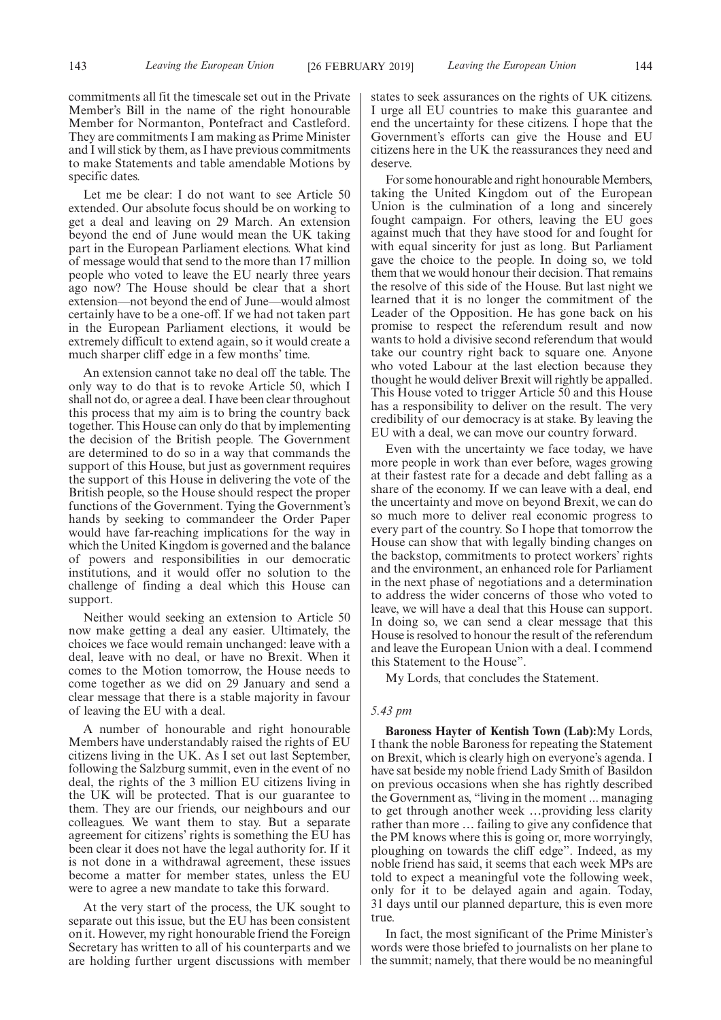commitments all fit the timescale set out in the Private Member's Bill in the name of the right honourable Member for Normanton, Pontefract and Castleford. They are commitments I am making as Prime Minister and I will stick by them, as I have previous commitments to make Statements and table amendable Motions by specific dates.

Let me be clear: I do not want to see Article 50 extended. Our absolute focus should be on working to get a deal and leaving on 29 March. An extension beyond the end of June would mean the UK taking part in the European Parliament elections. What kind of message would that send to the more than 17 million people who voted to leave the EU nearly three years ago now? The House should be clear that a short extension—not beyond the end of June—would almost certainly have to be a one-off. If we had not taken part in the European Parliament elections, it would be extremely difficult to extend again, so it would create a much sharper cliff edge in a few months' time.

An extension cannot take no deal off the table. The only way to do that is to revoke Article 50, which I shall not do, or agree a deal. I have been clear throughout this process that my aim is to bring the country back together. This House can only do that by implementing the decision of the British people. The Government are determined to do so in a way that commands the support of this House, but just as government requires the support of this House in delivering the vote of the British people, so the House should respect the proper functions of the Government. Tying the Government's hands by seeking to commandeer the Order Paper would have far-reaching implications for the way in which the United Kingdom is governed and the balance of powers and responsibilities in our democratic institutions, and it would offer no solution to the challenge of finding a deal which this House can support.

Neither would seeking an extension to Article 50 now make getting a deal any easier. Ultimately, the choices we face would remain unchanged: leave with a deal, leave with no deal, or have no Brexit. When it comes to the Motion tomorrow, the House needs to come together as we did on 29 January and send a clear message that there is a stable majority in favour of leaving the EU with a deal.

A number of honourable and right honourable Members have understandably raised the rights of EU citizens living in the UK. As I set out last September, following the Salzburg summit, even in the event of no deal, the rights of the 3 million EU citizens living in the UK will be protected. That is our guarantee to them. They are our friends, our neighbours and our colleagues. We want them to stay. But a separate agreement for citizens' rights is something the EU has been clear it does not have the legal authority for. If it is not done in a withdrawal agreement, these issues become a matter for member states, unless the EU were to agree a new mandate to take this forward.

At the very start of the process, the UK sought to separate out this issue, but the EU has been consistent on it. However, my right honourable friend the Foreign Secretary has written to all of his counterparts and we are holding further urgent discussions with member

states to seek assurances on the rights of UK citizens. I urge all EU countries to make this guarantee and end the uncertainty for these citizens. I hope that the Government's efforts can give the House and EU citizens here in the UK the reassurances they need and deserve.

For some honourable and right honourable Members, taking the United Kingdom out of the European Union is the culmination of a long and sincerely fought campaign. For others, leaving the EU goes against much that they have stood for and fought for with equal sincerity for just as long. But Parliament gave the choice to the people. In doing so, we told them that we would honour their decision. That remains the resolve of this side of the House. But last night we learned that it is no longer the commitment of the Leader of the Opposition. He has gone back on his promise to respect the referendum result and now wants to hold a divisive second referendum that would take our country right back to square one. Anyone who voted Labour at the last election because they thought he would deliver Brexit will rightly be appalled. This House voted to trigger Article 50 and this House has a responsibility to deliver on the result. The very credibility of our democracy is at stake. By leaving the EU with a deal, we can move our country forward.

Even with the uncertainty we face today, we have more people in work than ever before, wages growing at their fastest rate for a decade and debt falling as a share of the economy. If we can leave with a deal, end the uncertainty and move on beyond Brexit, we can do so much more to deliver real economic progress to every part of the country. So I hope that tomorrow the House can show that with legally binding changes on the backstop, commitments to protect workers' rights and the environment, an enhanced role for Parliament in the next phase of negotiations and a determination to address the wider concerns of those who voted to leave, we will have a deal that this House can support. In doing so, we can send a clear message that this House is resolved to honour the result of the referendum and leave the European Union with a deal. I commend this Statement to the House".

My Lords, that concludes the Statement.

#### *5.43 pm*

**Baroness Hayter of Kentish Town (Lab):**My Lords, I thank the noble Baroness for repeating the Statement on Brexit, which is clearly high on everyone's agenda. I have sat beside my noble friend Lady Smith of Basildon on previous occasions when she has rightly described the Government as, "living in the moment ... managing to get through another week …providing less clarity rather than more … failing to give any confidence that the PM knows where this is going or, more worryingly, ploughing on towards the cliff edge". Indeed, as my noble friend has said, it seems that each week MPs are told to expect a meaningful vote the following week, only for it to be delayed again and again. Today, 31 days until our planned departure, this is even more true.

In fact, the most significant of the Prime Minister's words were those briefed to journalists on her plane to the summit; namely, that there would be no meaningful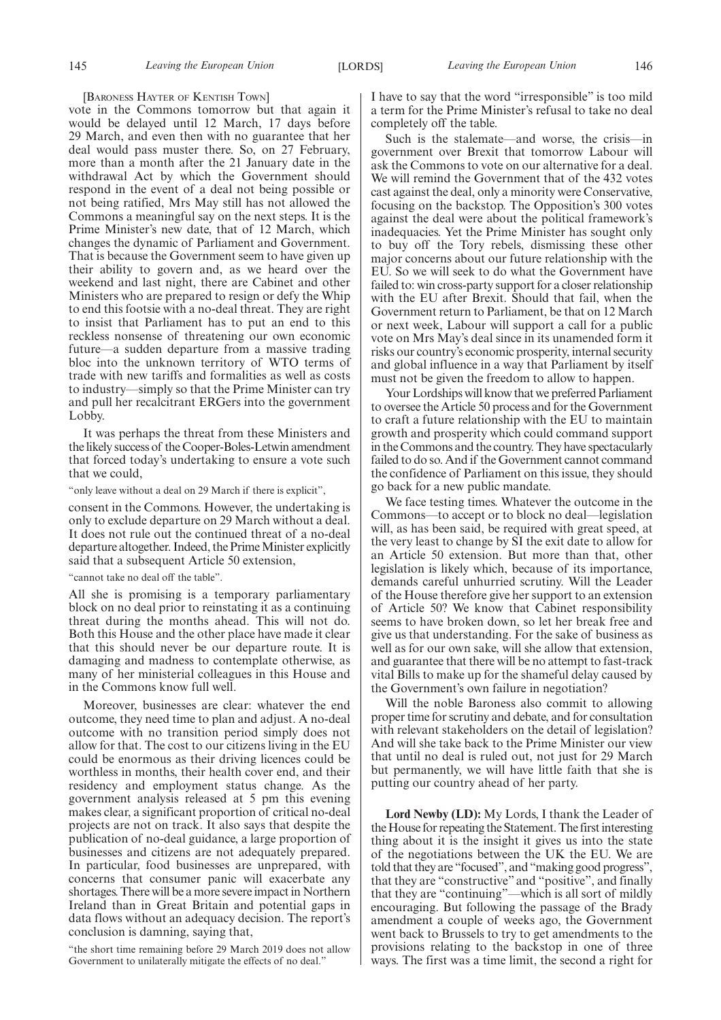#### [BARONESS HAYTER OF KENTISH TOWN]

vote in the Commons tomorrow but that again it would be delayed until 12 March, 17 days before 29 March, and even then with no guarantee that her deal would pass muster there. So, on 27 February, more than a month after the 21 January date in the withdrawal Act by which the Government should respond in the event of a deal not being possible or not being ratified, Mrs May still has not allowed the Commons a meaningful say on the next steps. It is the Prime Minister's new date, that of 12 March, which changes the dynamic of Parliament and Government. That is because the Government seem to have given up their ability to govern and, as we heard over the weekend and last night, there are Cabinet and other Ministers who are prepared to resign or defy the Whip to end this footsie with a no-deal threat. They are right to insist that Parliament has to put an end to this reckless nonsense of threatening our own economic future—a sudden departure from a massive trading bloc into the unknown territory of WTO terms of trade with new tariffs and formalities as well as costs to industry—simply so that the Prime Minister can try and pull her recalcitrant ERGers into the government Lobby.

It was perhaps the threat from these Ministers and the likely success of the Cooper-Boles-Letwin amendment that forced today's undertaking to ensure a vote such that we could,

"only leave without a deal on 29 March if there is explicit",

consent in the Commons. However, the undertaking is only to exclude departure on 29 March without a deal. It does not rule out the continued threat of a no-deal departure altogether. Indeed, the Prime Minister explicitly said that a subsequent Article 50 extension,

#### "cannot take no deal off the table".

All she is promising is a temporary parliamentary block on no deal prior to reinstating it as a continuing threat during the months ahead. This will not do. Both this House and the other place have made it clear that this should never be our departure route. It is damaging and madness to contemplate otherwise, as many of her ministerial colleagues in this House and in the Commons know full well.

Moreover, businesses are clear: whatever the end outcome, they need time to plan and adjust. A no-deal outcome with no transition period simply does not allow for that. The cost to our citizens living in the EU could be enormous as their driving licences could be worthless in months, their health cover end, and their residency and employment status change. As the government analysis released at 5 pm this evening makes clear, a significant proportion of critical no-deal projects are not on track. It also says that despite the publication of no-deal guidance, a large proportion of businesses and citizens are not adequately prepared. In particular, food businesses are unprepared, with concerns that consumer panic will exacerbate any shortages. There will be a more severe impact in Northern Ireland than in Great Britain and potential gaps in data flows without an adequacy decision. The report's conclusion is damning, saying that,

"the short time remaining before 29 March 2019 does not allow Government to unilaterally mitigate the effects of no deal."

I have to say that the word "irresponsible" is too mild a term for the Prime Minister's refusal to take no deal completely off the table.

Such is the stalemate—and worse, the crisis—in government over Brexit that tomorrow Labour will ask the Commons to vote on our alternative for a deal. We will remind the Government that of the 432 votes cast against the deal, only a minority were Conservative, focusing on the backstop. The Opposition's 300 votes against the deal were about the political framework's inadequacies. Yet the Prime Minister has sought only to buy off the Tory rebels, dismissing these other major concerns about our future relationship with the EU. So we will seek to do what the Government have failed to: win cross-party support for a closer relationship with the EU after Brexit. Should that fail, when the Government return to Parliament, be that on 12 March or next week, Labour will support a call for a public vote on Mrs May's deal since in its unamended form it risks our country's economic prosperity, internal security and global influence in a way that Parliament by itself must not be given the freedom to allow to happen.

Your Lordships will know that we preferred Parliament to oversee the Article 50 process and for the Government to craft a future relationship with the EU to maintain growth and prosperity which could command support in the Commons and the country. They have spectacularly failed to do so. And if the Government cannot command the confidence of Parliament on this issue, they should go back for a new public mandate.

We face testing times. Whatever the outcome in the Commons—to accept or to block no deal—legislation will, as has been said, be required with great speed, at the very least to change by SI the exit date to allow for an Article 50 extension. But more than that, other legislation is likely which, because of its importance, demands careful unhurried scrutiny. Will the Leader of the House therefore give her support to an extension of Article 50? We know that Cabinet responsibility seems to have broken down, so let her break free and give us that understanding. For the sake of business as well as for our own sake, will she allow that extension, and guarantee that there will be no attempt to fast-track vital Bills to make up for the shameful delay caused by the Government's own failure in negotiation?

Will the noble Baroness also commit to allowing proper time for scrutiny and debate, and for consultation with relevant stakeholders on the detail of legislation? And will she take back to the Prime Minister our view that until no deal is ruled out, not just for 29 March but permanently, we will have little faith that she is putting our country ahead of her party.

**Lord Newby (LD):** My Lords, I thank the Leader of the House for repeating the Statement. The first interesting thing about it is the insight it gives us into the state of the negotiations between the UK the EU. We are told that they are "focused", and "making good progress", that they are "constructive" and "positive", and finally that they are "continuing"—which is all sort of mildly encouraging. But following the passage of the Brady amendment a couple of weeks ago, the Government went back to Brussels to try to get amendments to the provisions relating to the backstop in one of three ways. The first was a time limit, the second a right for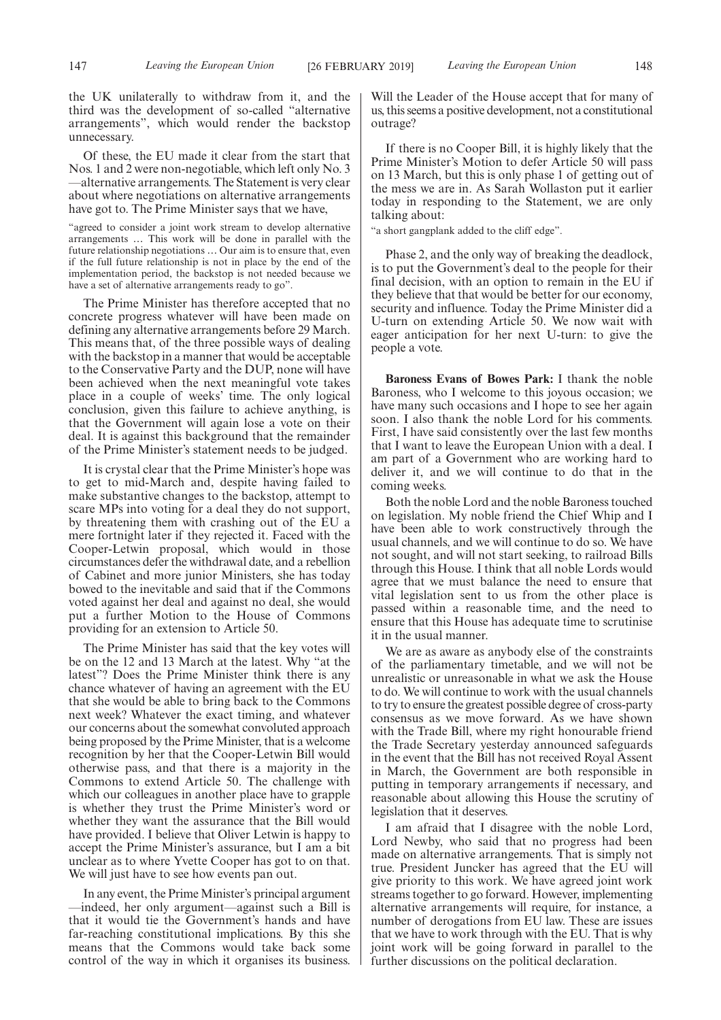the UK unilaterally to withdraw from it, and the third was the development of so-called "alternative arrangements", which would render the backstop unnecessary.

Of these, the EU made it clear from the start that Nos. 1 and 2 were non-negotiable, which left only No. 3 —alternative arrangements. The Statement is very clear about where negotiations on alternative arrangements have got to. The Prime Minister says that we have,

"agreed to consider a joint work stream to develop alternative arrangements … This work will be done in parallel with the future relationship negotiations … Our aim is to ensure that, even if the full future relationship is not in place by the end of the implementation period, the backstop is not needed because we have a set of alternative arrangements ready to go".

The Prime Minister has therefore accepted that no concrete progress whatever will have been made on defining any alternative arrangements before 29 March. This means that, of the three possible ways of dealing with the backstop in a manner that would be acceptable to the Conservative Party and the DUP, none will have been achieved when the next meaningful vote takes place in a couple of weeks' time. The only logical conclusion, given this failure to achieve anything, is that the Government will again lose a vote on their deal. It is against this background that the remainder of the Prime Minister's statement needs to be judged.

It is crystal clear that the Prime Minister's hope was to get to mid-March and, despite having failed to make substantive changes to the backstop, attempt to scare MPs into voting for a deal they do not support, by threatening them with crashing out of the EU a mere fortnight later if they rejected it. Faced with the Cooper-Letwin proposal, which would in those circumstances defer the withdrawal date, and a rebellion of Cabinet and more junior Ministers, she has today bowed to the inevitable and said that if the Commons voted against her deal and against no deal, she would put a further Motion to the House of Commons providing for an extension to Article 50.

The Prime Minister has said that the key votes will be on the 12 and 13 March at the latest. Why "at the latest"? Does the Prime Minister think there is any chance whatever of having an agreement with the EU that she would be able to bring back to the Commons next week? Whatever the exact timing, and whatever our concerns about the somewhat convoluted approach being proposed by the Prime Minister, that is a welcome recognition by her that the Cooper-Letwin Bill would otherwise pass, and that there is a majority in the Commons to extend Article 50. The challenge with which our colleagues in another place have to grapple is whether they trust the Prime Minister's word or whether they want the assurance that the Bill would have provided. I believe that Oliver Letwin is happy to accept the Prime Minister's assurance, but I am a bit unclear as to where Yvette Cooper has got to on that. We will just have to see how events pan out.

In any event, the Prime Minister's principal argument —indeed, her only argument—against such a Bill is that it would tie the Government's hands and have far-reaching constitutional implications. By this she means that the Commons would take back some control of the way in which it organises its business.

Will the Leader of the House accept that for many of us, this seems a positive development, not a constitutional outrage?

If there is no Cooper Bill, it is highly likely that the Prime Minister's Motion to defer Article 50 will pass on 13 March, but this is only phase 1 of getting out of the mess we are in. As Sarah Wollaston put it earlier today in responding to the Statement, we are only talking about:

"a short gangplank added to the cliff edge".

Phase 2, and the only way of breaking the deadlock, is to put the Government's deal to the people for their final decision, with an option to remain in the EU if they believe that that would be better for our economy, security and influence. Today the Prime Minister did a U-turn on extending Article 50. We now wait with eager anticipation for her next U-turn: to give the people a vote.

**Baroness Evans of Bowes Park:** I thank the noble Baroness, who I welcome to this joyous occasion; we have many such occasions and I hope to see her again soon. I also thank the noble Lord for his comments. First, I have said consistently over the last few months that I want to leave the European Union with a deal. I am part of a Government who are working hard to deliver it, and we will continue to do that in the coming weeks.

Both the noble Lord and the noble Baroness touched on legislation. My noble friend the Chief Whip and I have been able to work constructively through the usual channels, and we will continue to do so. We have not sought, and will not start seeking, to railroad Bills through this House. I think that all noble Lords would agree that we must balance the need to ensure that vital legislation sent to us from the other place is passed within a reasonable time, and the need to ensure that this House has adequate time to scrutinise it in the usual manner.

We are as aware as anybody else of the constraints of the parliamentary timetable, and we will not be unrealistic or unreasonable in what we ask the House to do. We will continue to work with the usual channels to try to ensure the greatest possible degree of cross-party consensus as we move forward. As we have shown with the Trade Bill, where my right honourable friend the Trade Secretary yesterday announced safeguards in the event that the Bill has not received Royal Assent in March, the Government are both responsible in putting in temporary arrangements if necessary, and reasonable about allowing this House the scrutiny of legislation that it deserves.

I am afraid that I disagree with the noble Lord, Lord Newby, who said that no progress had been made on alternative arrangements. That is simply not true. President Juncker has agreed that the EU will give priority to this work. We have agreed joint work streams together to go forward. However, implementing alternative arrangements will require, for instance, a number of derogations from EU law. These are issues that we have to work through with the EU. That is why joint work will be going forward in parallel to the further discussions on the political declaration.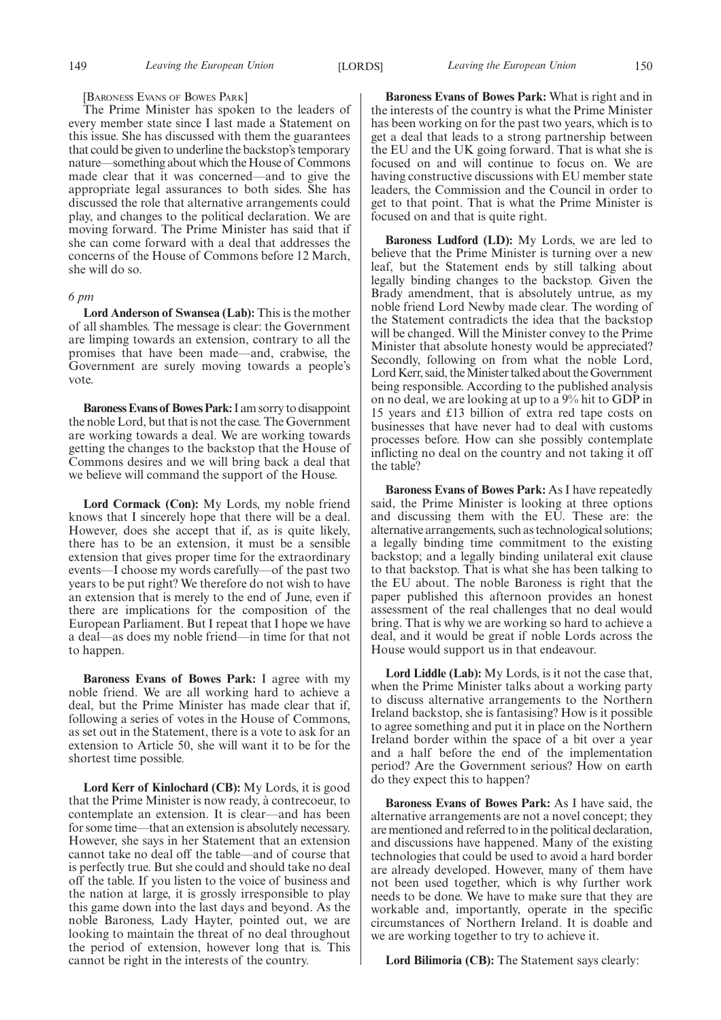#### [BARONESS EVANS OF BOWES PARK]

The Prime Minister has spoken to the leaders of every member state since I last made a Statement on this issue. She has discussed with them the guarantees that could be given to underline the backstop's temporary nature—something about which the House of Commons made clear that it was concerned—and to give the appropriate legal assurances to both sides. She has discussed the role that alternative arrangements could play, and changes to the political declaration. We are moving forward. The Prime Minister has said that if she can come forward with a deal that addresses the concerns of the House of Commons before 12 March, she will do so.

#### *6 pm*

**Lord Anderson of Swansea (Lab):** This is the mother of all shambles. The message is clear: the Government are limping towards an extension, contrary to all the promises that have been made—and, crabwise, the Government are surely moving towards a people's vote.

**Baroness Evans of Bowes Park:**I am sorry to disappoint the noble Lord, but that is not the case. The Government are working towards a deal. We are working towards getting the changes to the backstop that the House of Commons desires and we will bring back a deal that we believe will command the support of the House.

**Lord Cormack (Con):** My Lords, my noble friend knows that I sincerely hope that there will be a deal. However, does she accept that if, as is quite likely, there has to be an extension, it must be a sensible extension that gives proper time for the extraordinary events—I choose my words carefully—of the past two years to be put right? We therefore do not wish to have an extension that is merely to the end of June, even if there are implications for the composition of the European Parliament. But I repeat that I hope we have a deal—as does my noble friend—in time for that not to happen.

**Baroness Evans of Bowes Park:** I agree with my noble friend. We are all working hard to achieve a deal, but the Prime Minister has made clear that if, following a series of votes in the House of Commons, as set out in the Statement, there is a vote to ask for an extension to Article 50, she will want it to be for the shortest time possible.

**Lord Kerr of Kinlochard (CB):** My Lords, it is good that the Prime Minister is now ready, à contrecoeur, to contemplate an extension. It is clear—and has been for some time—that an extension is absolutely necessary. However, she says in her Statement that an extension cannot take no deal off the table—and of course that is perfectly true. But she could and should take no deal off the table. If you listen to the voice of business and the nation at large, it is grossly irresponsible to play this game down into the last days and beyond. As the noble Baroness, Lady Hayter, pointed out, we are looking to maintain the threat of no deal throughout the period of extension, however long that is. This cannot be right in the interests of the country.

**Baroness Evans of Bowes Park:** What is right and in the interests of the country is what the Prime Minister has been working on for the past two years, which is to get a deal that leads to a strong partnership between the EU and the UK going forward. That is what she is focused on and will continue to focus on. We are having constructive discussions with EU member state leaders, the Commission and the Council in order to get to that point. That is what the Prime Minister is focused on and that is quite right.

**Baroness Ludford (LD):** My Lords, we are led to believe that the Prime Minister is turning over a new leaf, but the Statement ends by still talking about legally binding changes to the backstop. Given the Brady amendment, that is absolutely untrue, as my noble friend Lord Newby made clear. The wording of the Statement contradicts the idea that the backstop will be changed. Will the Minister convey to the Prime Minister that absolute honesty would be appreciated? Secondly, following on from what the noble Lord, Lord Kerr, said, the Minister talked about the Government being responsible. According to the published analysis on no deal, we are looking at up to a 9% hit to GDP in 15 years and £13 billion of extra red tape costs on businesses that have never had to deal with customs processes before. How can she possibly contemplate inflicting no deal on the country and not taking it off the table?

**Baroness Evans of Bowes Park:** As I have repeatedly said, the Prime Minister is looking at three options and discussing them with the EU. These are: the alternative arrangements, such as technological solutions; a legally binding time commitment to the existing backstop; and a legally binding unilateral exit clause to that backstop. That is what she has been talking to the EU about. The noble Baroness is right that the paper published this afternoon provides an honest assessment of the real challenges that no deal would bring. That is why we are working so hard to achieve a deal, and it would be great if noble Lords across the House would support us in that endeavour.

**Lord Liddle (Lab):** My Lords, is it not the case that, when the Prime Minister talks about a working party to discuss alternative arrangements to the Northern Ireland backstop, she is fantasising? How is it possible to agree something and put it in place on the Northern Ireland border within the space of a bit over a year and a half before the end of the implementation period? Are the Government serious? How on earth do they expect this to happen?

**Baroness Evans of Bowes Park:** As I have said, the alternative arrangements are not a novel concept; they are mentioned and referred to in the political declaration, and discussions have happened. Many of the existing technologies that could be used to avoid a hard border are already developed. However, many of them have not been used together, which is why further work needs to be done. We have to make sure that they are workable and, importantly, operate in the specific circumstances of Northern Ireland. It is doable and we are working together to try to achieve it.

**Lord Bilimoria (CB):** The Statement says clearly: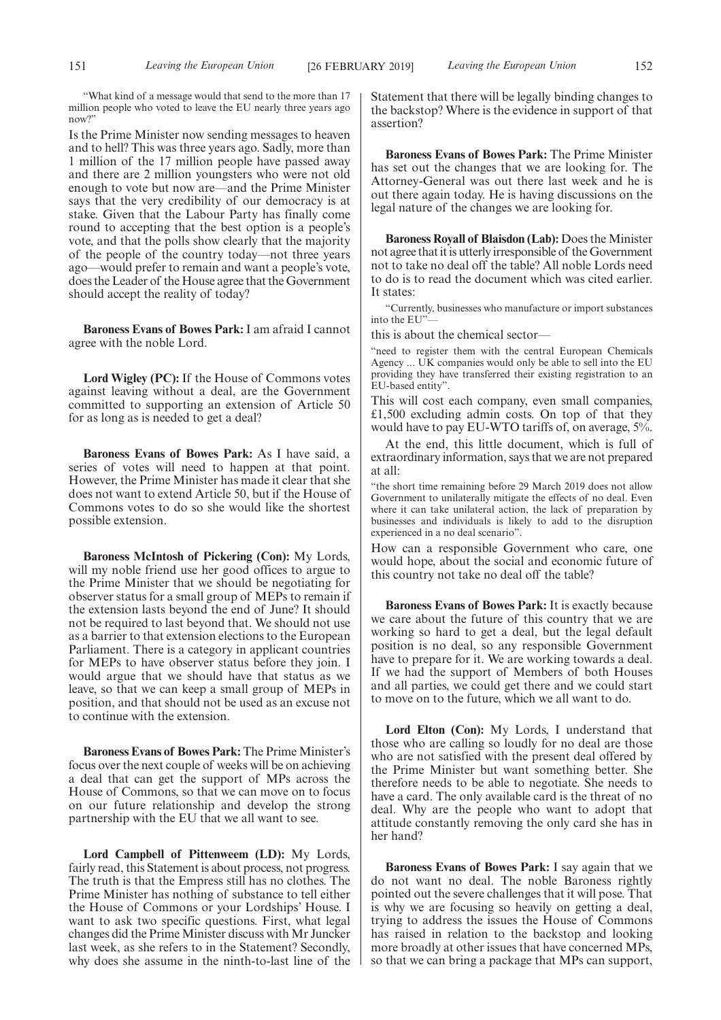"What kind of a message would that send to the more than 17 million people who voted to leave the EU nearly three years ago now?"

Is the Prime Minister now sending messages to heaven and to hell? This was three years ago. Sadly, more than 1 million of the 17 million people have passed away and there are 2 million youngsters who were not old enough to vote but now are—and the Prime Minister says that the very credibility of our democracy is at stake. Given that the Labour Party has finally come round to accepting that the best option is a people's vote, and that the polls show clearly that the majority of the people of the country today—not three years ago—would prefer to remain and want a people's vote, does the Leader of the House agree that the Government should accept the reality of today?

**Baroness Evans of Bowes Park:** I am afraid I cannot agree with the noble Lord.

**Lord Wigley (PC):** If the House of Commons votes against leaving without a deal, are the Government committed to supporting an extension of Article 50 for as long as is needed to get a deal?

**Baroness Evans of Bowes Park:** As I have said, a series of votes will need to happen at that point. However, the Prime Minister has made it clear that she does not want to extend Article 50, but if the House of Commons votes to do so she would like the shortest possible extension.

**Baroness McIntosh of Pickering (Con):** My Lords, will my noble friend use her good offices to argue to the Prime Minister that we should be negotiating for observer status for a small group of MEPs to remain if the extension lasts beyond the end of June? It should not be required to last beyond that. We should not use as a barrier to that extension elections to the European Parliament. There is a category in applicant countries for MEPs to have observer status before they join. I would argue that we should have that status as we leave, so that we can keep a small group of MEPs in position, and that should not be used as an excuse not to continue with the extension.

**Baroness Evans of Bowes Park:** The Prime Minister's focus over the next couple of weeks will be on achieving a deal that can get the support of MPs across the House of Commons, so that we can move on to focus on our future relationship and develop the strong partnership with the EU that we all want to see.

**Lord Campbell of Pittenweem (LD):** My Lords, fairly read, this Statement is about process, not progress. The truth is that the Empress still has no clothes. The Prime Minister has nothing of substance to tell either the House of Commons or your Lordships' House. I want to ask two specific questions. First, what legal changes did the Prime Minister discuss with Mr Juncker last week, as she refers to in the Statement? Secondly, why does she assume in the ninth-to-last line of the Statement that there will be legally binding changes to the backstop? Where is the evidence in support of that assertion?

**Baroness Evans of Bowes Park:** The Prime Minister has set out the changes that we are looking for. The Attorney-General was out there last week and he is out there again today. He is having discussions on the legal nature of the changes we are looking for.

**Baroness Royall of Blaisdon (Lab):** Does the Minister not agree that it is utterly irresponsible of the Government not to take no deal off the table? All noble Lords need to do is to read the document which was cited earlier. It states:

"Currently, businesses who manufacture or import substances into the EU"—

this is about the chemical sector—

"need to register them with the central European Chemicals Agency ... UK companies would only be able to sell into the EU providing they have transferred their existing registration to an EU-based entity".

This will cost each company, even small companies, £1,500 excluding admin costs. On top of that they would have to pay EU-WTO tariffs of, on average, 5%.

At the end, this little document, which is full of extraordinary information, says that we are not prepared at all:

"the short time remaining before 29 March 2019 does not allow Government to unilaterally mitigate the effects of no deal. Even where it can take unilateral action, the lack of preparation by businesses and individuals is likely to add to the disruption experienced in a no deal scenario".

How can a responsible Government who care, one would hope, about the social and economic future of this country not take no deal off the table?

**Baroness Evans of Bowes Park:** It is exactly because we care about the future of this country that we are working so hard to get a deal, but the legal default position is no deal, so any responsible Government have to prepare for it. We are working towards a deal. If we had the support of Members of both Houses and all parties, we could get there and we could start to move on to the future, which we all want to do.

**Lord Elton (Con):** My Lords, I understand that those who are calling so loudly for no deal are those who are not satisfied with the present deal offered by the Prime Minister but want something better. She therefore needs to be able to negotiate. She needs to have a card. The only available card is the threat of no deal. Why are the people who want to adopt that attitude constantly removing the only card she has in her hand?

**Baroness Evans of Bowes Park:** I say again that we do not want no deal. The noble Baroness rightly pointed out the severe challenges that it will pose. That is why we are focusing so heavily on getting a deal, trying to address the issues the House of Commons has raised in relation to the backstop and looking more broadly at other issues that have concerned MPs, so that we can bring a package that MPs can support,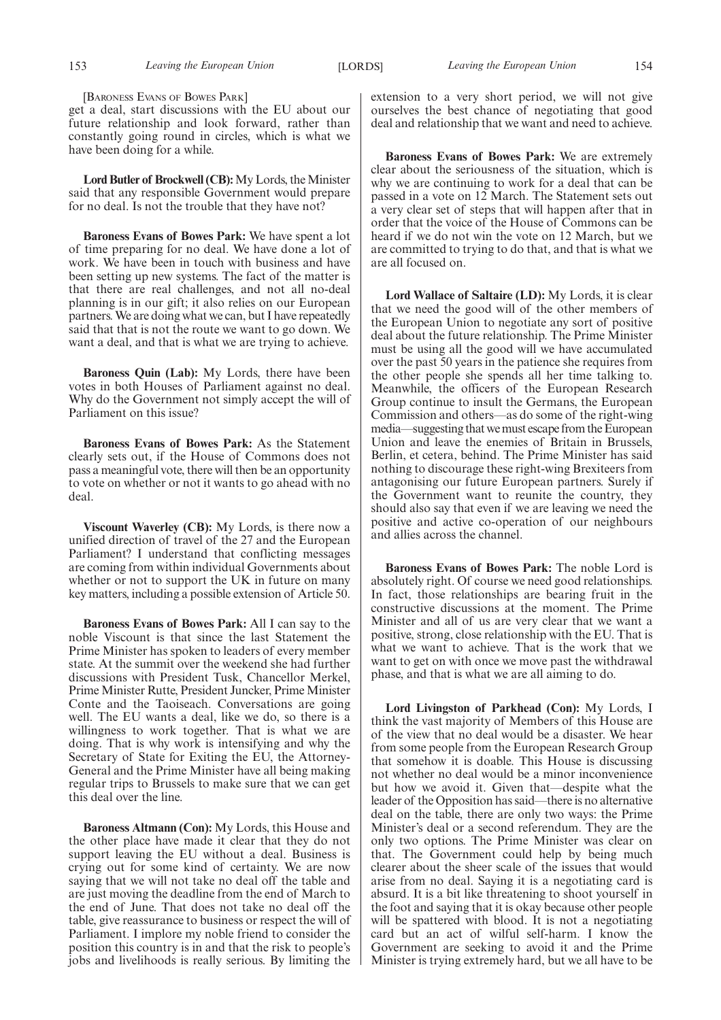[BARONESS EVANS OF BOWES PARK]

get a deal, start discussions with the EU about our future relationship and look forward, rather than constantly going round in circles, which is what we have been doing for a while.

**Lord Butler of Brockwell (CB):**My Lords, the Minister said that any responsible Government would prepare for no deal. Is not the trouble that they have not?

**Baroness Evans of Bowes Park:** We have spent a lot of time preparing for no deal. We have done a lot of work. We have been in touch with business and have been setting up new systems. The fact of the matter is that there are real challenges, and not all no-deal planning is in our gift; it also relies on our European partners. We are doing what we can, but I have repeatedly said that that is not the route we want to go down. We want a deal, and that is what we are trying to achieve.

**Baroness Quin (Lab):** My Lords, there have been votes in both Houses of Parliament against no deal. Why do the Government not simply accept the will of Parliament on this issue?

**Baroness Evans of Bowes Park:** As the Statement clearly sets out, if the House of Commons does not pass a meaningful vote, there will then be an opportunity to vote on whether or not it wants to go ahead with no deal.

**Viscount Waverley (CB):** My Lords, is there now a unified direction of travel of the 27 and the European Parliament? I understand that conflicting messages are coming from within individual Governments about whether or not to support the UK in future on many key matters, including a possible extension of Article 50.

**Baroness Evans of Bowes Park:** All I can say to the noble Viscount is that since the last Statement the Prime Minister has spoken to leaders of every member state. At the summit over the weekend she had further discussions with President Tusk, Chancellor Merkel, Prime Minister Rutte, President Juncker, Prime Minister Conte and the Taoiseach. Conversations are going well. The EU wants a deal, like we do, so there is a willingness to work together. That is what we are doing. That is why work is intensifying and why the Secretary of State for Exiting the EU, the Attorney-General and the Prime Minister have all being making regular trips to Brussels to make sure that we can get this deal over the line.

**Baroness Altmann (Con):** My Lords, this House and the other place have made it clear that they do not support leaving the EU without a deal. Business is crying out for some kind of certainty. We are now saying that we will not take no deal off the table and are just moving the deadline from the end of March to the end of June. That does not take no deal off the table, give reassurance to business or respect the will of Parliament. I implore my noble friend to consider the position this country is in and that the risk to people's jobs and livelihoods is really serious. By limiting the extension to a very short period, we will not give ourselves the best chance of negotiating that good deal and relationship that we want and need to achieve.

**Baroness Evans of Bowes Park:** We are extremely clear about the seriousness of the situation, which is why we are continuing to work for a deal that can be passed in a vote on 12 March. The Statement sets out a very clear set of steps that will happen after that in order that the voice of the House of Commons can be heard if we do not win the vote on 12 March, but we are committed to trying to do that, and that is what we are all focused on.

**Lord Wallace of Saltaire (LD):** My Lords, it is clear that we need the good will of the other members of the European Union to negotiate any sort of positive deal about the future relationship. The Prime Minister must be using all the good will we have accumulated over the past 50 years in the patience she requires from the other people she spends all her time talking to. Meanwhile, the officers of the European Research Group continue to insult the Germans, the European Commission and others—as do some of the right-wing media—suggesting that we must escape from the European Union and leave the enemies of Britain in Brussels, Berlin, et cetera, behind. The Prime Minister has said nothing to discourage these right-wing Brexiteers from antagonising our future European partners. Surely if the Government want to reunite the country, they should also say that even if we are leaving we need the positive and active co-operation of our neighbours and allies across the channel.

**Baroness Evans of Bowes Park:** The noble Lord is absolutely right. Of course we need good relationships. In fact, those relationships are bearing fruit in the constructive discussions at the moment. The Prime Minister and all of us are very clear that we want a positive, strong, close relationship with the EU. That is what we want to achieve. That is the work that we want to get on with once we move past the withdrawal phase, and that is what we are all aiming to do.

**Lord Livingston of Parkhead (Con):** My Lords, I think the vast majority of Members of this House are of the view that no deal would be a disaster. We hear from some people from the European Research Group that somehow it is doable. This House is discussing not whether no deal would be a minor inconvenience but how we avoid it. Given that—despite what the leader of the Opposition has said—there is no alternative deal on the table, there are only two ways: the Prime Minister's deal or a second referendum. They are the only two options. The Prime Minister was clear on that. The Government could help by being much clearer about the sheer scale of the issues that would arise from no deal. Saying it is a negotiating card is absurd. It is a bit like threatening to shoot yourself in the foot and saying that it is okay because other people will be spattered with blood. It is not a negotiating card but an act of wilful self-harm. I know the Government are seeking to avoid it and the Prime Minister is trying extremely hard, but we all have to be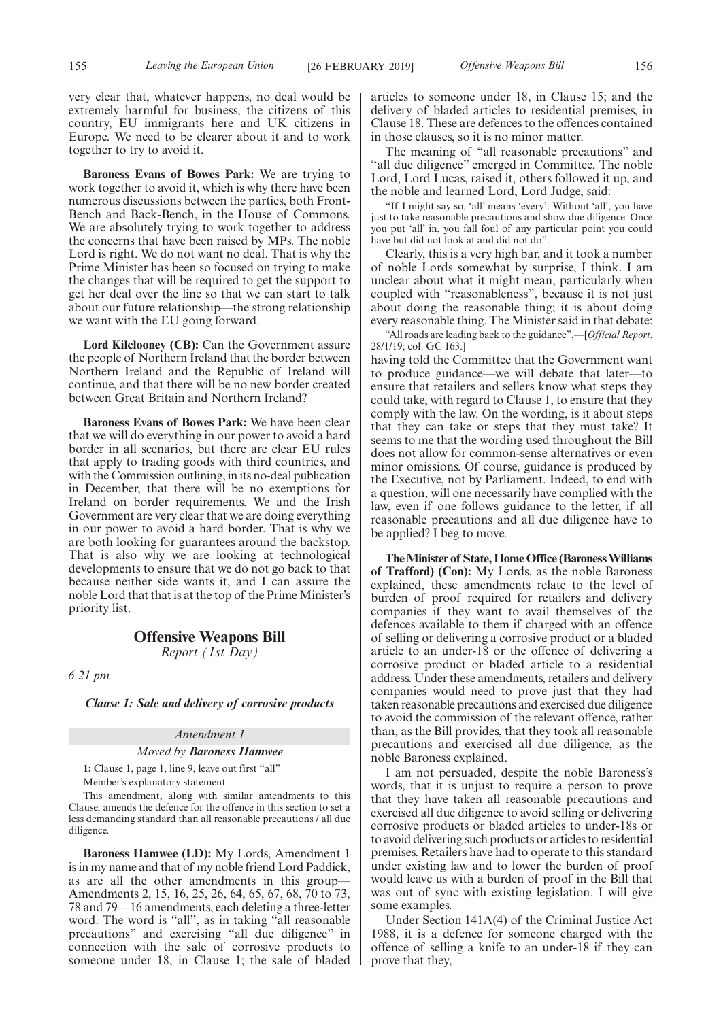very clear that, whatever happens, no deal would be extremely harmful for business, the citizens of this country, EU immigrants here and UK citizens in Europe. We need to be clearer about it and to work together to try to avoid it.

**Baroness Evans of Bowes Park:** We are trying to work together to avoid it, which is why there have been numerous discussions between the parties, both Front-Bench and Back-Bench, in the House of Commons. We are absolutely trying to work together to address the concerns that have been raised by MPs. The noble Lord is right. We do not want no deal. That is why the Prime Minister has been so focused on trying to make the changes that will be required to get the support to get her deal over the line so that we can start to talk about our future relationship—the strong relationship we want with the EU going forward.

**Lord Kilclooney (CB):** Can the Government assure the people of Northern Ireland that the border between Northern Ireland and the Republic of Ireland will continue, and that there will be no new border created between Great Britain and Northern Ireland?

**Baroness Evans of Bowes Park:** We have been clear that we will do everything in our power to avoid a hard border in all scenarios, but there are clear EU rules that apply to trading goods with third countries, and with the Commission outlining, in its no-deal publication in December, that there will be no exemptions for Ireland on border requirements. We and the Irish Government are very clear that we are doing everything in our power to avoid a hard border. That is why we are both looking for guarantees around the backstop. That is also why we are looking at technological developments to ensure that we do not go back to that because neither side wants it, and I can assure the noble Lord that that is at the top of the Prime Minister's priority list.

# **Offensive Weapons Bill**

*Report (1st Day)*

*6.21 pm*

*Clause 1: Sale and delivery of corrosive products*

*Amendment 1 Moved by Baroness Hamwee*

**1:** Clause 1, page 1, line 9, leave out first "all" Member's explanatory statement

This amendment, along with similar amendments to this Clause, amends the defence for the offence in this section to set a less demanding standard than all reasonable precautions / all due diligence.

**Baroness Hamwee (LD):** My Lords, Amendment 1 is in my name and that of my noble friend Lord Paddick, as are all the other amendments in this group— Amendments 2, 15, 16, 25, 26, 64, 65, 67, 68, 70 to 73, 78 and 79—16 amendments, each deleting a three-letter word. The word is "all", as in taking "all reasonable precautions" and exercising "all due diligence" in connection with the sale of corrosive products to someone under 18, in Clause 1; the sale of bladed articles to someone under 18, in Clause 15; and the delivery of bladed articles to residential premises, in Clause 18. These are defences to the offences contained in those clauses, so it is no minor matter.

The meaning of "all reasonable precautions" and "all due diligence" emerged in Committee. The noble Lord, Lord Lucas, raised it, others followed it up, and the noble and learned Lord, Lord Judge, said:

"If I might say so, 'all' means 'every'. Without 'all', you have just to take reasonable precautions and show due diligence. Once you put 'all' in, you fall foul of any particular point you could have but did not look at and did not do".

Clearly, this is a very high bar, and it took a number of noble Lords somewhat by surprise, I think. I am unclear about what it might mean, particularly when coupled with "reasonableness", because it is not just about doing the reasonable thing; it is about doing every reasonable thing. The Minister said in that debate:

"All roads are leading back to the guidance",—[*Official Report*, 28/1/19; col. GC 163.]

having told the Committee that the Government want to produce guidance—we will debate that later—to ensure that retailers and sellers know what steps they could take, with regard to Clause 1, to ensure that they comply with the law. On the wording, is it about steps that they can take or steps that they must take? It seems to me that the wording used throughout the Bill does not allow for common-sense alternatives or even minor omissions. Of course, guidance is produced by the Executive, not by Parliament. Indeed, to end with a question, will one necessarily have complied with the law, even if one follows guidance to the letter, if all reasonable precautions and all due diligence have to be applied? I beg to move.

**The Minister of State, Home Office (Baroness Williams of Trafford) (Con):** My Lords, as the noble Baroness explained, these amendments relate to the level of burden of proof required for retailers and delivery companies if they want to avail themselves of the defences available to them if charged with an offence of selling or delivering a corrosive product or a bladed article to an under-18 or the offence of delivering a corrosive product or bladed article to a residential address. Under these amendments, retailers and delivery companies would need to prove just that they had taken reasonable precautions and exercised due diligence to avoid the commission of the relevant offence, rather than, as the Bill provides, that they took all reasonable precautions and exercised all due diligence, as the noble Baroness explained.

I am not persuaded, despite the noble Baroness's words, that it is unjust to require a person to prove that they have taken all reasonable precautions and exercised all due diligence to avoid selling or delivering corrosive products or bladed articles to under-18s or to avoid delivering such products or articles to residential premises. Retailers have had to operate to this standard under existing law and to lower the burden of proof would leave us with a burden of proof in the Bill that was out of sync with existing legislation. I will give some examples.

Under Section 141A(4) of the Criminal Justice Act 1988, it is a defence for someone charged with the offence of selling a knife to an under-18 if they can prove that they,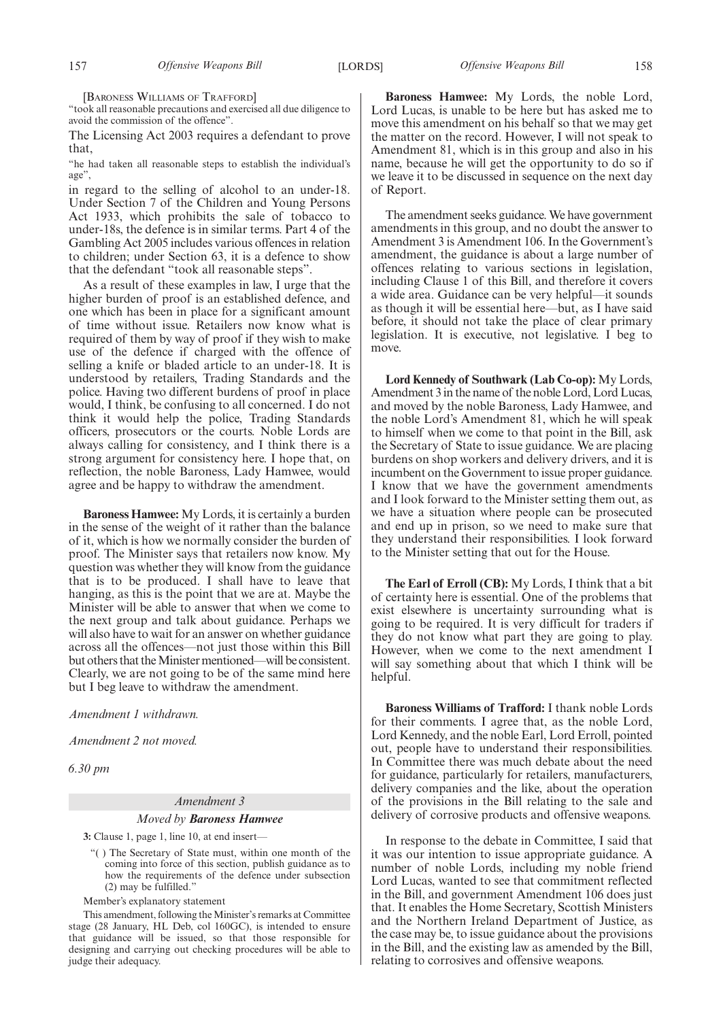[BARONESS WILLIAMS OF TRAFFORD]

"took all reasonable precautions and exercised all due diligence to avoid the commission of the offence".

The Licensing Act 2003 requires a defendant to prove that,

"he had taken all reasonable steps to establish the individual's age",

in regard to the selling of alcohol to an under-18. Under Section 7 of the Children and Young Persons Act 1933, which prohibits the sale of tobacco to under-18s, the defence is in similar terms. Part 4 of the Gambling Act 2005 includes various offences in relation to children; under Section 63, it is a defence to show that the defendant "took all reasonable steps".

As a result of these examples in law, I urge that the higher burden of proof is an established defence, and one which has been in place for a significant amount of time without issue. Retailers now know what is required of them by way of proof if they wish to make use of the defence if charged with the offence of selling a knife or bladed article to an under-18. It is understood by retailers, Trading Standards and the police. Having two different burdens of proof in place would, I think, be confusing to all concerned. I do not think it would help the police, Trading Standards officers, prosecutors or the courts. Noble Lords are always calling for consistency, and I think there is a strong argument for consistency here. I hope that, on reflection, the noble Baroness, Lady Hamwee, would agree and be happy to withdraw the amendment.

**Baroness Hamwee:** My Lords, it is certainly a burden in the sense of the weight of it rather than the balance of it, which is how we normally consider the burden of proof. The Minister says that retailers now know. My question was whether they will know from the guidance that is to be produced. I shall have to leave that hanging, as this is the point that we are at. Maybe the Minister will be able to answer that when we come to the next group and talk about guidance. Perhaps we will also have to wait for an answer on whether guidance across all the offences—not just those within this Bill but others that the Minister mentioned—will be consistent. Clearly, we are not going to be of the same mind here but I beg leave to withdraw the amendment.

*Amendment 1 withdrawn.*

*Amendment 2 not moved.*

*6.30 pm*

# *Amendment 3*

#### *Moved by Baroness Hamwee*

**3:** Clause 1, page 1, line 10, at end insert—

"( ) The Secretary of State must, within one month of the coming into force of this section, publish guidance as to how the requirements of the defence under subsection (2) may be fulfilled."

Member's explanatory statement

This amendment, following the Minister's remarks at Committee stage (28 January, HL Deb, col 160GC), is intended to ensure that guidance will be issued, so that those responsible for designing and carrying out checking procedures will be able to judge their adequacy.

**Baroness Hamwee:** My Lords, the noble Lord, Lord Lucas, is unable to be here but has asked me to move this amendment on his behalf so that we may get the matter on the record. However, I will not speak to Amendment 81, which is in this group and also in his name, because he will get the opportunity to do so if we leave it to be discussed in sequence on the next day of Report.

The amendment seeks guidance. We have government amendments in this group, and no doubt the answer to Amendment 3 is Amendment 106. In the Government's amendment, the guidance is about a large number of offences relating to various sections in legislation, including Clause 1 of this Bill, and therefore it covers a wide area. Guidance can be very helpful—it sounds as though it will be essential here—but, as I have said before, it should not take the place of clear primary legislation. It is executive, not legislative. I beg to move.

**Lord Kennedy of Southwark (Lab Co-op):** My Lords, Amendment 3 in the name of the noble Lord, Lord Lucas, and moved by the noble Baroness, Lady Hamwee, and the noble Lord's Amendment 81, which he will speak to himself when we come to that point in the Bill, ask the Secretary of State to issue guidance. We are placing burdens on shop workers and delivery drivers, and it is incumbent on the Government to issue proper guidance. I know that we have the government amendments and I look forward to the Minister setting them out, as we have a situation where people can be prosecuted and end up in prison, so we need to make sure that they understand their responsibilities. I look forward to the Minister setting that out for the House.

**The Earl of Erroll (CB):** My Lords, I think that a bit of certainty here is essential. One of the problems that exist elsewhere is uncertainty surrounding what is going to be required. It is very difficult for traders if they do not know what part they are going to play. However, when we come to the next amendment I will say something about that which I think will be helpful.

**Baroness Williams of Trafford:** I thank noble Lords for their comments. I agree that, as the noble Lord, Lord Kennedy, and the noble Earl, Lord Erroll, pointed out, people have to understand their responsibilities. In Committee there was much debate about the need for guidance, particularly for retailers, manufacturers, delivery companies and the like, about the operation of the provisions in the Bill relating to the sale and delivery of corrosive products and offensive weapons.

In response to the debate in Committee, I said that it was our intention to issue appropriate guidance. A number of noble Lords, including my noble friend Lord Lucas, wanted to see that commitment reflected in the Bill, and government Amendment 106 does just that. It enables the Home Secretary, Scottish Ministers and the Northern Ireland Department of Justice, as the case may be, to issue guidance about the provisions in the Bill, and the existing law as amended by the Bill, relating to corrosives and offensive weapons.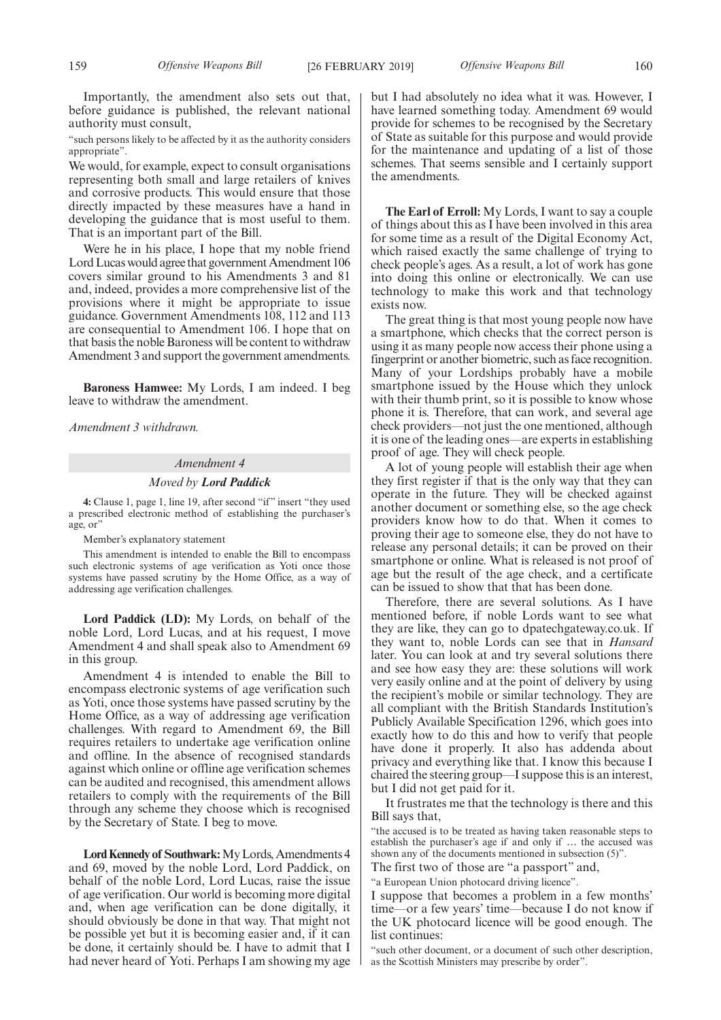Importantly, the amendment also sets out that, before guidance is published, the relevant national authority must consult,

"such persons likely to be affected by it as the authority considers appropriate".

We would, for example, expect to consult organisations representing both small and large retailers of knives and corrosive products. This would ensure that those directly impacted by these measures have a hand in developing the guidance that is most useful to them. That is an important part of the Bill.

Were he in his place, I hope that my noble friend Lord Lucas would agree that government Amendment 106 covers similar ground to his Amendments 3 and 81 and, indeed, provides a more comprehensive list of the provisions where it might be appropriate to issue guidance. Government Amendments 108, 112 and 113 are consequential to Amendment 106. I hope that on that basis the noble Baroness will be content to withdraw Amendment 3 and support the government amendments.

**Baroness Hamwee:** My Lords, I am indeed. I beg leave to withdraw the amendment.

*Amendment 3 withdrawn.*

### *Amendment 4*

## *Moved by Lord Paddick*

**4:** Clause 1, page 1, line 19, after second "if" insert "they used a prescribed electronic method of establishing the purchaser's age, or"

Member's explanatory statement

This amendment is intended to enable the Bill to encompass such electronic systems of age verification as Yoti once those systems have passed scrutiny by the Home Office, as a way of addressing age verification challenges.

**Lord Paddick (LD):** My Lords, on behalf of the noble Lord, Lord Lucas, and at his request, I move Amendment 4 and shall speak also to Amendment 69 in this group.

Amendment 4 is intended to enable the Bill to encompass electronic systems of age verification such as Yoti, once those systems have passed scrutiny by the Home Office, as a way of addressing age verification challenges. With regard to Amendment 69, the Bill requires retailers to undertake age verification online and offline. In the absence of recognised standards against which online or offline age verification schemes can be audited and recognised, this amendment allows retailers to comply with the requirements of the Bill through any scheme they choose which is recognised by the Secretary of State. I beg to move.

**Lord Kennedy of Southwark:**My Lords, Amendments 4 and 69, moved by the noble Lord, Lord Paddick, on behalf of the noble Lord, Lord Lucas, raise the issue of age verification. Our world is becoming more digital and, when age verification can be done digitally, it should obviously be done in that way. That might not be possible yet but it is becoming easier and, if it can be done, it certainly should be. I have to admit that I had never heard of Yoti. Perhaps I am showing my age

but I had absolutely no idea what it was. However, I have learned something today. Amendment 69 would provide for schemes to be recognised by the Secretary of State as suitable for this purpose and would provide for the maintenance and updating of a list of those schemes. That seems sensible and I certainly support the amendments.

**The Earl of Erroll:** My Lords, I want to say a couple of things about this as I have been involved in this area for some time as a result of the Digital Economy Act, which raised exactly the same challenge of trying to check people's ages. As a result, a lot of work has gone into doing this online or electronically. We can use technology to make this work and that technology exists now.

The great thing is that most young people now have a smartphone, which checks that the correct person is using it as many people now access their phone using a fingerprint or another biometric, such as face recognition. Many of your Lordships probably have a mobile smartphone issued by the House which they unlock with their thumb print, so it is possible to know whose phone it is. Therefore, that can work, and several age check providers—not just the one mentioned, although it is one of the leading ones—are experts in establishing proof of age. They will check people.

A lot of young people will establish their age when they first register if that is the only way that they can operate in the future. They will be checked against another document or something else, so the age check providers know how to do that. When it comes to proving their age to someone else, they do not have to release any personal details; it can be proved on their smartphone or online. What is released is not proof of age but the result of the age check, and a certificate can be issued to show that that has been done.

Therefore, there are several solutions. As I have mentioned before, if noble Lords want to see what they are like, they can go to dpatechgateway.co.uk. If they want to, noble Lords can see that in *Hansard* later. You can look at and try several solutions there and see how easy they are: these solutions will work very easily online and at the point of delivery by using the recipient's mobile or similar technology. They are all compliant with the British Standards Institution's Publicly Available Specification 1296, which goes into exactly how to do this and how to verify that people have done it properly. It also has addenda about privacy and everything like that. I know this because I chaired the steering group—I suppose this is an interest, but I did not get paid for it.

It frustrates me that the technology is there and this Bill says that,

"the accused is to be treated as having taken reasonable steps to establish the purchaser's age if and only if … the accused was shown any of the documents mentioned in subsection (5)". The first two of those are "a passport" and,

"a European Union photocard driving licence".

I suppose that becomes a problem in a few months' time—or a few years' time—because I do not know if the UK photocard licence will be good enough. The list continues:

"such other document, or a document of such other description, as the Scottish Ministers may prescribe by order".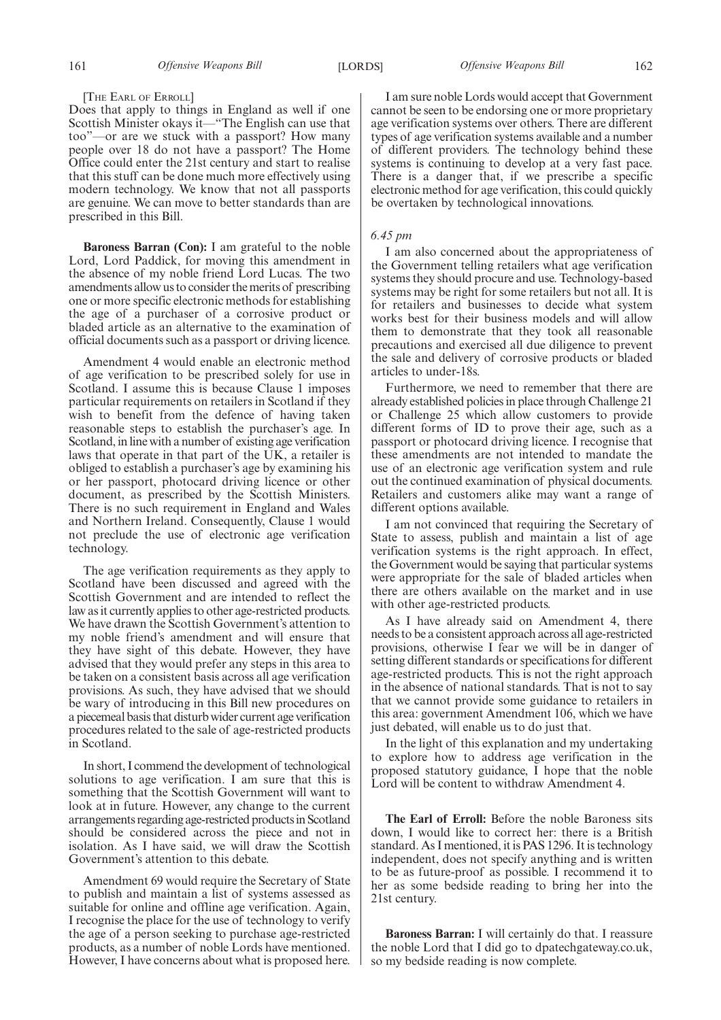### [THE EARL OF ERROLL]

Does that apply to things in England as well if one Scottish Minister okays it—"The English can use that too"—or are we stuck with a passport? How many people over 18 do not have a passport? The Home Office could enter the 21st century and start to realise that this stuff can be done much more effectively using modern technology. We know that not all passports are genuine. We can move to better standards than are prescribed in this Bill.

**Baroness Barran (Con):** I am grateful to the noble Lord, Lord Paddick, for moving this amendment in the absence of my noble friend Lord Lucas. The two amendments allow us to consider the merits of prescribing one or more specific electronic methods for establishing the age of a purchaser of a corrosive product or bladed article as an alternative to the examination of official documents such as a passport or driving licence.

Amendment 4 would enable an electronic method of age verification to be prescribed solely for use in Scotland. I assume this is because Clause 1 imposes particular requirements on retailers in Scotland if they wish to benefit from the defence of having taken reasonable steps to establish the purchaser's age. In Scotland, in line with a number of existing age verification laws that operate in that part of the UK, a retailer is obliged to establish a purchaser's age by examining his or her passport, photocard driving licence or other document, as prescribed by the Scottish Ministers. There is no such requirement in England and Wales and Northern Ireland. Consequently, Clause 1 would not preclude the use of electronic age verification technology.

The age verification requirements as they apply to Scotland have been discussed and agreed with the Scottish Government and are intended to reflect the law as it currently applies to other age-restricted products. We have drawn the Scottish Government's attention to my noble friend's amendment and will ensure that they have sight of this debate. However, they have advised that they would prefer any steps in this area to be taken on a consistent basis across all age verification provisions. As such, they have advised that we should be wary of introducing in this Bill new procedures on a piecemeal basis that disturb wider current age verification procedures related to the sale of age-restricted products in Scotland.

In short, I commend the development of technological solutions to age verification. I am sure that this is something that the Scottish Government will want to look at in future. However, any change to the current arrangements regarding age-restricted products in Scotland should be considered across the piece and not in isolation. As I have said, we will draw the Scottish Government's attention to this debate.

Amendment 69 would require the Secretary of State to publish and maintain a list of systems assessed as suitable for online and offline age verification. Again, I recognise the place for the use of technology to verify the age of a person seeking to purchase age-restricted products, as a number of noble Lords have mentioned. However, I have concerns about what is proposed here.

I am sure noble Lords would accept that Government cannot be seen to be endorsing one or more proprietary age verification systems over others. There are different types of age verification systems available and a number of different providers. The technology behind these systems is continuing to develop at a very fast pace. There is a danger that, if we prescribe a specific electronic method for age verification, this could quickly be overtaken by technological innovations.

### *6.45 pm*

I am also concerned about the appropriateness of the Government telling retailers what age verification systems they should procure and use. Technology-based systems may be right for some retailers but not all. It is for retailers and businesses to decide what system works best for their business models and will allow them to demonstrate that they took all reasonable precautions and exercised all due diligence to prevent the sale and delivery of corrosive products or bladed articles to under-18s.

Furthermore, we need to remember that there are already established policies in place through Challenge 21 or Challenge 25 which allow customers to provide different forms of ID to prove their age, such as a passport or photocard driving licence. I recognise that these amendments are not intended to mandate the use of an electronic age verification system and rule out the continued examination of physical documents. Retailers and customers alike may want a range of different options available.

I am not convinced that requiring the Secretary of State to assess, publish and maintain a list of age verification systems is the right approach. In effect, the Government would be saying that particular systems were appropriate for the sale of bladed articles when there are others available on the market and in use with other age-restricted products.

As I have already said on Amendment 4, there needs to be a consistent approach across all age-restricted provisions, otherwise I fear we will be in danger of setting different standards or specifications for different age-restricted products. This is not the right approach in the absence of national standards. That is not to say that we cannot provide some guidance to retailers in this area: government Amendment 106, which we have just debated, will enable us to do just that.

In the light of this explanation and my undertaking to explore how to address age verification in the proposed statutory guidance, I hope that the noble Lord will be content to withdraw Amendment 4.

**The Earl of Erroll:** Before the noble Baroness sits down, I would like to correct her: there is a British standard. As I mentioned, it is PAS 1296. It is technology independent, does not specify anything and is written to be as future-proof as possible. I recommend it to her as some bedside reading to bring her into the 21st century.

**Baroness Barran:** I will certainly do that. I reassure the noble Lord that I did go to dpatechgateway.co.uk, so my bedside reading is now complete.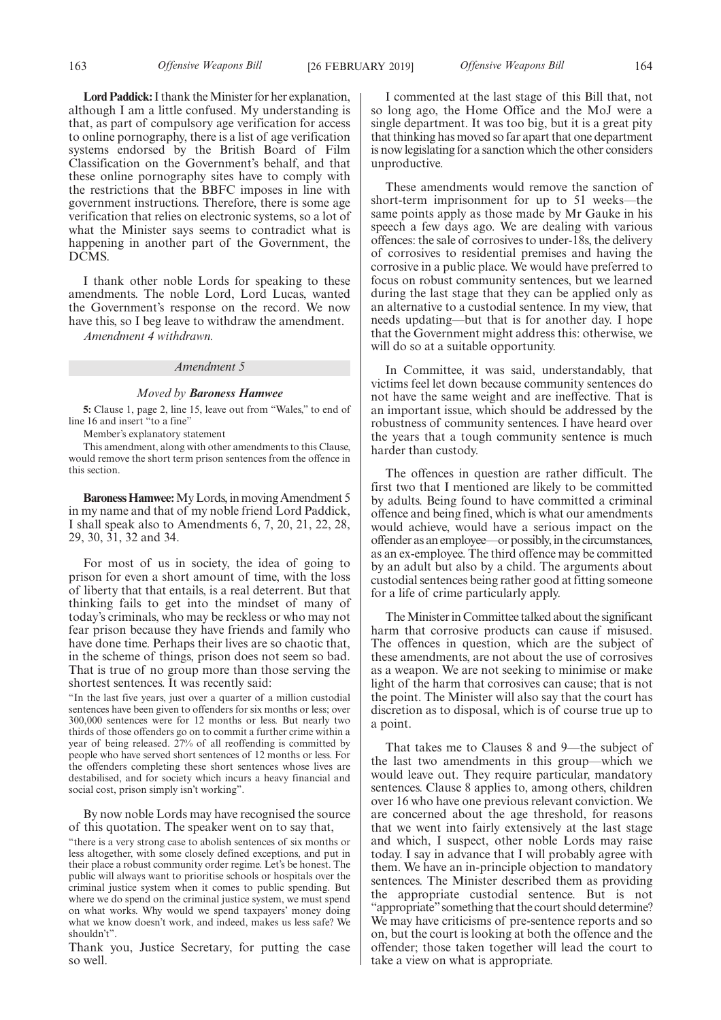**Lord Paddick:**I thank the Minister for her explanation, although I am a little confused. My understanding is that, as part of compulsory age verification for access to online pornography, there is a list of age verification systems endorsed by the British Board of Film Classification on the Government's behalf, and that these online pornography sites have to comply with the restrictions that the BBFC imposes in line with government instructions. Therefore, there is some age verification that relies on electronic systems, so a lot of what the Minister says seems to contradict what is happening in another part of the Government, the DCMS.

I thank other noble Lords for speaking to these amendments. The noble Lord, Lord Lucas, wanted the Government's response on the record. We now have this, so I beg leave to withdraw the amendment.

*Amendment 4 withdrawn.*

### *Amendment 5*

### *Moved by Baroness Hamwee*

**5:** Clause 1, page 2, line 15, leave out from "Wales," to end of line 16 and insert "to a fine"

Member's explanatory statement

This amendment, along with other amendments to this Clause, would remove the short term prison sentences from the offence in this section.

**Baroness Hamwee:**My Lords, in moving Amendment 5 in my name and that of my noble friend Lord Paddick, I shall speak also to Amendments 6, 7, 20, 21, 22, 28, 29, 30, 31, 32 and 34.

For most of us in society, the idea of going to prison for even a short amount of time, with the loss of liberty that that entails, is a real deterrent. But that thinking fails to get into the mindset of many of today's criminals, who may be reckless or who may not fear prison because they have friends and family who have done time. Perhaps their lives are so chaotic that, in the scheme of things, prison does not seem so bad. That is true of no group more than those serving the shortest sentences. It was recently said:

"In the last five years, just over a quarter of a million custodial sentences have been given to offenders for six months or less; over 300,000 sentences were for 12 months or less. But nearly two thirds of those offenders go on to commit a further crime within a year of being released. 27% of all reoffending is committed by people who have served short sentences of 12 months or less. For the offenders completing these short sentences whose lives are destabilised, and for society which incurs a heavy financial and social cost, prison simply isn't working".

By now noble Lords may have recognised the source of this quotation. The speaker went on to say that,

"there is a very strong case to abolish sentences of six months or less altogether, with some closely defined exceptions, and put in their place a robust community order regime. Let's be honest. The public will always want to prioritise schools or hospitals over the criminal justice system when it comes to public spending. But where we do spend on the criminal justice system, we must spend on what works. Why would we spend taxpayers' money doing what we know doesn't work, and indeed, makes us less safe? We shouldn't".

Thank you, Justice Secretary, for putting the case so well.

I commented at the last stage of this Bill that, not so long ago, the Home Office and the MoJ were a single department. It was too big, but it is a great pity that thinking has moved so far apart that one department is now legislating for a sanction which the other considers unproductive.

These amendments would remove the sanction of short-term imprisonment for up to 51 weeks—the same points apply as those made by Mr Gauke in his speech a few days ago. We are dealing with various offences: the sale of corrosives to under-18s, the delivery of corrosives to residential premises and having the corrosive in a public place. We would have preferred to focus on robust community sentences, but we learned during the last stage that they can be applied only as an alternative to a custodial sentence. In my view, that needs updating—but that is for another day. I hope that the Government might address this: otherwise, we will do so at a suitable opportunity.

In Committee, it was said, understandably, that victims feel let down because community sentences do not have the same weight and are ineffective. That is an important issue, which should be addressed by the robustness of community sentences. I have heard over the years that a tough community sentence is much harder than custody.

The offences in question are rather difficult. The first two that I mentioned are likely to be committed by adults. Being found to have committed a criminal offence and being fined, which is what our amendments would achieve, would have a serious impact on the offender as an employee—or possibly, in the circumstances, as an ex-employee. The third offence may be committed by an adult but also by a child. The arguments about custodial sentences being rather good at fitting someone for a life of crime particularly apply.

The Minister in Committee talked about the significant harm that corrosive products can cause if misused. The offences in question, which are the subject of these amendments, are not about the use of corrosives as a weapon. We are not seeking to minimise or make light of the harm that corrosives can cause; that is not the point. The Minister will also say that the court has discretion as to disposal, which is of course true up to a point.

That takes me to Clauses 8 and 9—the subject of the last two amendments in this group—which we would leave out. They require particular, mandatory sentences. Clause 8 applies to, among others, children over 16 who have one previous relevant conviction. We are concerned about the age threshold, for reasons that we went into fairly extensively at the last stage and which, I suspect, other noble Lords may raise today. I say in advance that I will probably agree with them. We have an in-principle objection to mandatory sentences. The Minister described them as providing the appropriate custodial sentence. But is not "appropriate" something that the court should determine? We may have criticisms of pre-sentence reports and so on, but the court is looking at both the offence and the offender; those taken together will lead the court to take a view on what is appropriate.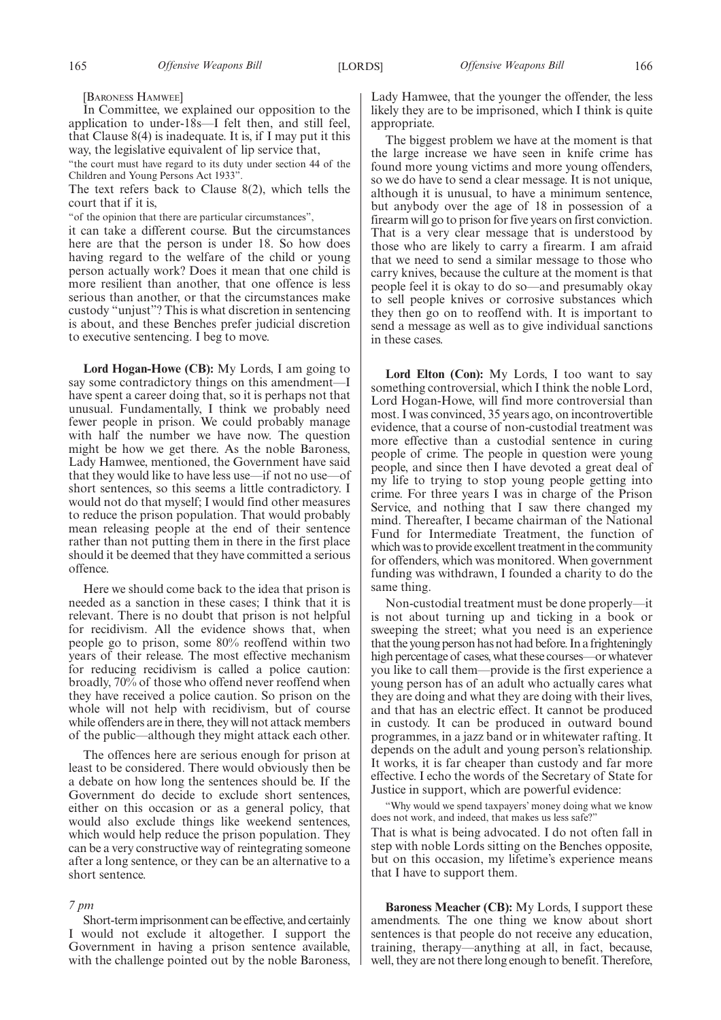[BARONESS HAMWEE]

In Committee, we explained our opposition to the application to under-18s—I felt then, and still feel, that Clause 8(4) is inadequate. It is, if I may put it this way, the legislative equivalent of lip service that,

"the court must have regard to its duty under section 44 of the Children and Young Persons Act 1933".

The text refers back to Clause 8(2), which tells the court that if it is,

"of the opinion that there are particular circumstances",

it can take a different course. But the circumstances here are that the person is under 18. So how does having regard to the welfare of the child or young person actually work? Does it mean that one child is more resilient than another, that one offence is less serious than another, or that the circumstances make custody "unjust"? This is what discretion in sentencing is about, and these Benches prefer judicial discretion to executive sentencing. I beg to move.

**Lord Hogan-Howe (CB):** My Lords, I am going to say some contradictory things on this amendment—I have spent a career doing that, so it is perhaps not that unusual. Fundamentally, I think we probably need fewer people in prison. We could probably manage with half the number we have now. The question might be how we get there. As the noble Baroness, Lady Hamwee, mentioned, the Government have said that they would like to have less use—if not no use—of short sentences, so this seems a little contradictory. I would not do that myself; I would find other measures to reduce the prison population. That would probably mean releasing people at the end of their sentence rather than not putting them in there in the first place should it be deemed that they have committed a serious offence.

Here we should come back to the idea that prison is needed as a sanction in these cases; I think that it is relevant. There is no doubt that prison is not helpful for recidivism. All the evidence shows that, when people go to prison, some 80% reoffend within two years of their release. The most effective mechanism for reducing recidivism is called a police caution: broadly, 70% of those who offend never reoffend when they have received a police caution. So prison on the whole will not help with recidivism, but of course while offenders are in there, they will not attack members of the public—although they might attack each other.

The offences here are serious enough for prison at least to be considered. There would obviously then be a debate on how long the sentences should be. If the Government do decide to exclude short sentences, either on this occasion or as a general policy, that would also exclude things like weekend sentences, which would help reduce the prison population. They can be a very constructive way of reintegrating someone after a long sentence, or they can be an alternative to a short sentence.

## *7 pm*

Short-term imprisonment can be effective, and certainly I would not exclude it altogether. I support the Government in having a prison sentence available, with the challenge pointed out by the noble Baroness, Lady Hamwee, that the younger the offender, the less likely they are to be imprisoned, which I think is quite appropriate.

The biggest problem we have at the moment is that the large increase we have seen in knife crime has found more young victims and more young offenders, so we do have to send a clear message. It is not unique, although it is unusual, to have a minimum sentence, but anybody over the age of 18 in possession of a firearm will go to prison for five years on first conviction. That is a very clear message that is understood by those who are likely to carry a firearm. I am afraid that we need to send a similar message to those who carry knives, because the culture at the moment is that people feel it is okay to do so—and presumably okay to sell people knives or corrosive substances which they then go on to reoffend with. It is important to send a message as well as to give individual sanctions in these cases.

**Lord Elton (Con):** My Lords, I too want to say something controversial, which I think the noble Lord, Lord Hogan-Howe, will find more controversial than most. I was convinced, 35 years ago, on incontrovertible evidence, that a course of non-custodial treatment was more effective than a custodial sentence in curing people of crime. The people in question were young people, and since then I have devoted a great deal of my life to trying to stop young people getting into crime. For three years I was in charge of the Prison Service, and nothing that I saw there changed my mind. Thereafter, I became chairman of the National Fund for Intermediate Treatment, the function of which was to provide excellent treatment in the community for offenders, which was monitored. When government funding was withdrawn, I founded a charity to do the same thing.

Non-custodial treatment must be done properly—it is not about turning up and ticking in a book or sweeping the street; what you need is an experience that the young person has not had before. In a frighteningly high percentage of cases, what these courses—or whatever you like to call them—provide is the first experience a young person has of an adult who actually cares what they are doing and what they are doing with their lives, and that has an electric effect. It cannot be produced in custody. It can be produced in outward bound programmes, in a jazz band or in whitewater rafting. It depends on the adult and young person's relationship. It works, it is far cheaper than custody and far more effective. I echo the words of the Secretary of State for Justice in support, which are powerful evidence:

"Why would we spend taxpayers' money doing what we know does not work, and indeed, that makes us less safe?"

That is what is being advocated. I do not often fall in step with noble Lords sitting on the Benches opposite, but on this occasion, my lifetime's experience means that I have to support them.

**Baroness Meacher (CB):** My Lords, I support these amendments. The one thing we know about short sentences is that people do not receive any education, training, therapy—anything at all, in fact, because, well, they are not there long enough to benefit. Therefore,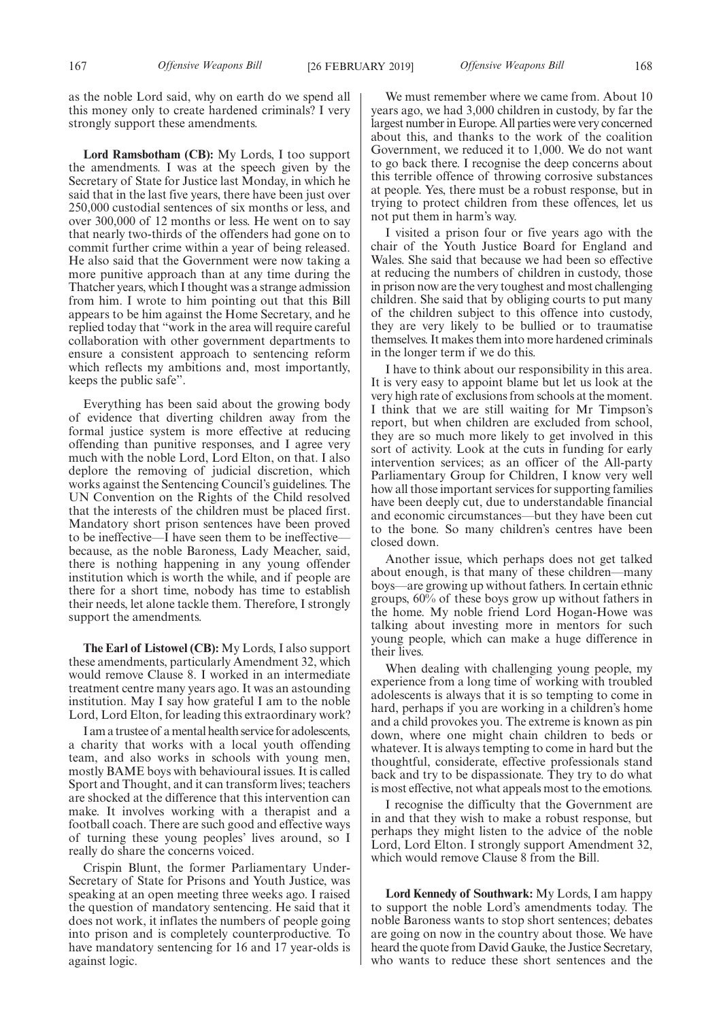as the noble Lord said, why on earth do we spend all this money only to create hardened criminals? I very strongly support these amendments.

**Lord Ramsbotham (CB):** My Lords, I too support the amendments. I was at the speech given by the Secretary of State for Justice last Monday, in which he said that in the last five years, there have been just over 250,000 custodial sentences of six months or less, and over 300,000 of 12 months or less. He went on to say that nearly two-thirds of the offenders had gone on to commit further crime within a year of being released. He also said that the Government were now taking a more punitive approach than at any time during the Thatcher years, which I thought was a strange admission from him. I wrote to him pointing out that this Bill appears to be him against the Home Secretary, and he replied today that "work in the area will require careful collaboration with other government departments to ensure a consistent approach to sentencing reform which reflects my ambitions and, most importantly, keeps the public safe".

Everything has been said about the growing body of evidence that diverting children away from the formal justice system is more effective at reducing offending than punitive responses, and I agree very much with the noble Lord, Lord Elton, on that. I also deplore the removing of judicial discretion, which works against the Sentencing Council's guidelines. The UN Convention on the Rights of the Child resolved that the interests of the children must be placed first. Mandatory short prison sentences have been proved to be ineffective—I have seen them to be ineffective because, as the noble Baroness, Lady Meacher, said, there is nothing happening in any young offender institution which is worth the while, and if people are there for a short time, nobody has time to establish their needs, let alone tackle them. Therefore, I strongly support the amendments.

**The Earl of Listowel (CB):** My Lords, I also support these amendments, particularly Amendment 32, which would remove Clause 8. I worked in an intermediate treatment centre many years ago. It was an astounding institution. May I say how grateful I am to the noble Lord, Lord Elton, for leading this extraordinary work?

I am a trustee of a mental health service for adolescents, a charity that works with a local youth offending team, and also works in schools with young men, mostly BAME boys with behavioural issues. It is called Sport and Thought, and it can transform lives; teachers are shocked at the difference that this intervention can make. It involves working with a therapist and a football coach. There are such good and effective ways of turning these young peoples' lives around, so I really do share the concerns voiced.

Crispin Blunt, the former Parliamentary Under-Secretary of State for Prisons and Youth Justice, was speaking at an open meeting three weeks ago. I raised the question of mandatory sentencing. He said that it does not work, it inflates the numbers of people going into prison and is completely counterproductive. To have mandatory sentencing for 16 and 17 year-olds is against logic.

We must remember where we came from. About 10 years ago, we had 3,000 children in custody, by far the largest number in Europe. All parties were very concerned about this, and thanks to the work of the coalition Government, we reduced it to 1,000. We do not want to go back there. I recognise the deep concerns about this terrible offence of throwing corrosive substances at people. Yes, there must be a robust response, but in trying to protect children from these offences, let us not put them in harm's way.

I visited a prison four or five years ago with the chair of the Youth Justice Board for England and Wales. She said that because we had been so effective at reducing the numbers of children in custody, those in prison now are the very toughest and most challenging children. She said that by obliging courts to put many of the children subject to this offence into custody, they are very likely to be bullied or to traumatise themselves. It makes them into more hardened criminals in the longer term if we do this.

I have to think about our responsibility in this area. It is very easy to appoint blame but let us look at the very high rate of exclusions from schools at the moment. I think that we are still waiting for Mr Timpson's report, but when children are excluded from school, they are so much more likely to get involved in this sort of activity. Look at the cuts in funding for early intervention services; as an officer of the All-party Parliamentary Group for Children, I know very well how all those important services for supporting families have been deeply cut, due to understandable financial and economic circumstances—but they have been cut to the bone. So many children's centres have been closed down.

Another issue, which perhaps does not get talked about enough, is that many of these children—many boys—are growing up without fathers. In certain ethnic groups, 60% of these boys grow up without fathers in the home. My noble friend Lord Hogan-Howe was talking about investing more in mentors for such young people, which can make a huge difference in their lives.

When dealing with challenging young people, my experience from a long time of working with troubled adolescents is always that it is so tempting to come in hard, perhaps if you are working in a children's home and a child provokes you. The extreme is known as pin down, where one might chain children to beds or whatever. It is always tempting to come in hard but the thoughtful, considerate, effective professionals stand back and try to be dispassionate. They try to do what is most effective, not what appeals most to the emotions.

I recognise the difficulty that the Government are in and that they wish to make a robust response, but perhaps they might listen to the advice of the noble Lord, Lord Elton. I strongly support Amendment 32, which would remove Clause 8 from the Bill.

**Lord Kennedy of Southwark:** My Lords, I am happy to support the noble Lord's amendments today. The noble Baroness wants to stop short sentences; debates are going on now in the country about those. We have heard the quote from David Gauke, the Justice Secretary, who wants to reduce these short sentences and the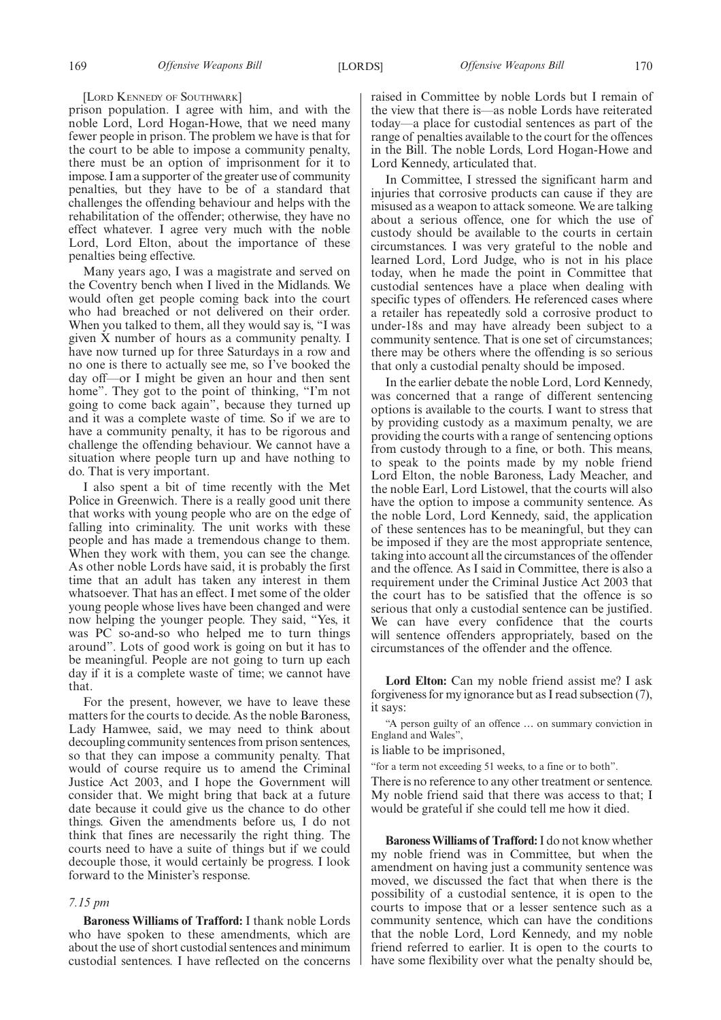[LORD KENNEDY OF SOUTHWARK]

prison population. I agree with him, and with the noble Lord, Lord Hogan-Howe, that we need many fewer people in prison. The problem we have is that for the court to be able to impose a community penalty, there must be an option of imprisonment for it to impose. I am a supporter of the greater use of community penalties, but they have to be of a standard that challenges the offending behaviour and helps with the rehabilitation of the offender; otherwise, they have no effect whatever. I agree very much with the noble Lord, Lord Elton, about the importance of these penalties being effective.

Many years ago, I was a magistrate and served on the Coventry bench when I lived in the Midlands. We would often get people coming back into the court who had breached or not delivered on their order. When you talked to them, all they would say is, "I was given X number of hours as a community penalty. I have now turned up for three Saturdays in a row and no one is there to actually see me, so I've booked the day off—or I might be given an hour and then sent home". They got to the point of thinking, "I'm not going to come back again", because they turned up and it was a complete waste of time. So if we are to have a community penalty, it has to be rigorous and challenge the offending behaviour. We cannot have a situation where people turn up and have nothing to do. That is very important.

I also spent a bit of time recently with the Met Police in Greenwich. There is a really good unit there that works with young people who are on the edge of falling into criminality. The unit works with these people and has made a tremendous change to them. When they work with them, you can see the change. As other noble Lords have said, it is probably the first time that an adult has taken any interest in them whatsoever. That has an effect. I met some of the older young people whose lives have been changed and were now helping the younger people. They said, "Yes, it was PC so-and-so who helped me to turn things around". Lots of good work is going on but it has to be meaningful. People are not going to turn up each day if it is a complete waste of time; we cannot have that.

For the present, however, we have to leave these matters for the courts to decide. As the noble Baroness, Lady Hamwee, said, we may need to think about decoupling community sentences from prison sentences, so that they can impose a community penalty. That would of course require us to amend the Criminal Justice Act 2003, and I hope the Government will consider that. We might bring that back at a future date because it could give us the chance to do other things. Given the amendments before us, I do not think that fines are necessarily the right thing. The courts need to have a suite of things but if we could decouple those, it would certainly be progress. I look forward to the Minister's response.

### *7.15 pm*

**Baroness Williams of Trafford:** I thank noble Lords who have spoken to these amendments, which are about the use of short custodial sentences and minimum custodial sentences. I have reflected on the concerns raised in Committee by noble Lords but I remain of the view that there is—as noble Lords have reiterated today—a place for custodial sentences as part of the range of penalties available to the court for the offences in the Bill. The noble Lords, Lord Hogan-Howe and Lord Kennedy, articulated that.

In Committee, I stressed the significant harm and injuries that corrosive products can cause if they are misused as a weapon to attack someone. We are talking about a serious offence, one for which the use of custody should be available to the courts in certain circumstances. I was very grateful to the noble and learned Lord, Lord Judge, who is not in his place today, when he made the point in Committee that custodial sentences have a place when dealing with specific types of offenders. He referenced cases where a retailer has repeatedly sold a corrosive product to under-18s and may have already been subject to a community sentence. That is one set of circumstances; there may be others where the offending is so serious that only a custodial penalty should be imposed.

In the earlier debate the noble Lord, Lord Kennedy, was concerned that a range of different sentencing options is available to the courts. I want to stress that by providing custody as a maximum penalty, we are providing the courts with a range of sentencing options from custody through to a fine, or both. This means, to speak to the points made by my noble friend Lord Elton, the noble Baroness, Lady Meacher, and the noble Earl, Lord Listowel, that the courts will also have the option to impose a community sentence. As the noble Lord, Lord Kennedy, said, the application of these sentences has to be meaningful, but they can be imposed if they are the most appropriate sentence, taking into account all the circumstances of the offender and the offence. As I said in Committee, there is also a requirement under the Criminal Justice Act 2003 that the court has to be satisfied that the offence is so serious that only a custodial sentence can be justified. We can have every confidence that the courts will sentence offenders appropriately, based on the circumstances of the offender and the offence.

**Lord Elton:** Can my noble friend assist me? I ask forgiveness for my ignorance but as I read subsection (7), it says:

"A person guilty of an offence … on summary conviction in England and Wales",

is liable to be imprisoned,

"for a term not exceeding 51 weeks, to a fine or to both".

There is no reference to any other treatment or sentence. My noble friend said that there was access to that; I would be grateful if she could tell me how it died.

**Baroness Williams of Trafford:**I do not know whether my noble friend was in Committee, but when the amendment on having just a community sentence was moved, we discussed the fact that when there is the possibility of a custodial sentence, it is open to the courts to impose that or a lesser sentence such as a community sentence, which can have the conditions that the noble Lord, Lord Kennedy, and my noble friend referred to earlier. It is open to the courts to have some flexibility over what the penalty should be,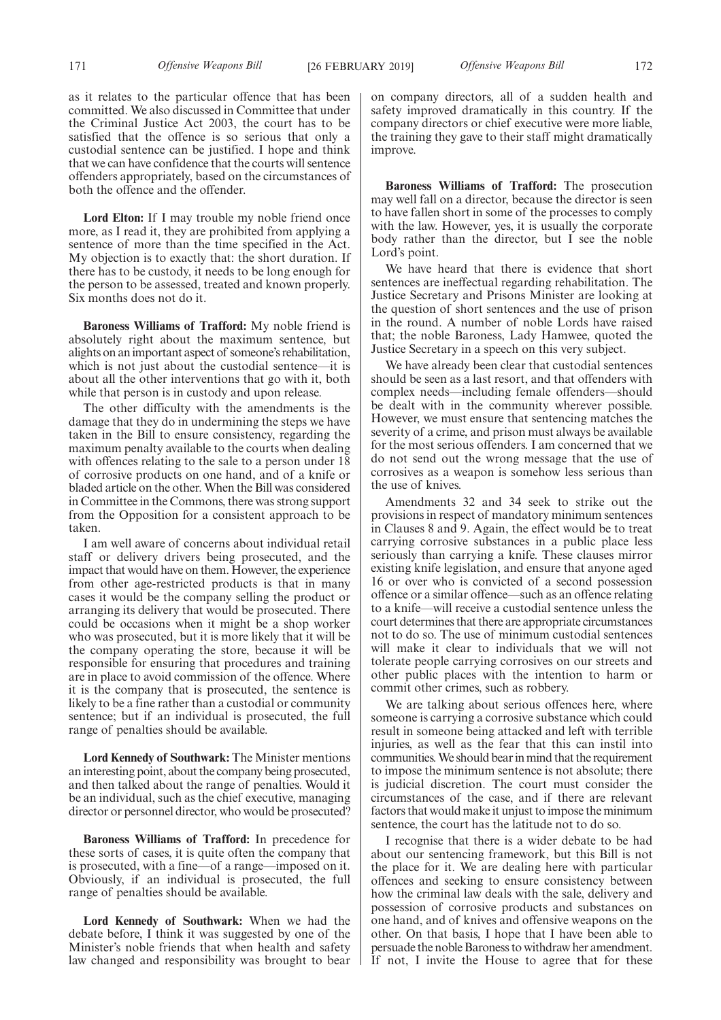as it relates to the particular offence that has been committed. We also discussed in Committee that under the Criminal Justice Act 2003, the court has to be satisfied that the offence is so serious that only a custodial sentence can be justified. I hope and think that we can have confidence that the courts will sentence offenders appropriately, based on the circumstances of both the offence and the offender.

**Lord Elton:** If I may trouble my noble friend once more, as I read it, they are prohibited from applying a sentence of more than the time specified in the Act. My objection is to exactly that: the short duration. If there has to be custody, it needs to be long enough for the person to be assessed, treated and known properly. Six months does not do it.

**Baroness Williams of Trafford:** My noble friend is absolutely right about the maximum sentence, but alights on an important aspect of someone's rehabilitation, which is not just about the custodial sentence—it is about all the other interventions that go with it, both while that person is in custody and upon release.

The other difficulty with the amendments is the damage that they do in undermining the steps we have taken in the Bill to ensure consistency, regarding the maximum penalty available to the courts when dealing with offences relating to the sale to a person under 18 of corrosive products on one hand, and of a knife or bladed article on the other. When the Bill was considered in Committee in the Commons, there was strong support from the Opposition for a consistent approach to be taken.

I am well aware of concerns about individual retail staff or delivery drivers being prosecuted, and the impact that would have on them. However, the experience from other age-restricted products is that in many cases it would be the company selling the product or arranging its delivery that would be prosecuted. There could be occasions when it might be a shop worker who was prosecuted, but it is more likely that it will be the company operating the store, because it will be responsible for ensuring that procedures and training are in place to avoid commission of the offence. Where it is the company that is prosecuted, the sentence is likely to be a fine rather than a custodial or community sentence; but if an individual is prosecuted, the full range of penalties should be available.

**Lord Kennedy of Southwark:** The Minister mentions an interesting point, about the company being prosecuted, and then talked about the range of penalties. Would it be an individual, such as the chief executive, managing director or personnel director, who would be prosecuted?

**Baroness Williams of Trafford:** In precedence for these sorts of cases, it is quite often the company that is prosecuted, with a fine—of a range—imposed on it. Obviously, if an individual is prosecuted, the full range of penalties should be available.

**Lord Kennedy of Southwark:** When we had the debate before, I think it was suggested by one of the Minister's noble friends that when health and safety law changed and responsibility was brought to bear on company directors, all of a sudden health and safety improved dramatically in this country. If the company directors or chief executive were more liable, the training they gave to their staff might dramatically improve.

**Baroness Williams of Trafford:** The prosecution may well fall on a director, because the director is seen to have fallen short in some of the processes to comply with the law. However, yes, it is usually the corporate body rather than the director, but I see the noble Lord's point.

We have heard that there is evidence that short sentences are ineffectual regarding rehabilitation. The Justice Secretary and Prisons Minister are looking at the question of short sentences and the use of prison in the round. A number of noble Lords have raised that; the noble Baroness, Lady Hamwee, quoted the Justice Secretary in a speech on this very subject.

We have already been clear that custodial sentences should be seen as a last resort, and that offenders with complex needs—including female offenders—should be dealt with in the community wherever possible. However, we must ensure that sentencing matches the severity of a crime, and prison must always be available for the most serious offenders. I am concerned that we do not send out the wrong message that the use of corrosives as a weapon is somehow less serious than the use of knives.

Amendments 32 and 34 seek to strike out the provisions in respect of mandatory minimum sentences in Clauses 8 and 9. Again, the effect would be to treat carrying corrosive substances in a public place less seriously than carrying a knife. These clauses mirror existing knife legislation, and ensure that anyone aged 16 or over who is convicted of a second possession offence or a similar offence—such as an offence relating to a knife—will receive a custodial sentence unless the court determines that there are appropriate circumstances not to do so. The use of minimum custodial sentences will make it clear to individuals that we will not tolerate people carrying corrosives on our streets and other public places with the intention to harm or commit other crimes, such as robbery.

We are talking about serious offences here, where someone is carrying a corrosive substance which could result in someone being attacked and left with terrible injuries, as well as the fear that this can instil into communities. We should bear in mind that the requirement to impose the minimum sentence is not absolute; there is judicial discretion. The court must consider the circumstances of the case, and if there are relevant factors that would make it unjust to impose the minimum sentence, the court has the latitude not to do so.

I recognise that there is a wider debate to be had about our sentencing framework, but this Bill is not the place for it. We are dealing here with particular offences and seeking to ensure consistency between how the criminal law deals with the sale, delivery and possession of corrosive products and substances on one hand, and of knives and offensive weapons on the other. On that basis, I hope that I have been able to persuade the noble Baroness to withdraw her amendment. If not, I invite the House to agree that for these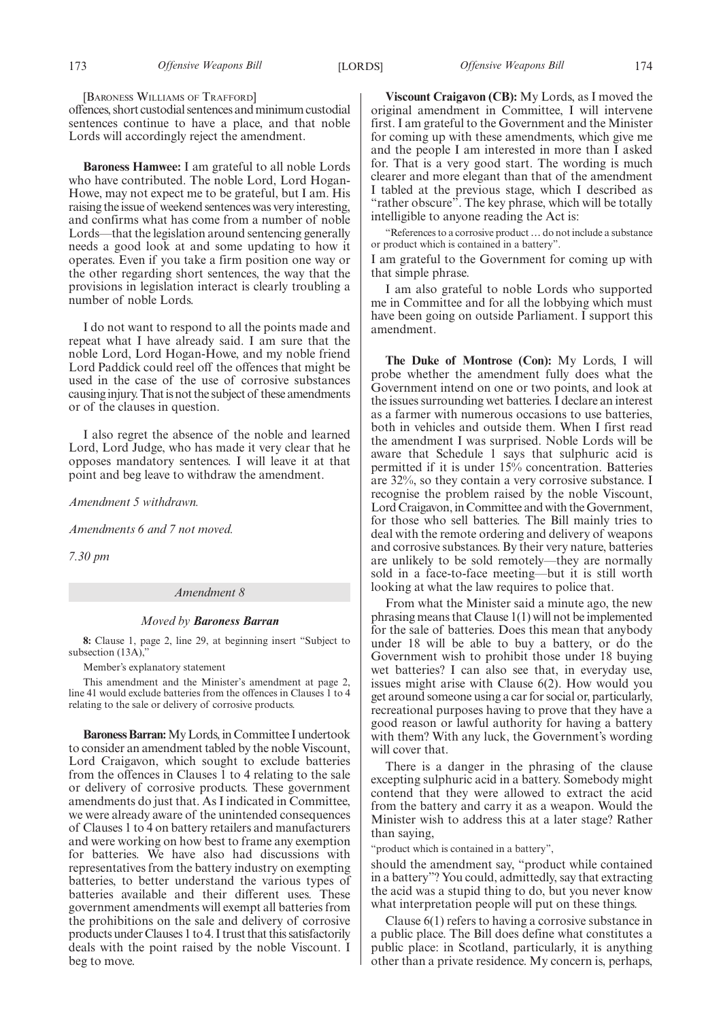[BARONESS WILLIAMS OF TRAFFORD]

offences, short custodial sentences and minimum custodial sentences continue to have a place, and that noble Lords will accordingly reject the amendment.

**Baroness Hamwee:** I am grateful to all noble Lords who have contributed. The noble Lord, Lord Hogan-Howe, may not expect me to be grateful, but I am. His raising the issue of weekend sentences was very interesting, and confirms what has come from a number of noble Lords—that the legislation around sentencing generally needs a good look at and some updating to how it operates. Even if you take a firm position one way or the other regarding short sentences, the way that the provisions in legislation interact is clearly troubling a number of noble Lords.

I do not want to respond to all the points made and repeat what I have already said. I am sure that the noble Lord, Lord Hogan-Howe, and my noble friend Lord Paddick could reel off the offences that might be used in the case of the use of corrosive substances causing injury. That is not the subject of these amendments or of the clauses in question.

I also regret the absence of the noble and learned Lord, Lord Judge, who has made it very clear that he opposes mandatory sentences. I will leave it at that point and beg leave to withdraw the amendment.

*Amendment 5 withdrawn.*

*Amendments 6 and 7 not moved.*

*7.30 pm*

### *Amendment 8*

#### *Moved by Baroness Barran*

**8:** Clause 1, page 2, line 29, at beginning insert "Subject to subsection  $(13A)$ ,

Member's explanatory statement

This amendment and the Minister's amendment at page 2, line 41 would exclude batteries from the offences in Clauses 1 to 4 relating to the sale or delivery of corrosive products.

**Baroness Barran:**My Lords, in Committee I undertook to consider an amendment tabled by the noble Viscount, Lord Craigavon, which sought to exclude batteries from the offences in Clauses  $\overline{1}$  to 4 relating to the sale or delivery of corrosive products. These government amendments do just that. As I indicated in Committee, we were already aware of the unintended consequences of Clauses 1 to 4 on battery retailers and manufacturers and were working on how best to frame any exemption for batteries. We have also had discussions with representatives from the battery industry on exempting batteries, to better understand the various types of batteries available and their different uses. These government amendments will exempt all batteries from the prohibitions on the sale and delivery of corrosive products under Clauses 1 to 4. I trust that this satisfactorily deals with the point raised by the noble Viscount. I beg to move.

**Viscount Craigavon (CB):** My Lords, as I moved the original amendment in Committee, I will intervene first. I am grateful to the Government and the Minister for coming up with these amendments, which give me and the people I am interested in more than I asked for. That is a very good start. The wording is much clearer and more elegant than that of the amendment I tabled at the previous stage, which I described as "rather obscure". The key phrase, which will be totally intelligible to anyone reading the Act is:

"References to a corrosive product … do not include a substance or product which is contained in a battery".

I am grateful to the Government for coming up with that simple phrase.

I am also grateful to noble Lords who supported me in Committee and for all the lobbying which must have been going on outside Parliament. I support this amendment.

**The Duke of Montrose (Con):** My Lords, I will probe whether the amendment fully does what the Government intend on one or two points, and look at the issues surrounding wet batteries. I declare an interest as a farmer with numerous occasions to use batteries, both in vehicles and outside them. When I first read the amendment I was surprised. Noble Lords will be aware that Schedule 1 says that sulphuric acid is permitted if it is under 15% concentration. Batteries are 32%, so they contain a very corrosive substance. I recognise the problem raised by the noble Viscount, Lord Craigavon, in Committee and with the Government, for those who sell batteries. The Bill mainly tries to deal with the remote ordering and delivery of weapons and corrosive substances. By their very nature, batteries are unlikely to be sold remotely—they are normally sold in a face-to-face meeting—but it is still worth looking at what the law requires to police that.

From what the Minister said a minute ago, the new phrasing means that Clause 1(1) will not be implemented for the sale of batteries. Does this mean that anybody under 18 will be able to buy a battery, or do the Government wish to prohibit those under 18 buying wet batteries? I can also see that, in everyday use, issues might arise with Clause 6(2). How would you get around someone using a car for social or, particularly, recreational purposes having to prove that they have a good reason or lawful authority for having a battery with them? With any luck, the Government's wording will cover that.

There is a danger in the phrasing of the clause excepting sulphuric acid in a battery. Somebody might contend that they were allowed to extract the acid from the battery and carry it as a weapon. Would the Minister wish to address this at a later stage? Rather than saying,

"product which is contained in a battery",

should the amendment say, "product while contained in a battery"? You could, admittedly, say that extracting the acid was a stupid thing to do, but you never know what interpretation people will put on these things.

Clause 6(1) refers to having a corrosive substance in a public place. The Bill does define what constitutes a public place: in Scotland, particularly, it is anything other than a private residence. My concern is, perhaps,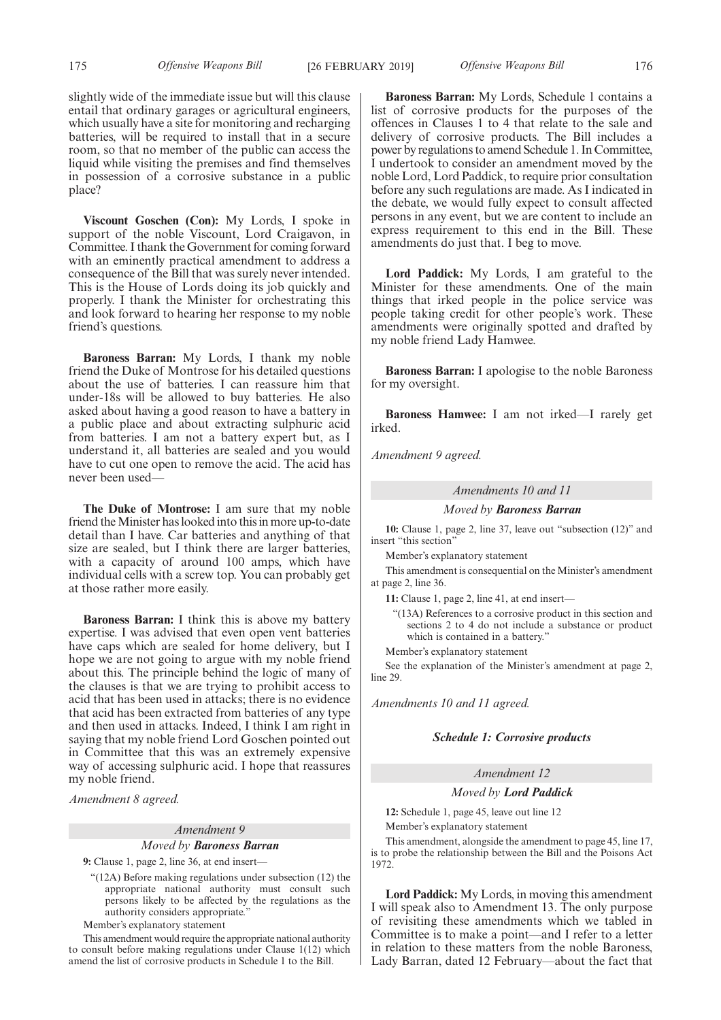slightly wide of the immediate issue but will this clause entail that ordinary garages or agricultural engineers, which usually have a site for monitoring and recharging batteries, will be required to install that in a secure room, so that no member of the public can access the liquid while visiting the premises and find themselves in possession of a corrosive substance in a public place?

**Viscount Goschen (Con):** My Lords, I spoke in support of the noble Viscount, Lord Craigavon, in Committee. I thank the Government for coming forward with an eminently practical amendment to address a consequence of the Bill that was surely never intended. This is the House of Lords doing its job quickly and properly. I thank the Minister for orchestrating this and look forward to hearing her response to my noble friend's questions.

**Baroness Barran:** My Lords, I thank my noble friend the Duke of Montrose for his detailed questions about the use of batteries. I can reassure him that under-18s will be allowed to buy batteries. He also asked about having a good reason to have a battery in a public place and about extracting sulphuric acid from batteries. I am not a battery expert but, as I understand it, all batteries are sealed and you would have to cut one open to remove the acid. The acid has never been used—

**The Duke of Montrose:** I am sure that my noble friend the Minister has looked into this in more up-to-date detail than I have. Car batteries and anything of that size are sealed, but I think there are larger batteries, with a capacity of around 100 amps, which have individual cells with a screw top. You can probably get at those rather more easily.

**Baroness Barran:** I think this is above my battery expertise. I was advised that even open vent batteries have caps which are sealed for home delivery, but I hope we are not going to argue with my noble friend about this. The principle behind the logic of many of the clauses is that we are trying to prohibit access to acid that has been used in attacks; there is no evidence that acid has been extracted from batteries of any type and then used in attacks. Indeed, I think I am right in saying that my noble friend Lord Goschen pointed out in Committee that this was an extremely expensive way of accessing sulphuric acid. I hope that reassures my noble friend.

*Amendment 8 agreed.*

# *Amendment 9 Moved by Baroness Barran*

**9:** Clause 1, page 2, line 36, at end insert—

"(12A) Before making regulations under subsection (12) the appropriate national authority must consult such persons likely to be affected by the regulations as the authority considers appropriate."

Member's explanatory statement

This amendment would require the appropriate national authority to consult before making regulations under Clause 1(12) which amend the list of corrosive products in Schedule 1 to the Bill.

**Baroness Barran:** My Lords, Schedule 1 contains a list of corrosive products for the purposes of the offences in Clauses 1 to 4 that relate to the sale and delivery of corrosive products. The Bill includes a power by regulations to amend Schedule 1. In Committee, I undertook to consider an amendment moved by the noble Lord, Lord Paddick, to require prior consultation before any such regulations are made. As I indicated in the debate, we would fully expect to consult affected persons in any event, but we are content to include an express requirement to this end in the Bill. These amendments do just that. I beg to move.

**Lord Paddick:** My Lords, I am grateful to the Minister for these amendments. One of the main things that irked people in the police service was people taking credit for other people's work. These amendments were originally spotted and drafted by my noble friend Lady Hamwee.

**Baroness Barran:** I apologise to the noble Baroness for my oversight.

**Baroness Hamwee:** I am not irked—I rarely get irked.

*Amendment 9 agreed.*

*Amendments 10 and 11*

*Moved by Baroness Barran*

**10:** Clause 1, page 2, line 37, leave out "subsection (12)" and insert "this section"

Member's explanatory statement

This amendment is consequential on the Minister's amendment at page 2, line 36.

**11:** Clause 1, page 2, line 41, at end insert—

"(13A) References to a corrosive product in this section and sections 2 to 4 do not include a substance or product which is contained in a battery."

Member's explanatory statement

See the explanation of the Minister's amendment at page 2, line 29.

*Amendments 10 and 11 agreed.*

### *Schedule 1: Corrosive products*

# *Amendment 12*

# *Moved by Lord Paddick*

**12:** Schedule 1, page 45, leave out line 12

Member's explanatory statement

This amendment, alongside the amendment to page 45, line 17, is to probe the relationship between the Bill and the Poisons Act 1972.

**Lord Paddick:** My Lords, in moving this amendment I will speak also to Amendment 13. The only purpose of revisiting these amendments which we tabled in Committee is to make a point—and I refer to a letter in relation to these matters from the noble Baroness, Lady Barran, dated 12 February—about the fact that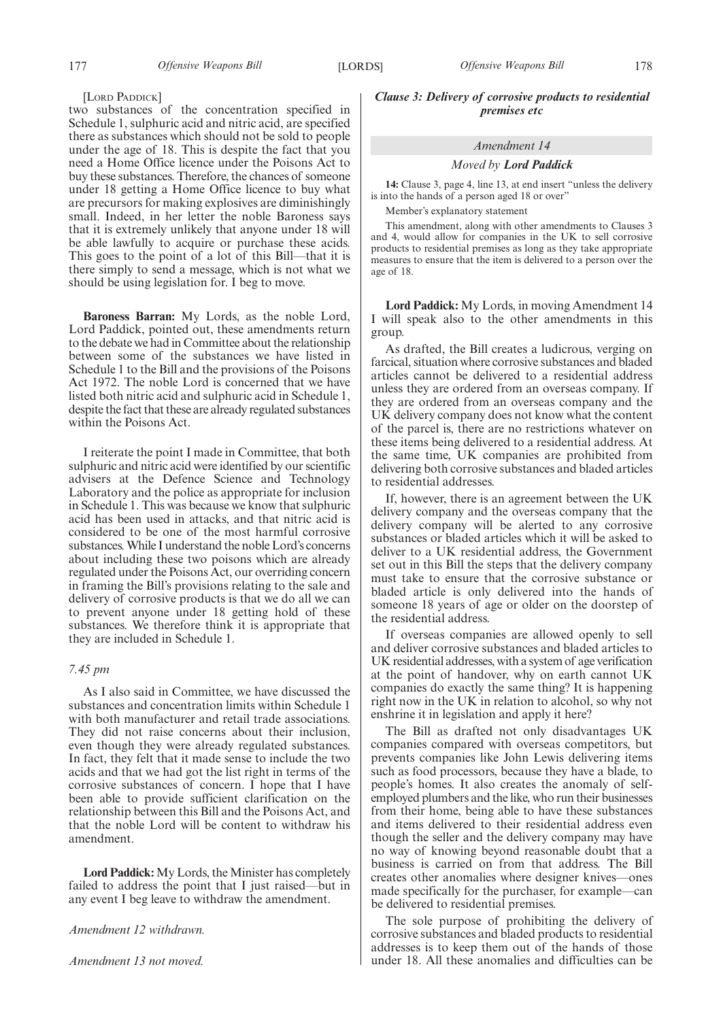### [LORD PADDICK]

two substances of the concentration specified in Schedule 1, sulphuric acid and nitric acid, are specified there as substances which should not be sold to people under the age of 18. This is despite the fact that you need a Home Office licence under the Poisons Act to buy these substances. Therefore, the chances of someone under 18 getting a Home Office licence to buy what are precursors for making explosives are diminishingly small. Indeed, in her letter the noble Baroness says that it is extremely unlikely that anyone under 18 will be able lawfully to acquire or purchase these acids. This goes to the point of a lot of this Bill—that it is there simply to send a message, which is not what we should be using legislation for. I beg to move.

**Baroness Barran:** My Lords, as the noble Lord, Lord Paddick, pointed out, these amendments return to the debate we had in Committee about the relationship between some of the substances we have listed in Schedule 1 to the Bill and the provisions of the Poisons Act 1972. The noble Lord is concerned that we have listed both nitric acid and sulphuric acid in Schedule 1, despite the fact that these are already regulated substances within the Poisons Act.

I reiterate the point I made in Committee, that both sulphuric and nitric acid were identified by our scientific advisers at the Defence Science and Technology Laboratory and the police as appropriate for inclusion in Schedule 1. This was because we know that sulphuric acid has been used in attacks, and that nitric acid is considered to be one of the most harmful corrosive substances. While I understand the noble Lord's concerns about including these two poisons which are already regulated under the Poisons Act, our overriding concern in framing the Bill's provisions relating to the sale and delivery of corrosive products is that we do all we can to prevent anyone under 18 getting hold of these substances. We therefore think it is appropriate that they are included in Schedule 1.

# *7.45 pm*

As I also said in Committee, we have discussed the substances and concentration limits within Schedule 1 with both manufacturer and retail trade associations. They did not raise concerns about their inclusion, even though they were already regulated substances. In fact, they felt that it made sense to include the two acids and that we had got the list right in terms of the corrosive substances of concern. I hope that I have been able to provide sufficient clarification on the relationship between this Bill and the Poisons Act, and that the noble Lord will be content to withdraw his amendment.

**Lord Paddick:** My Lords, the Minister has completely failed to address the point that I just raised—but in any event I beg leave to withdraw the amendment.

*Amendment 12 withdrawn.*

*Amendment 13 not moved.*

*Clause 3: Delivery of corrosive products to residential premises etc*

# *Amendment 14*

### *Moved by Lord Paddick*

**14:** Clause 3, page 4, line 13, at end insert "unless the delivery is into the hands of a person aged 18 or over"

Member's explanatory statement

This amendment, along with other amendments to Clauses 3 and 4, would allow for companies in the UK to sell corrosive products to residential premises as long as they take appropriate measures to ensure that the item is delivered to a person over the age of 18.

**Lord Paddick:** My Lords, in moving Amendment 14 I will speak also to the other amendments in this group.

As drafted, the Bill creates a ludicrous, verging on farcical, situation where corrosive substances and bladed articles cannot be delivered to a residential address unless they are ordered from an overseas company. If they are ordered from an overseas company and the UK delivery company does not know what the content of the parcel is, there are no restrictions whatever on these items being delivered to a residential address. At the same time, UK companies are prohibited from delivering both corrosive substances and bladed articles to residential addresses.

If, however, there is an agreement between the UK delivery company and the overseas company that the delivery company will be alerted to any corrosive substances or bladed articles which it will be asked to deliver to a UK residential address, the Government set out in this Bill the steps that the delivery company must take to ensure that the corrosive substance or bladed article is only delivered into the hands of someone 18 years of age or older on the doorstep of the residential address.

If overseas companies are allowed openly to sell and deliver corrosive substances and bladed articles to UK residential addresses, with a system of age verification at the point of handover, why on earth cannot UK companies do exactly the same thing? It is happening right now in the UK in relation to alcohol, so why not enshrine it in legislation and apply it here?

The Bill as drafted not only disadvantages UK companies compared with overseas competitors, but prevents companies like John Lewis delivering items such as food processors, because they have a blade, to people's homes. It also creates the anomaly of selfemployed plumbers and the like, who run their businesses from their home, being able to have these substances and items delivered to their residential address even though the seller and the delivery company may have no way of knowing beyond reasonable doubt that a business is carried on from that address. The Bill creates other anomalies where designer knives—ones made specifically for the purchaser, for example—can be delivered to residential premises.

The sole purpose of prohibiting the delivery of corrosive substances and bladed products to residential addresses is to keep them out of the hands of those under 18. All these anomalies and difficulties can be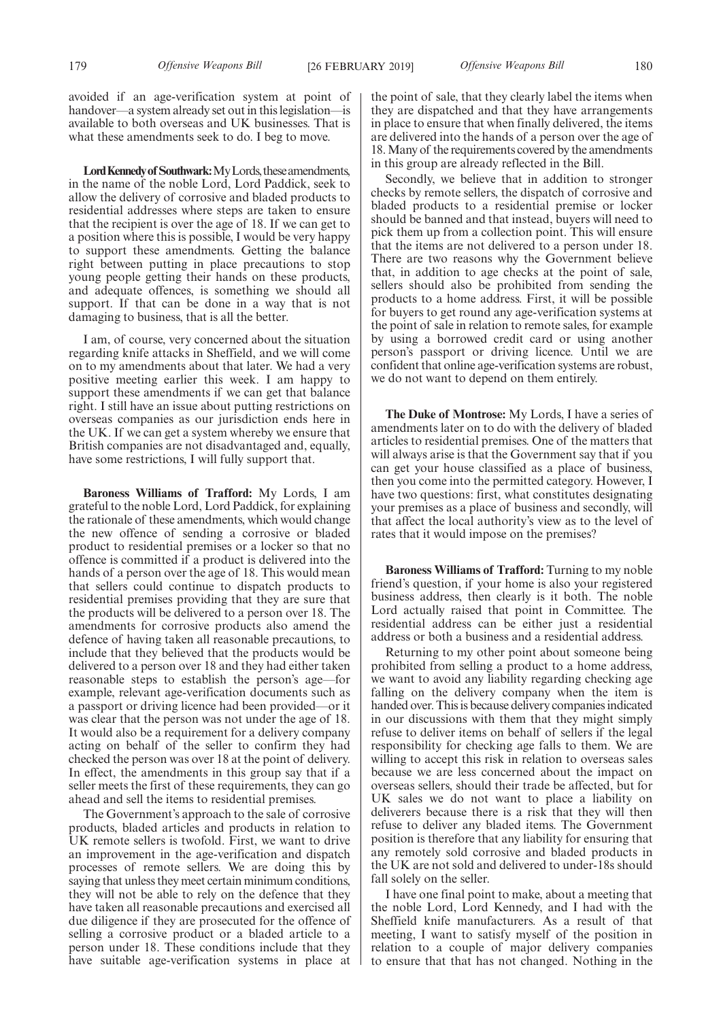avoided if an age-verification system at point of handover—a system already set out in this legislation—is available to both overseas and UK businesses. That is what these amendments seek to do. I beg to move.

Lord Kennedy of Southwark: My Lords, these amendments, in the name of the noble Lord, Lord Paddick, seek to allow the delivery of corrosive and bladed products to residential addresses where steps are taken to ensure that the recipient is over the age of 18. If we can get to a position where this is possible, I would be very happy to support these amendments. Getting the balance right between putting in place precautions to stop young people getting their hands on these products, and adequate offences, is something we should all support. If that can be done in a way that is not damaging to business, that is all the better.

I am, of course, very concerned about the situation regarding knife attacks in Sheffield, and we will come on to my amendments about that later. We had a very positive meeting earlier this week. I am happy to support these amendments if we can get that balance right. I still have an issue about putting restrictions on overseas companies as our jurisdiction ends here in the UK. If we can get a system whereby we ensure that British companies are not disadvantaged and, equally, have some restrictions, I will fully support that.

**Baroness Williams of Trafford:** My Lords, I am grateful to the noble Lord, Lord Paddick, for explaining the rationale of these amendments, which would change the new offence of sending a corrosive or bladed product to residential premises or a locker so that no offence is committed if a product is delivered into the hands of a person over the age of 18. This would mean that sellers could continue to dispatch products to residential premises providing that they are sure that the products will be delivered to a person over 18. The amendments for corrosive products also amend the defence of having taken all reasonable precautions, to include that they believed that the products would be delivered to a person over 18 and they had either taken reasonable steps to establish the person's age—for example, relevant age-verification documents such as a passport or driving licence had been provided—or it was clear that the person was not under the age of 18. It would also be a requirement for a delivery company acting on behalf of the seller to confirm they had checked the person was over 18 at the point of delivery. In effect, the amendments in this group say that if a seller meets the first of these requirements, they can go ahead and sell the items to residential premises.

The Government's approach to the sale of corrosive products, bladed articles and products in relation to UK remote sellers is twofold. First, we want to drive an improvement in the age-verification and dispatch processes of remote sellers. We are doing this by saying that unless they meet certain minimum conditions, they will not be able to rely on the defence that they have taken all reasonable precautions and exercised all due diligence if they are prosecuted for the offence of selling a corrosive product or a bladed article to a person under 18. These conditions include that they have suitable age-verification systems in place at the point of sale, that they clearly label the items when they are dispatched and that they have arrangements in place to ensure that when finally delivered, the items are delivered into the hands of a person over the age of 18. Many of the requirements covered by the amendments in this group are already reflected in the Bill.

Secondly, we believe that in addition to stronger checks by remote sellers, the dispatch of corrosive and bladed products to a residential premise or locker should be banned and that instead, buyers will need to pick them up from a collection point. This will ensure that the items are not delivered to a person under 18. There are two reasons why the Government believe that, in addition to age checks at the point of sale, sellers should also be prohibited from sending the products to a home address. First, it will be possible for buyers to get round any age-verification systems at the point of sale in relation to remote sales, for example by using a borrowed credit card or using another person's passport or driving licence. Until we are confident that online age-verification systems are robust, we do not want to depend on them entirely.

**The Duke of Montrose:** My Lords, I have a series of amendments later on to do with the delivery of bladed articles to residential premises. One of the matters that will always arise is that the Government say that if you can get your house classified as a place of business, then you come into the permitted category. However, I have two questions: first, what constitutes designating your premises as a place of business and secondly, will that affect the local authority's view as to the level of rates that it would impose on the premises?

**Baroness Williams of Trafford:** Turning to my noble friend's question, if your home is also your registered business address, then clearly is it both. The noble Lord actually raised that point in Committee. The residential address can be either just a residential address or both a business and a residential address.

Returning to my other point about someone being prohibited from selling a product to a home address, we want to avoid any liability regarding checking age falling on the delivery company when the item is handed over. This is because delivery companies indicated in our discussions with them that they might simply refuse to deliver items on behalf of sellers if the legal responsibility for checking age falls to them. We are willing to accept this risk in relation to overseas sales because we are less concerned about the impact on overseas sellers, should their trade be affected, but for UK sales we do not want to place a liability on deliverers because there is a risk that they will then refuse to deliver any bladed items. The Government position is therefore that any liability for ensuring that any remotely sold corrosive and bladed products in the UK are not sold and delivered to under-18s should fall solely on the seller.

I have one final point to make, about a meeting that the noble Lord, Lord Kennedy, and I had with the Sheffield knife manufacturers. As a result of that meeting, I want to satisfy myself of the position in relation to a couple of major delivery companies to ensure that that has not changed. Nothing in the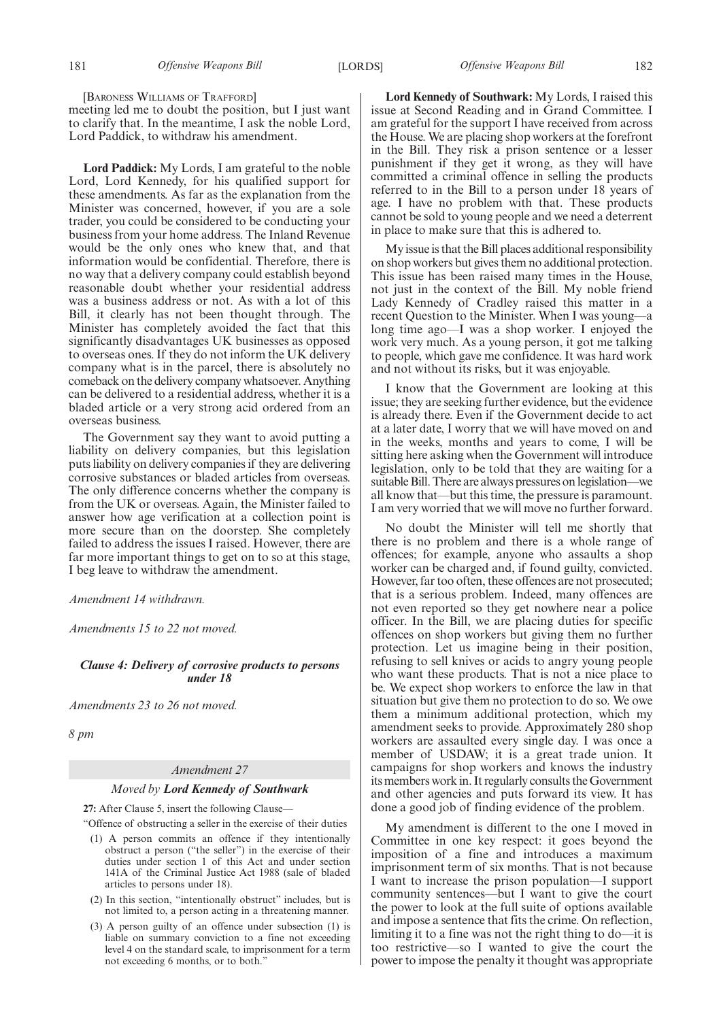[BARONESS WILLIAMS OF TRAFFORD]

meeting led me to doubt the position, but I just want to clarify that. In the meantime, I ask the noble Lord, Lord Paddick, to withdraw his amendment.

**Lord Paddick:** My Lords, I am grateful to the noble Lord, Lord Kennedy, for his qualified support for these amendments. As far as the explanation from the Minister was concerned, however, if you are a sole trader, you could be considered to be conducting your business from your home address. The Inland Revenue would be the only ones who knew that, and that information would be confidential. Therefore, there is no way that a delivery company could establish beyond reasonable doubt whether your residential address was a business address or not. As with a lot of this Bill, it clearly has not been thought through. The Minister has completely avoided the fact that this significantly disadvantages UK businesses as opposed to overseas ones. If they do not inform the UK delivery company what is in the parcel, there is absolutely no comeback on the delivery company whatsoever. Anything can be delivered to a residential address, whether it is a bladed article or a very strong acid ordered from an overseas business.

The Government say they want to avoid putting a liability on delivery companies, but this legislation puts liability on delivery companies if they are delivering corrosive substances or bladed articles from overseas. The only difference concerns whether the company is from the UK or overseas. Again, the Minister failed to answer how age verification at a collection point is more secure than on the doorstep. She completely failed to address the issues I raised. However, there are far more important things to get on to so at this stage, I beg leave to withdraw the amendment.

*Amendment 14 withdrawn.*

*Amendments 15 to 22 not moved.*

*Clause 4: Delivery of corrosive products to persons under 18*

*Amendments 23 to 26 not moved.*

*8 pm*

## *Amendment 27*

### *Moved by Lord Kennedy of Southwark*

**27:** After Clause 5, insert the following Clause—

"Offence of obstructing a seller in the exercise of their duties

- (1) A person commits an offence if they intentionally obstruct a person ("the seller") in the exercise of their duties under section 1 of this Act and under section 141A of the Criminal Justice Act 1988 (sale of bladed articles to persons under 18).
- (2) In this section, "intentionally obstruct" includes, but is not limited to, a person acting in a threatening manner.
- (3) A person guilty of an offence under subsection (1) is liable on summary conviction to a fine not exceeding level 4 on the standard scale, to imprisonment for a term not exceeding 6 months, or to both."

**Lord Kennedy of Southwark:** My Lords, I raised this issue at Second Reading and in Grand Committee. I am grateful for the support I have received from across the House. We are placing shop workers at the forefront in the Bill. They risk a prison sentence or a lesser punishment if they get it wrong, as they will have committed a criminal offence in selling the products referred to in the Bill to a person under 18 years of age. I have no problem with that. These products cannot be sold to young people and we need a deterrent in place to make sure that this is adhered to.

My issue is that the Bill places additional responsibility on shop workers but gives them no additional protection. This issue has been raised many times in the House, not just in the context of the Bill. My noble friend Lady Kennedy of Cradley raised this matter in a recent Question to the Minister. When I was young—a long time ago—I was a shop worker. I enjoyed the work very much. As a young person, it got me talking to people, which gave me confidence. It was hard work and not without its risks, but it was enjoyable.

I know that the Government are looking at this issue; they are seeking further evidence, but the evidence is already there. Even if the Government decide to act at a later date, I worry that we will have moved on and in the weeks, months and years to come, I will be sitting here asking when the Government will introduce legislation, only to be told that they are waiting for a suitable Bill. There are always pressures on legislation—we all know that—but this time, the pressure is paramount. I am very worried that we will move no further forward.

No doubt the Minister will tell me shortly that there is no problem and there is a whole range of offences; for example, anyone who assaults a shop worker can be charged and, if found guilty, convicted. However, far too often, these offences are not prosecuted; that is a serious problem. Indeed, many offences are not even reported so they get nowhere near a police officer. In the Bill, we are placing duties for specific offences on shop workers but giving them no further protection. Let us imagine being in their position, refusing to sell knives or acids to angry young people who want these products. That is not a nice place to be. We expect shop workers to enforce the law in that situation but give them no protection to do so. We owe them a minimum additional protection, which my amendment seeks to provide. Approximately 280 shop workers are assaulted every single day. I was once a member of USDAW; it is a great trade union. It campaigns for shop workers and knows the industry its members work in. It regularly consults the Government and other agencies and puts forward its view. It has done a good job of finding evidence of the problem.

My amendment is different to the one I moved in Committee in one key respect: it goes beyond the imposition of a fine and introduces a maximum imprisonment term of six months. That is not because I want to increase the prison population—I support community sentences—but I want to give the court the power to look at the full suite of options available and impose a sentence that fits the crime. On reflection, limiting it to a fine was not the right thing to do—it is too restrictive—so I wanted to give the court the power to impose the penalty it thought was appropriate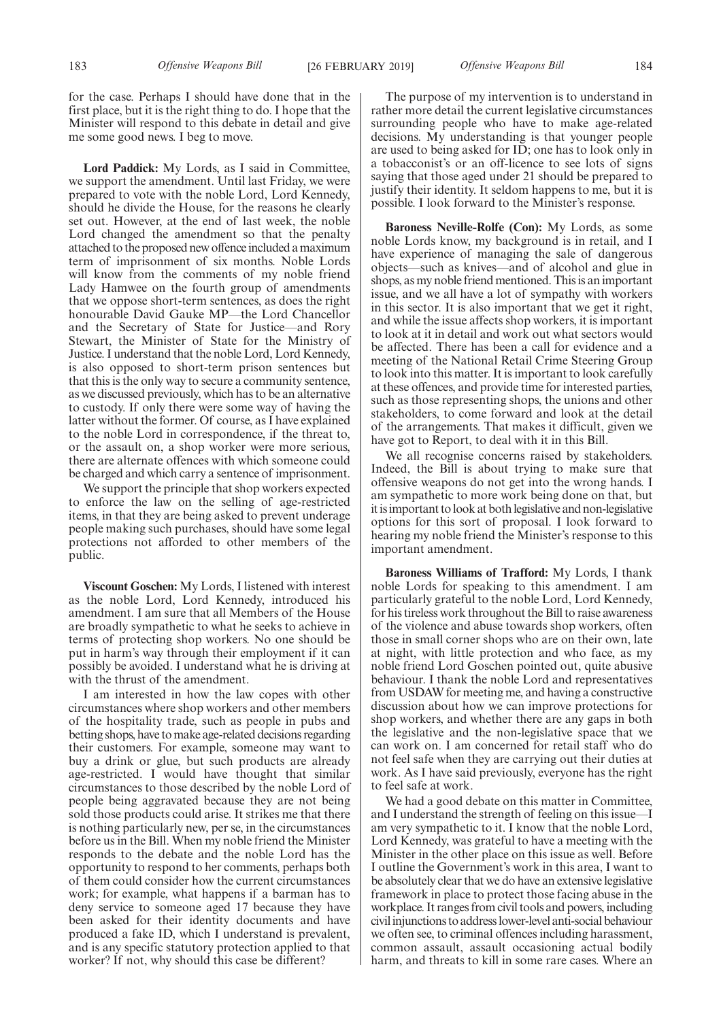for the case. Perhaps I should have done that in the first place, but it is the right thing to do. I hope that the Minister will respond to this debate in detail and give me some good news. I beg to move.

**Lord Paddick:** My Lords, as I said in Committee, we support the amendment. Until last Friday, we were prepared to vote with the noble Lord, Lord Kennedy, should he divide the House, for the reasons he clearly set out. However, at the end of last week, the noble Lord changed the amendment so that the penalty attached to the proposed new offence included a maximum term of imprisonment of six months. Noble Lords will know from the comments of my noble friend Lady Hamwee on the fourth group of amendments that we oppose short-term sentences, as does the right honourable David Gauke MP—the Lord Chancellor and the Secretary of State for Justice—and Rory Stewart, the Minister of State for the Ministry of Justice. I understand that the noble Lord, Lord Kennedy, is also opposed to short-term prison sentences but that this is the only way to secure a community sentence, as we discussed previously, which has to be an alternative to custody. If only there were some way of having the latter without the former. Of course, as I have explained to the noble Lord in correspondence, if the threat to, or the assault on, a shop worker were more serious, there are alternate offences with which someone could be charged and which carry a sentence of imprisonment.

We support the principle that shop workers expected to enforce the law on the selling of age-restricted items, in that they are being asked to prevent underage people making such purchases, should have some legal protections not afforded to other members of the public.

**Viscount Goschen:** My Lords, I listened with interest as the noble Lord, Lord Kennedy, introduced his amendment. I am sure that all Members of the House are broadly sympathetic to what he seeks to achieve in terms of protecting shop workers. No one should be put in harm's way through their employment if it can possibly be avoided. I understand what he is driving at with the thrust of the amendment.

I am interested in how the law copes with other circumstances where shop workers and other members of the hospitality trade, such as people in pubs and betting shops, have to make age-related decisions regarding their customers. For example, someone may want to buy a drink or glue, but such products are already age-restricted. I would have thought that similar circumstances to those described by the noble Lord of people being aggravated because they are not being sold those products could arise. It strikes me that there is nothing particularly new, per se, in the circumstances before us in the Bill. When my noble friend the Minister responds to the debate and the noble Lord has the opportunity to respond to her comments, perhaps both of them could consider how the current circumstances work; for example, what happens if a barman has to deny service to someone aged 17 because they have been asked for their identity documents and have produced a fake ID, which I understand is prevalent, and is any specific statutory protection applied to that worker? If not, why should this case be different?

The purpose of my intervention is to understand in rather more detail the current legislative circumstances surrounding people who have to make age-related decisions. My understanding is that younger people are used to being asked for ID; one has to look only in a tobacconist's or an off-licence to see lots of signs saying that those aged under 21 should be prepared to justify their identity. It seldom happens to me, but it is possible. I look forward to the Minister's response.

**Baroness Neville-Rolfe (Con):** My Lords, as some noble Lords know, my background is in retail, and I have experience of managing the sale of dangerous objects—such as knives—and of alcohol and glue in shops, as my noble friend mentioned. This is an important issue, and we all have a lot of sympathy with workers in this sector. It is also important that we get it right, and while the issue affects shop workers, it is important to look at it in detail and work out what sectors would be affected. There has been a call for evidence and a meeting of the National Retail Crime Steering Group to look into this matter. It is important to look carefully at these offences, and provide time for interested parties, such as those representing shops, the unions and other stakeholders, to come forward and look at the detail of the arrangements. That makes it difficult, given we have got to Report, to deal with it in this Bill.

We all recognise concerns raised by stakeholders. Indeed, the Bill is about trying to make sure that offensive weapons do not get into the wrong hands. I am sympathetic to more work being done on that, but it is important to look at both legislative and non-legislative options for this sort of proposal. I look forward to hearing my noble friend the Minister's response to this important amendment.

**Baroness Williams of Trafford:** My Lords, I thank noble Lords for speaking to this amendment. I am particularly grateful to the noble Lord, Lord Kennedy, for his tireless work throughout the Bill to raise awareness of the violence and abuse towards shop workers, often those in small corner shops who are on their own, late at night, with little protection and who face, as my noble friend Lord Goschen pointed out, quite abusive behaviour. I thank the noble Lord and representatives from USDAW for meeting me, and having a constructive discussion about how we can improve protections for shop workers, and whether there are any gaps in both the legislative and the non-legislative space that we can work on. I am concerned for retail staff who do not feel safe when they are carrying out their duties at work. As I have said previously, everyone has the right to feel safe at work.

We had a good debate on this matter in Committee, and I understand the strength of feeling on this issue—I am very sympathetic to it. I know that the noble Lord, Lord Kennedy, was grateful to have a meeting with the Minister in the other place on this issue as well. Before I outline the Government's work in this area, I want to be absolutely clear that we do have an extensive legislative framework in place to protect those facing abuse in the workplace. It ranges from civil tools and powers, including civil injunctions to address lower-level anti-social behaviour we often see, to criminal offences including harassment, common assault, assault occasioning actual bodily harm, and threats to kill in some rare cases. Where an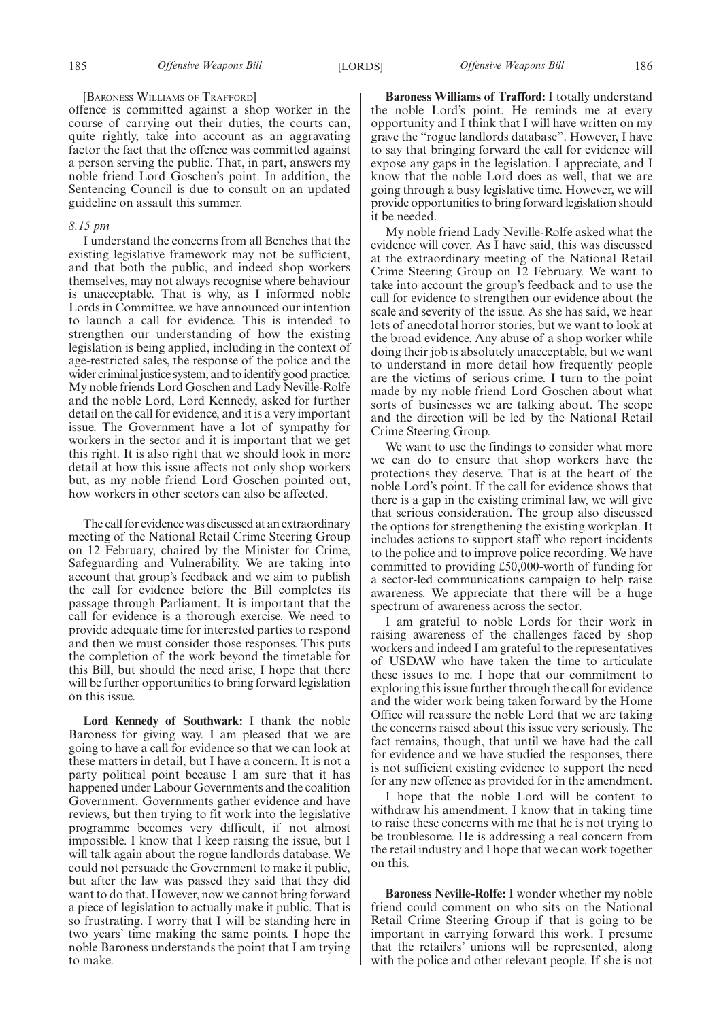### [BARONESS WILLIAMS OF TRAFFORD]

offence is committed against a shop worker in the course of carrying out their duties, the courts can, quite rightly, take into account as an aggravating factor the fact that the offence was committed against a person serving the public. That, in part, answers my noble friend Lord Goschen's point. In addition, the Sentencing Council is due to consult on an updated guideline on assault this summer.

### *8.15 pm*

I understand the concerns from all Benches that the existing legislative framework may not be sufficient, and that both the public, and indeed shop workers themselves, may not always recognise where behaviour is unacceptable. That is why, as I informed noble Lords in Committee, we have announced our intention to launch a call for evidence. This is intended to strengthen our understanding of how the existing legislation is being applied, including in the context of age-restricted sales, the response of the police and the wider criminal justice system, and to identify good practice. My noble friends Lord Goschen and Lady Neville-Rolfe and the noble Lord, Lord Kennedy, asked for further detail on the call for evidence, and it is a very important issue. The Government have a lot of sympathy for workers in the sector and it is important that we get this right. It is also right that we should look in more detail at how this issue affects not only shop workers but, as my noble friend Lord Goschen pointed out, how workers in other sectors can also be affected.

The call for evidence was discussed at an extraordinary meeting of the National Retail Crime Steering Group on 12 February, chaired by the Minister for Crime, Safeguarding and Vulnerability. We are taking into account that group's feedback and we aim to publish the call for evidence before the Bill completes its passage through Parliament. It is important that the call for evidence is a thorough exercise. We need to provide adequate time for interested parties to respond and then we must consider those responses. This puts the completion of the work beyond the timetable for this Bill, but should the need arise, I hope that there will be further opportunities to bring forward legislation on this issue.

**Lord Kennedy of Southwark:** I thank the noble Baroness for giving way. I am pleased that we are going to have a call for evidence so that we can look at these matters in detail, but I have a concern. It is not a party political point because I am sure that it has happened under Labour Governments and the coalition Government. Governments gather evidence and have reviews, but then trying to fit work into the legislative programme becomes very difficult, if not almost impossible. I know that I keep raising the issue, but I will talk again about the rogue landlords database. We could not persuade the Government to make it public, but after the law was passed they said that they did want to do that. However, now we cannot bring forward a piece of legislation to actually make it public. That is so frustrating. I worry that I will be standing here in two years' time making the same points. I hope the noble Baroness understands the point that I am trying to make.

**Baroness Williams of Trafford:** I totally understand the noble Lord's point. He reminds me at every opportunity and I think that I will have written on my grave the "rogue landlords database". However, I have to say that bringing forward the call for evidence will expose any gaps in the legislation. I appreciate, and I know that the noble Lord does as well, that we are going through a busy legislative time. However, we will provide opportunities to bring forward legislation should it be needed.

My noble friend Lady Neville-Rolfe asked what the evidence will cover. As I have said, this was discussed at the extraordinary meeting of the National Retail Crime Steering Group on 12 February. We want to take into account the group's feedback and to use the call for evidence to strengthen our evidence about the scale and severity of the issue. As she has said, we hear lots of anecdotal horror stories, but we want to look at the broad evidence. Any abuse of a shop worker while doing their job is absolutely unacceptable, but we want to understand in more detail how frequently people are the victims of serious crime. I turn to the point made by my noble friend Lord Goschen about what sorts of businesses we are talking about. The scope and the direction will be led by the National Retail Crime Steering Group.

We want to use the findings to consider what more we can do to ensure that shop workers have the protections they deserve. That is at the heart of the noble Lord's point. If the call for evidence shows that there is a gap in the existing criminal law, we will give that serious consideration. The group also discussed the options for strengthening the existing workplan. It includes actions to support staff who report incidents to the police and to improve police recording. We have committed to providing £50,000-worth of funding for a sector-led communications campaign to help raise awareness. We appreciate that there will be a huge spectrum of awareness across the sector.

I am grateful to noble Lords for their work in raising awareness of the challenges faced by shop workers and indeed I am grateful to the representatives of USDAW who have taken the time to articulate these issues to me. I hope that our commitment to exploring this issue further through the call for evidence and the wider work being taken forward by the Home Office will reassure the noble Lord that we are taking the concerns raised about this issue very seriously. The fact remains, though, that until we have had the call for evidence and we have studied the responses, there is not sufficient existing evidence to support the need for any new offence as provided for in the amendment.

I hope that the noble Lord will be content to withdraw his amendment. I know that in taking time to raise these concerns with me that he is not trying to be troublesome. He is addressing a real concern from the retail industry and I hope that we can work together on this.

**Baroness Neville-Rolfe:** I wonder whether my noble friend could comment on who sits on the National Retail Crime Steering Group if that is going to be important in carrying forward this work. I presume that the retailers' unions will be represented, along with the police and other relevant people. If she is not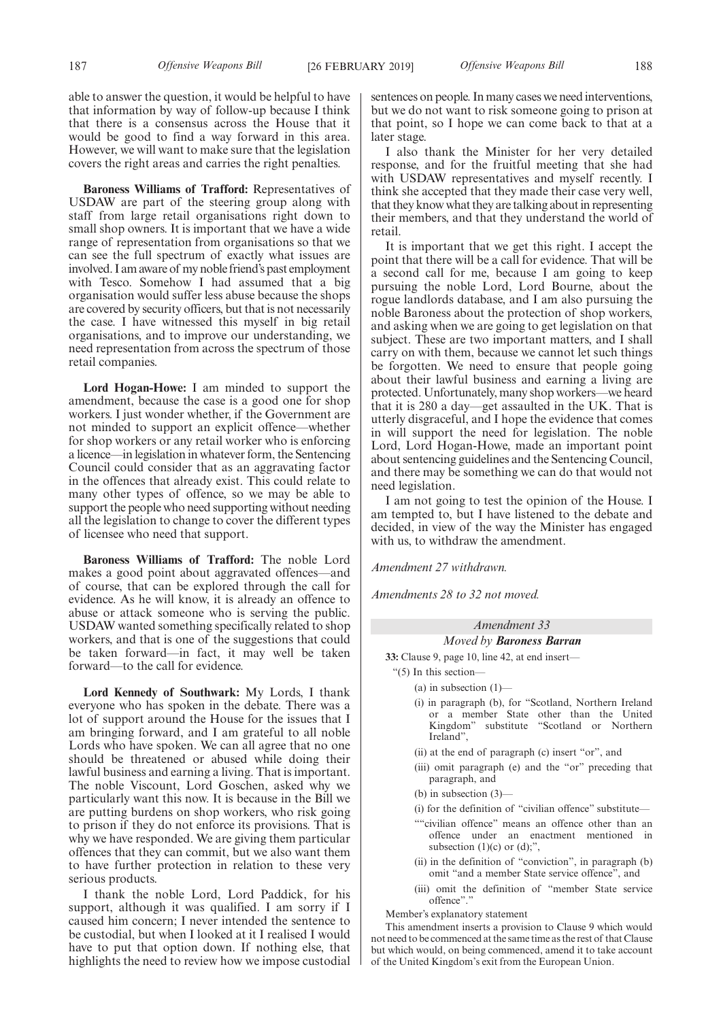able to answer the question, it would be helpful to have that information by way of follow-up because I think that there is a consensus across the House that it would be good to find a way forward in this area. However, we will want to make sure that the legislation covers the right areas and carries the right penalties.

**Baroness Williams of Trafford:** Representatives of USDAW are part of the steering group along with staff from large retail organisations right down to small shop owners. It is important that we have a wide range of representation from organisations so that we can see the full spectrum of exactly what issues are involved. I am aware of my noble friend's past employment with Tesco. Somehow I had assumed that a big organisation would suffer less abuse because the shops are covered by security officers, but that is not necessarily the case. I have witnessed this myself in big retail organisations, and to improve our understanding, we need representation from across the spectrum of those retail companies.

**Lord Hogan-Howe:** I am minded to support the amendment, because the case is a good one for shop workers. I just wonder whether, if the Government are not minded to support an explicit offence—whether for shop workers or any retail worker who is enforcing a licence—in legislation in whatever form, the Sentencing Council could consider that as an aggravating factor in the offences that already exist. This could relate to many other types of offence, so we may be able to support the people who need supporting without needing all the legislation to change to cover the different types of licensee who need that support.

**Baroness Williams of Trafford:** The noble Lord makes a good point about aggravated offences—and of course, that can be explored through the call for evidence. As he will know, it is already an offence to abuse or attack someone who is serving the public. USDAW wanted something specifically related to shop workers, and that is one of the suggestions that could be taken forward—in fact, it may well be taken forward—to the call for evidence.

**Lord Kennedy of Southwark:** My Lords, I thank everyone who has spoken in the debate. There was a lot of support around the House for the issues that I am bringing forward, and I am grateful to all noble Lords who have spoken. We can all agree that no one should be threatened or abused while doing their lawful business and earning a living. That is important. The noble Viscount, Lord Goschen, asked why we particularly want this now. It is because in the Bill we are putting burdens on shop workers, who risk going to prison if they do not enforce its provisions. That is why we have responded. We are giving them particular offences that they can commit, but we also want them to have further protection in relation to these very serious products.

I thank the noble Lord, Lord Paddick, for his support, although it was qualified. I am sorry if I caused him concern; I never intended the sentence to be custodial, but when I looked at it I realised I would have to put that option down. If nothing else, that highlights the need to review how we impose custodial sentences on people. In many cases we need interventions, but we do not want to risk someone going to prison at that point, so I hope we can come back to that at a later stage.

I also thank the Minister for her very detailed response, and for the fruitful meeting that she had with USDAW representatives and myself recently. I think she accepted that they made their case very well, that they know what they are talking about in representing their members, and that they understand the world of retail.

It is important that we get this right. I accept the point that there will be a call for evidence. That will be a second call for me, because I am going to keep pursuing the noble Lord, Lord Bourne, about the rogue landlords database, and I am also pursuing the noble Baroness about the protection of shop workers, and asking when we are going to get legislation on that subject. These are two important matters, and I shall carry on with them, because we cannot let such things be forgotten. We need to ensure that people going about their lawful business and earning a living are protected. Unfortunately, many shop workers—we heard that it is 280 a day—get assaulted in the UK. That is utterly disgraceful, and I hope the evidence that comes in will support the need for legislation. The noble Lord, Lord Hogan-Howe, made an important point about sentencing guidelines and the Sentencing Council, and there may be something we can do that would not need legislation.

I am not going to test the opinion of the House. I am tempted to, but I have listened to the debate and decided, in view of the way the Minister has engaged with us, to withdraw the amendment.

*Amendment 27 withdrawn.*

*Amendments 28 to 32 not moved.*

# *Amendment 33*

*Moved by Baroness Barran*

**33:** Clause 9, page 10, line 42, at end insert—

- "(5) In this section—
	- (a) in subsection  $(1)$ —
	- (i) in paragraph (b), for "Scotland, Northern Ireland or a member State other than the United Kingdom" substitute "Scotland or Northern Ireland",
	- (ii) at the end of paragraph (c) insert "or", and
	- (iii) omit paragraph (e) and the "or" preceding that paragraph, and
	- (b) in subsection (3)—
	- (i) for the definition of "civilian offence" substitute—
	- ""civilian offence" means an offence other than an offence under an enactment mentioned in subsection  $(1)(c)$  or  $(d)$ ;".
	- (ii) in the definition of "conviction", in paragraph (b) omit "and a member State service offence", and
	- (iii) omit the definition of "member State service offence"."

Member's explanatory statement

This amendment inserts a provision to Clause 9 which would not need to be commenced at the same time as the rest of that Clause but which would, on being commenced, amend it to take account of the United Kingdom's exit from the European Union.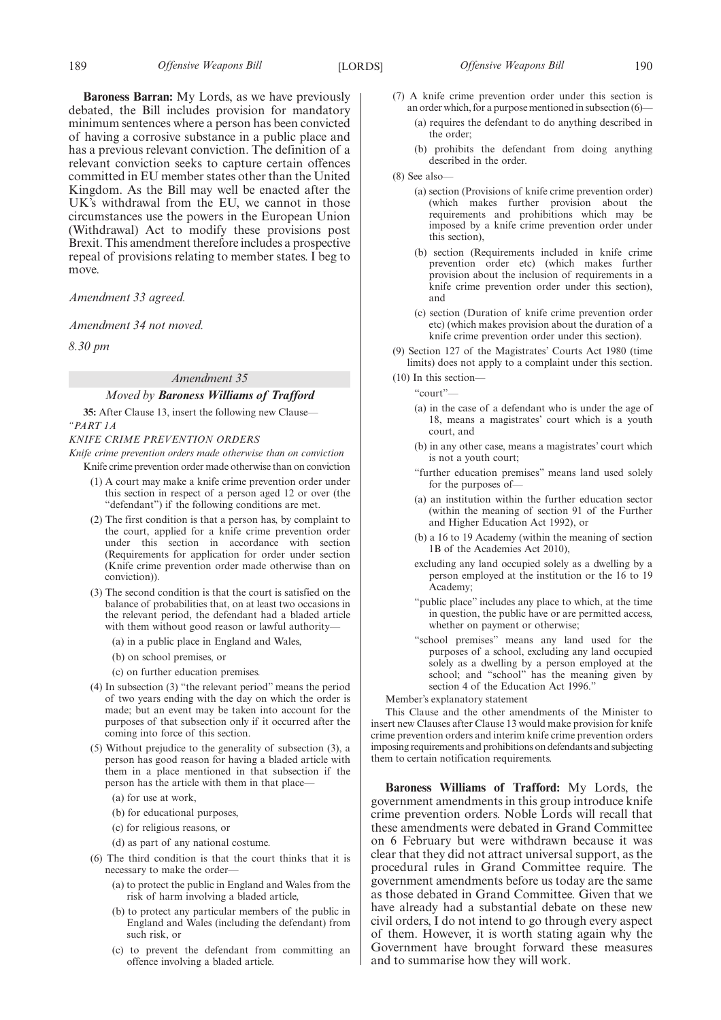**Baroness Barran:** My Lords, as we have previously debated, the Bill includes provision for mandatory minimum sentences where a person has been convicted of having a corrosive substance in a public place and has a previous relevant conviction. The definition of a relevant conviction seeks to capture certain offences committed in EU member states other than the United Kingdom. As the Bill may well be enacted after the UK's withdrawal from the EU, we cannot in those circumstances use the powers in the European Union (Withdrawal) Act to modify these provisions post Brexit. This amendment therefore includes a prospective repeal of provisions relating to member states. I beg to move.

*Amendment 33 agreed.*

*Amendment 34 not moved.*

*8.30 pm*

# *Amendment 35 Moved by Baroness Williams of Trafford*

**35:** After Clause 13, insert the following new Clause— *"PART 1A*

*KNIFE CRIME PREVENTION ORDERS*

*Knife crime prevention orders made otherwise than on conviction* Knife crime prevention order made otherwise than on conviction

- (1) A court may make a knife crime prevention order under this section in respect of a person aged 12 or over (the "defendant") if the following conditions are met.
- (2) The first condition is that a person has, by complaint to the court, applied for a knife crime prevention order under this section in accordance with section (Requirements for application for order under section (Knife crime prevention order made otherwise than on conviction)).
- (3) The second condition is that the court is satisfied on the balance of probabilities that, on at least two occasions in the relevant period, the defendant had a bladed article with them without good reason or lawful authority—
	- (a) in a public place in England and Wales,
	- (b) on school premises, or
	- (c) on further education premises.
- (4) In subsection (3) "the relevant period" means the period of two years ending with the day on which the order is made; but an event may be taken into account for the purposes of that subsection only if it occurred after the coming into force of this section.
- (5) Without prejudice to the generality of subsection (3), a person has good reason for having a bladed article with them in a place mentioned in that subsection if the person has the article with them in that place—
	- (a) for use at work,
	- (b) for educational purposes,
	- (c) for religious reasons, or
	- (d) as part of any national costume.
- (6) The third condition is that the court thinks that it is necessary to make the order—
	- (a) to protect the public in England and Wales from the risk of harm involving a bladed article,
	- (b) to protect any particular members of the public in England and Wales (including the defendant) from such risk, or
	- (c) to prevent the defendant from committing an offence involving a bladed article.
- (7) A knife crime prevention order under this section is an order which, for a purpose mentioned in subsection (6)—
	- (a) requires the defendant to do anything described in the order;
	- (b) prohibits the defendant from doing anything described in the order.
- (8) See also—
	- (a) section (Provisions of knife crime prevention order) (which makes further provision about the requirements and prohibitions which may be imposed by a knife crime prevention order under this section),
	- (b) section (Requirements included in knife crime prevention order etc) (which makes further provision about the inclusion of requirements in a knife crime prevention order under this section), and
	- (c) section (Duration of knife crime prevention order etc) (which makes provision about the duration of a knife crime prevention order under this section).
- (9) Section 127 of the Magistrates' Courts Act 1980 (time limits) does not apply to a complaint under this section.
- (10) In this section—

"court"—

- (a) in the case of a defendant who is under the age of 18, means a magistrates' court which is a youth court, and
- (b) in any other case, means a magistrates' court which is not a youth court;
- "further education premises" means land used solely for the purposes of—
- (a) an institution within the further education sector (within the meaning of section 91 of the Further and Higher Education Act 1992), or
- (b) a 16 to 19 Academy (within the meaning of section 1B of the Academies Act 2010),
- excluding any land occupied solely as a dwelling by a person employed at the institution or the 16 to 19 Academy;
- "public place" includes any place to which, at the time in question, the public have or are permitted access, whether on payment or otherwise;
- "school premises" means any land used for the purposes of a school, excluding any land occupied solely as a dwelling by a person employed at the school; and "school" has the meaning given by section 4 of the Education Act 1996."

Member's explanatory statement

This Clause and the other amendments of the Minister to insert new Clauses after Clause 13 would make provision for knife crime prevention orders and interim knife crime prevention orders imposing requirements and prohibitions on defendants and subjecting them to certain notification requirements.

**Baroness Williams of Trafford:** My Lords, the government amendments in this group introduce knife crime prevention orders. Noble Lords will recall that these amendments were debated in Grand Committee on 6 February but were withdrawn because it was clear that they did not attract universal support, as the procedural rules in Grand Committee require. The government amendments before us today are the same as those debated in Grand Committee. Given that we have already had a substantial debate on these new civil orders, I do not intend to go through every aspect of them. However, it is worth stating again why the Government have brought forward these measures and to summarise how they will work.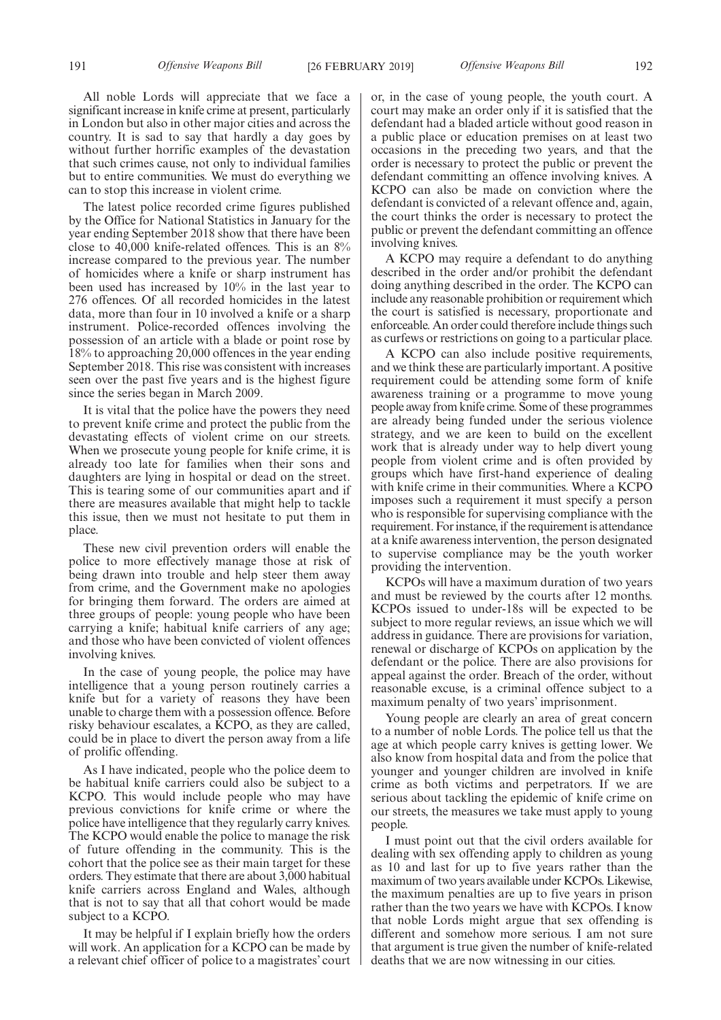All noble Lords will appreciate that we face a significant increase in knife crime at present, particularly in London but also in other major cities and across the country. It is sad to say that hardly a day goes by without further horrific examples of the devastation that such crimes cause, not only to individual families but to entire communities. We must do everything we can to stop this increase in violent crime.

The latest police recorded crime figures published by the Office for National Statistics in January for the year ending September 2018 show that there have been close to 40,000 knife-related offences. This is an 8% increase compared to the previous year. The number of homicides where a knife or sharp instrument has been used has increased by 10% in the last year to 276 offences. Of all recorded homicides in the latest data, more than four in 10 involved a knife or a sharp instrument. Police-recorded offences involving the possession of an article with a blade or point rose by 18% to approaching 20,000 offences in the year ending September 2018. This rise was consistent with increases seen over the past five years and is the highest figure since the series began in March 2009.

It is vital that the police have the powers they need to prevent knife crime and protect the public from the devastating effects of violent crime on our streets. When we prosecute young people for knife crime, it is already too late for families when their sons and daughters are lying in hospital or dead on the street. This is tearing some of our communities apart and if there are measures available that might help to tackle this issue, then we must not hesitate to put them in place.

These new civil prevention orders will enable the police to more effectively manage those at risk of being drawn into trouble and help steer them away from crime, and the Government make no apologies for bringing them forward. The orders are aimed at three groups of people: young people who have been carrying a knife; habitual knife carriers of any age; and those who have been convicted of violent offences involving knives.

In the case of young people, the police may have intelligence that a young person routinely carries a knife but for a variety of reasons they have been unable to charge them with a possession offence. Before risky behaviour escalates, a KCPO, as they are called, could be in place to divert the person away from a life of prolific offending.

As I have indicated, people who the police deem to be habitual knife carriers could also be subject to a KCPO. This would include people who may have previous convictions for knife crime or where the police have intelligence that they regularly carry knives. The KCPO would enable the police to manage the risk of future offending in the community. This is the cohort that the police see as their main target for these orders. They estimate that there are about 3,000 habitual knife carriers across England and Wales, although that is not to say that all that cohort would be made subject to a KCPO.

It may be helpful if I explain briefly how the orders will work. An application for a KCPO can be made by a relevant chief officer of police to a magistrates' court or, in the case of young people, the youth court. A court may make an order only if it is satisfied that the defendant had a bladed article without good reason in a public place or education premises on at least two occasions in the preceding two years, and that the order is necessary to protect the public or prevent the defendant committing an offence involving knives. A KCPO can also be made on conviction where the defendant is convicted of a relevant offence and, again, the court thinks the order is necessary to protect the public or prevent the defendant committing an offence involving knives.

A KCPO may require a defendant to do anything described in the order and/or prohibit the defendant doing anything described in the order. The KCPO can include any reasonable prohibition or requirement which the court is satisfied is necessary, proportionate and enforceable. An order could therefore include things such as curfews or restrictions on going to a particular place.

A KCPO can also include positive requirements, and we think these are particularly important. A positive requirement could be attending some form of knife awareness training or a programme to move young people away from knife crime. Some of these programmes are already being funded under the serious violence strategy, and we are keen to build on the excellent work that is already under way to help divert young people from violent crime and is often provided by groups which have first-hand experience of dealing with knife crime in their communities. Where a KCPO imposes such a requirement it must specify a person who is responsible for supervising compliance with the requirement. For instance, if the requirement is attendance at a knife awareness intervention, the person designated to supervise compliance may be the youth worker providing the intervention.

KCPOs will have a maximum duration of two years and must be reviewed by the courts after 12 months. KCPOs issued to under-18s will be expected to be subject to more regular reviews, an issue which we will address in guidance. There are provisions for variation, renewal or discharge of KCPOs on application by the defendant or the police. There are also provisions for appeal against the order. Breach of the order, without reasonable excuse, is a criminal offence subject to a maximum penalty of two years' imprisonment.

Young people are clearly an area of great concern to a number of noble Lords. The police tell us that the age at which people carry knives is getting lower. We also know from hospital data and from the police that younger and younger children are involved in knife crime as both victims and perpetrators. If we are serious about tackling the epidemic of knife crime on our streets, the measures we take must apply to young people.

I must point out that the civil orders available for dealing with sex offending apply to children as young as 10 and last for up to five years rather than the maximum of two years available under KCPOs. Likewise, the maximum penalties are up to five years in prison rather than the two years we have with KCPOs. I know that noble Lords might argue that sex offending is different and somehow more serious. I am not sure that argument is true given the number of knife-related deaths that we are now witnessing in our cities.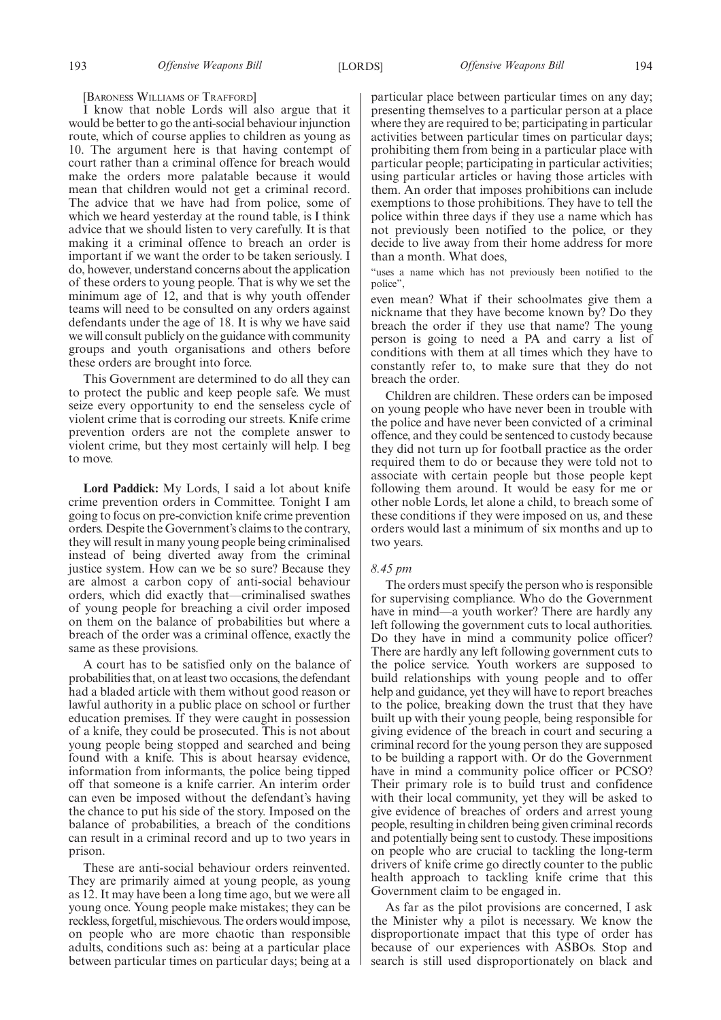[BARONESS WILLIAMS OF TRAFFORD]

I know that noble Lords will also argue that it would be better to go the anti-social behaviour injunction route, which of course applies to children as young as 10. The argument here is that having contempt of court rather than a criminal offence for breach would make the orders more palatable because it would mean that children would not get a criminal record. The advice that we have had from police, some of which we heard yesterday at the round table, is I think advice that we should listen to very carefully. It is that making it a criminal offence to breach an order is important if we want the order to be taken seriously. I do, however, understand concerns about the application of these orders to young people. That is why we set the minimum age of 12, and that is why youth offender teams will need to be consulted on any orders against defendants under the age of 18. It is why we have said we will consult publicly on the guidance with community groups and youth organisations and others before these orders are brought into force.

This Government are determined to do all they can to protect the public and keep people safe. We must seize every opportunity to end the senseless cycle of violent crime that is corroding our streets. Knife crime prevention orders are not the complete answer to violent crime, but they most certainly will help. I beg to move.

**Lord Paddick:** My Lords, I said a lot about knife crime prevention orders in Committee. Tonight I am going to focus on pre-conviction knife crime prevention orders. Despite the Government's claims to the contrary, they will result in many young people being criminalised instead of being diverted away from the criminal justice system. How can we be so sure? Because they are almost a carbon copy of anti-social behaviour orders, which did exactly that—criminalised swathes of young people for breaching a civil order imposed on them on the balance of probabilities but where a breach of the order was a criminal offence, exactly the same as these provisions.

A court has to be satisfied only on the balance of probabilities that, on at least two occasions, the defendant had a bladed article with them without good reason or lawful authority in a public place on school or further education premises. If they were caught in possession of a knife, they could be prosecuted. This is not about young people being stopped and searched and being found with a knife. This is about hearsay evidence, information from informants, the police being tipped off that someone is a knife carrier. An interim order can even be imposed without the defendant's having the chance to put his side of the story. Imposed on the balance of probabilities, a breach of the conditions can result in a criminal record and up to two years in prison.

These are anti-social behaviour orders reinvented. They are primarily aimed at young people, as young as 12. It may have been a long time ago, but we were all young once. Young people make mistakes; they can be reckless, forgetful, mischievous. The orders would impose, on people who are more chaotic than responsible adults, conditions such as: being at a particular place between particular times on particular days; being at a particular place between particular times on any day; presenting themselves to a particular person at a place where they are required to be; participating in particular activities between particular times on particular days; prohibiting them from being in a particular place with particular people; participating in particular activities; using particular articles or having those articles with them. An order that imposes prohibitions can include exemptions to those prohibitions. They have to tell the police within three days if they use a name which has not previously been notified to the police, or they decide to live away from their home address for more than a month. What does,

"uses a name which has not previously been notified to the police",

even mean? What if their schoolmates give them a nickname that they have become known by? Do they breach the order if they use that name? The young person is going to need a PA and carry a list of conditions with them at all times which they have to constantly refer to, to make sure that they do not breach the order.

Children are children. These orders can be imposed on young people who have never been in trouble with the police and have never been convicted of a criminal offence, and they could be sentenced to custody because they did not turn up for football practice as the order required them to do or because they were told not to associate with certain people but those people kept following them around. It would be easy for me or other noble Lords, let alone a child, to breach some of these conditions if they were imposed on us, and these orders would last a minimum of six months and up to two years.

# *8.45 pm*

The orders must specify the person who is responsible for supervising compliance. Who do the Government have in mind—a youth worker? There are hardly any left following the government cuts to local authorities. Do they have in mind a community police officer? There are hardly any left following government cuts to the police service. Youth workers are supposed to build relationships with young people and to offer help and guidance, yet they will have to report breaches to the police, breaking down the trust that they have built up with their young people, being responsible for giving evidence of the breach in court and securing a criminal record for the young person they are supposed to be building a rapport with. Or do the Government have in mind a community police officer or PCSO? Their primary role is to build trust and confidence with their local community, yet they will be asked to give evidence of breaches of orders and arrest young people, resulting in children being given criminal records and potentially being sent to custody. These impositions on people who are crucial to tackling the long-term drivers of knife crime go directly counter to the public health approach to tackling knife crime that this Government claim to be engaged in.

As far as the pilot provisions are concerned, I ask the Minister why a pilot is necessary. We know the disproportionate impact that this type of order has because of our experiences with ASBOs. Stop and search is still used disproportionately on black and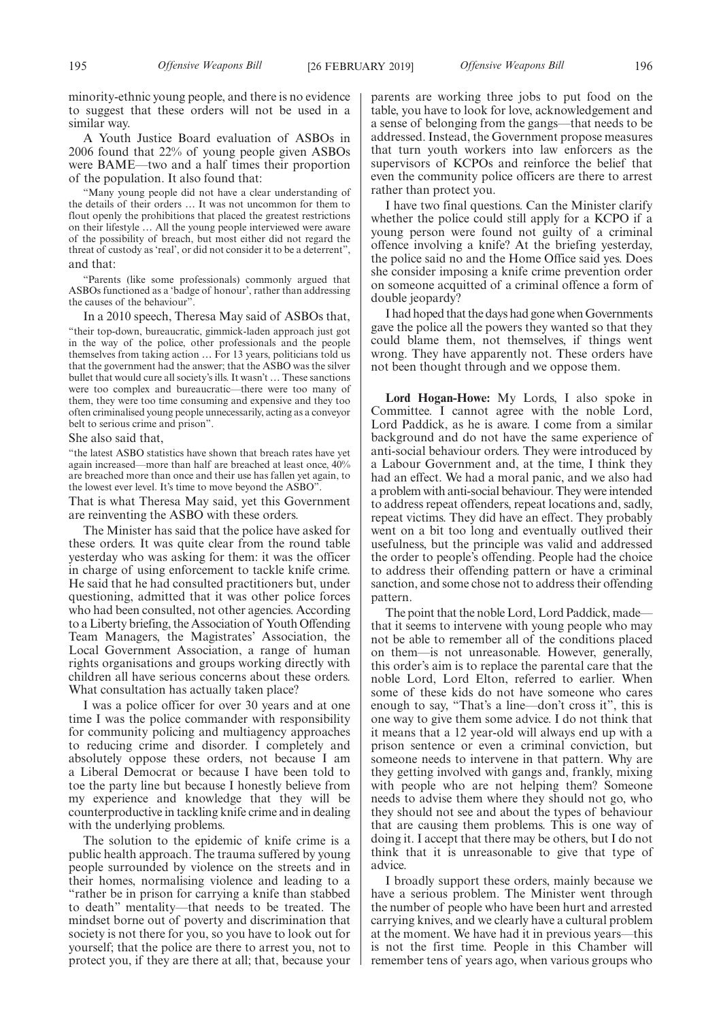minority-ethnic young people, and there is no evidence to suggest that these orders will not be used in a similar way.

A Youth Justice Board evaluation of ASBOs in 2006 found that 22% of young people given ASBOs were BAME—two and a half times their proportion of the population. It also found that:

"Many young people did not have a clear understanding of the details of their orders … It was not uncommon for them to flout openly the prohibitions that placed the greatest restrictions on their lifestyle … All the young people interviewed were aware of the possibility of breach, but most either did not regard the threat of custody as 'real', or did not consider it to be a deterrent", and that:

"Parents (like some professionals) commonly argued that ASBOs functioned as a 'badge of honour', rather than addressing the causes of the behaviour".

In a 2010 speech, Theresa May said of ASBOs that, "their top-down, bureaucratic, gimmick-laden approach just got in the way of the police, other professionals and the people themselves from taking action … For 13 years, politicians told us that the government had the answer; that the ASBO was the silver bullet that would cure all society's ills. It wasn't … These sanctions were too complex and bureaucratic—there were too many of them, they were too time consuming and expensive and they too often criminalised young people unnecessarily, acting as a conveyor belt to serious crime and prison".

#### She also said that,

"the latest ASBO statistics have shown that breach rates have yet again increased—more than half are breached at least once, 40% are breached more than once and their use has fallen yet again, to the lowest ever level. It's time to move beyond the ASBO".

That is what Theresa May said, yet this Government are reinventing the ASBO with these orders.

The Minister has said that the police have asked for these orders. It was quite clear from the round table yesterday who was asking for them: it was the officer in charge of using enforcement to tackle knife crime. He said that he had consulted practitioners but, under questioning, admitted that it was other police forces who had been consulted, not other agencies. According to a Liberty briefing, the Association of Youth Offending Team Managers, the Magistrates' Association, the Local Government Association, a range of human rights organisations and groups working directly with children all have serious concerns about these orders. What consultation has actually taken place?

I was a police officer for over 30 years and at one time I was the police commander with responsibility for community policing and multiagency approaches to reducing crime and disorder. I completely and absolutely oppose these orders, not because I am a Liberal Democrat or because I have been told to toe the party line but because I honestly believe from my experience and knowledge that they will be counterproductive in tackling knife crime and in dealing with the underlying problems.

The solution to the epidemic of knife crime is a public health approach. The trauma suffered by young people surrounded by violence on the streets and in their homes, normalising violence and leading to a "rather be in prison for carrying a knife than stabbed to death" mentality—that needs to be treated. The mindset borne out of poverty and discrimination that society is not there for you, so you have to look out for yourself; that the police are there to arrest you, not to protect you, if they are there at all; that, because your parents are working three jobs to put food on the table, you have to look for love, acknowledgement and a sense of belonging from the gangs—that needs to be addressed. Instead, the Government propose measures that turn youth workers into law enforcers as the supervisors of KCPOs and reinforce the belief that even the community police officers are there to arrest rather than protect you.

I have two final questions. Can the Minister clarify whether the police could still apply for a KCPO if a young person were found not guilty of a criminal offence involving a knife? At the briefing yesterday, the police said no and the Home Office said yes. Does she consider imposing a knife crime prevention order on someone acquitted of a criminal offence a form of double jeopardy?

I had hoped that the days had gone when Governments gave the police all the powers they wanted so that they could blame them, not themselves, if things went wrong. They have apparently not. These orders have not been thought through and we oppose them.

**Lord Hogan-Howe:** My Lords, I also spoke in Committee. I cannot agree with the noble Lord, Lord Paddick, as he is aware. I come from a similar background and do not have the same experience of anti-social behaviour orders. They were introduced by a Labour Government and, at the time, I think they had an effect. We had a moral panic, and we also had a problem with anti-social behaviour. They were intended to address repeat offenders, repeat locations and, sadly, repeat victims. They did have an effect. They probably went on a bit too long and eventually outlived their usefulness, but the principle was valid and addressed the order to people's offending. People had the choice to address their offending pattern or have a criminal sanction, and some chose not to address their offending pattern.

The point that the noble Lord, Lord Paddick, made that it seems to intervene with young people who may not be able to remember all of the conditions placed on them—is not unreasonable. However, generally, this order's aim is to replace the parental care that the noble Lord, Lord Elton, referred to earlier. When some of these kids do not have someone who cares enough to say, "That's a line—don't cross it", this is one way to give them some advice. I do not think that it means that a 12 year-old will always end up with a prison sentence or even a criminal conviction, but someone needs to intervene in that pattern. Why are they getting involved with gangs and, frankly, mixing with people who are not helping them? Someone needs to advise them where they should not go, who they should not see and about the types of behaviour that are causing them problems. This is one way of doing it. I accept that there may be others, but I do not think that it is unreasonable to give that type of advice.

I broadly support these orders, mainly because we have a serious problem. The Minister went through the number of people who have been hurt and arrested carrying knives, and we clearly have a cultural problem at the moment. We have had it in previous years—this is not the first time. People in this Chamber will remember tens of years ago, when various groups who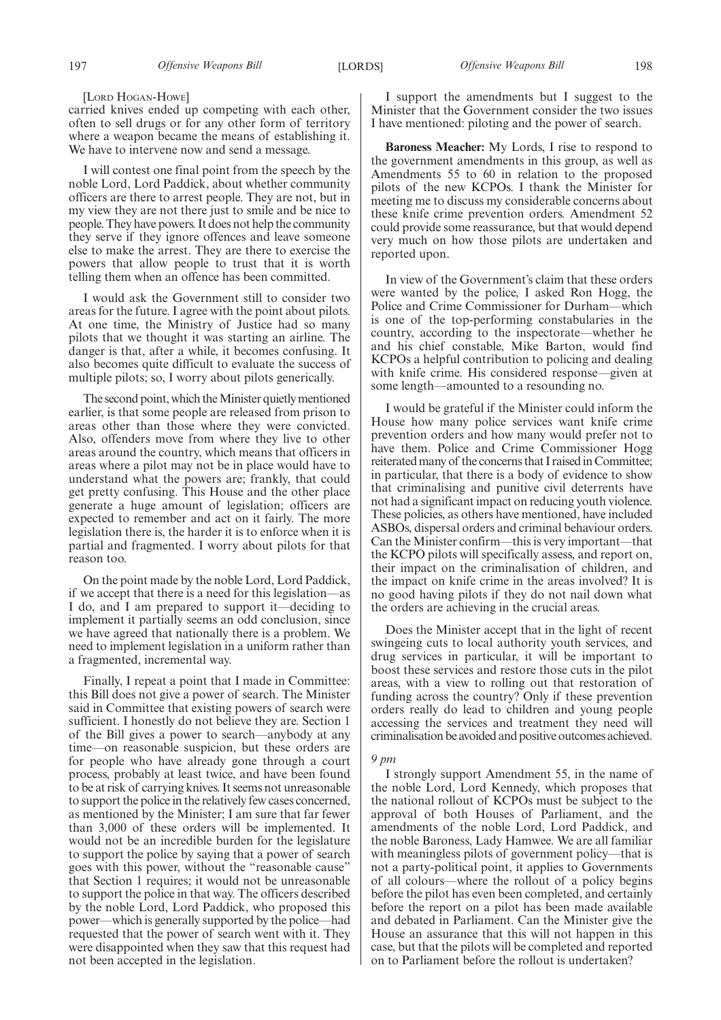### [LORD HOGAN-HOWE]

carried knives ended up competing with each other, often to sell drugs or for any other form of territory where a weapon became the means of establishing it. We have to intervene now and send a message.

I will contest one final point from the speech by the noble Lord, Lord Paddick, about whether community officers are there to arrest people. They are not, but in my view they are not there just to smile and be nice to people. They have powers. It does not help the community they serve if they ignore offences and leave someone else to make the arrest. They are there to exercise the powers that allow people to trust that it is worth telling them when an offence has been committed.

I would ask the Government still to consider two areas for the future. I agree with the point about pilots. At one time, the Ministry of Justice had so many pilots that we thought it was starting an airline. The danger is that, after a while, it becomes confusing. It also becomes quite difficult to evaluate the success of multiple pilots; so, I worry about pilots generically.

The second point, which the Minister quietly mentioned earlier, is that some people are released from prison to areas other than those where they were convicted. Also, offenders move from where they live to other areas around the country, which means that officers in areas where a pilot may not be in place would have to understand what the powers are; frankly, that could get pretty confusing. This House and the other place generate a huge amount of legislation; officers are expected to remember and act on it fairly. The more legislation there is, the harder it is to enforce when it is partial and fragmented. I worry about pilots for that reason too.

On the point made by the noble Lord, Lord Paddick, if we accept that there is a need for this legislation—as I do, and I am prepared to support it—deciding to implement it partially seems an odd conclusion, since we have agreed that nationally there is a problem. We need to implement legislation in a uniform rather than a fragmented, incremental way.

Finally, I repeat a point that I made in Committee: this Bill does not give a power of search. The Minister said in Committee that existing powers of search were sufficient. I honestly do not believe they are. Section 1 of the Bill gives a power to search—anybody at any time—on reasonable suspicion, but these orders are for people who have already gone through a court process, probably at least twice, and have been found to be at risk of carrying knives. It seems not unreasonable to support the police in the relatively few cases concerned, as mentioned by the Minister; I am sure that far fewer than 3,000 of these orders will be implemented. It would not be an incredible burden for the legislature to support the police by saying that a power of search goes with this power, without the "reasonable cause" that Section 1 requires; it would not be unreasonable to support the police in that way. The officers described by the noble Lord, Lord Paddick, who proposed this power—which is generally supported by the police—had requested that the power of search went with it. They were disappointed when they saw that this request had not been accepted in the legislation.

I support the amendments but I suggest to the Minister that the Government consider the two issues I have mentioned: piloting and the power of search.

**Baroness Meacher:** My Lords, I rise to respond to the government amendments in this group, as well as Amendments 55 to 60 in relation to the proposed pilots of the new KCPOs. I thank the Minister for meeting me to discuss my considerable concerns about these knife crime prevention orders. Amendment 52 could provide some reassurance, but that would depend very much on how those pilots are undertaken and reported upon.

In view of the Government's claim that these orders were wanted by the police, I asked Ron Hogg, the Police and Crime Commissioner for Durham—which is one of the top-performing constabularies in the country, according to the inspectorate—whether he and his chief constable, Mike Barton, would find KCPOs a helpful contribution to policing and dealing with knife crime. His considered response—given at some length—amounted to a resounding no.

I would be grateful if the Minister could inform the House how many police services want knife crime prevention orders and how many would prefer not to have them. Police and Crime Commissioner Hogg reiterated many of the concerns that I raised in Committee; in particular, that there is a body of evidence to show that criminalising and punitive civil deterrents have not had a significant impact on reducing youth violence. These policies, as others have mentioned, have included ASBOs, dispersal orders and criminal behaviour orders. Can the Minister confirm—this is very important—that the KCPO pilots will specifically assess, and report on, their impact on the criminalisation of children, and the impact on knife crime in the areas involved? It is no good having pilots if they do not nail down what the orders are achieving in the crucial areas.

Does the Minister accept that in the light of recent swingeing cuts to local authority youth services, and drug services in particular, it will be important to boost these services and restore those cuts in the pilot areas, with a view to rolling out that restoration of funding across the country? Only if these prevention orders really do lead to children and young people accessing the services and treatment they need will criminalisation be avoided and positive outcomes achieved.

#### *9 pm*

I strongly support Amendment 55, in the name of the noble Lord, Lord Kennedy, which proposes that the national rollout of KCPOs must be subject to the approval of both Houses of Parliament, and the amendments of the noble Lord, Lord Paddick, and the noble Baroness, Lady Hamwee. We are all familiar with meaningless pilots of government policy—that is not a party-political point, it applies to Governments of all colours—where the rollout of a policy begins before the pilot has even been completed, and certainly before the report on a pilot has been made available and debated in Parliament. Can the Minister give the House an assurance that this will not happen in this case, but that the pilots will be completed and reported on to Parliament before the rollout is undertaken?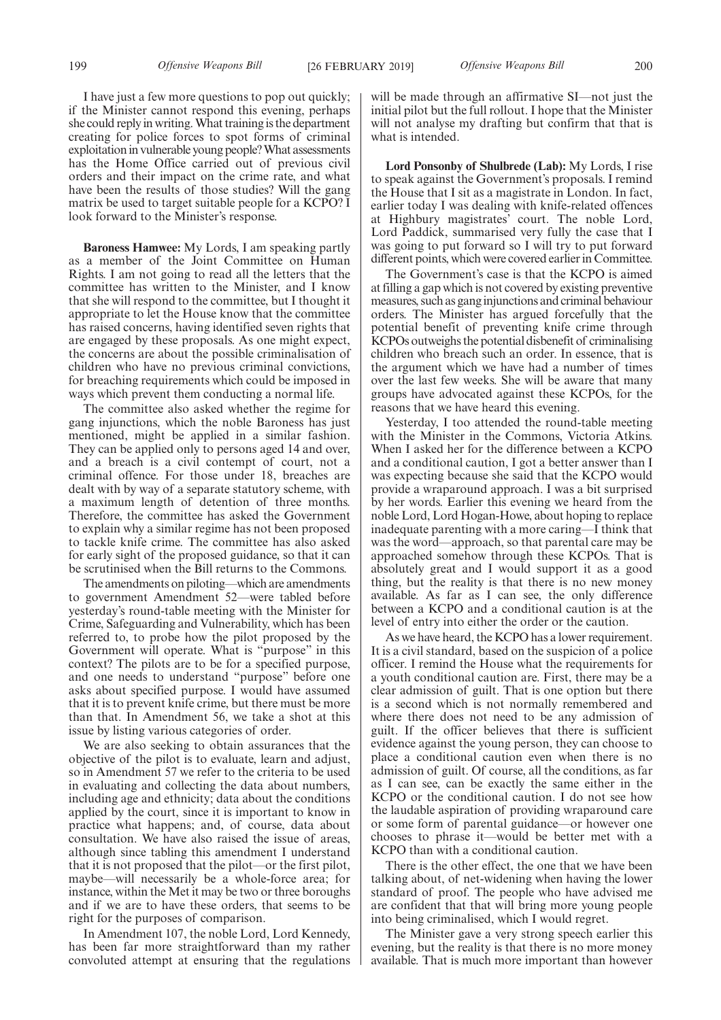I have just a few more questions to pop out quickly; if the Minister cannot respond this evening, perhaps she could reply in writing. What training is the department creating for police forces to spot forms of criminal exploitation in vulnerable young people? What assessments has the Home Office carried out of previous civil orders and their impact on the crime rate, and what have been the results of those studies? Will the gang matrix be used to target suitable people for a KCPO? I look forward to the Minister's response.

**Baroness Hamwee:** My Lords, I am speaking partly as a member of the Joint Committee on Human Rights. I am not going to read all the letters that the committee has written to the Minister, and I know that she will respond to the committee, but I thought it appropriate to let the House know that the committee has raised concerns, having identified seven rights that are engaged by these proposals. As one might expect, the concerns are about the possible criminalisation of children who have no previous criminal convictions, for breaching requirements which could be imposed in ways which prevent them conducting a normal life.

The committee also asked whether the regime for gang injunctions, which the noble Baroness has just mentioned, might be applied in a similar fashion. They can be applied only to persons aged 14 and over, and a breach is a civil contempt of court, not a criminal offence. For those under 18, breaches are dealt with by way of a separate statutory scheme, with a maximum length of detention of three months. Therefore, the committee has asked the Government to explain why a similar regime has not been proposed to tackle knife crime. The committee has also asked for early sight of the proposed guidance, so that it can be scrutinised when the Bill returns to the Commons.

The amendments on piloting—which are amendments to government Amendment 52—were tabled before yesterday's round-table meeting with the Minister for Crime, Safeguarding and Vulnerability, which has been referred to, to probe how the pilot proposed by the Government will operate. What is "purpose" in this context? The pilots are to be for a specified purpose, and one needs to understand "purpose" before one asks about specified purpose. I would have assumed that it is to prevent knife crime, but there must be more than that. In Amendment 56, we take a shot at this issue by listing various categories of order.

We are also seeking to obtain assurances that the objective of the pilot is to evaluate, learn and adjust, so in Amendment 57 we refer to the criteria to be used in evaluating and collecting the data about numbers, including age and ethnicity; data about the conditions applied by the court, since it is important to know in practice what happens; and, of course, data about consultation. We have also raised the issue of areas, although since tabling this amendment I understand that it is not proposed that the pilot—or the first pilot, maybe—will necessarily be a whole-force area; for instance, within the Met it may be two or three boroughs and if we are to have these orders, that seems to be right for the purposes of comparison.

In Amendment 107, the noble Lord, Lord Kennedy, has been far more straightforward than my rather convoluted attempt at ensuring that the regulations will be made through an affirmative SI—not just the initial pilot but the full rollout. I hope that the Minister will not analyse my drafting but confirm that that is what is intended.

**Lord Ponsonby of Shulbrede (Lab):** My Lords, I rise to speak against the Government's proposals. I remind the House that I sit as a magistrate in London. In fact, earlier today I was dealing with knife-related offences at Highbury magistrates' court. The noble Lord, Lord Paddick, summarised very fully the case that I was going to put forward so I will try to put forward different points, which were covered earlier in Committee.

The Government's case is that the KCPO is aimed at filling a gap which is not covered by existing preventive measures, such as gang injunctions and criminal behaviour orders. The Minister has argued forcefully that the potential benefit of preventing knife crime through KCPOs outweighs the potential disbenefit of criminalising children who breach such an order. In essence, that is the argument which we have had a number of times over the last few weeks. She will be aware that many groups have advocated against these KCPOs, for the reasons that we have heard this evening.

Yesterday, I too attended the round-table meeting with the Minister in the Commons, Victoria Atkins. When I asked her for the difference between a KCPO and a conditional caution, I got a better answer than I was expecting because she said that the KCPO would provide a wraparound approach. I was a bit surprised by her words. Earlier this evening we heard from the noble Lord, Lord Hogan-Howe, about hoping to replace inadequate parenting with a more caring—I think that was the word—approach, so that parental care may be approached somehow through these KCPOs. That is absolutely great and I would support it as a good thing, but the reality is that there is no new money available. As far as I can see, the only difference between a KCPO and a conditional caution is at the level of entry into either the order or the caution.

As we have heard, the KCPO has a lower requirement. It is a civil standard, based on the suspicion of a police officer. I remind the House what the requirements for a youth conditional caution are. First, there may be a clear admission of guilt. That is one option but there is a second which is not normally remembered and where there does not need to be any admission of guilt. If the officer believes that there is sufficient evidence against the young person, they can choose to place a conditional caution even when there is no admission of guilt. Of course, all the conditions, as far as I can see, can be exactly the same either in the KCPO or the conditional caution. I do not see how the laudable aspiration of providing wraparound care or some form of parental guidance—or however one chooses to phrase it—would be better met with a KCPO than with a conditional caution.

There is the other effect, the one that we have been talking about, of net-widening when having the lower standard of proof. The people who have advised me are confident that that will bring more young people into being criminalised, which I would regret.

The Minister gave a very strong speech earlier this evening, but the reality is that there is no more money available. That is much more important than however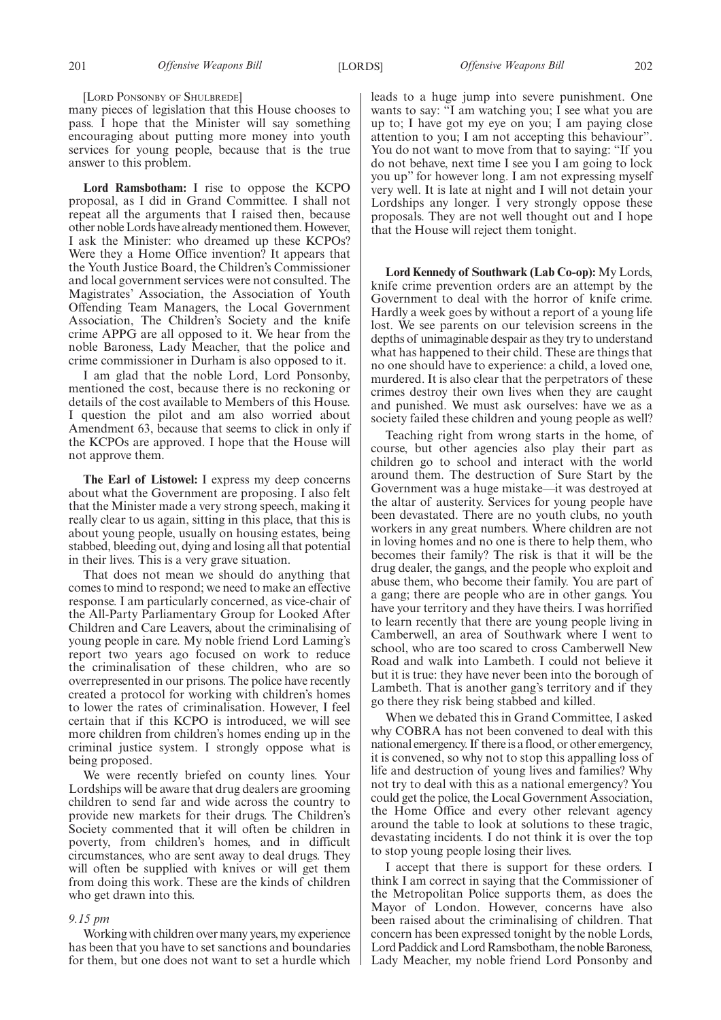[LORD PONSONBY OF SHULBREDE]

many pieces of legislation that this House chooses to pass. I hope that the Minister will say something encouraging about putting more money into youth services for young people, because that is the true answer to this problem.

**Lord Ramsbotham:** I rise to oppose the KCPO proposal, as I did in Grand Committee. I shall not repeat all the arguments that I raised then, because other noble Lords have already mentioned them. However, I ask the Minister: who dreamed up these KCPOs? Were they a Home Office invention? It appears that the Youth Justice Board, the Children's Commissioner and local government services were not consulted. The Magistrates' Association, the Association of Youth Offending Team Managers, the Local Government Association, The Children's Society and the knife crime APPG are all opposed to it. We hear from the noble Baroness, Lady Meacher, that the police and crime commissioner in Durham is also opposed to it.

I am glad that the noble Lord, Lord Ponsonby, mentioned the cost, because there is no reckoning or details of the cost available to Members of this House. I question the pilot and am also worried about Amendment 63, because that seems to click in only if the KCPOs are approved. I hope that the House will not approve them.

**The Earl of Listowel:** I express my deep concerns about what the Government are proposing. I also felt that the Minister made a very strong speech, making it really clear to us again, sitting in this place, that this is about young people, usually on housing estates, being stabbed, bleeding out, dying and losing all that potential in their lives. This is a very grave situation.

That does not mean we should do anything that comes to mind to respond; we need to make an effective response. I am particularly concerned, as vice-chair of the All-Party Parliamentary Group for Looked After Children and Care Leavers, about the criminalising of young people in care. My noble friend Lord Laming's report two years ago focused on work to reduce the criminalisation of these children, who are so overrepresented in our prisons. The police have recently created a protocol for working with children's homes to lower the rates of criminalisation. However, I feel certain that if this KCPO is introduced, we will see more children from children's homes ending up in the criminal justice system. I strongly oppose what is being proposed.

We were recently briefed on county lines. Your Lordships will be aware that drug dealers are grooming children to send far and wide across the country to provide new markets for their drugs. The Children's Society commented that it will often be children in poverty, from children's homes, and in difficult circumstances, who are sent away to deal drugs. They will often be supplied with knives or will get them from doing this work. These are the kinds of children who get drawn into this.

# *9.15 pm*

Working with children over many years, my experience has been that you have to set sanctions and boundaries for them, but one does not want to set a hurdle which leads to a huge jump into severe punishment. One wants to say: "I am watching you; I see what you are up to; I have got my eye on you; I am paying close attention to you; I am not accepting this behaviour". You do not want to move from that to saying: "If you do not behave, next time I see you I am going to lock you up" for however long. I am not expressing myself very well. It is late at night and I will not detain your Lordships any longer. I very strongly oppose these proposals. They are not well thought out and I hope that the House will reject them tonight.

**Lord Kennedy of Southwark (Lab Co-op):** My Lords, knife crime prevention orders are an attempt by the Government to deal with the horror of knife crime. Hardly a week goes by without a report of a young life lost. We see parents on our television screens in the depths of unimaginable despair as they try to understand what has happened to their child. These are things that no one should have to experience: a child, a loved one, murdered. It is also clear that the perpetrators of these crimes destroy their own lives when they are caught and punished. We must ask ourselves: have we as a society failed these children and young people as well?

Teaching right from wrong starts in the home, of course, but other agencies also play their part as children go to school and interact with the world around them. The destruction of Sure Start by the Government was a huge mistake—it was destroyed at the altar of austerity. Services for young people have been devastated. There are no youth clubs, no youth workers in any great numbers. Where children are not in loving homes and no one is there to help them, who becomes their family? The risk is that it will be the drug dealer, the gangs, and the people who exploit and abuse them, who become their family. You are part of a gang; there are people who are in other gangs. You have your territory and they have theirs. I was horrified to learn recently that there are young people living in Camberwell, an area of Southwark where I went to school, who are too scared to cross Camberwell New Road and walk into Lambeth. I could not believe it but it is true: they have never been into the borough of Lambeth. That is another gang's territory and if they go there they risk being stabbed and killed.

When we debated this in Grand Committee, I asked why COBRA has not been convened to deal with this national emergency. If there is a flood, or other emergency, it is convened, so why not to stop this appalling loss of life and destruction of young lives and families? Why not try to deal with this as a national emergency? You could get the police, the Local Government Association, the Home Office and every other relevant agency around the table to look at solutions to these tragic, devastating incidents. I do not think it is over the top to stop young people losing their lives.

I accept that there is support for these orders. I think I am correct in saying that the Commissioner of the Metropolitan Police supports them, as does the Mayor of London. However, concerns have also been raised about the criminalising of children. That concern has been expressed tonight by the noble Lords, Lord Paddick and Lord Ramsbotham, the noble Baroness, Lady Meacher, my noble friend Lord Ponsonby and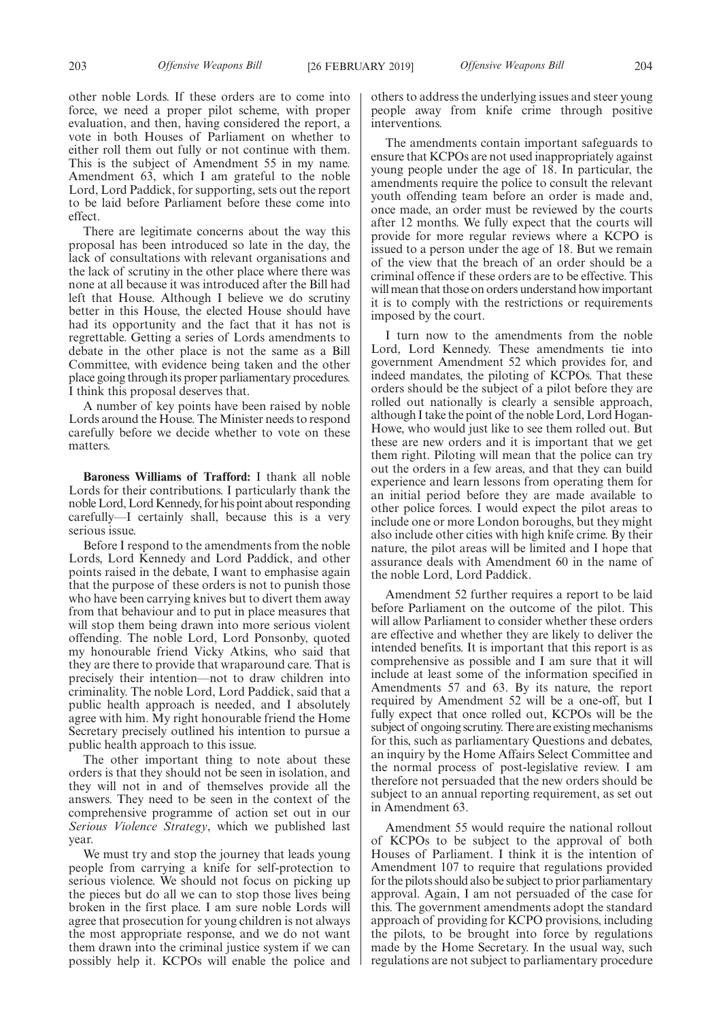other noble Lords. If these orders are to come into force, we need a proper pilot scheme, with proper evaluation, and then, having considered the report, a vote in both Houses of Parliament on whether to either roll them out fully or not continue with them. This is the subject of Amendment 55 in my name. Amendment 63, which I am grateful to the noble Lord, Lord Paddick, for supporting, sets out the report to be laid before Parliament before these come into effect.

There are legitimate concerns about the way this proposal has been introduced so late in the day, the lack of consultations with relevant organisations and the lack of scrutiny in the other place where there was none at all because it was introduced after the Bill had left that House. Although I believe we do scrutiny better in this House, the elected House should have had its opportunity and the fact that it has not is regrettable. Getting a series of Lords amendments to debate in the other place is not the same as a Bill Committee, with evidence being taken and the other place going through its proper parliamentary procedures. I think this proposal deserves that.

A number of key points have been raised by noble Lords around the House. The Minister needs to respond carefully before we decide whether to vote on these matters.

**Baroness Williams of Trafford:** I thank all noble Lords for their contributions. I particularly thank the noble Lord, Lord Kennedy, for his point about responding carefully—I certainly shall, because this is a very serious issue.

Before I respond to the amendments from the noble Lords, Lord Kennedy and Lord Paddick, and other points raised in the debate, I want to emphasise again that the purpose of these orders is not to punish those who have been carrying knives but to divert them away from that behaviour and to put in place measures that will stop them being drawn into more serious violent offending. The noble Lord, Lord Ponsonby, quoted my honourable friend Vicky Atkins, who said that they are there to provide that wraparound care. That is precisely their intention—not to draw children into criminality. The noble Lord, Lord Paddick, said that a public health approach is needed, and I absolutely agree with him. My right honourable friend the Home Secretary precisely outlined his intention to pursue a public health approach to this issue.

The other important thing to note about these orders is that they should not be seen in isolation, and they will not in and of themselves provide all the answers. They need to be seen in the context of the comprehensive programme of action set out in our *Serious Violence Strategy*, which we published last year.

We must try and stop the journey that leads young people from carrying a knife for self-protection to serious violence. We should not focus on picking up the pieces but do all we can to stop those lives being broken in the first place. I am sure noble Lords will agree that prosecution for young children is not always the most appropriate response, and we do not want them drawn into the criminal justice system if we can possibly help it. KCPOs will enable the police and others to address the underlying issues and steer young people away from knife crime through positive interventions.

The amendments contain important safeguards to ensure that KCPOs are not used inappropriately against young people under the age of 18. In particular, the amendments require the police to consult the relevant youth offending team before an order is made and, once made, an order must be reviewed by the courts after 12 months. We fully expect that the courts will provide for more regular reviews where a KCPO is issued to a person under the age of 18. But we remain of the view that the breach of an order should be a criminal offence if these orders are to be effective. This will mean that those on orders understand how important it is to comply with the restrictions or requirements imposed by the court.

I turn now to the amendments from the noble Lord, Lord Kennedy. These amendments tie into government Amendment 52 which provides for, and indeed mandates, the piloting of KCPOs. That these orders should be the subject of a pilot before they are rolled out nationally is clearly a sensible approach, although I take the point of the noble Lord, Lord Hogan-Howe, who would just like to see them rolled out. But these are new orders and it is important that we get them right. Piloting will mean that the police can try out the orders in a few areas, and that they can build experience and learn lessons from operating them for an initial period before they are made available to other police forces. I would expect the pilot areas to include one or more London boroughs, but they might also include other cities with high knife crime. By their nature, the pilot areas will be limited and I hope that assurance deals with Amendment 60 in the name of the noble Lord, Lord Paddick.

Amendment 52 further requires a report to be laid before Parliament on the outcome of the pilot. This will allow Parliament to consider whether these orders are effective and whether they are likely to deliver the intended benefits. It is important that this report is as comprehensive as possible and I am sure that it will include at least some of the information specified in Amendments 57 and 63. By its nature, the report required by Amendment 52 will be a one-off, but I fully expect that once rolled out, KCPOs will be the subject of ongoing scrutiny. There are existing mechanisms for this, such as parliamentary Questions and debates, an inquiry by the Home Affairs Select Committee and the normal process of post-legislative review. I am therefore not persuaded that the new orders should be subject to an annual reporting requirement, as set out in Amendment 63.

Amendment 55 would require the national rollout of KCPOs to be subject to the approval of both Houses of Parliament. I think it is the intention of Amendment 107 to require that regulations provided for the pilots should also be subject to prior parliamentary approval. Again, I am not persuaded of the case for this. The government amendments adopt the standard approach of providing for KCPO provisions, including the pilots, to be brought into force by regulations made by the Home Secretary. In the usual way, such regulations are not subject to parliamentary procedure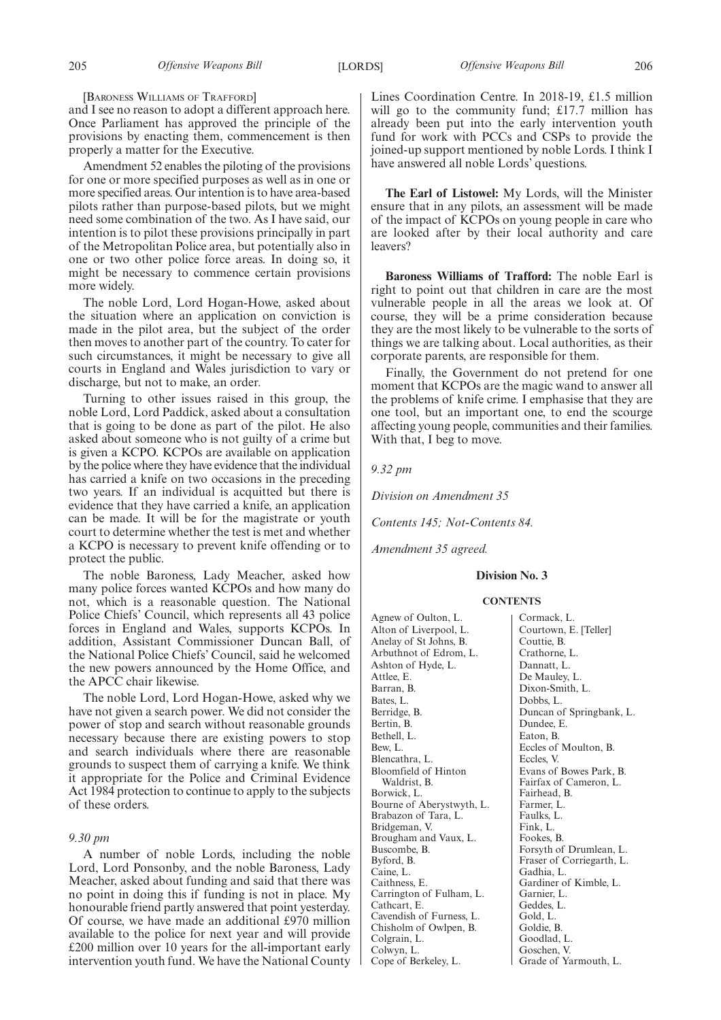[BARONESS WILLIAMS OF TRAFFORD]

and I see no reason to adopt a different approach here. Once Parliament has approved the principle of the provisions by enacting them, commencement is then properly a matter for the Executive.

Amendment 52 enables the piloting of the provisions for one or more specified purposes as well as in one or more specified areas. Our intention is to have area-based pilots rather than purpose-based pilots, but we might need some combination of the two. As I have said, our intention is to pilot these provisions principally in part of the Metropolitan Police area, but potentially also in one or two other police force areas. In doing so, it might be necessary to commence certain provisions more widely.

The noble Lord, Lord Hogan-Howe, asked about the situation where an application on conviction is made in the pilot area, but the subject of the order then moves to another part of the country. To cater for such circumstances, it might be necessary to give all courts in England and Wales jurisdiction to vary or discharge, but not to make, an order.

Turning to other issues raised in this group, the noble Lord, Lord Paddick, asked about a consultation that is going to be done as part of the pilot. He also asked about someone who is not guilty of a crime but is given a KCPO. KCPOs are available on application by the police where they have evidence that the individual has carried a knife on two occasions in the preceding two years. If an individual is acquitted but there is evidence that they have carried a knife, an application can be made. It will be for the magistrate or youth court to determine whether the test is met and whether a KCPO is necessary to prevent knife offending or to protect the public.

The noble Baroness, Lady Meacher, asked how many police forces wanted KCPOs and how many do not, which is a reasonable question. The National Police Chiefs' Council, which represents all 43 police forces in England and Wales, supports KCPOs. In addition, Assistant Commissioner Duncan Ball, of the National Police Chiefs' Council, said he welcomed the new powers announced by the Home Office, and the APCC chair likewise.

The noble Lord, Lord Hogan-Howe, asked why we have not given a search power. We did not consider the power of stop and search without reasonable grounds necessary because there are existing powers to stop and search individuals where there are reasonable grounds to suspect them of carrying a knife. We think it appropriate for the Police and Criminal Evidence Act 1984 protection to continue to apply to the subjects of these orders.

#### *9.30 pm*

A number of noble Lords, including the noble Lord, Lord Ponsonby, and the noble Baroness, Lady Meacher, asked about funding and said that there was no point in doing this if funding is not in place. My honourable friend partly answered that point yesterday. Of course, we have made an additional £970 million available to the police for next year and will provide £200 million over 10 years for the all-important early intervention youth fund. We have the National County Lines Coordination Centre. In 2018-19, £1.5 million will go to the community fund; £17.7 million has already been put into the early intervention youth fund for work with PCCs and CSPs to provide the joined-up support mentioned by noble Lords. I think I have answered all noble Lords' questions.

**The Earl of Listowel:** My Lords, will the Minister ensure that in any pilots, an assessment will be made of the impact of KCPOs on young people in care who are looked after by their local authority and care leavers?

**Baroness Williams of Trafford:** The noble Earl is right to point out that children in care are the most vulnerable people in all the areas we look at. Of course, they will be a prime consideration because they are the most likely to be vulnerable to the sorts of things we are talking about. Local authorities, as their corporate parents, are responsible for them.

Finally, the Government do not pretend for one moment that KCPOs are the magic wand to answer all the problems of knife crime. I emphasise that they are one tool, but an important one, to end the scourge affecting young people, communities and their families. With that, I beg to move.

*9.32 pm*

*Division on Amendment 35*

*Contents 145; Not-Contents 84.*

*Amendment 35 agreed.*

# **Division No. 3**

### **CONTENTS**

Agnew of Oulton, L. Alton of Liverpool, L. Anelay of St Johns, B. Arbuthnot of Edrom, L. Ashton of Hyde, L. Attlee, E. Barran, B. Bates, L. Berridge, B. Bertin, B. Bethell, L. Bew, L. Blencathra, L. Bloomfield of Hinton Waldrist, B. Borwick, L. Bourne of Aberystwyth, L. Brabazon of Tara, L. Bridgeman, V. Brougham and Vaux, L. Buscombe, B. Byford, B. Caine, L. Caithness, E. Carrington of Fulham, L. Cathcart, E. Cavendish of Furness, L. Chisholm of Owlpen, B. Colgrain, L. Colwyn, L. Cope of Berkeley, L.

Cormack, L. Courtown, E. [Teller] Couttie, B. Crathorne, L. Dannatt, L. De Mauley, L. Dixon-Smith, L. Dobbs, L. Duncan of Springbank, L. Dundee, E. Eaton, B. Eccles of Moulton, B. Eccles, V. Evans of Bowes Park, B. Fairfax of Cameron, L. Fairhead, B. Farmer, L. Faulks, L. Fink, L. Fookes, B. Forsyth of Drumlean, L. Fraser of Corriegarth, L. Gadhia, L. Gardiner of Kimble, L. Garnier, L. Geddes, L. Gold, L. Goldie, B. Goodlad, L. Goschen, V. Grade of Yarmouth, L.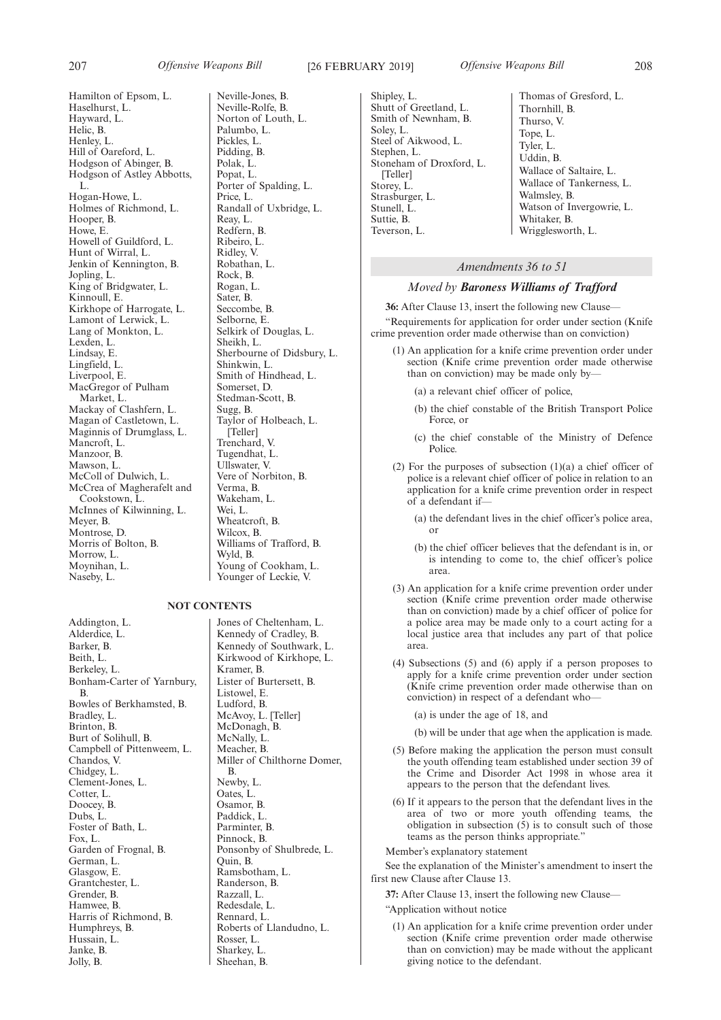Neville-Jones, B. Neville-Rolfe, B. Norton of Louth, L. Palumbo, L. Pickles, L. Pidding, B. Polak, L. Popat, L.

Porter of Spalding, L.

Randall of Uxbridge, L.

Sherbourne of Didsbury, L.

Smith of Hindhead, L.

Taylor of Holbeach, L.

Williams of Trafford, B.

Young of Cookham, L. Younger of Leckie, V.

Price, L.

Reay, L. Redfern, B. Ribeiro, L. Ridley, V. Robathan, L. Rock, B. Rogan, L. Sater, B. Seccombe, B. Selborne, E. Selkirk of Douglas, L.

Sheikh, L.

Shinkwin, L.

Somerset, D. Stedman-Scott, B. Sugg<sub>B</sub>

[Teller] Trenchard, V. Tugendhat, L. Ullswater, V. Vere of Norbiton, B.

Verma, B. Wakeham, L. Wei, L. Wheatcroft, B. Wilcox, B.

Wyld, B.

207 *Offensive Weapons Bill* [26 FEBRUARY 2019] *Offensive Weapons Bill* 208

Shipley, L. Shutt of Greetland, L. Smith of Newnham, B. Soley, L. Steel of Aikwood, L. Stephen, L. Stoneham of Droxford, L. [Teller] Storey, L. Strasburger, L. Stunell, L. Suttie, B. Teverson, L.

Thomas of Gresford, L. Thornhill, B. Thurso, V. Tope, L. Tyler, L. Uddin, B. Wallace of Saltaire, L. Wallace of Tankerness, L. Walmsley, B. Watson of Invergowrie, L. Whitaker, B. Wrigglesworth, L.

# *Amendments 36 to 51*

# *Moved by Baroness Williams of Trafford*

**36:** After Clause 13, insert the following new Clause— "Requirements for application for order under section (Knife crime prevention order made otherwise than on conviction)

- (1) An application for a knife crime prevention order under section (Knife crime prevention order made otherwise than on conviction) may be made only by-
	- (a) a relevant chief officer of police,
	- (b) the chief constable of the British Transport Police Force, or
	- (c) the chief constable of the Ministry of Defence **Police**
- (2) For the purposes of subsection (1)(a) a chief officer of police is a relevant chief officer of police in relation to an application for a knife crime prevention order in respect of a defendant if—
	- (a) the defendant lives in the chief officer's police area, or
	- (b) the chief officer believes that the defendant is in, or is intending to come to, the chief officer's police area.
- (3) An application for a knife crime prevention order under section (Knife crime prevention order made otherwise than on conviction) made by a chief officer of police for a police area may be made only to a court acting for a local justice area that includes any part of that police area.
- (4) Subsections (5) and (6) apply if a person proposes to apply for a knife crime prevention order under section (Knife crime prevention order made otherwise than on conviction) in respect of a defendant who—

(a) is under the age of 18, and

(b) will be under that age when the application is made.

- (5) Before making the application the person must consult the youth offending team established under section 39 of the Crime and Disorder Act 1998 in whose area it appears to the person that the defendant lives.
- (6) If it appears to the person that the defendant lives in the area of two or more youth offending teams, the obligation in subsection (5) is to consult such of those teams as the person thinks appropriate."

Member's explanatory statement

See the explanation of the Minister's amendment to insert the first new Clause after Clause 13.

**37:** After Clause 13, insert the following new Clause—

"Application without notice

(1) An application for a knife crime prevention order under section (Knife crime prevention order made otherwise than on conviction) may be made without the applicant giving notice to the defendant.

Hamilton of Epsom, L. Haselhurst, L. Hayward, L. Helic, B. Henley, L. Hill of Oareford, L. Hodgson of Abinger, B. Hodgson of Astley Abbotts, L. Hogan-Howe, L. Holmes of Richmond, L. Hooper, B. Howe, E. Howell of Guildford, L. Hunt of Wirral, L. Jenkin of Kennington, B. Jopling, L. King of Bridgwater, L. Kinnoull, E. Kirkhope of Harrogate, L. Lamont of Lerwick, L. Lang of Monkton, L. Lexden, L. Lindsay, E. Lingfield, L. Liverpool, E. MacGregor of Pulham Market, L. Mackay of Clashfern, L. Magan of Castletown, L. Maginnis of Drumglass, L. Mancroft, L. Manzoor, B. Mawson, L. McColl of Dulwich, L. McCrea of Magherafelt and Cookstown, L. McInnes of Kilwinning, L. Meyer, B. Montrose, D. Morris of Bolton, B. Morrow, L. Moynihan, L. Naseby, L.

### **NOT CONTENTS**

Addington, L. Alderdice, L. Barker, B. Beith, L. Berkeley, L. Bonham-Carter of Yarnbury, B. Bowles of Berkhamsted, B. Bradley, L. Brinton, B. Burt of Solihull, B. Campbell of Pittenweem, L. Chandos, V. Chidgey, L. Clement-Jones, L. Cotter, L. Doocey, B. Dubs, L. Foster of Bath, L. Fox, L. Garden of Frognal, B. German, L. Glasgow, E. Grantchester, L. Grender, B. Hamwee, B. Harris of Richmond, B. Humphreys, B. Hussain, L. Janke, B. Jolly, B.

Jones of Cheltenham, L. Kennedy of Cradley, B. Kennedy of Southwark, L. Kirkwood of Kirkhope, L. Kramer, B. Lister of Burtersett, B. Listowel, E. Ludford, B. McAvoy, L. [Teller] McDonagh, B. McNally, L. Meacher, B. Miller of Chilthorne Domer, B. Newby, L. Oates, L. Osamor, B. Paddick, L. Parminter, B. Pinnock, B. Ponsonby of Shulbrede, L. Quin, B. Ramsbotham, L. Randerson, B. Razzall, L. Redesdale, L. Rennard, L. Roberts of Llandudno, L. Rosser, L. Sharkey, L. Sheehan, B.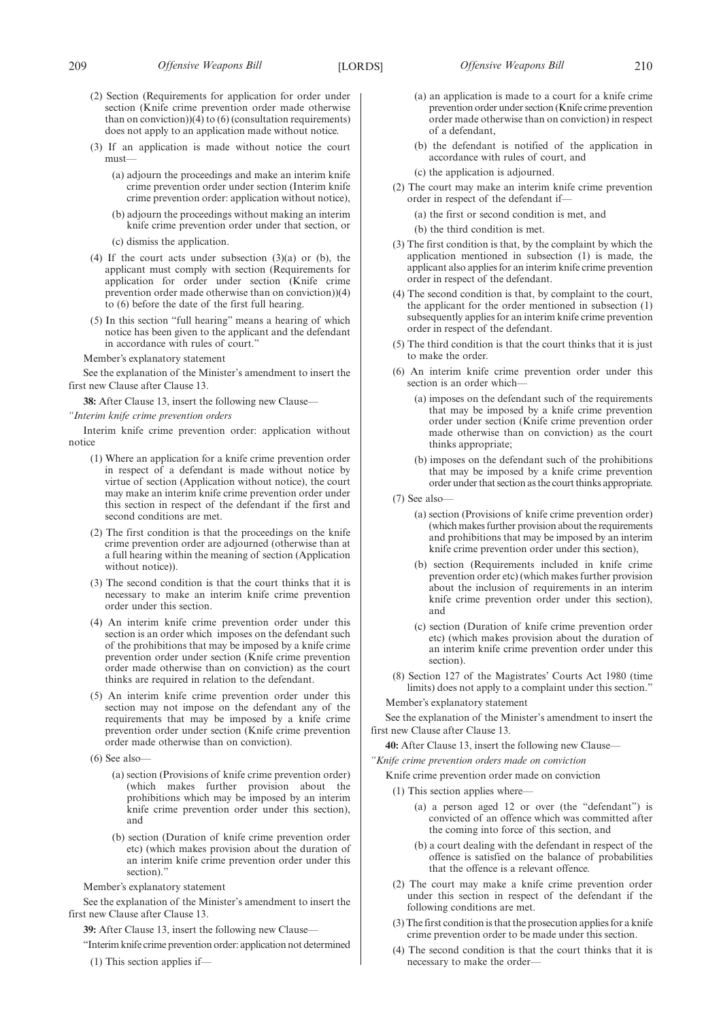- (3) If an application is made without notice the court must—
	- (a) adjourn the proceedings and make an interim knife crime prevention order under section (Interim knife crime prevention order: application without notice),
	- (b) adjourn the proceedings without making an interim knife crime prevention order under that section, or
	- (c) dismiss the application.
- (4) If the court acts under subsection (3)(a) or (b), the applicant must comply with section (Requirements for application for order under section (Knife crime prevention order made otherwise than on conviction))(4) to (6) before the date of the first full hearing.
- (5) In this section "full hearing" means a hearing of which notice has been given to the applicant and the defendant in accordance with rules of court."

See the explanation of the Minister's amendment to insert the first new Clause after Clause 13.

**38:** After Clause 13, insert the following new Clause—

### *"Interim knife crime prevention orders*

Interim knife crime prevention order: application without notice

- (1) Where an application for a knife crime prevention order in respect of a defendant is made without notice by virtue of section (Application without notice), the court may make an interim knife crime prevention order under this section in respect of the defendant if the first and second conditions are met.
- (2) The first condition is that the proceedings on the knife crime prevention order are adjourned (otherwise than at a full hearing within the meaning of section (Application without notice)).
- (3) The second condition is that the court thinks that it is necessary to make an interim knife crime prevention order under this section.
- (4) An interim knife crime prevention order under this section is an order which imposes on the defendant such of the prohibitions that may be imposed by a knife crime prevention order under section (Knife crime prevention order made otherwise than on conviction) as the court thinks are required in relation to the defendant.
- (5) An interim knife crime prevention order under this section may not impose on the defendant any of the requirements that may be imposed by a knife crime prevention order under section (Knife crime prevention order made otherwise than on conviction).
- (6) See also—
	- (a) section (Provisions of knife crime prevention order) (which makes further provision about the prohibitions which may be imposed by an interim knife crime prevention order under this section), and
	- (b) section (Duration of knife crime prevention order etc) (which makes provision about the duration of an interim knife crime prevention order under this section)."

### Member's explanatory statement

See the explanation of the Minister's amendment to insert the first new Clause after Clause 13.

**39:** After Clause 13, insert the following new Clause—

"Interim knife crime prevention order: application not determined

(1) This section applies if—

- (a) an application is made to a court for a knife crime prevention order under section (Knife crime prevention order made otherwise than on conviction) in respect of a defendant,
- (b) the defendant is notified of the application in accordance with rules of court, and

(c) the application is adjourned.

- (2) The court may make an interim knife crime prevention order in respect of the defendant if—
	- (a) the first or second condition is met, and

(b) the third condition is met.

- (3) The first condition is that, by the complaint by which the application mentioned in subsection (1) is made, the applicant also applies for an interim knife crime prevention order in respect of the defendant.
- (4) The second condition is that, by complaint to the court, the applicant for the order mentioned in subsection (1) subsequently applies for an interim knife crime prevention order in respect of the defendant.
- (5) The third condition is that the court thinks that it is just to make the order.
- (6) An interim knife crime prevention order under this section is an order which-
	- (a) imposes on the defendant such of the requirements that may be imposed by a knife crime prevention order under section (Knife crime prevention order made otherwise than on conviction) as the court thinks appropriate;
	- (b) imposes on the defendant such of the prohibitions that may be imposed by a knife crime prevention order under that section as the court thinks appropriate.
- (7) See also—
	- (a) section (Provisions of knife crime prevention order) (which makes further provision about the requirements and prohibitions that may be imposed by an interim knife crime prevention order under this section),
	- (b) section (Requirements included in knife crime prevention order etc) (which makes further provision about the inclusion of requirements in an interim knife crime prevention order under this section), and
	- (c) section (Duration of knife crime prevention order etc) (which makes provision about the duration of an interim knife crime prevention order under this section).
- (8) Section 127 of the Magistrates' Courts Act 1980 (time limits) does not apply to a complaint under this section."

Member's explanatory statement

See the explanation of the Minister's amendment to insert the first new Clause after Clause 13.

**40:** After Clause 13, insert the following new Clause—

- *"Knife crime prevention orders made on conviction*
	- Knife crime prevention order made on conviction
		- (1) This section applies where—
			- (a) a person aged 12 or over (the "defendant") is convicted of an offence which was committed after the coming into force of this section, and
			- (b) a court dealing with the defendant in respect of the offence is satisfied on the balance of probabilities that the offence is a relevant offence.
	- (2) The court may make a knife crime prevention order under this section in respect of the defendant if the following conditions are met.
	- (3) The first condition is that the prosecution applies for a knife crime prevention order to be made under this section.
	- (4) The second condition is that the court thinks that it is necessary to make the order—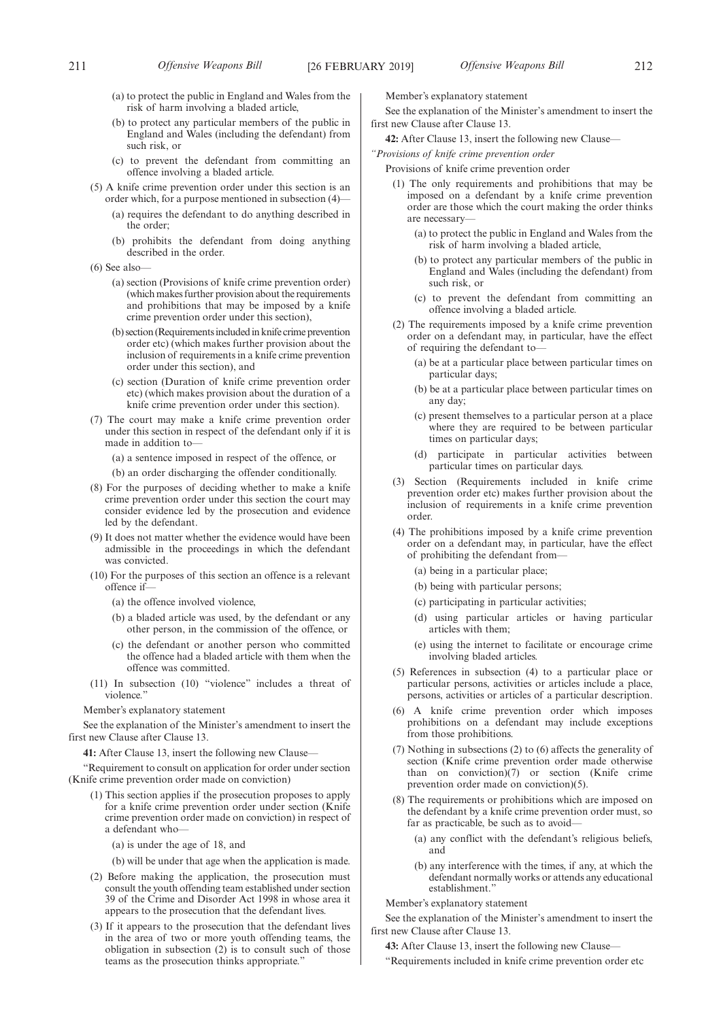- (a) to protect the public in England and Wales from the risk of harm involving a bladed article,
- (b) to protect any particular members of the public in England and Wales (including the defendant) from such risk, or
- (c) to prevent the defendant from committing an offence involving a bladed article.
- (5) A knife crime prevention order under this section is an order which, for a purpose mentioned in subsection (4)—
	- (a) requires the defendant to do anything described in the order;
	- (b) prohibits the defendant from doing anything described in the order.
- (6) See also—
	- (a) section (Provisions of knife crime prevention order) (which makes further provision about the requirements and prohibitions that may be imposed by a knife crime prevention order under this section),
	- (b) section (Requirements included in knife crime prevention order etc) (which makes further provision about the inclusion of requirements in a knife crime prevention order under this section), and
	- (c) section (Duration of knife crime prevention order etc) (which makes provision about the duration of a knife crime prevention order under this section).
- (7) The court may make a knife crime prevention order under this section in respect of the defendant only if it is made in addition to—
	- (a) a sentence imposed in respect of the offence, or
	- (b) an order discharging the offender conditionally.
- (8) For the purposes of deciding whether to make a knife crime prevention order under this section the court may consider evidence led by the prosecution and evidence led by the defendant.
- (9) It does not matter whether the evidence would have been admissible in the proceedings in which the defendant was convicted.
- (10) For the purposes of this section an offence is a relevant offence if—
	- (a) the offence involved violence,
	- (b) a bladed article was used, by the defendant or any other person, in the commission of the offence, or
	- (c) the defendant or another person who committed the offence had a bladed article with them when the offence was committed.
- (11) In subsection (10) "violence" includes a threat of violence.'

See the explanation of the Minister's amendment to insert the first new Clause after Clause 13.

**41:** After Clause 13, insert the following new Clause—

"Requirement to consult on application for order under section (Knife crime prevention order made on conviction)

- (1) This section applies if the prosecution proposes to apply for a knife crime prevention order under section (Knife crime prevention order made on conviction) in respect of a defendant who—
	- (a) is under the age of 18, and

(b) will be under that age when the application is made.

- (2) Before making the application, the prosecution must consult the youth offending team established under section 39 of the Crime and Disorder Act 1998 in whose area it appears to the prosecution that the defendant lives.
- (3) If it appears to the prosecution that the defendant lives in the area of two or more youth offending teams, the obligation in subsection (2) is to consult such of those teams as the prosecution thinks appropriate."

Member's explanatory statement

See the explanation of the Minister's amendment to insert the first new Clause after Clause 13.

**42:** After Clause 13, insert the following new Clause—

*"Provisions of knife crime prevention order*

- Provisions of knife crime prevention order
- (1) The only requirements and prohibitions that may be imposed on a defendant by a knife crime prevention order are those which the court making the order thinks are necessary—
	- (a) to protect the public in England and Wales from the risk of harm involving a bladed article,
	- (b) to protect any particular members of the public in England and Wales (including the defendant) from such risk, or
	- (c) to prevent the defendant from committing an offence involving a bladed article.
- (2) The requirements imposed by a knife crime prevention order on a defendant may, in particular, have the effect of requiring the defendant to—
	- (a) be at a particular place between particular times on particular days;
	- (b) be at a particular place between particular times on any day;
	- (c) present themselves to a particular person at a place where they are required to be between particular times on particular days;
	- (d) participate in particular activities between particular times on particular days.
- (3) Section (Requirements included in knife crime prevention order etc) makes further provision about the inclusion of requirements in a knife crime prevention order.
- (4) The prohibitions imposed by a knife crime prevention order on a defendant may, in particular, have the effect of prohibiting the defendant from—
	- (a) being in a particular place;
	- (b) being with particular persons;
	- (c) participating in particular activities;
	- (d) using particular articles or having particular articles with them;
	- (e) using the internet to facilitate or encourage crime involving bladed articles.
- (5) References in subsection (4) to a particular place or particular persons, activities or articles include a place, persons, activities or articles of a particular description.
- (6) A knife crime prevention order which imposes prohibitions on a defendant may include exceptions from those prohibitions.
- (7) Nothing in subsections (2) to (6) affects the generality of section (Knife crime prevention order made otherwise than on conviction) $(7)$  or section (Knife crime prevention order made on conviction)(5).
- (8) The requirements or prohibitions which are imposed on the defendant by a knife crime prevention order must, so far as practicable, be such as to avoid—
	- (a) any conflict with the defendant's religious beliefs, and
	- (b) any interference with the times, if any, at which the defendant normally works or attends any educational establishment."

Member's explanatory statement

See the explanation of the Minister's amendment to insert the first new Clause after Clause 13.

**43:** After Clause 13, insert the following new Clause—

"Requirements included in knife crime prevention order etc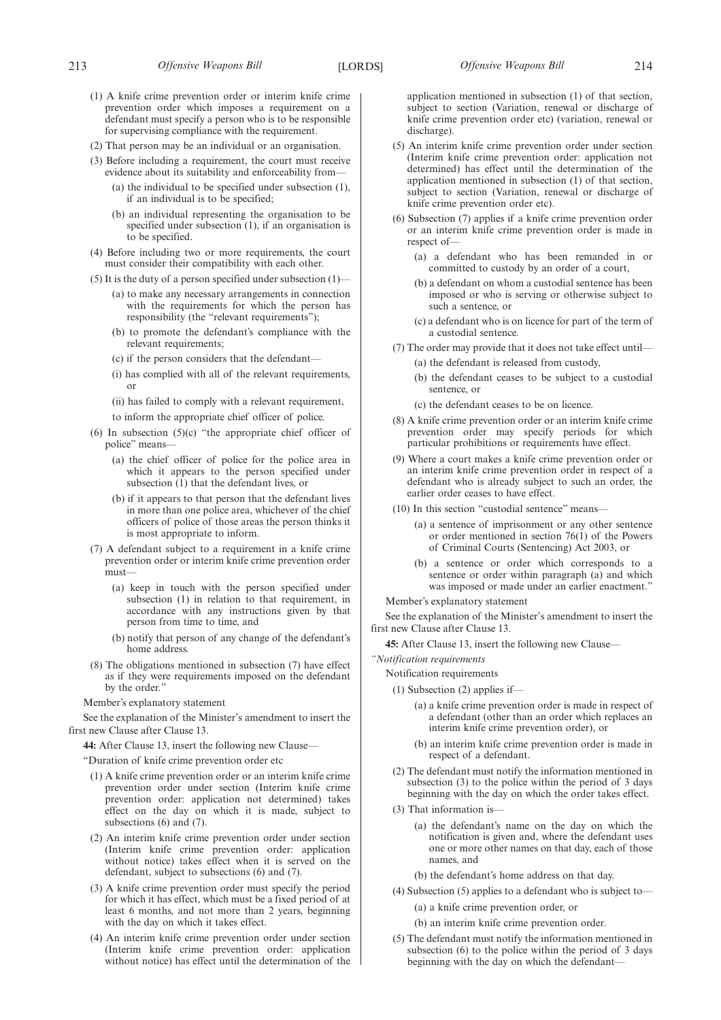- (1) A knife crime prevention order or interim knife crime prevention order which imposes a requirement on a defendant must specify a person who is to be responsible for supervising compliance with the requirement.
- (2) That person may be an individual or an organisation.
- (3) Before including a requirement, the court must receive evidence about its suitability and enforceability from—
	- (a) the individual to be specified under subsection (1), if an individual is to be specified;
	- (b) an individual representing the organisation to be specified under subsection (1), if an organisation is to be specified.
- (4) Before including two or more requirements, the court must consider their compatibility with each other.
- (5) It is the duty of a person specified under subsection (1)—
	- (a) to make any necessary arrangements in connection with the requirements for which the person has responsibility (the "relevant requirements");
	- (b) to promote the defendant's compliance with the relevant requirements;
	- (c) if the person considers that the defendant—
	- (i) has complied with all of the relevant requirements, or
	- (ii) has failed to comply with a relevant requirement,
	- to inform the appropriate chief officer of police.
- (6) In subsection (5)(c) "the appropriate chief officer of police" means—
	- (a) the chief officer of police for the police area in which it appears to the person specified under subsection  $(1)$  that the defendant lives, or
	- (b) if it appears to that person that the defendant lives in more than one police area, whichever of the chief officers of police of those areas the person thinks it is most appropriate to inform.
- (7) A defendant subject to a requirement in a knife crime prevention order or interim knife crime prevention order must—
	- (a) keep in touch with the person specified under subsection (1) in relation to that requirement, in accordance with any instructions given by that person from time to time, and
	- (b) notify that person of any change of the defendant's home address.
- (8) The obligations mentioned in subsection (7) have effect as if they were requirements imposed on the defendant by the order.'

See the explanation of the Minister's amendment to insert the first new Clause after Clause 13.

**44:** After Clause 13, insert the following new Clause—

"Duration of knife crime prevention order etc

- (1) A knife crime prevention order or an interim knife crime prevention order under section (Interim knife crime prevention order: application not determined) takes effect on the day on which it is made, subject to subsections (6) and (7).
- (2) An interim knife crime prevention order under section (Interim knife crime prevention order: application without notice) takes effect when it is served on the defendant, subject to subsections (6) and (7).
- (3) A knife crime prevention order must specify the period for which it has effect, which must be a fixed period of at least 6 months, and not more than 2 years, beginning with the day on which it takes effect.
- (4) An interim knife crime prevention order under section (Interim knife crime prevention order: application without notice) has effect until the determination of the

application mentioned in subsection (1) of that section, subject to section (Variation, renewal or discharge of knife crime prevention order etc) (variation, renewal or discharge).

- (5) An interim knife crime prevention order under section (Interim knife crime prevention order: application not determined) has effect until the determination of the application mentioned in subsection (1) of that section, subject to section (Variation, renewal or discharge of knife crime prevention order etc).
- (6) Subsection (7) applies if a knife crime prevention order or an interim knife crime prevention order is made in respect of-
	- (a) a defendant who has been remanded in or committed to custody by an order of a court,
	- (b) a defendant on whom a custodial sentence has been imposed or who is serving or otherwise subject to such a sentence, or
	- (c) a defendant who is on licence for part of the term of a custodial sentence.
- (7) The order may provide that it does not take effect until—
	- (a) the defendant is released from custody,
	- (b) the defendant ceases to be subject to a custodial sentence, or
	- (c) the defendant ceases to be on licence.
- (8) A knife crime prevention order or an interim knife crime prevention order may specify periods for which particular prohibitions or requirements have effect.
- (9) Where a court makes a knife crime prevention order or an interim knife crime prevention order in respect of a defendant who is already subject to such an order, the earlier order ceases to have effect.
- (10) In this section "custodial sentence" means—
	- (a) a sentence of imprisonment or any other sentence or order mentioned in section 76(1) of the Powers of Criminal Courts (Sentencing) Act 2003, or
	- (b) a sentence or order which corresponds to a sentence or order within paragraph (a) and which was imposed or made under an earlier enactment."

Member's explanatory statement

See the explanation of the Minister's amendment to insert the first new Clause after Clause 13.

**45:** After Clause 13, insert the following new Clause—

*"Notification requirements*

- Notification requirements
	- (1) Subsection (2) applies if—
		- (a) a knife crime prevention order is made in respect of a defendant (other than an order which replaces an interim knife crime prevention order), or
		- (b) an interim knife crime prevention order is made in respect of a defendant.
	- (2) The defendant must notify the information mentioned in subsection (3) to the police within the period of 3 days beginning with the day on which the order takes effect.
	- (3) That information is—
		- (a) the defendant's name on the day on which the notification is given and, where the defendant uses one or more other names on that day, each of those names, and
		- (b) the defendant's home address on that day.
	- (4) Subsection (5) applies to a defendant who is subject to—
		- (a) a knife crime prevention order, or
		- (b) an interim knife crime prevention order.
- (5) The defendant must notify the information mentioned in subsection (6) to the police within the period of 3 days beginning with the day on which the defendant—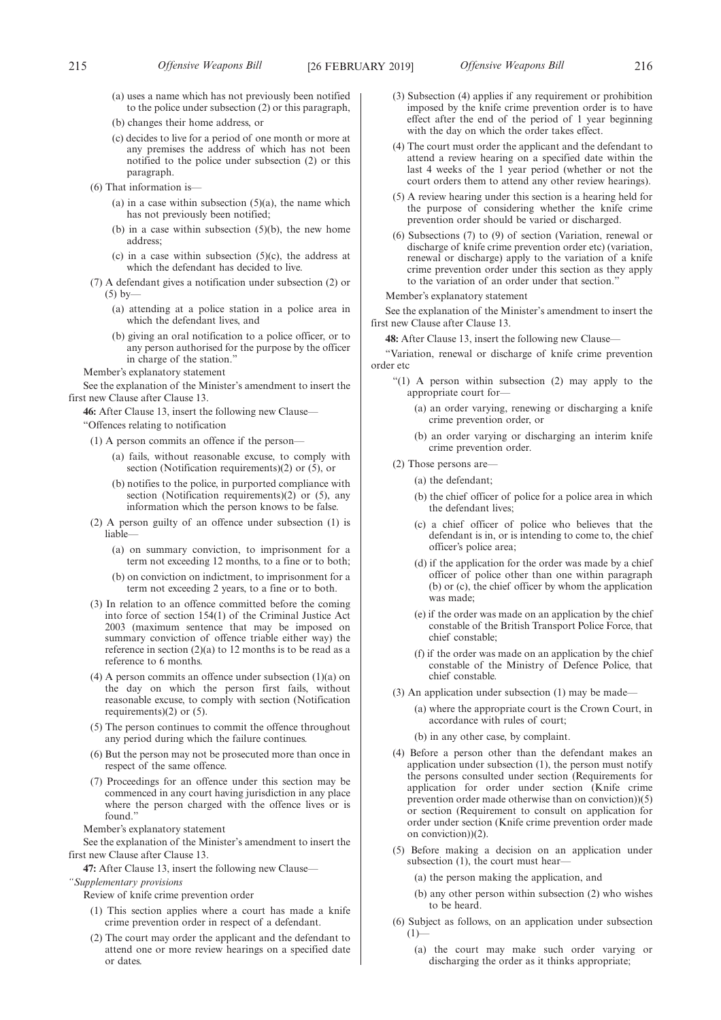- (a) uses a name which has not previously been notified to the police under subsection (2) or this paragraph,
- (b) changes their home address, or
- (c) decides to live for a period of one month or more at any premises the address of which has not been notified to the police under subsection (2) or this paragraph.
- (6) That information is—
	- (a) in a case within subsection  $(5)(a)$ , the name which has not previously been notified;
	- (b) in a case within subsection  $(5)(b)$ , the new home address;
	- (c) in a case within subsection  $(5)(c)$ , the address at which the defendant has decided to live.
- (7) A defendant gives a notification under subsection (2) or  $(5)$  by-
	- (a) attending at a police station in a police area in which the defendant lives, and
	- (b) giving an oral notification to a police officer, or to any person authorised for the purpose by the officer in charge of the station."

See the explanation of the Minister's amendment to insert the first new Clause after Clause 13.

**46:** After Clause 13, insert the following new Clause— "Offences relating to notification

- (1) A person commits an offence if the person—
	- (a) fails, without reasonable excuse, to comply with section (Notification requirements)(2) or  $(5)$ , or
	- (b) notifies to the police, in purported compliance with section (Notification requirements)(2) or (5), any information which the person knows to be false.
- (2) A person guilty of an offence under subsection (1) is liable—
	- (a) on summary conviction, to imprisonment for a term not exceeding 12 months, to a fine or to both;
	- (b) on conviction on indictment, to imprisonment for a term not exceeding 2 years, to a fine or to both.
- (3) In relation to an offence committed before the coming into force of section 154(1) of the Criminal Justice Act 2003 (maximum sentence that may be imposed on summary conviction of offence triable either way) the reference in section (2)(a) to 12 months is to be read as a reference to 6 months.
- (4) A person commits an offence under subsection (1)(a) on the day on which the person first fails, without reasonable excuse, to comply with section (Notification requirements)(2) or (5).
- (5) The person continues to commit the offence throughout any period during which the failure continues.
- (6) But the person may not be prosecuted more than once in respect of the same offence.
- (7) Proceedings for an offence under this section may be commenced in any court having jurisdiction in any place where the person charged with the offence lives or is found."

Member's explanatory statement

See the explanation of the Minister's amendment to insert the first new Clause after Clause 13.

**47:** After Clause 13, insert the following new Clause—

*"Supplementary provisions*

Review of knife crime prevention order

- (1) This section applies where a court has made a knife crime prevention order in respect of a defendant.
- (2) The court may order the applicant and the defendant to attend one or more review hearings on a specified date or dates.
- (3) Subsection (4) applies if any requirement or prohibition imposed by the knife crime prevention order is to have effect after the end of the period of 1 year beginning with the day on which the order takes effect.
- (4) The court must order the applicant and the defendant to attend a review hearing on a specified date within the last 4 weeks of the 1 year period (whether or not the court orders them to attend any other review hearings).
- (5) A review hearing under this section is a hearing held for the purpose of considering whether the knife crime prevention order should be varied or discharged.
- (6) Subsections (7) to (9) of section (Variation, renewal or discharge of knife crime prevention order etc) (variation, renewal or discharge) apply to the variation of a knife crime prevention order under this section as they apply to the variation of an order under that section."

Member's explanatory statement

See the explanation of the Minister's amendment to insert the first new Clause after Clause 13.

**48:** After Clause 13, insert the following new Clause—

"Variation, renewal or discharge of knife crime prevention order etc

- "(1) A person within subsection (2) may apply to the appropriate court for—
	- (a) an order varying, renewing or discharging a knife crime prevention order, or
	- (b) an order varying or discharging an interim knife crime prevention order.
- (2) Those persons are—

(a) the defendant;

- (b) the chief officer of police for a police area in which the defendant lives;
- (c) a chief officer of police who believes that the defendant is in, or is intending to come to, the chief officer's police area;
- (d) if the application for the order was made by a chief officer of police other than one within paragraph (b) or (c), the chief officer by whom the application was made;
- (e) if the order was made on an application by the chief constable of the British Transport Police Force, that chief constable;
- (f) if the order was made on an application by the chief constable of the Ministry of Defence Police, that chief constable.
- (3) An application under subsection (1) may be made—
	- (a) where the appropriate court is the Crown Court, in accordance with rules of court;
	- (b) in any other case, by complaint.
- (4) Before a person other than the defendant makes an application under subsection (1), the person must notify the persons consulted under section (Requirements for application for order under section (Knife crime prevention order made otherwise than on conviction))(5) or section (Requirement to consult on application for order under section (Knife crime prevention order made on conviction))(2).
- (5) Before making a decision on an application under subsection (1), the court must hear-

(a) the person making the application, and

- (b) any other person within subsection (2) who wishes to be heard.
- (6) Subject as follows, on an application under subsection  $(1)$ 
	- (a) the court may make such order varying or discharging the order as it thinks appropriate;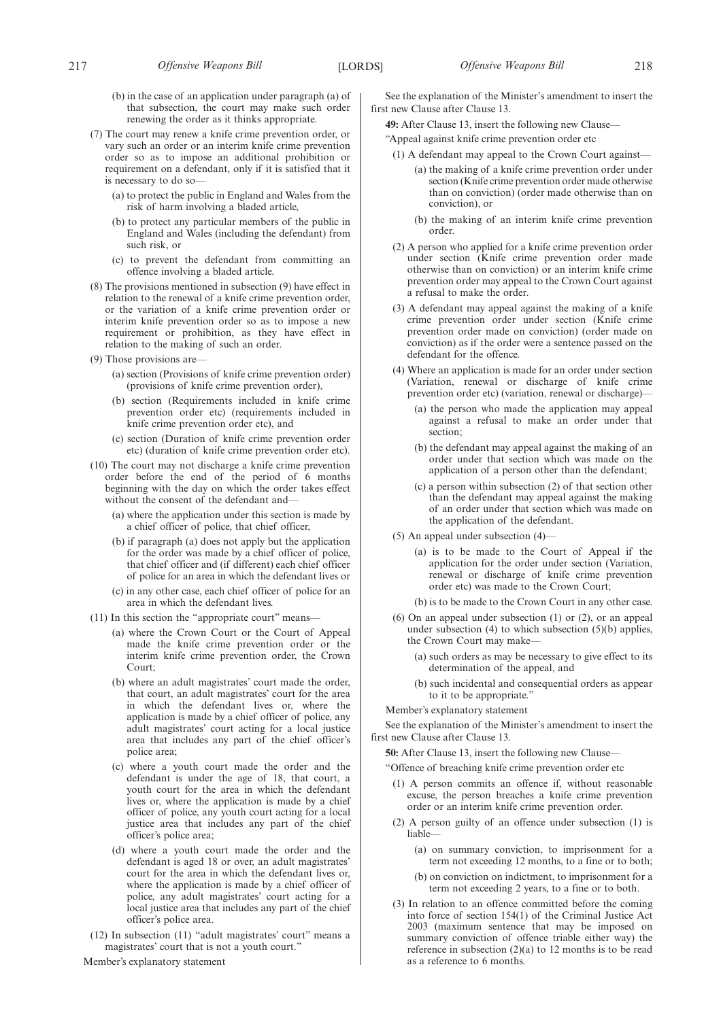- (b) in the case of an application under paragraph (a) of that subsection, the court may make such order renewing the order as it thinks appropriate.
- (7) The court may renew a knife crime prevention order, or vary such an order or an interim knife crime prevention order so as to impose an additional prohibition or requirement on a defendant, only if it is satisfied that it is necessary to do so—
	- (a) to protect the public in England and Wales from the risk of harm involving a bladed article,
	- (b) to protect any particular members of the public in England and Wales (including the defendant) from such risk, or
	- (c) to prevent the defendant from committing an offence involving a bladed article.
- (8) The provisions mentioned in subsection (9) have effect in relation to the renewal of a knife crime prevention order, or the variation of a knife crime prevention order or interim knife prevention order so as to impose a new requirement or prohibition, as they have effect in relation to the making of such an order.
- (9) Those provisions are—
	- (a) section (Provisions of knife crime prevention order) (provisions of knife crime prevention order),
	- (b) section (Requirements included in knife crime prevention order etc) (requirements included in knife crime prevention order etc), and
	- (c) section (Duration of knife crime prevention order etc) (duration of knife crime prevention order etc).
- (10) The court may not discharge a knife crime prevention order before the end of the period of 6 months beginning with the day on which the order takes effect without the consent of the defendant and-
	- (a) where the application under this section is made by a chief officer of police, that chief officer,
	- (b) if paragraph (a) does not apply but the application for the order was made by a chief officer of police, that chief officer and (if different) each chief officer of police for an area in which the defendant lives or
	- (c) in any other case, each chief officer of police for an area in which the defendant lives.
- (11) In this section the "appropriate court" means—
	- (a) where the Crown Court or the Court of Appeal made the knife crime prevention order or the interim knife crime prevention order, the Crown Court;
	- (b) where an adult magistrates' court made the order, that court, an adult magistrates' court for the area in which the defendant lives or, where the application is made by a chief officer of police, any adult magistrates' court acting for a local justice area that includes any part of the chief officer's police area;
	- (c) where a youth court made the order and the defendant is under the age of 18, that court, a youth court for the area in which the defendant lives or, where the application is made by a chief officer of police, any youth court acting for a local justice area that includes any part of the chief officer's police area;
	- (d) where a youth court made the order and the defendant is aged 18 or over, an adult magistrates' court for the area in which the defendant lives or, where the application is made by a chief officer of police, any adult magistrates' court acting for a local justice area that includes any part of the chief officer's police area.
- (12) In subsection (11) "adult magistrates' court" means a magistrates' court that is not a youth court."

See the explanation of the Minister's amendment to insert the first new Clause after Clause 13.

**49:** After Clause 13, insert the following new Clause—

"Appeal against knife crime prevention order etc

- (1) A defendant may appeal to the Crown Court against—
	- (a) the making of a knife crime prevention order under section (Knife crime prevention order made otherwise than on conviction) (order made otherwise than on conviction), or
	- (b) the making of an interim knife crime prevention order.
- (2) A person who applied for a knife crime prevention order under section (Knife crime prevention order made otherwise than on conviction) or an interim knife crime prevention order may appeal to the Crown Court against a refusal to make the order.
- (3) A defendant may appeal against the making of a knife crime prevention order under section (Knife crime prevention order made on conviction) (order made on conviction) as if the order were a sentence passed on the defendant for the offence.
- (4) Where an application is made for an order under section (Variation, renewal or discharge of knife crime prevention order etc) (variation, renewal or discharge)—
	- (a) the person who made the application may appeal against a refusal to make an order under that section;
	- (b) the defendant may appeal against the making of an order under that section which was made on the application of a person other than the defendant;
	- (c) a person within subsection (2) of that section other than the defendant may appeal against the making of an order under that section which was made on the application of the defendant.
- (5) An appeal under subsection (4)—
	- (a) is to be made to the Court of Appeal if the application for the order under section (Variation, renewal or discharge of knife crime prevention order etc) was made to the Crown Court;
	- (b) is to be made to the Crown Court in any other case.
- (6) On an appeal under subsection (1) or (2), or an appeal under subsection (4) to which subsection (5)(b) applies, the Crown Court may make—
	- (a) such orders as may be necessary to give effect to its determination of the appeal, and
	- (b) such incidental and consequential orders as appear to it to be appropriate."

Member's explanatory statement

See the explanation of the Minister's amendment to insert the first new Clause after Clause 13.

**50:** After Clause 13, insert the following new Clause—

"Offence of breaching knife crime prevention order etc

- (1) A person commits an offence if, without reasonable excuse, the person breaches a knife crime prevention order or an interim knife crime prevention order.
- (2) A person guilty of an offence under subsection (1) is liable—
	- (a) on summary conviction, to imprisonment for a term not exceeding 12 months, to a fine or to both;
	- (b) on conviction on indictment, to imprisonment for a term not exceeding 2 years, to a fine or to both.
- (3) In relation to an offence committed before the coming into force of section 154(1) of the Criminal Justice Act 2003 (maximum sentence that may be imposed on summary conviction of offence triable either way) the reference in subsection  $(2)(a)$  to 12 months is to be read as a reference to 6 months.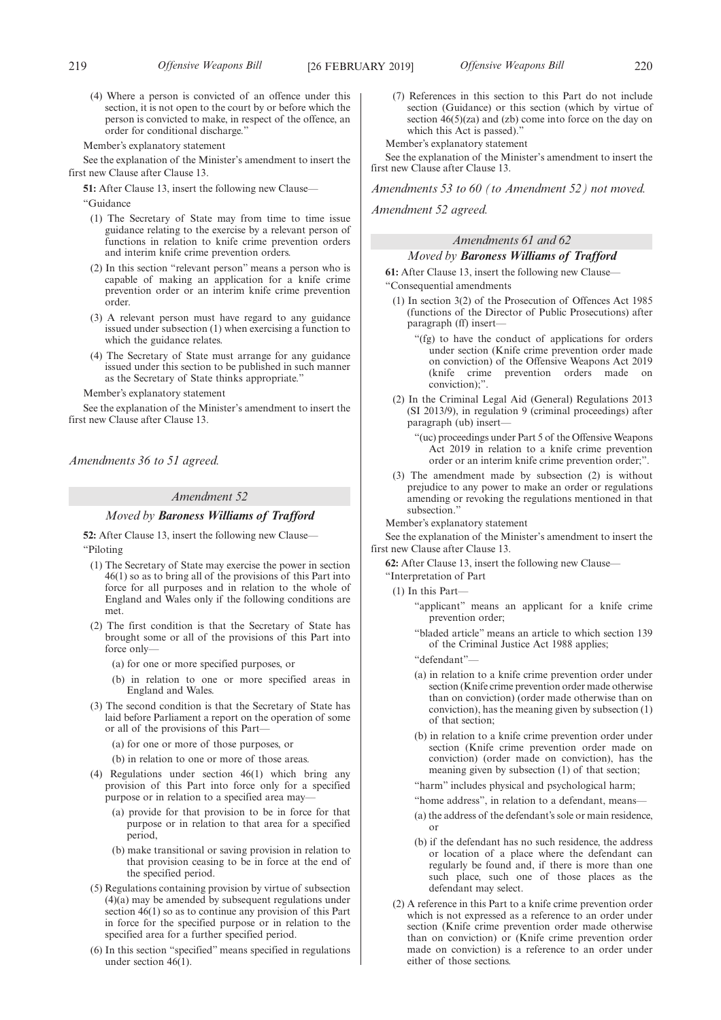(4) Where a person is convicted of an offence under this section, it is not open to the court by or before which the person is convicted to make, in respect of the offence, an order for conditional discharge."

Member's explanatory statement

See the explanation of the Minister's amendment to insert the first new Clause after Clause 13.

**51:** After Clause 13, insert the following new Clause—

"Guidance

- (1) The Secretary of State may from time to time issue guidance relating to the exercise by a relevant person of functions in relation to knife crime prevention orders and interim knife crime prevention orders.
- (2) In this section "relevant person" means a person who is capable of making an application for a knife crime prevention order or an interim knife crime prevention order.
- (3) A relevant person must have regard to any guidance issued under subsection (1) when exercising a function to which the guidance relates.
- (4) The Secretary of State must arrange for any guidance issued under this section to be published in such manner as the Secretary of State thinks appropriate."

Member's explanatory statement

See the explanation of the Minister's amendment to insert the first new Clause after Clause 13.

*Amendments 36 to 51 agreed.*

# *Amendment 52*

### *Moved by Baroness Williams of Trafford*

**52:** After Clause 13, insert the following new Clause— "Piloting

- (1) The Secretary of State may exercise the power in section 46(1) so as to bring all of the provisions of this Part into force for all purposes and in relation to the whole of England and Wales only if the following conditions are met.
- (2) The first condition is that the Secretary of State has brought some or all of the provisions of this Part into force only—
	- (a) for one or more specified purposes, or
	- (b) in relation to one or more specified areas in England and Wales.
- (3) The second condition is that the Secretary of State has laid before Parliament a report on the operation of some or all of the provisions of this Part—
	- (a) for one or more of those purposes, or
	- (b) in relation to one or more of those areas.
- (4) Regulations under section 46(1) which bring any provision of this Part into force only for a specified purpose or in relation to a specified area may-
	- (a) provide for that provision to be in force for that purpose or in relation to that area for a specified period,
	- (b) make transitional or saving provision in relation to that provision ceasing to be in force at the end of the specified period.
- (5) Regulations containing provision by virtue of subsection (4)(a) may be amended by subsequent regulations under section 46(1) so as to continue any provision of this Part in force for the specified purpose or in relation to the specified area for a further specified period.
- (6) In this section "specified" means specified in regulations under section  $46(1)$ .

(7) References in this section to this Part do not include section (Guidance) or this section (which by virtue of section  $46(5)(za)$  and (zb) come into force on the day on which this Act is passed)."

Member's explanatory statement

See the explanation of the Minister's amendment to insert the first new Clause after Clause 13.

*Amendments 53 to 60 (to Amendment 52) not moved.*

*Amendment 52 agreed.*

# *Amendments 61 and 62*

# *Moved by Baroness Williams of Trafford*

**61:** After Clause 13, insert the following new Clause— "Consequential amendments

- (1) In section 3(2) of the Prosecution of Offences Act 1985 (functions of the Director of Public Prosecutions) after paragraph (ff) insert—
	- "(fg) to have the conduct of applications for orders under section (Knife crime prevention order made on conviction) of the Offensive Weapons Act 2019 (knife crime prevention orders made on conviction);".
- (2) In the Criminal Legal Aid (General) Regulations 2013 (SI 2013/9), in regulation 9 (criminal proceedings) after paragraph (ub) insert—

"(uc) proceedings under Part 5 of the Offensive Weapons Act 2019 in relation to a knife crime prevention order or an interim knife crime prevention order;".

(3) The amendment made by subsection (2) is without prejudice to any power to make an order or regulations amending or revoking the regulations mentioned in that subsection."

Member's explanatory statement

See the explanation of the Minister's amendment to insert the first new Clause after Clause 13.

**62:** After Clause 13, insert the following new Clause—

- "Interpretation of Part
- $(1)$  In this Part-
	- "applicant" means an applicant for a knife crime prevention order;
	- "bladed article" means an article to which section 139 of the Criminal Justice Act 1988 applies;
	- "defendant"—
	- (a) in relation to a knife crime prevention order under section (Knife crime prevention order made otherwise than on conviction) (order made otherwise than on conviction), has the meaning given by subsection (1) of that section;
	- (b) in relation to a knife crime prevention order under section (Knife crime prevention order made on conviction) (order made on conviction), has the meaning given by subsection (1) of that section;
	- "harm" includes physical and psychological harm;
	- "home address", in relation to a defendant, means—
	- (a) the address of the defendant's sole or main residence, or
	- (b) if the defendant has no such residence, the address or location of a place where the defendant can regularly be found and, if there is more than one such place, such one of those places as the defendant may select.
- (2) A reference in this Part to a knife crime prevention order which is not expressed as a reference to an order under section (Knife crime prevention order made otherwise than on conviction) or (Knife crime prevention order made on conviction) is a reference to an order under either of those sections.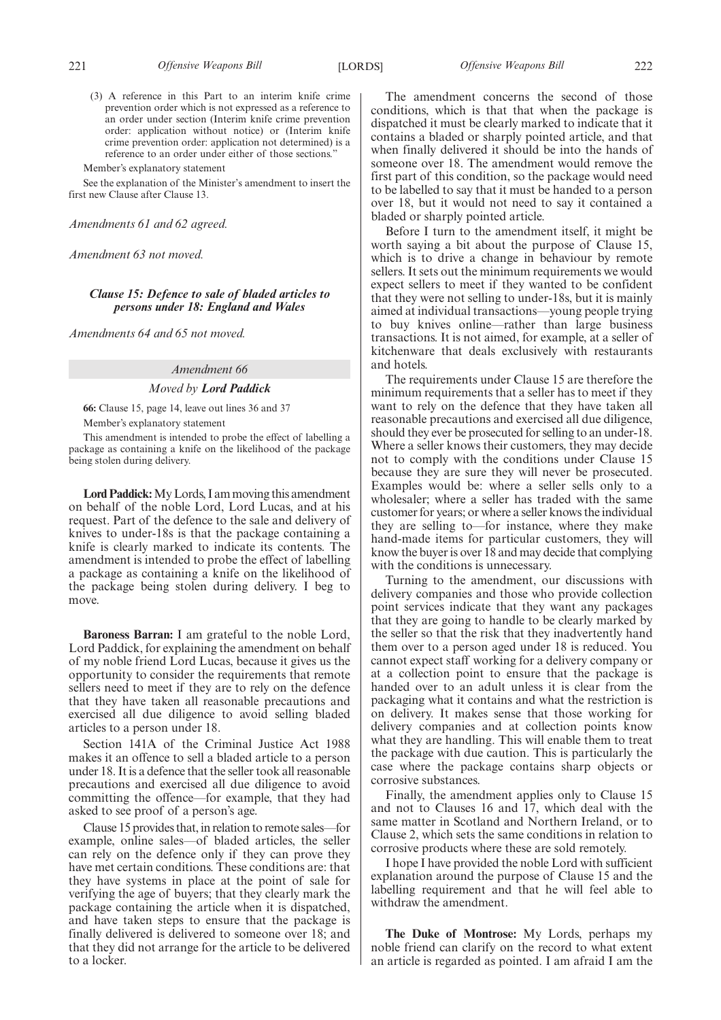See the explanation of the Minister's amendment to insert the first new Clause after Clause 13.

*Amendments 61 and 62 agreed.*

*Amendment 63 not moved.*

## *Clause 15: Defence to sale of bladed articles to persons under 18: England and Wales*

*Amendments 64 and 65 not moved.*

### *Amendment 66*

### *Moved by Lord Paddick*

**66:** Clause 15, page 14, leave out lines 36 and 37 Member's explanatory statement

This amendment is intended to probe the effect of labelling a package as containing a knife on the likelihood of the package being stolen during delivery.

**Lord Paddick:**My Lords, I am moving this amendment on behalf of the noble Lord, Lord Lucas, and at his request. Part of the defence to the sale and delivery of knives to under-18s is that the package containing a knife is clearly marked to indicate its contents. The amendment is intended to probe the effect of labelling a package as containing a knife on the likelihood of the package being stolen during delivery. I beg to move.

**Baroness Barran:** I am grateful to the noble Lord, Lord Paddick, for explaining the amendment on behalf of my noble friend Lord Lucas, because it gives us the opportunity to consider the requirements that remote sellers need to meet if they are to rely on the defence that they have taken all reasonable precautions and exercised all due diligence to avoid selling bladed articles to a person under 18.

Section 141A of the Criminal Justice Act 1988 makes it an offence to sell a bladed article to a person under 18. It is a defence that the seller took all reasonable precautions and exercised all due diligence to avoid committing the offence—for example, that they had asked to see proof of a person's age.

Clause 15 provides that, in relation to remote sales—for example, online sales—of bladed articles, the seller can rely on the defence only if they can prove they have met certain conditions. These conditions are: that they have systems in place at the point of sale for verifying the age of buyers; that they clearly mark the package containing the article when it is dispatched, and have taken steps to ensure that the package is finally delivered is delivered to someone over 18; and that they did not arrange for the article to be delivered to a locker.

The amendment concerns the second of those conditions, which is that that when the package is dispatched it must be clearly marked to indicate that it contains a bladed or sharply pointed article, and that when finally delivered it should be into the hands of someone over 18. The amendment would remove the first part of this condition, so the package would need to be labelled to say that it must be handed to a person over 18, but it would not need to say it contained a bladed or sharply pointed article.

Before I turn to the amendment itself, it might be worth saying a bit about the purpose of Clause 15, which is to drive a change in behaviour by remote sellers. It sets out the minimum requirements we would expect sellers to meet if they wanted to be confident that they were not selling to under-18s, but it is mainly aimed at individual transactions—young people trying to buy knives online—rather than large business transactions. It is not aimed, for example, at a seller of kitchenware that deals exclusively with restaurants and hotels.

The requirements under Clause 15 are therefore the minimum requirements that a seller has to meet if they want to rely on the defence that they have taken all reasonable precautions and exercised all due diligence, should they ever be prosecuted for selling to an under-18. Where a seller knows their customers, they may decide not to comply with the conditions under Clause 15 because they are sure they will never be prosecuted. Examples would be: where a seller sells only to a wholesaler; where a seller has traded with the same customer for years; or where a seller knows the individual they are selling to—for instance, where they make hand-made items for particular customers, they will know the buyer is over 18 and may decide that complying with the conditions is unnecessary.

Turning to the amendment, our discussions with delivery companies and those who provide collection point services indicate that they want any packages that they are going to handle to be clearly marked by the seller so that the risk that they inadvertently hand them over to a person aged under 18 is reduced. You cannot expect staff working for a delivery company or at a collection point to ensure that the package is handed over to an adult unless it is clear from the packaging what it contains and what the restriction is on delivery. It makes sense that those working for delivery companies and at collection points know what they are handling. This will enable them to treat the package with due caution. This is particularly the case where the package contains sharp objects or corrosive substances.

Finally, the amendment applies only to Clause 15 and not to Clauses 16 and 17, which deal with the same matter in Scotland and Northern Ireland, or to Clause 2, which sets the same conditions in relation to corrosive products where these are sold remotely.

I hope I have provided the noble Lord with sufficient explanation around the purpose of Clause 15 and the labelling requirement and that he will feel able to withdraw the amendment.

**The Duke of Montrose:** My Lords, perhaps my noble friend can clarify on the record to what extent an article is regarded as pointed. I am afraid I am the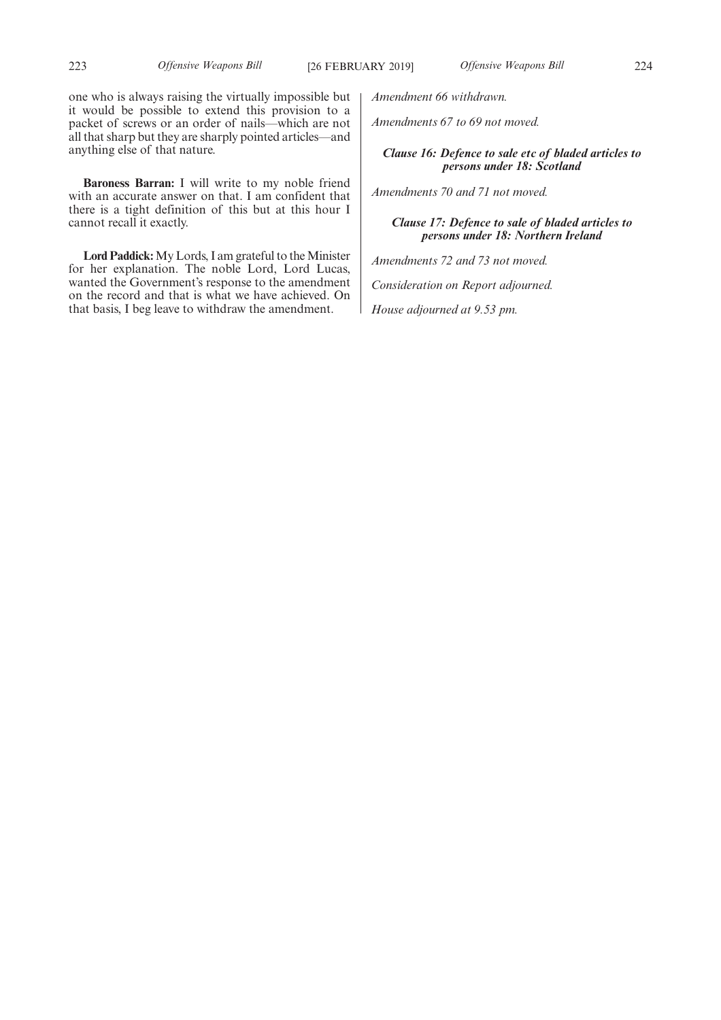one who is always raising the virtually impossible but it would be possible to extend this provision to a packet of screws or an order of nails—which are not all that sharp but they are sharply pointed articles—and anything else of that nature.

**Baroness Barran:** I will write to my noble friend with an accurate answer on that. I am confident that there is a tight definition of this but at this hour I cannot recall it exactly.

**Lord Paddick:**My Lords, I am grateful to the Minister for her explanation. The noble Lord, Lord Lucas, wanted the Government's response to the amendment on the record and that is what we have achieved. On that basis, I beg leave to withdraw the amendment.

*Amendment 66 withdrawn.*

*Amendments 67 to 69 not moved.*

# *Clause 16: Defence to sale etc of bladed articles to persons under 18: Scotland*

*Amendments 70 and 71 not moved.*

*Clause 17: Defence to sale of bladed articles to persons under 18: Northern Ireland*

*Amendments 72 and 73 not moved.*

*Consideration on Report adjourned.*

*House adjourned at 9.53 pm.*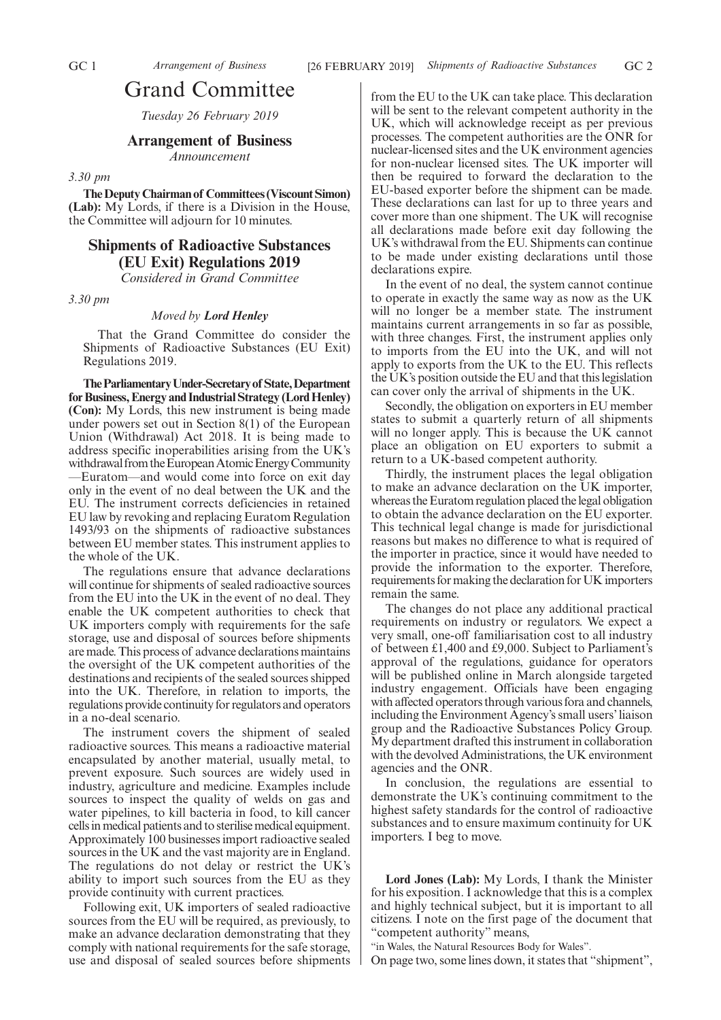# Grand Committee

*Tuesday 26 February 2019*

## **Arrangement of Business**

*Announcement*

### *3.30 pm*

**The Deputy Chairman of Committees (Viscount Simon) (Lab):** My Lords, if there is a Division in the House, the Committee will adjourn for 10 minutes.

## **Shipments of Radioactive Substances (EU Exit) Regulations 2019**

*Considered in Grand Committee*

*3.30 pm*

### *Moved by Lord Henley*

That the Grand Committee do consider the Shipments of Radioactive Substances (EU Exit) Regulations 2019.

**TheParliamentaryUnder-Secretaryof State,Department for Business, Energy and Industrial Strategy (Lord Henley) (Con):** My Lords, this new instrument is being made under powers set out in Section 8(1) of the European Union (Withdrawal) Act 2018. It is being made to address specific inoperabilities arising from the UK's withdrawal from the European Atomic Energy Community —Euratom—and would come into force on exit day only in the event of no deal between the UK and the EU. The instrument corrects deficiencies in retained EU law by revoking and replacing Euratom Regulation 1493/93 on the shipments of radioactive substances between EU member states. This instrument applies to the whole of the UK.

The regulations ensure that advance declarations will continue for shipments of sealed radioactive sources from the EU into the UK in the event of no deal. They enable the UK competent authorities to check that UK importers comply with requirements for the safe storage, use and disposal of sources before shipments are made. This process of advance declarations maintains the oversight of the UK competent authorities of the destinations and recipients of the sealed sources shipped into the UK. Therefore, in relation to imports, the regulations provide continuity for regulators and operators in a no-deal scenario.

The instrument covers the shipment of sealed radioactive sources. This means a radioactive material encapsulated by another material, usually metal, to prevent exposure. Such sources are widely used in industry, agriculture and medicine. Examples include sources to inspect the quality of welds on gas and water pipelines, to kill bacteria in food, to kill cancer cells in medical patients and to sterilise medical equipment. Approximately 100 businesses import radioactive sealed sources in the UK and the vast majority are in England. The regulations do not delay or restrict the UK's ability to import such sources from the EU as they provide continuity with current practices.

Following exit, UK importers of sealed radioactive sources from the EU will be required, as previously, to make an advance declaration demonstrating that they comply with national requirements for the safe storage, use and disposal of sealed sources before shipments from the EU to the UK can take place. This declaration will be sent to the relevant competent authority in the UK, which will acknowledge receipt as per previous processes. The competent authorities are the ONR for nuclear-licensed sites and the UK environment agencies for non-nuclear licensed sites. The UK importer will then be required to forward the declaration to the EU-based exporter before the shipment can be made. These declarations can last for up to three years and cover more than one shipment. The UK will recognise all declarations made before exit day following the UK's withdrawal from the EU. Shipments can continue to be made under existing declarations until those declarations expire.

In the event of no deal, the system cannot continue to operate in exactly the same way as now as the UK will no longer be a member state. The instrument maintains current arrangements in so far as possible, with three changes. First, the instrument applies only to imports from the EU into the UK, and will not apply to exports from the UK to the EU. This reflects the UK's position outside the EU and that this legislation can cover only the arrival of shipments in the UK.

Secondly, the obligation on exporters in EU member states to submit a quarterly return of all shipments will no longer apply. This is because the UK cannot place an obligation on EU exporters to submit a return to a UK-based competent authority.

Thirdly, the instrument places the legal obligation to make an advance declaration on the UK importer, whereas the Euratom regulation placed the legal obligation to obtain the advance declaration on the EU exporter. This technical legal change is made for jurisdictional reasons but makes no difference to what is required of the importer in practice, since it would have needed to provide the information to the exporter. Therefore, requirements for making the declaration for UK importers remain the same.

The changes do not place any additional practical requirements on industry or regulators. We expect a very small, one-off familiarisation cost to all industry of between £1,400 and £9,000. Subject to Parliament's approval of the regulations, guidance for operators will be published online in March alongside targeted industry engagement. Officials have been engaging with affected operators through various fora and channels, including the Environment Agency's small users' liaison group and the Radioactive Substances Policy Group. My department drafted this instrument in collaboration with the devolved Administrations, the UK environment agencies and the ONR.

In conclusion, the regulations are essential to demonstrate the UK's continuing commitment to the highest safety standards for the control of radioactive substances and to ensure maximum continuity for UK importers. I beg to move.

**Lord Jones (Lab):** My Lords, I thank the Minister for his exposition. I acknowledge that this is a complex and highly technical subject, but it is important to all citizens. I note on the first page of the document that "competent authority" means,

"in Wales, the Natural Resources Body for Wales".

On page two, some lines down, it states that "shipment",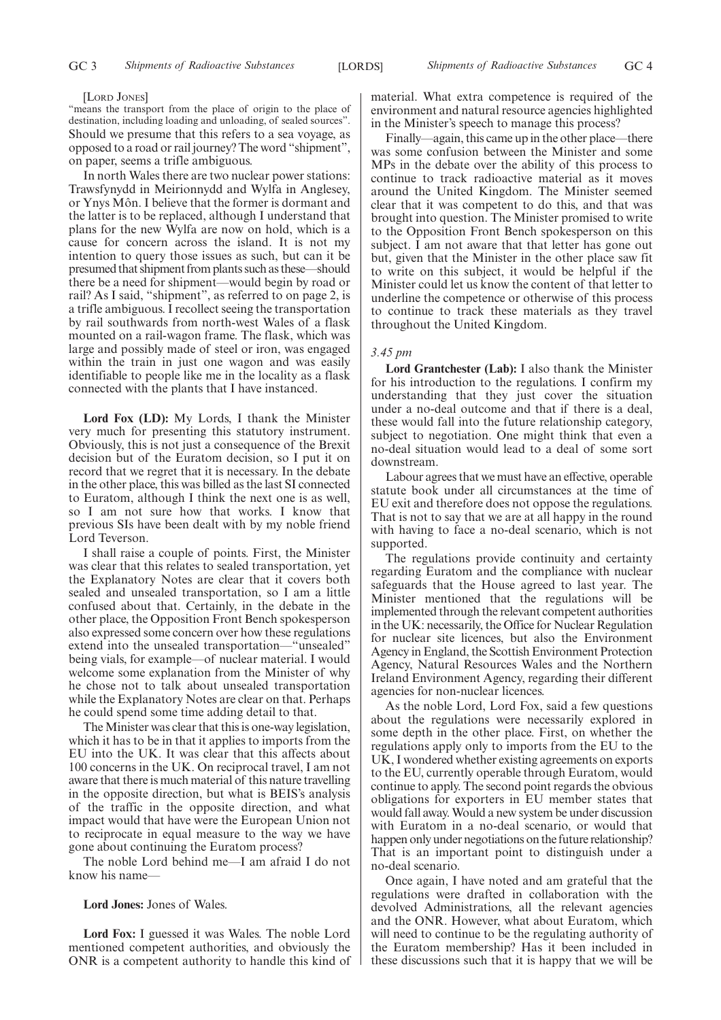#### [LORD JONES]

"means the transport from the place of origin to the place of destination, including loading and unloading, of sealed sources". Should we presume that this refers to a sea voyage, as opposed to a road or rail journey? The word "shipment", on paper, seems a trifle ambiguous.

In north Wales there are two nuclear power stations: Trawsfynydd in Meirionnydd and Wylfa in Anglesey, or Ynys Môn. I believe that the former is dormant and the latter is to be replaced, although I understand that plans for the new Wylfa are now on hold, which is a cause for concern across the island. It is not my intention to query those issues as such, but can it be presumed that shipment from plants such as these—should there be a need for shipment—would begin by road or rail? As I said, "shipment", as referred to on page 2, is a trifle ambiguous. I recollect seeing the transportation by rail southwards from north-west Wales of a flask mounted on a rail-wagon frame. The flask, which was large and possibly made of steel or iron, was engaged within the train in just one wagon and was easily identifiable to people like me in the locality as a flask connected with the plants that I have instanced.

**Lord Fox (LD):** My Lords, I thank the Minister very much for presenting this statutory instrument. Obviously, this is not just a consequence of the Brexit decision but of the Euratom decision, so I put it on record that we regret that it is necessary. In the debate in the other place, this was billed as the last SI connected to Euratom, although I think the next one is as well, so I am not sure how that works. I know that previous SIs have been dealt with by my noble friend Lord Teverson.

I shall raise a couple of points. First, the Minister was clear that this relates to sealed transportation, yet the Explanatory Notes are clear that it covers both sealed and unsealed transportation, so I am a little confused about that. Certainly, in the debate in the other place, the Opposition Front Bench spokesperson also expressed some concern over how these regulations extend into the unsealed transportation—"unsealed" being vials, for example—of nuclear material. I would welcome some explanation from the Minister of why he chose not to talk about unsealed transportation while the Explanatory Notes are clear on that. Perhaps he could spend some time adding detail to that.

The Minister was clear that this is one-way legislation, which it has to be in that it applies to imports from the EU into the UK. It was clear that this affects about 100 concerns in the UK. On reciprocal travel, I am not aware that there is much material of this nature travelling in the opposite direction, but what is BEIS's analysis of the traffic in the opposite direction, and what impact would that have were the European Union not to reciprocate in equal measure to the way we have gone about continuing the Euratom process?

The noble Lord behind me—I am afraid I do not know his name—

#### **Lord Jones:** Jones of Wales.

**Lord Fox:** I guessed it was Wales. The noble Lord mentioned competent authorities, and obviously the ONR is a competent authority to handle this kind of material. What extra competence is required of the environment and natural resource agencies highlighted in the Minister's speech to manage this process?

Finally—again, this came up in the other place—there was some confusion between the Minister and some MPs in the debate over the ability of this process to continue to track radioactive material as it moves around the United Kingdom. The Minister seemed clear that it was competent to do this, and that was brought into question. The Minister promised to write to the Opposition Front Bench spokesperson on this subject. I am not aware that that letter has gone out but, given that the Minister in the other place saw fit to write on this subject, it would be helpful if the Minister could let us know the content of that letter to underline the competence or otherwise of this process to continue to track these materials as they travel throughout the United Kingdom.

#### *3.45 pm*

**Lord Grantchester (Lab):** I also thank the Minister for his introduction to the regulations. I confirm my understanding that they just cover the situation under a no-deal outcome and that if there is a deal, these would fall into the future relationship category, subject to negotiation. One might think that even a no-deal situation would lead to a deal of some sort downstream.

Labour agrees that we must have an effective, operable statute book under all circumstances at the time of EU exit and therefore does not oppose the regulations. That is not to say that we are at all happy in the round with having to face a no-deal scenario, which is not supported.

The regulations provide continuity and certainty regarding Euratom and the compliance with nuclear safeguards that the House agreed to last year. The Minister mentioned that the regulations will be implemented through the relevant competent authorities in the UK: necessarily, the Office for Nuclear Regulation for nuclear site licences, but also the Environment Agency in England, the Scottish Environment Protection Agency, Natural Resources Wales and the Northern Ireland Environment Agency, regarding their different agencies for non-nuclear licences.

As the noble Lord, Lord Fox, said a few questions about the regulations were necessarily explored in some depth in the other place. First, on whether the regulations apply only to imports from the EU to the UK, I wondered whether existing agreements on exports to the EU, currently operable through Euratom, would continue to apply. The second point regards the obvious obligations for exporters in EU member states that would fall away. Would a new system be under discussion with Euratom in a no-deal scenario, or would that happen only under negotiations on the future relationship? That is an important point to distinguish under a no-deal scenario.

Once again, I have noted and am grateful that the regulations were drafted in collaboration with the devolved Administrations, all the relevant agencies and the ONR. However, what about Euratom, which will need to continue to be the regulating authority of the Euratom membership? Has it been included in these discussions such that it is happy that we will be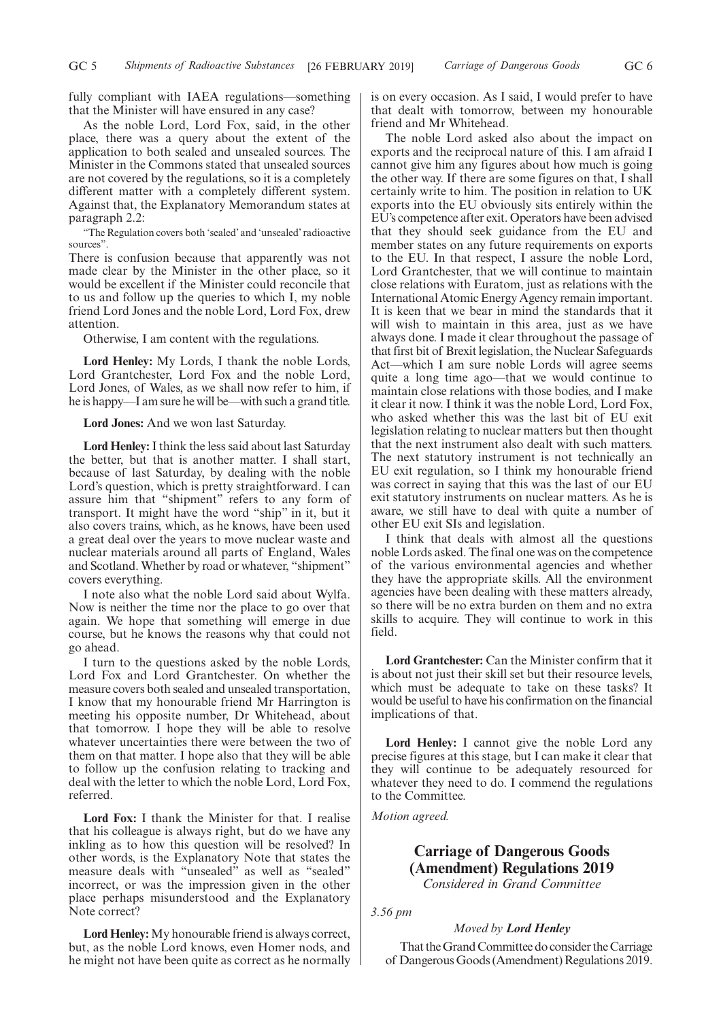fully compliant with IAEA regulations—something that the Minister will have ensured in any case?

As the noble Lord, Lord Fox, said, in the other place, there was a query about the extent of the application to both sealed and unsealed sources. The Minister in the Commons stated that unsealed sources are not covered by the regulations, so it is a completely different matter with a completely different system. Against that, the Explanatory Memorandum states at paragraph 2.2:

"The Regulation covers both 'sealed' and 'unsealed' radioactive sources".

There is confusion because that apparently was not made clear by the Minister in the other place, so it would be excellent if the Minister could reconcile that to us and follow up the queries to which I, my noble friend Lord Jones and the noble Lord, Lord Fox, drew attention.

Otherwise, I am content with the regulations.

**Lord Henley:** My Lords, I thank the noble Lords, Lord Grantchester, Lord Fox and the noble Lord, Lord Jones, of Wales, as we shall now refer to him, if he is happy—I am sure he will be—with such a grand title.

**Lord Jones:** And we won last Saturday.

**Lord Henley:**I think the less said about last Saturday the better, but that is another matter. I shall start, because of last Saturday, by dealing with the noble Lord's question, which is pretty straightforward. I can assure him that "shipment" refers to any form of transport. It might have the word "ship" in it, but it also covers trains, which, as he knows, have been used a great deal over the years to move nuclear waste and nuclear materials around all parts of England, Wales and Scotland. Whether by road or whatever, "shipment" covers everything.

I note also what the noble Lord said about Wylfa. Now is neither the time nor the place to go over that again. We hope that something will emerge in due course, but he knows the reasons why that could not go ahead.

I turn to the questions asked by the noble Lords, Lord Fox and Lord Grantchester. On whether the measure covers both sealed and unsealed transportation, I know that my honourable friend Mr Harrington is meeting his opposite number, Dr Whitehead, about that tomorrow. I hope they will be able to resolve whatever uncertainties there were between the two of them on that matter. I hope also that they will be able to follow up the confusion relating to tracking and deal with the letter to which the noble Lord, Lord Fox, referred.

**Lord Fox:** I thank the Minister for that. I realise that his colleague is always right, but do we have any inkling as to how this question will be resolved? In other words, is the Explanatory Note that states the measure deals with "unsealed" as well as "sealed" incorrect, or was the impression given in the other place perhaps misunderstood and the Explanatory Note correct?

**Lord Henley:** My honourable friend is always correct, but, as the noble Lord knows, even Homer nods, and he might not have been quite as correct as he normally is on every occasion. As I said, I would prefer to have that dealt with tomorrow, between my honourable friend and Mr Whitehead.

The noble Lord asked also about the impact on exports and the reciprocal nature of this. I am afraid I cannot give him any figures about how much is going the other way. If there are some figures on that, I shall certainly write to him. The position in relation to UK exports into the EU obviously sits entirely within the EU's competence after exit. Operators have been advised that they should seek guidance from the EU and member states on any future requirements on exports to the EU. In that respect, I assure the noble Lord, Lord Grantchester, that we will continue to maintain close relations with Euratom, just as relations with the International Atomic Energy Agency remain important. It is keen that we bear in mind the standards that it will wish to maintain in this area, just as we have always done. I made it clear throughout the passage of that first bit of Brexit legislation, the Nuclear Safeguards Act—which I am sure noble Lords will agree seems quite a long time ago—that we would continue to maintain close relations with those bodies, and I make it clear it now. I think it was the noble Lord, Lord Fox, who asked whether this was the last bit of EU exit legislation relating to nuclear matters but then thought that the next instrument also dealt with such matters. The next statutory instrument is not technically an EU exit regulation, so I think my honourable friend was correct in saying that this was the last of our EU exit statutory instruments on nuclear matters. As he is aware, we still have to deal with quite a number of other EU exit SIs and legislation.

I think that deals with almost all the questions noble Lords asked. The final one was on the competence of the various environmental agencies and whether they have the appropriate skills. All the environment agencies have been dealing with these matters already, so there will be no extra burden on them and no extra skills to acquire. They will continue to work in this field.

**Lord Grantchester:** Can the Minister confirm that it is about not just their skill set but their resource levels, which must be adequate to take on these tasks? It would be useful to have his confirmation on the financial implications of that.

**Lord Henley:** I cannot give the noble Lord any precise figures at this stage, but I can make it clear that they will continue to be adequately resourced for whatever they need to do. I commend the regulations to the Committee.

*Motion agreed.*

## **Carriage of Dangerous Goods (Amendment) Regulations 2019** *Considered in Grand Committee*

*3.56 pm*

### *Moved by Lord Henley*

That the Grand Committee do consider the Carriage of Dangerous Goods (Amendment) Regulations 2019.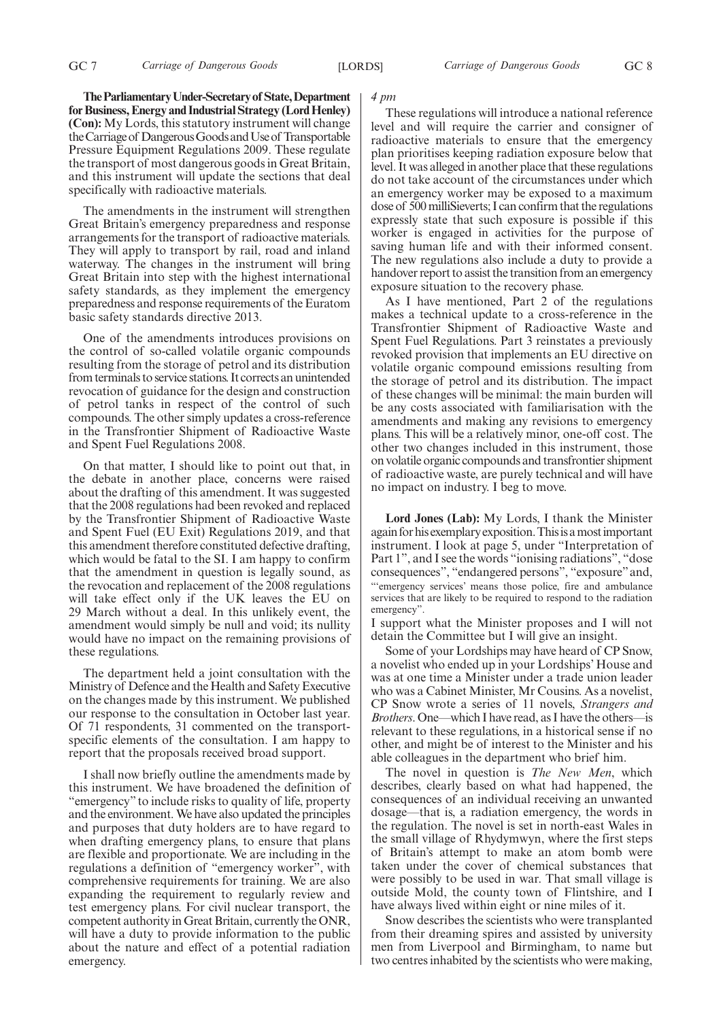**TheParliamentaryUnder-Secretaryof State,Department for Business, Energy and Industrial Strategy (Lord Henley) (Con):** My Lords, this statutory instrument will change the Carriage of Dangerous Goods and Use of Transportable Pressure Equipment Regulations 2009. These regulate the transport of most dangerous goods in Great Britain, and this instrument will update the sections that deal specifically with radioactive materials.

The amendments in the instrument will strengthen Great Britain's emergency preparedness and response arrangements for the transport of radioactive materials. They will apply to transport by rail, road and inland waterway. The changes in the instrument will bring Great Britain into step with the highest international safety standards, as they implement the emergency preparedness and response requirements of the Euratom basic safety standards directive 2013.

One of the amendments introduces provisions on the control of so-called volatile organic compounds resulting from the storage of petrol and its distribution from terminals to service stations. It corrects an unintended revocation of guidance for the design and construction of petrol tanks in respect of the control of such compounds. The other simply updates a cross-reference in the Transfrontier Shipment of Radioactive Waste and Spent Fuel Regulations 2008.

On that matter, I should like to point out that, in the debate in another place, concerns were raised about the drafting of this amendment. It was suggested that the 2008 regulations had been revoked and replaced by the Transfrontier Shipment of Radioactive Waste and Spent Fuel (EU Exit) Regulations 2019, and that this amendment therefore constituted defective drafting, which would be fatal to the SI. I am happy to confirm that the amendment in question is legally sound, as the revocation and replacement of the 2008 regulations will take effect only if the UK leaves the EU on 29 March without a deal. In this unlikely event, the amendment would simply be null and void; its nullity would have no impact on the remaining provisions of these regulations.

The department held a joint consultation with the Ministry of Defence and the Health and Safety Executive on the changes made by this instrument. We published our response to the consultation in October last year. Of 71 respondents, 31 commented on the transportspecific elements of the consultation. I am happy to report that the proposals received broad support.

I shall now briefly outline the amendments made by this instrument. We have broadened the definition of "emergency" to include risks to quality of life, property and the environment. We have also updated the principles and purposes that duty holders are to have regard to when drafting emergency plans, to ensure that plans are flexible and proportionate. We are including in the regulations a definition of "emergency worker", with comprehensive requirements for training. We are also expanding the requirement to regularly review and test emergency plans. For civil nuclear transport, the competent authority in Great Britain, currently the ONR, will have a duty to provide information to the public about the nature and effect of a potential radiation emergency.

#### *4 pm*

These regulations will introduce a national reference level and will require the carrier and consigner of radioactive materials to ensure that the emergency plan prioritises keeping radiation exposure below that level. It was alleged in another place that these regulations do not take account of the circumstances under which an emergency worker may be exposed to a maximum dose of 500 milliSieverts; I can confirm that the regulations expressly state that such exposure is possible if this worker is engaged in activities for the purpose of saving human life and with their informed consent. The new regulations also include a duty to provide a handover report to assist the transition from an emergency exposure situation to the recovery phase.

As I have mentioned, Part 2 of the regulations makes a technical update to a cross-reference in the Transfrontier Shipment of Radioactive Waste and Spent Fuel Regulations. Part 3 reinstates a previously revoked provision that implements an EU directive on volatile organic compound emissions resulting from the storage of petrol and its distribution. The impact of these changes will be minimal: the main burden will be any costs associated with familiarisation with the amendments and making any revisions to emergency plans. This will be a relatively minor, one-off cost. The other two changes included in this instrument, those on volatile organic compounds and transfrontier shipment of radioactive waste, are purely technical and will have no impact on industry. I beg to move.

**Lord Jones (Lab):** My Lords, I thank the Minister again for his exemplary exposition. This is a most important instrument. I look at page 5, under "Interpretation of Part 1", and I see the words "ionising radiations", "dose consequences", "endangered persons", "exposure"and, "'emergency services' means those police, fire and ambulance services that are likely to be required to respond to the radiation emergency".

I support what the Minister proposes and I will not detain the Committee but I will give an insight.

Some of your Lordships may have heard of CP Snow, a novelist who ended up in your Lordships' House and was at one time a Minister under a trade union leader who was a Cabinet Minister, Mr Cousins. As a novelist, CP Snow wrote a series of 11 novels, *Strangers and Brothers*. One—which I have read, as I have the others—is relevant to these regulations, in a historical sense if no other, and might be of interest to the Minister and his able colleagues in the department who brief him.

The novel in question is *The New Men*, which describes, clearly based on what had happened, the consequences of an individual receiving an unwanted dosage—that is, a radiation emergency, the words in the regulation. The novel is set in north-east Wales in the small village of Rhydymwyn, where the first steps of Britain's attempt to make an atom bomb were taken under the cover of chemical substances that were possibly to be used in war. That small village is outside Mold, the county town of Flintshire, and I have always lived within eight or nine miles of it.

Snow describes the scientists who were transplanted from their dreaming spires and assisted by university men from Liverpool and Birmingham, to name but two centres inhabited by the scientists who were making,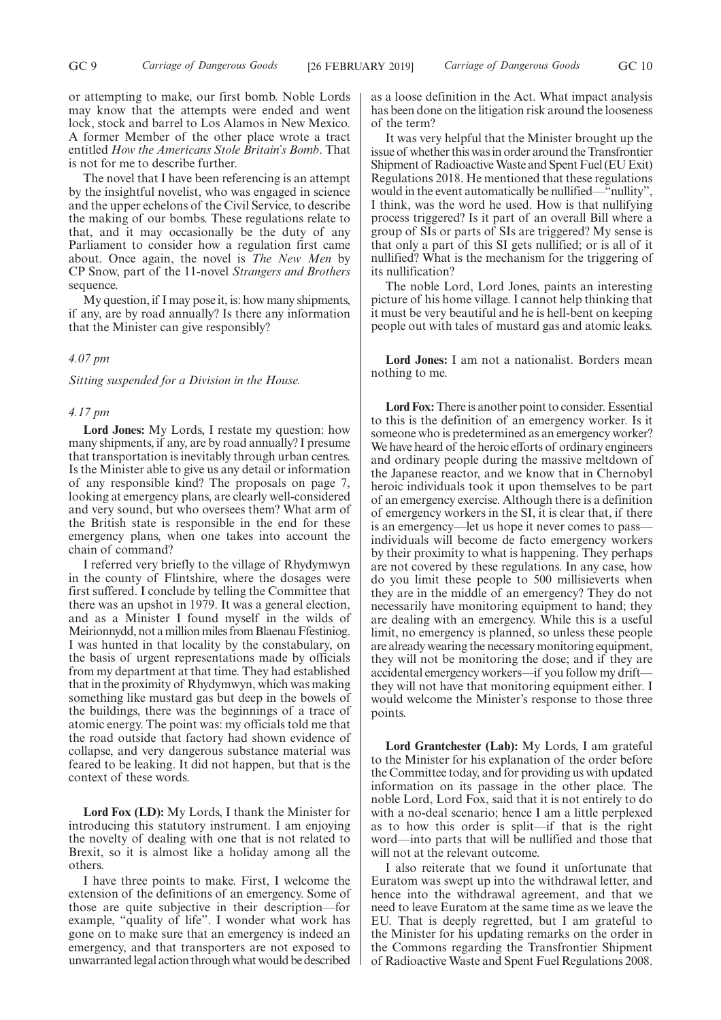or attempting to make, our first bomb. Noble Lords may know that the attempts were ended and went lock, stock and barrel to Los Alamos in New Mexico. A former Member of the other place wrote a tract entitled *How the Americans Stole Britain's Bomb*. That is not for me to describe further.

The novel that I have been referencing is an attempt by the insightful novelist, who was engaged in science and the upper echelons of the Civil Service, to describe the making of our bombs. These regulations relate to that, and it may occasionally be the duty of any Parliament to consider how a regulation first came about. Once again, the novel is *The New Men* by CP Snow, part of the 11-novel *Strangers and Brothers* sequence.

My question, if I may pose it, is: how many shipments, if any, are by road annually? Is there any information that the Minister can give responsibly?

### *4.07 pm*

*Sitting suspended for a Division in the House.*

#### *4.17 pm*

**Lord Jones:** My Lords, I restate my question: how many shipments, if any, are by road annually? I presume that transportation is inevitably through urban centres. Is the Minister able to give us any detail or information of any responsible kind? The proposals on page 7, looking at emergency plans, are clearly well-considered and very sound, but who oversees them? What arm of the British state is responsible in the end for these emergency plans, when one takes into account the chain of command?

I referred very briefly to the village of Rhydymwyn in the county of Flintshire, where the dosages were first suffered. I conclude by telling the Committee that there was an upshot in 1979. It was a general election, and as a Minister I found myself in the wilds of Meirionnydd, not a million miles from Blaenau Ffestiniog. I was hunted in that locality by the constabulary, on the basis of urgent representations made by officials from my department at that time. They had established that in the proximity of Rhydymwyn, which was making something like mustard gas but deep in the bowels of the buildings, there was the beginnings of a trace of atomic energy. The point was: my officials told me that the road outside that factory had shown evidence of collapse, and very dangerous substance material was feared to be leaking. It did not happen, but that is the context of these words.

**Lord Fox (LD):** My Lords, I thank the Minister for introducing this statutory instrument. I am enjoying the novelty of dealing with one that is not related to Brexit, so it is almost like a holiday among all the others.

I have three points to make. First, I welcome the extension of the definitions of an emergency. Some of those are quite subjective in their description—for example, "quality of life". I wonder what work has gone on to make sure that an emergency is indeed an emergency, and that transporters are not exposed to unwarranted legal action through what would be described as a loose definition in the Act. What impact analysis has been done on the litigation risk around the looseness of the term?

It was very helpful that the Minister brought up the issue of whether this was in order around the Transfrontier Shipment of Radioactive Waste and Spent Fuel (EU Exit) Regulations 2018. He mentioned that these regulations would in the event automatically be nullified—"nullity", I think, was the word he used. How is that nullifying process triggered? Is it part of an overall Bill where a group of SIs or parts of SIs are triggered? My sense is that only a part of this SI gets nullified; or is all of it nullified? What is the mechanism for the triggering of its nullification?

The noble Lord, Lord Jones, paints an interesting picture of his home village. I cannot help thinking that it must be very beautiful and he is hell-bent on keeping people out with tales of mustard gas and atomic leaks.

**Lord Jones:** I am not a nationalist. Borders mean nothing to me.

**Lord Fox:**There is another point to consider. Essential to this is the definition of an emergency worker. Is it someone who is predetermined as an emergency worker? We have heard of the heroic efforts of ordinary engineers and ordinary people during the massive meltdown of the Japanese reactor, and we know that in Chernobyl heroic individuals took it upon themselves to be part of an emergency exercise. Although there is a definition of emergency workers in the SI, it is clear that, if there is an emergency—let us hope it never comes to pass individuals will become de facto emergency workers by their proximity to what is happening. They perhaps are not covered by these regulations. In any case, how do you limit these people to 500 millisieverts when they are in the middle of an emergency? They do not necessarily have monitoring equipment to hand; they are dealing with an emergency. While this is a useful limit, no emergency is planned, so unless these people are already wearing the necessary monitoring equipment, they will not be monitoring the dose; and if they are accidental emergency workers—if you follow my drift they will not have that monitoring equipment either. I would welcome the Minister's response to those three points.

**Lord Grantchester (Lab):** My Lords, I am grateful to the Minister for his explanation of the order before the Committee today, and for providing us with updated information on its passage in the other place. The noble Lord, Lord Fox, said that it is not entirely to do with a no-deal scenario; hence I am a little perplexed as to how this order is split—if that is the right word—into parts that will be nullified and those that will not at the relevant outcome.

I also reiterate that we found it unfortunate that Euratom was swept up into the withdrawal letter, and hence into the withdrawal agreement, and that we need to leave Euratom at the same time as we leave the EU. That is deeply regretted, but I am grateful to the Minister for his updating remarks on the order in the Commons regarding the Transfrontier Shipment of Radioactive Waste and Spent Fuel Regulations 2008.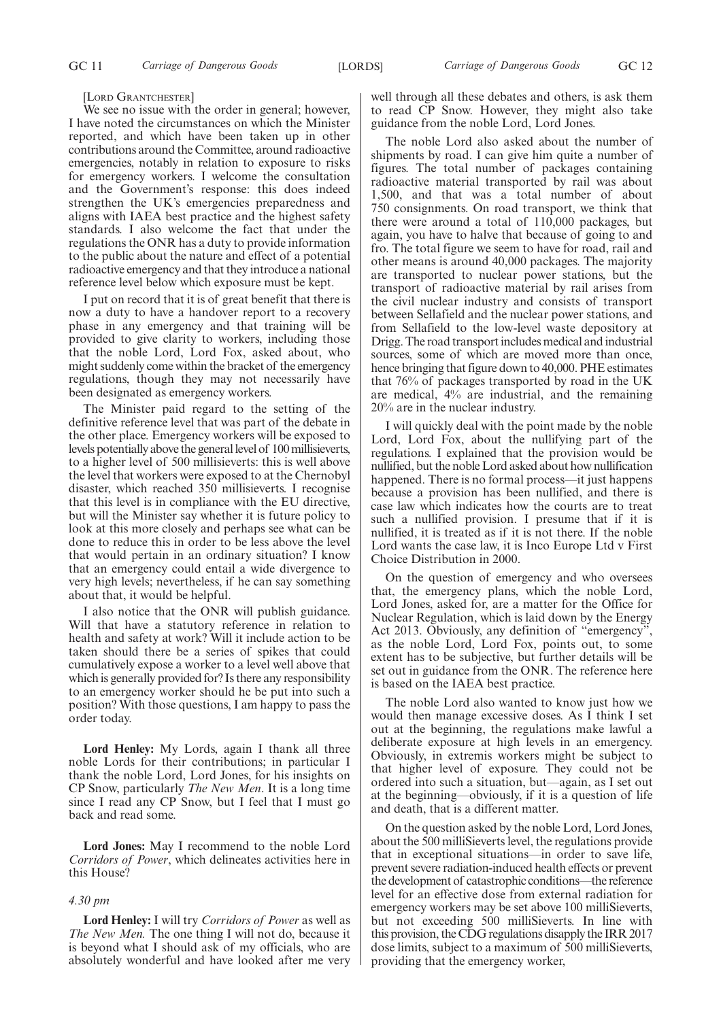[LORD GRANTCHESTER]

We see no issue with the order in general; however, I have noted the circumstances on which the Minister reported, and which have been taken up in other contributions around the Committee, around radioactive emergencies, notably in relation to exposure to risks for emergency workers. I welcome the consultation and the Government's response: this does indeed strengthen the UK's emergencies preparedness and aligns with IAEA best practice and the highest safety standards. I also welcome the fact that under the regulations the ONR has a duty to provide information to the public about the nature and effect of a potential radioactive emergency and that they introduce a national reference level below which exposure must be kept.

I put on record that it is of great benefit that there is now a duty to have a handover report to a recovery phase in any emergency and that training will be provided to give clarity to workers, including those that the noble Lord, Lord Fox, asked about, who might suddenly come within the bracket of the emergency regulations, though they may not necessarily have been designated as emergency workers.

The Minister paid regard to the setting of the definitive reference level that was part of the debate in the other place. Emergency workers will be exposed to levels potentially above the general level of 100 millisieverts, to a higher level of 500 millisieverts: this is well above the level that workers were exposed to at the Chernobyl disaster, which reached 350 millisieverts. I recognise that this level is in compliance with the EU directive, but will the Minister say whether it is future policy to look at this more closely and perhaps see what can be done to reduce this in order to be less above the level that would pertain in an ordinary situation? I know that an emergency could entail a wide divergence to very high levels; nevertheless, if he can say something about that, it would be helpful.

I also notice that the ONR will publish guidance. Will that have a statutory reference in relation to health and safety at work? Will it include action to be taken should there be a series of spikes that could cumulatively expose a worker to a level well above that which is generally provided for? Is there any responsibility to an emergency worker should he be put into such a position? With those questions, I am happy to pass the order today.

**Lord Henley:** My Lords, again I thank all three noble Lords for their contributions; in particular I thank the noble Lord, Lord Jones, for his insights on CP Snow, particularly *The New Men*. It is a long time since I read any CP Snow, but I feel that I must go back and read some.

**Lord Jones:** May I recommend to the noble Lord *Corridors of Power*, which delineates activities here in this House?

#### *4.30 pm*

**Lord Henley:** I will try *Corridors of Power* as well as *The New Men.* The one thing I will not do, because it is beyond what I should ask of my officials, who are absolutely wonderful and have looked after me very well through all these debates and others, is ask them to read CP Snow. However, they might also take guidance from the noble Lord, Lord Jones.

The noble Lord also asked about the number of shipments by road. I can give him quite a number of figures. The total number of packages containing radioactive material transported by rail was about 1,500, and that was a total number of about 750 consignments. On road transport, we think that there were around a total of 110,000 packages, but again, you have to halve that because of going to and fro. The total figure we seem to have for road, rail and other means is around 40,000 packages. The majority are transported to nuclear power stations, but the transport of radioactive material by rail arises from the civil nuclear industry and consists of transport between Sellafield and the nuclear power stations, and from Sellafield to the low-level waste depository at Drigg. The road transport includes medical and industrial sources, some of which are moved more than once, hence bringing that figure down to 40,000. PHE estimates that 76% of packages transported by road in the UK are medical, 4% are industrial, and the remaining 20% are in the nuclear industry.

I will quickly deal with the point made by the noble Lord, Lord Fox, about the nullifying part of the regulations. I explained that the provision would be nullified, but the noble Lord asked about how nullification happened. There is no formal process—it just happens because a provision has been nullified, and there is case law which indicates how the courts are to treat such a nullified provision. I presume that if it is nullified, it is treated as if it is not there. If the noble Lord wants the case law, it is Inco Europe Ltd v First Choice Distribution in 2000.

On the question of emergency and who oversees that, the emergency plans, which the noble Lord, Lord Jones, asked for, are a matter for the Office for Nuclear Regulation, which is laid down by the Energy Act 2013. Obviously, any definition of "emergency", as the noble Lord, Lord Fox, points out, to some extent has to be subjective, but further details will be set out in guidance from the ONR. The reference here is based on the IAEA best practice.

The noble Lord also wanted to know just how we would then manage excessive doses. As I think I set out at the beginning, the regulations make lawful a deliberate exposure at high levels in an emergency. Obviously, in extremis workers might be subject to that higher level of exposure. They could not be ordered into such a situation, but—again, as I set out at the beginning—obviously, if it is a question of life and death, that is a different matter.

On the question asked by the noble Lord, Lord Jones, about the 500 milliSieverts level, the regulations provide that in exceptional situations—in order to save life, prevent severe radiation-induced health effects or prevent the development of catastrophic conditions—the reference level for an effective dose from external radiation for emergency workers may be set above 100 milliSieverts, but not exceeding 500 milliSieverts. In line with this provision, the CDG regulations disapply the IRR 2017 dose limits, subject to a maximum of 500 milliSieverts, providing that the emergency worker,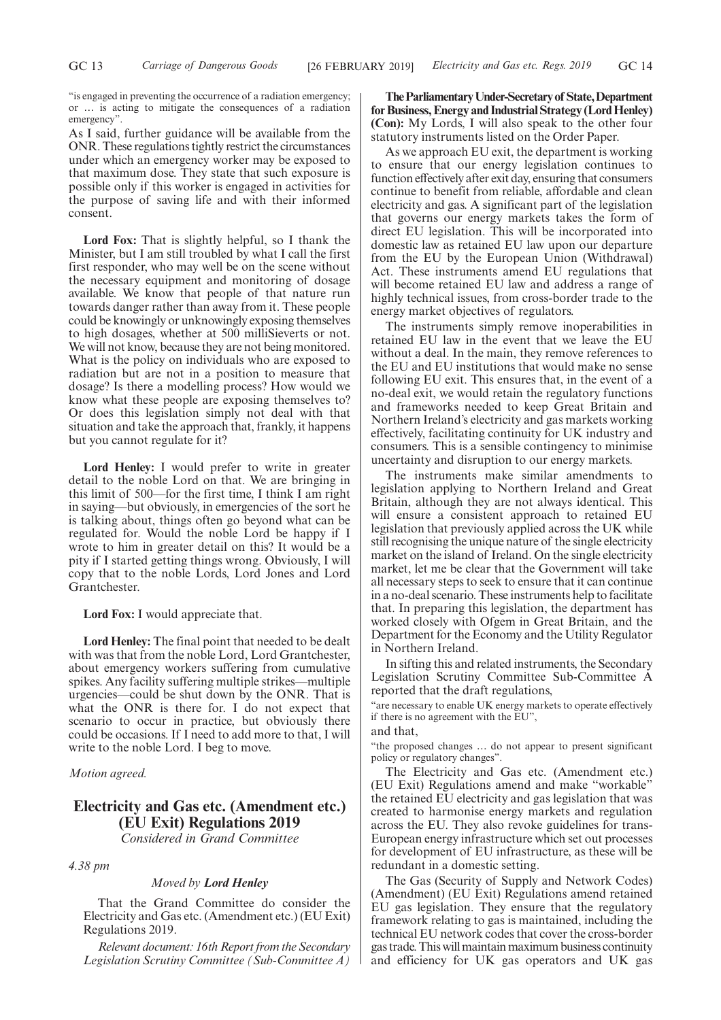"is engaged in preventing the occurrence of a radiation emergency; or … is acting to mitigate the consequences of a radiation emergency".

As I said, further guidance will be available from the ONR. These regulations tightly restrict the circumstances under which an emergency worker may be exposed to that maximum dose. They state that such exposure is possible only if this worker is engaged in activities for the purpose of saving life and with their informed consent.

**Lord Fox:** That is slightly helpful, so I thank the Minister, but I am still troubled by what I call the first first responder, who may well be on the scene without the necessary equipment and monitoring of dosage available. We know that people of that nature run towards danger rather than away from it. These people could be knowingly or unknowingly exposing themselves to high dosages, whether at 500 milliSieverts or not. We will not know, because they are not being monitored. What is the policy on individuals who are exposed to radiation but are not in a position to measure that dosage? Is there a modelling process? How would we know what these people are exposing themselves to? Or does this legislation simply not deal with that situation and take the approach that, frankly, it happens but you cannot regulate for it?

**Lord Henley:** I would prefer to write in greater detail to the noble Lord on that. We are bringing in this limit of 500—for the first time, I think I am right in saying—but obviously, in emergencies of the sort he is talking about, things often go beyond what can be regulated for. Would the noble Lord be happy if I wrote to him in greater detail on this? It would be a pity if I started getting things wrong. Obviously, I will copy that to the noble Lords, Lord Jones and Lord Grantchester.

**Lord Fox:** I would appreciate that.

**Lord Henley:** The final point that needed to be dealt with was that from the noble Lord, Lord Grantchester, about emergency workers suffering from cumulative spikes. Any facility suffering multiple strikes—multiple urgencies—could be shut down by the ONR. That is what the ONR is there for. I do not expect that scenario to occur in practice, but obviously there could be occasions. If I need to add more to that, I will write to the noble Lord. I beg to move.

*Motion agreed.*

## **Electricity and Gas etc. (Amendment etc.) (EU Exit) Regulations 2019** *Considered in Grand Committee*

*4.38 pm*

#### *Moved by Lord Henley*

That the Grand Committee do consider the Electricity and Gas etc. (Amendment etc.) (EU Exit) Regulations 2019.

*Relevant document: 16th Report from the Secondary Legislation Scrutiny Committee (Sub-Committee A)*

**TheParliamentaryUnder-Secretaryof State,Department for Business, Energy and Industrial Strategy (Lord Henley) (Con):** My Lords, I will also speak to the other four statutory instruments listed on the Order Paper.

As we approach EU exit, the department is working to ensure that our energy legislation continues to function effectively after exit day, ensuring that consumers continue to benefit from reliable, affordable and clean electricity and gas. A significant part of the legislation that governs our energy markets takes the form of direct EU legislation. This will be incorporated into domestic law as retained EU law upon our departure from the EU by the European Union (Withdrawal) Act. These instruments amend EU regulations that will become retained EU law and address a range of highly technical issues, from cross-border trade to the energy market objectives of regulators.

The instruments simply remove inoperabilities in retained EU law in the event that we leave the EU without a deal. In the main, they remove references to the EU and EU institutions that would make no sense following EU exit. This ensures that, in the event of a no-deal exit, we would retain the regulatory functions and frameworks needed to keep Great Britain and Northern Ireland's electricity and gas markets working effectively, facilitating continuity for UK industry and consumers. This is a sensible contingency to minimise uncertainty and disruption to our energy markets.

The instruments make similar amendments to legislation applying to Northern Ireland and Great Britain, although they are not always identical. This will ensure a consistent approach to retained EU legislation that previously applied across the UK while still recognising the unique nature of the single electricity market on the island of Ireland. On the single electricity market, let me be clear that the Government will take all necessary steps to seek to ensure that it can continue in a no-deal scenario. These instruments help to facilitate that. In preparing this legislation, the department has worked closely with Ofgem in Great Britain, and the Department for the Economy and the Utility Regulator in Northern Ireland.

In sifting this and related instruments, the Secondary Legislation Scrutiny Committee Sub-Committee A reported that the draft regulations,

"are necessary to enable UK energy markets to operate effectively if there is no agreement with the EU",

### and that,

"the proposed changes … do not appear to present significant policy or regulatory changes".

The Electricity and Gas etc. (Amendment etc.) (EU Exit) Regulations amend and make "workable" the retained EU electricity and gas legislation that was created to harmonise energy markets and regulation across the EU. They also revoke guidelines for trans-European energy infrastructure which set out processes for development of EU infrastructure, as these will be redundant in a domestic setting.

The Gas (Security of Supply and Network Codes) (Amendment) (EU Exit) Regulations amend retained EU gas legislation. They ensure that the regulatory framework relating to gas is maintained, including the technical EU network codes that cover the cross-border gas trade. This will maintain maximum business continuity and efficiency for UK gas operators and UK gas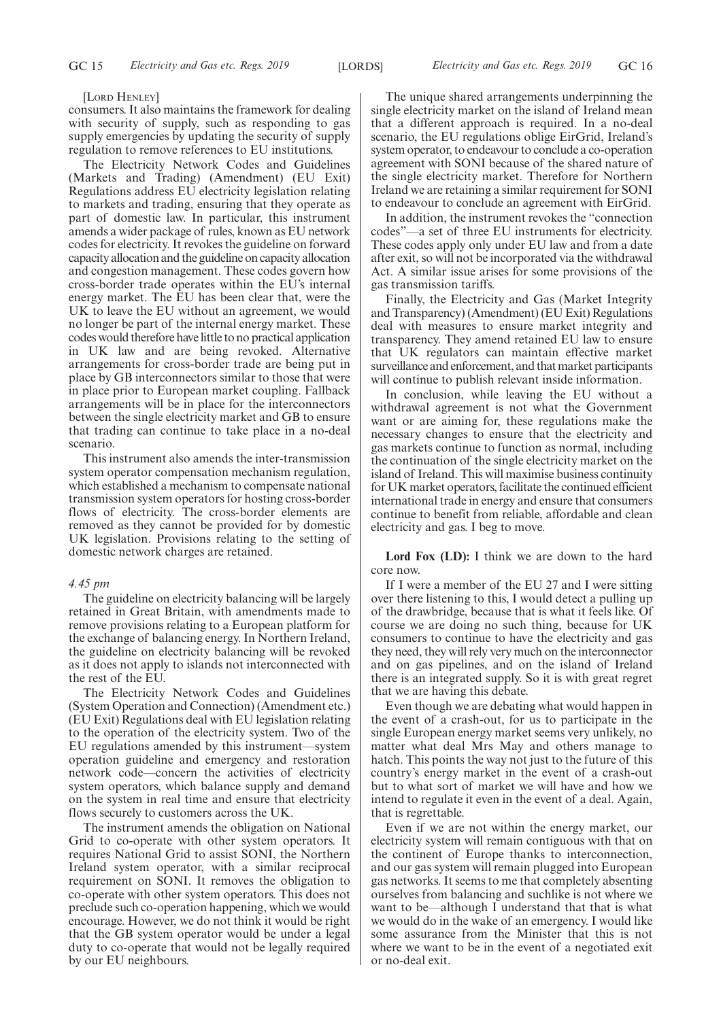#### [LORD HENLEY]

consumers. It also maintains the framework for dealing with security of supply, such as responding to gas supply emergencies by updating the security of supply regulation to remove references to EU institutions.

The Electricity Network Codes and Guidelines (Markets and Trading) (Amendment) (EU Exit) Regulations address EU electricity legislation relating to markets and trading, ensuring that they operate as part of domestic law. In particular, this instrument amends a wider package of rules, known as EU network codes for electricity. It revokes the guideline on forward capacity allocation and the guideline on capacity allocation and congestion management. These codes govern how cross-border trade operates within the EU's internal energy market. The EU has been clear that, were the UK to leave the EU without an agreement, we would no longer be part of the internal energy market. These codes would therefore have little to no practical application in UK law and are being revoked. Alternative arrangements for cross-border trade are being put in place by GB interconnectors similar to those that were in place prior to European market coupling. Fallback arrangements will be in place for the interconnectors between the single electricity market and GB to ensure that trading can continue to take place in a no-deal scenario.

This instrument also amends the inter-transmission system operator compensation mechanism regulation, which established a mechanism to compensate national transmission system operators for hosting cross-border flows of electricity. The cross-border elements are removed as they cannot be provided for by domestic UK legislation. Provisions relating to the setting of domestic network charges are retained.

### *4.45 pm*

The guideline on electricity balancing will be largely retained in Great Britain, with amendments made to remove provisions relating to a European platform for the exchange of balancing energy. In Northern Ireland, the guideline on electricity balancing will be revoked as it does not apply to islands not interconnected with the rest of the EU.

The Electricity Network Codes and Guidelines (System Operation and Connection) (Amendment etc.) (EU Exit) Regulations deal with EU legislation relating to the operation of the electricity system. Two of the EU regulations amended by this instrument—system operation guideline and emergency and restoration network code—concern the activities of electricity system operators, which balance supply and demand on the system in real time and ensure that electricity flows securely to customers across the UK.

The instrument amends the obligation on National Grid to co-operate with other system operators. It requires National Grid to assist SONI, the Northern Ireland system operator, with a similar reciprocal requirement on SONI. It removes the obligation to co-operate with other system operators. This does not preclude such co-operation happening, which we would encourage. However, we do not think it would be right that the GB system operator would be under a legal duty to co-operate that would not be legally required by our EU neighbours.

The unique shared arrangements underpinning the single electricity market on the island of Ireland mean that a different approach is required. In a no-deal scenario, the EU regulations oblige EirGrid, Ireland's system operator, to endeavour to conclude a co-operation agreement with SONI because of the shared nature of the single electricity market. Therefore for Northern Ireland we are retaining a similar requirement for SONI to endeavour to conclude an agreement with EirGrid.

In addition, the instrument revokes the "connection codes"—a set of three EU instruments for electricity. These codes apply only under EU law and from a date after exit, so will not be incorporated via the withdrawal Act. A similar issue arises for some provisions of the gas transmission tariffs.

Finally, the Electricity and Gas (Market Integrity and Transparency) (Amendment) (EU Exit) Regulations deal with measures to ensure market integrity and transparency. They amend retained EU law to ensure that UK regulators can maintain effective market surveillance and enforcement, and that market participants will continue to publish relevant inside information.

In conclusion, while leaving the EU without a withdrawal agreement is not what the Government want or are aiming for, these regulations make the necessary changes to ensure that the electricity and gas markets continue to function as normal, including the continuation of the single electricity market on the island of Ireland. This will maximise business continuity for UK market operators, facilitate the continued efficient international trade in energy and ensure that consumers continue to benefit from reliable, affordable and clean electricity and gas. I beg to move.

**Lord Fox (LD):** I think we are down to the hard core now.

If I were a member of the EU 27 and I were sitting over there listening to this, I would detect a pulling up of the drawbridge, because that is what it feels like. Of course we are doing no such thing, because for UK consumers to continue to have the electricity and gas they need, they will rely very much on the interconnector and on gas pipelines, and on the island of Ireland there is an integrated supply. So it is with great regret that we are having this debate.

Even though we are debating what would happen in the event of a crash-out, for us to participate in the single European energy market seems very unlikely, no matter what deal Mrs May and others manage to hatch. This points the way not just to the future of this country's energy market in the event of a crash-out but to what sort of market we will have and how we intend to regulate it even in the event of a deal. Again, that is regrettable.

Even if we are not within the energy market, our electricity system will remain contiguous with that on the continent of Europe thanks to interconnection, and our gas system will remain plugged into European gas networks. It seems to me that completely absenting ourselves from balancing and suchlike is not where we want to be—although I understand that that is what we would do in the wake of an emergency. I would like some assurance from the Minister that this is not where we want to be in the event of a negotiated exit or no-deal exit.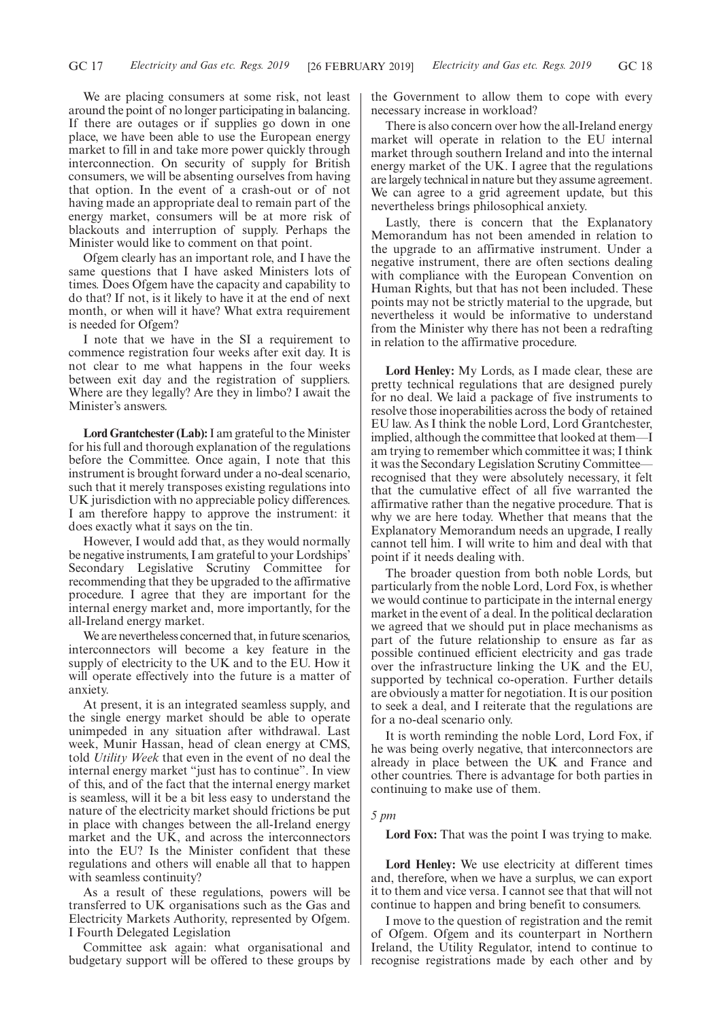We are placing consumers at some risk, not least around the point of no longer participating in balancing. If there are outages or if supplies go down in one place, we have been able to use the European energy market to fill in and take more power quickly through interconnection. On security of supply for British consumers, we will be absenting ourselves from having that option. In the event of a crash-out or of not having made an appropriate deal to remain part of the energy market, consumers will be at more risk of blackouts and interruption of supply. Perhaps the Minister would like to comment on that point.

Ofgem clearly has an important role, and I have the same questions that I have asked Ministers lots of times. Does Ofgem have the capacity and capability to do that? If not, is it likely to have it at the end of next month, or when will it have? What extra requirement is needed for Ofgem?

I note that we have in the SI a requirement to commence registration four weeks after exit day. It is not clear to me what happens in the four weeks between exit day and the registration of suppliers. Where are they legally? Are they in limbo? I await the Minister's answers.

**Lord Grantchester (Lab):**I am grateful to the Minister for his full and thorough explanation of the regulations before the Committee. Once again, I note that this instrument is brought forward under a no-deal scenario, such that it merely transposes existing regulations into UK jurisdiction with no appreciable policy differences. I am therefore happy to approve the instrument: it does exactly what it says on the tin.

However, I would add that, as they would normally be negative instruments, I am grateful to your Lordships' Secondary Legislative Scrutiny Committee for recommending that they be upgraded to the affirmative procedure. I agree that they are important for the internal energy market and, more importantly, for the all-Ireland energy market.

We are nevertheless concerned that, in future scenarios, interconnectors will become a key feature in the supply of electricity to the UK and to the EU. How it will operate effectively into the future is a matter of anxiety.

At present, it is an integrated seamless supply, and the single energy market should be able to operate unimpeded in any situation after withdrawal. Last week, Munir Hassan, head of clean energy at CMS, told *Utility Week* that even in the event of no deal the internal energy market "just has to continue". In view of this, and of the fact that the internal energy market is seamless, will it be a bit less easy to understand the nature of the electricity market should frictions be put in place with changes between the all-Ireland energy market and the UK, and across the interconnectors into the EU? Is the Minister confident that these regulations and others will enable all that to happen with seamless continuity?

As a result of these regulations, powers will be transferred to UK organisations such as the Gas and Electricity Markets Authority, represented by Ofgem. I Fourth Delegated Legislation

Committee ask again: what organisational and budgetary support will be offered to these groups by the Government to allow them to cope with every necessary increase in workload?

There is also concern over how the all-Ireland energy market will operate in relation to the EU internal market through southern Ireland and into the internal energy market of the UK. I agree that the regulations are largely technical in nature but they assume agreement. We can agree to a grid agreement update, but this nevertheless brings philosophical anxiety.

Lastly, there is concern that the Explanatory Memorandum has not been amended in relation to the upgrade to an affirmative instrument. Under a negative instrument, there are often sections dealing with compliance with the European Convention on Human Rights, but that has not been included. These points may not be strictly material to the upgrade, but nevertheless it would be informative to understand from the Minister why there has not been a redrafting in relation to the affirmative procedure.

**Lord Henley:** My Lords, as I made clear, these are pretty technical regulations that are designed purely for no deal. We laid a package of five instruments to resolve those inoperabilities across the body of retained EU law. As I think the noble Lord, Lord Grantchester, implied, although the committee that looked at them—I am trying to remember which committee it was; I think it was the Secondary Legislation Scrutiny Committee recognised that they were absolutely necessary, it felt that the cumulative effect of all five warranted the affirmative rather than the negative procedure. That is why we are here today. Whether that means that the Explanatory Memorandum needs an upgrade, I really cannot tell him. I will write to him and deal with that point if it needs dealing with.

The broader question from both noble Lords, but particularly from the noble Lord, Lord Fox, is whether we would continue to participate in the internal energy market in the event of a deal. In the political declaration we agreed that we should put in place mechanisms as part of the future relationship to ensure as far as possible continued efficient electricity and gas trade over the infrastructure linking the UK and the EU, supported by technical co-operation. Further details are obviously a matter for negotiation. It is our position to seek a deal, and I reiterate that the regulations are for a no-deal scenario only.

It is worth reminding the noble Lord, Lord Fox, if he was being overly negative, that interconnectors are already in place between the UK and France and other countries. There is advantage for both parties in continuing to make use of them.

#### *5 pm*

**Lord Fox:** That was the point I was trying to make.

**Lord Henley:** We use electricity at different times and, therefore, when we have a surplus, we can export it to them and vice versa. I cannot see that that will not continue to happen and bring benefit to consumers.

I move to the question of registration and the remit of Ofgem. Ofgem and its counterpart in Northern Ireland, the Utility Regulator, intend to continue to recognise registrations made by each other and by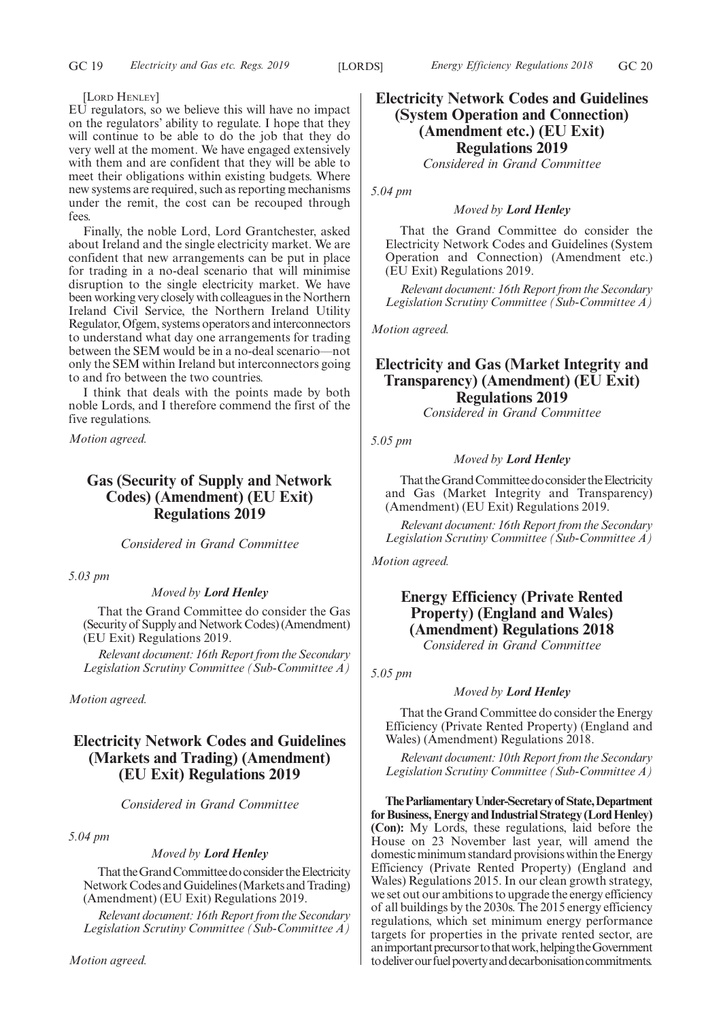#### [LORD HENLEY]

EU regulators, so we believe this will have no impact on the regulators' ability to regulate. I hope that they will continue to be able to do the job that they do very well at the moment. We have engaged extensively with them and are confident that they will be able to meet their obligations within existing budgets. Where new systems are required, such as reporting mechanisms under the remit, the cost can be recouped through fees.

Finally, the noble Lord, Lord Grantchester, asked about Ireland and the single electricity market. We are confident that new arrangements can be put in place for trading in a no-deal scenario that will minimise disruption to the single electricity market. We have been working very closely with colleagues in the Northern Ireland Civil Service, the Northern Ireland Utility Regulator, Ofgem, systems operators and interconnectors to understand what day one arrangements for trading between the SEM would be in a no-deal scenario—not only the SEM within Ireland but interconnectors going to and fro between the two countries.

I think that deals with the points made by both noble Lords, and I therefore commend the first of the five regulations.

*Motion agreed.*

## **Gas (Security of Supply and Network Codes) (Amendment) (EU Exit) Regulations 2019**

*Considered in Grand Committee*

*5.03 pm*

### *Moved by Lord Henley*

That the Grand Committee do consider the Gas (Security of Supply and Network Codes) (Amendment) (EU Exit) Regulations 2019.

*Relevant document: 16th Report from the Secondary Legislation Scrutiny Committee (Sub-Committee A)*

*Motion agreed.*

## **Electricity Network Codes and Guidelines (Markets and Trading) (Amendment) (EU Exit) Regulations 2019**

*Considered in Grand Committee*

*5.04 pm*

## *Moved by Lord Henley*

That the Grand Committee do consider the Electricity Network Codes and Guidelines (Markets and Trading) (Amendment) (EU Exit) Regulations 2019.

*Relevant document: 16th Report from the Secondary Legislation Scrutiny Committee (Sub-Committee A)*

## **Electricity Network Codes and Guidelines (System Operation and Connection) (Amendment etc.) (EU Exit) Regulations 2019**

*Considered in Grand Committee*

*5.04 pm*

#### *Moved by Lord Henley*

That the Grand Committee do consider the Electricity Network Codes and Guidelines (System Operation and Connection) (Amendment etc.) (EU Exit) Regulations 2019.

*Relevant document: 16th Report from the Secondary Legislation Scrutiny Committee (Sub-Committee A)*

*Motion agreed.*

## **Electricity and Gas (Market Integrity and Transparency) (Amendment) (EU Exit) Regulations 2019**

*Considered in Grand Committee*

*5.05 pm*

## *Moved by Lord Henley*

That the Grand Committee do consider the Electricity and Gas (Market Integrity and Transparency) (Amendment) (EU Exit) Regulations 2019.

*Relevant document: 16th Report from the Secondary Legislation Scrutiny Committee (Sub-Committee A)*

*Motion agreed.*

## **Energy Efficiency (Private Rented Property) (England and Wales) (Amendment) Regulations 2018** *Considered in Grand Committee*

*5.05 pm*

### *Moved by Lord Henley*

That the Grand Committee do consider the Energy Efficiency (Private Rented Property) (England and Wales) (Amendment) Regulations 2018.

*Relevant document: 10th Report from the Secondary Legislation Scrutiny Committee (Sub-Committee A)*

**TheParliamentaryUnder-Secretaryof State,Department for Business, Energy and Industrial Strategy (Lord Henley) (Con):** My Lords, these regulations, laid before the House on 23 November last year, will amend the domestic minimum standard provisions within the Energy Efficiency (Private Rented Property) (England and Wales) Regulations 2015. In our clean growth strategy, we set out our ambitions to upgrade the energy efficiency of all buildings by the 2030s. The 2015 energy efficiency regulations, which set minimum energy performance targets for properties in the private rented sector, are an important precursor to that work, helping the Government to deliver our fuel poverty and decarbonisation commitments.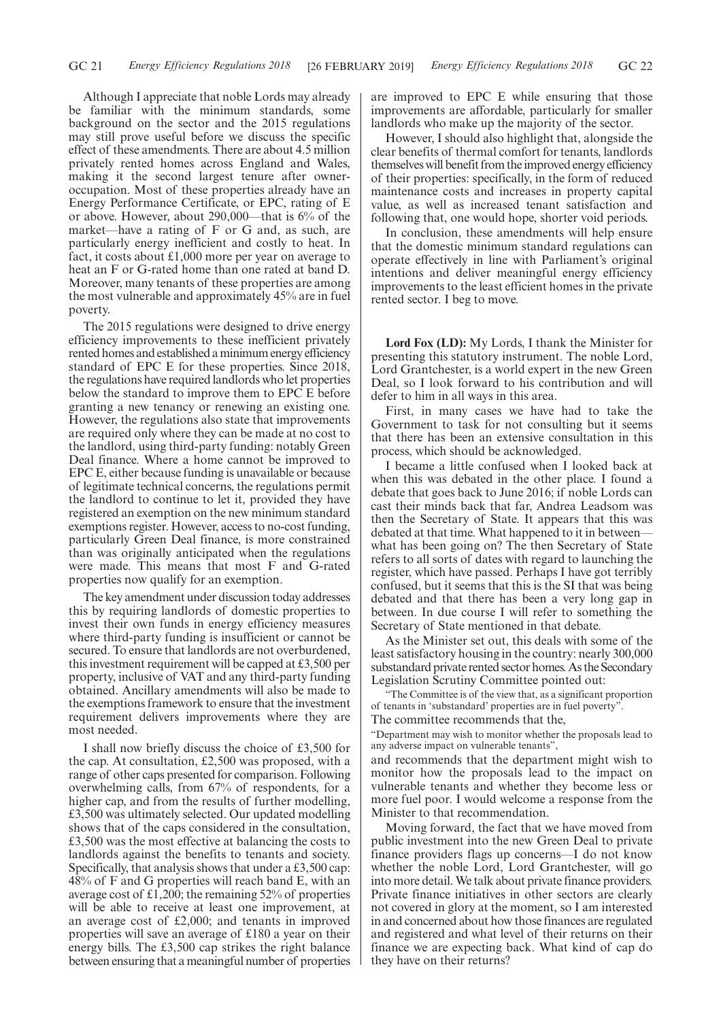Although I appreciate that noble Lords may already be familiar with the minimum standards, some background on the sector and the 2015 regulations may still prove useful before we discuss the specific effect of these amendments. There are about 4.5 million privately rented homes across England and Wales, making it the second largest tenure after owneroccupation. Most of these properties already have an Energy Performance Certificate, or EPC, rating of E or above. However, about 290,000—that is 6% of the market—have a rating of F or G and, as such, are particularly energy inefficient and costly to heat. In fact, it costs about £1,000 more per year on average to heat an F or G-rated home than one rated at band D. Moreover, many tenants of these properties are among the most vulnerable and approximately 45% are in fuel poverty.

The 2015 regulations were designed to drive energy efficiency improvements to these inefficient privately rented homes and established a minimum energy efficiency standard of EPC E for these properties. Since 2018, the regulations have required landlords who let properties below the standard to improve them to EPC E before granting a new tenancy or renewing an existing one. However, the regulations also state that improvements are required only where they can be made at no cost to the landlord, using third-party funding: notably Green Deal finance. Where a home cannot be improved to EPC E, either because funding is unavailable or because of legitimate technical concerns, the regulations permit the landlord to continue to let it, provided they have registered an exemption on the new minimum standard exemptions register. However, access to no-cost funding, particularly Green Deal finance, is more constrained than was originally anticipated when the regulations were made. This means that most F and G-rated properties now qualify for an exemption.

The key amendment under discussion today addresses this by requiring landlords of domestic properties to invest their own funds in energy efficiency measures where third-party funding is insufficient or cannot be secured. To ensure that landlords are not overburdened, this investment requirement will be capped at £3,500 per property, inclusive of VAT and any third-party funding obtained. Ancillary amendments will also be made to the exemptions framework to ensure that the investment requirement delivers improvements where they are most needed.

I shall now briefly discuss the choice of £3,500 for the cap. At consultation, £2,500 was proposed, with a range of other caps presented for comparison. Following overwhelming calls, from 67% of respondents, for a higher cap, and from the results of further modelling, £3,500 was ultimately selected. Our updated modelling shows that of the caps considered in the consultation, £3,500 was the most effective at balancing the costs to landlords against the benefits to tenants and society. Specifically, that analysis shows that under a £3,500 cap: 48% of F and G properties will reach band E, with an average cost of £1,200; the remaining 52% of properties will be able to receive at least one improvement, at an average cost of £2,000; and tenants in improved properties will save an average of £180 a year on their energy bills. The £3,500 cap strikes the right balance between ensuring that a meaningful number of properties are improved to EPC E while ensuring that those improvements are affordable, particularly for smaller landlords who make up the majority of the sector.

However, I should also highlight that, alongside the clear benefits of thermal comfort for tenants, landlords themselves will benefit from the improved energy efficiency of their properties: specifically, in the form of reduced maintenance costs and increases in property capital value, as well as increased tenant satisfaction and following that, one would hope, shorter void periods.

In conclusion, these amendments will help ensure that the domestic minimum standard regulations can operate effectively in line with Parliament's original intentions and deliver meaningful energy efficiency improvements to the least efficient homes in the private rented sector. I beg to move.

**Lord Fox (LD):** My Lords, I thank the Minister for presenting this statutory instrument. The noble Lord, Lord Grantchester, is a world expert in the new Green Deal, so I look forward to his contribution and will defer to him in all ways in this area.

First, in many cases we have had to take the Government to task for not consulting but it seems that there has been an extensive consultation in this process, which should be acknowledged.

I became a little confused when I looked back at when this was debated in the other place. I found a debate that goes back to June 2016; if noble Lords can cast their minds back that far, Andrea Leadsom was then the Secretary of State. It appears that this was debated at that time. What happened to it in between what has been going on? The then Secretary of State refers to all sorts of dates with regard to launching the register, which have passed. Perhaps I have got terribly confused, but it seems that this is the SI that was being debated and that there has been a very long gap in between. In due course I will refer to something the Secretary of State mentioned in that debate.

As the Minister set out, this deals with some of the least satisfactory housing in the country: nearly 300,000 substandard private rented sector homes. As the Secondary Legislation Scrutiny Committee pointed out:

"The Committee is of the view that, as a significant proportion of tenants in 'substandard' properties are in fuel poverty".

The committee recommends that the,

"Department may wish to monitor whether the proposals lead to any adverse impact on vulnerable tenants",

and recommends that the department might wish to monitor how the proposals lead to the impact on vulnerable tenants and whether they become less or more fuel poor. I would welcome a response from the Minister to that recommendation.

Moving forward, the fact that we have moved from public investment into the new Green Deal to private finance providers flags up concerns—I do not know whether the noble Lord, Lord Grantchester, will go into more detail. We talk about private finance providers. Private finance initiatives in other sectors are clearly not covered in glory at the moment, so I am interested in and concerned about how those finances are regulated and registered and what level of their returns on their finance we are expecting back. What kind of cap do they have on their returns?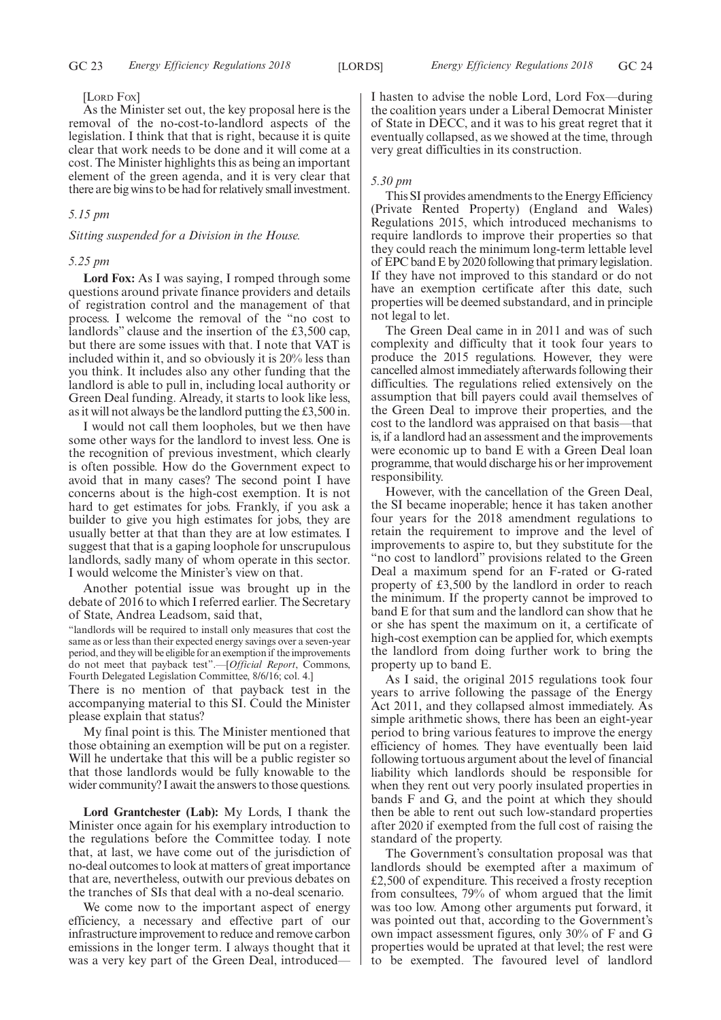#### [LORD FOX]

As the Minister set out, the key proposal here is the removal of the no-cost-to-landlord aspects of the legislation. I think that that is right, because it is quite clear that work needs to be done and it will come at a cost. The Minister highlights this as being an important element of the green agenda, and it is very clear that there are big wins to be had for relatively small investment.

#### *5.15 pm*

*Sitting suspended for a Division in the House.*

#### *5.25 pm*

**Lord Fox:** As I was saying, I romped through some questions around private finance providers and details of registration control and the management of that process. I welcome the removal of the "no cost to landlords" clause and the insertion of the £3,500 cap, but there are some issues with that. I note that VAT is included within it, and so obviously it is 20% less than you think. It includes also any other funding that the landlord is able to pull in, including local authority or Green Deal funding. Already, it starts to look like less, as it will not always be the landlord putting the £3,500 in.

I would not call them loopholes, but we then have some other ways for the landlord to invest less. One is the recognition of previous investment, which clearly is often possible. How do the Government expect to avoid that in many cases? The second point I have concerns about is the high-cost exemption. It is not hard to get estimates for jobs. Frankly, if you ask a builder to give you high estimates for jobs, they are usually better at that than they are at low estimates. I suggest that that is a gaping loophole for unscrupulous landlords, sadly many of whom operate in this sector. I would welcome the Minister's view on that.

Another potential issue was brought up in the debate of 2016 to which I referred earlier. The Secretary of State, Andrea Leadsom, said that,

"landlords will be required to install only measures that cost the same as or less than their expected energy savings over a seven-year period, and they will be eligible for an exemption if the improvements do not meet that payback test".—[*Official Report*, Commons, Fourth Delegated Legislation Committee, 8/6/16; col. 4.]

There is no mention of that payback test in the accompanying material to this SI. Could the Minister please explain that status?

My final point is this. The Minister mentioned that those obtaining an exemption will be put on a register. Will he undertake that this will be a public register so that those landlords would be fully knowable to the wider community? I await the answers to those questions.

**Lord Grantchester (Lab):** My Lords, I thank the Minister once again for his exemplary introduction to the regulations before the Committee today. I note that, at last, we have come out of the jurisdiction of no-deal outcomes to look at matters of great importance that are, nevertheless, outwith our previous debates on the tranches of SIs that deal with a no-deal scenario.

We come now to the important aspect of energy efficiency, a necessary and effective part of our infrastructure improvement to reduce and remove carbon emissions in the longer term. I always thought that it was a very key part of the Green Deal, introducedI hasten to advise the noble Lord, Lord Fox—during the coalition years under a Liberal Democrat Minister of State in DECC, and it was to his great regret that it eventually collapsed, as we showed at the time, through very great difficulties in its construction.

#### *5.30 pm*

This SI provides amendments to the Energy Efficiency (Private Rented Property) (England and Wales) Regulations 2015, which introduced mechanisms to require landlords to improve their properties so that they could reach the minimum long-term lettable level of EPC band E by 2020 following that primary legislation. If they have not improved to this standard or do not have an exemption certificate after this date, such properties will be deemed substandard, and in principle not legal to let.

The Green Deal came in in 2011 and was of such complexity and difficulty that it took four years to produce the 2015 regulations. However, they were cancelled almost immediately afterwards following their difficulties. The regulations relied extensively on the assumption that bill payers could avail themselves of the Green Deal to improve their properties, and the cost to the landlord was appraised on that basis—that is, if a landlord had an assessment and the improvements were economic up to band E with a Green Deal loan programme, that would discharge his or her improvement responsibility.

However, with the cancellation of the Green Deal, the SI became inoperable; hence it has taken another four years for the 2018 amendment regulations to retain the requirement to improve and the level of improvements to aspire to, but they substitute for the "no cost to landlord" provisions related to the Green Deal a maximum spend for an F-rated or G-rated property of £3,500 by the landlord in order to reach the minimum. If the property cannot be improved to band E for that sum and the landlord can show that he or she has spent the maximum on it, a certificate of high-cost exemption can be applied for, which exempts the landlord from doing further work to bring the property up to band E.

As I said, the original 2015 regulations took four years to arrive following the passage of the Energy Act 2011, and they collapsed almost immediately. As simple arithmetic shows, there has been an eight-year period to bring various features to improve the energy efficiency of homes. They have eventually been laid following tortuous argument about the level of financial liability which landlords should be responsible for when they rent out very poorly insulated properties in bands F and G, and the point at which they should then be able to rent out such low-standard properties after 2020 if exempted from the full cost of raising the standard of the property.

The Government's consultation proposal was that landlords should be exempted after a maximum of £2,500 of expenditure. This received a frosty reception from consultees, 79% of whom argued that the limit was too low. Among other arguments put forward, it was pointed out that, according to the Government's own impact assessment figures, only 30% of F and G properties would be uprated at that level; the rest were to be exempted. The favoured level of landlord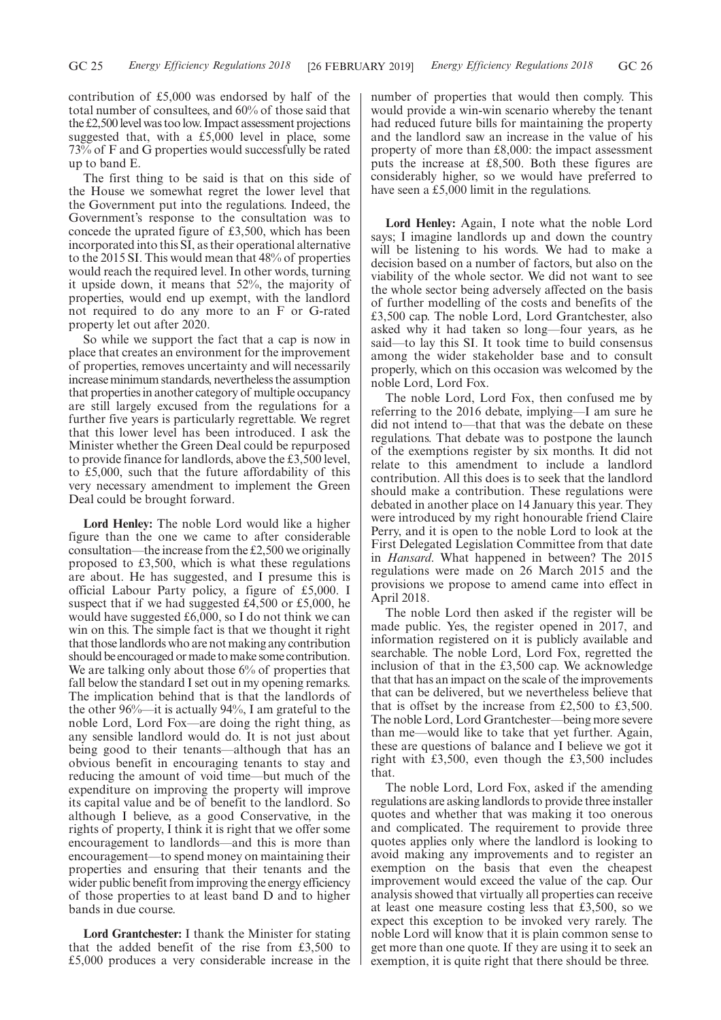contribution of £5,000 was endorsed by half of the total number of consultees, and 60% of those said that the £2,500 level was too low. Impact assessment projections suggested that, with a £5,000 level in place, some 73% of F and G properties would successfully be rated up to band E.

The first thing to be said is that on this side of the House we somewhat regret the lower level that the Government put into the regulations. Indeed, the Government's response to the consultation was to concede the uprated figure of £3,500, which has been incorporated into this SI, as their operational alternative to the 2015 SI. This would mean that 48% of properties would reach the required level. In other words, turning it upside down, it means that 52%, the majority of properties, would end up exempt, with the landlord not required to do any more to an F or G-rated property let out after 2020.

So while we support the fact that a cap is now in place that creates an environment for the improvement of properties, removes uncertainty and will necessarily increase minimum standards, nevertheless the assumption that properties in another category of multiple occupancy are still largely excused from the regulations for a further five years is particularly regrettable. We regret that this lower level has been introduced. I ask the Minister whether the Green Deal could be repurposed to provide finance for landlords, above the £3,500 level, to £5,000, such that the future affordability of this very necessary amendment to implement the Green Deal could be brought forward.

**Lord Henley:** The noble Lord would like a higher figure than the one we came to after considerable consultation—the increase from the £2,500 we originally proposed to £3,500, which is what these regulations are about. He has suggested, and I presume this is official Labour Party policy, a figure of £5,000. I suspect that if we had suggested £4,500 or £5,000, he would have suggested £6,000, so I do not think we can win on this. The simple fact is that we thought it right that those landlords who are not making any contribution should be encouraged or made to make some contribution. We are talking only about those 6% of properties that fall below the standard I set out in my opening remarks. The implication behind that is that the landlords of the other 96%—it is actually 94%, I am grateful to the noble Lord, Lord Fox—are doing the right thing, as any sensible landlord would do. It is not just about being good to their tenants—although that has an obvious benefit in encouraging tenants to stay and reducing the amount of void time—but much of the expenditure on improving the property will improve its capital value and be of benefit to the landlord. So although I believe, as a good Conservative, in the rights of property, I think it is right that we offer some encouragement to landlords—and this is more than encouragement—to spend money on maintaining their properties and ensuring that their tenants and the wider public benefit from improving the energy efficiency of those properties to at least band D and to higher bands in due course.

**Lord Grantchester:** I thank the Minister for stating that the added benefit of the rise from £3,500 to £5,000 produces a very considerable increase in the number of properties that would then comply. This would provide a win-win scenario whereby the tenant had reduced future bills for maintaining the property and the landlord saw an increase in the value of his property of more than £8,000: the impact assessment puts the increase at £8,500. Both these figures are considerably higher, so we would have preferred to have seen a £5,000 limit in the regulations.

**Lord Henley:** Again, I note what the noble Lord says; I imagine landlords up and down the country will be listening to his words. We had to make a decision based on a number of factors, but also on the viability of the whole sector. We did not want to see the whole sector being adversely affected on the basis of further modelling of the costs and benefits of the £3,500 cap. The noble Lord, Lord Grantchester, also asked why it had taken so long—four years, as he said—to lay this SI. It took time to build consensus among the wider stakeholder base and to consult properly, which on this occasion was welcomed by the noble Lord, Lord Fox.

The noble Lord, Lord Fox, then confused me by referring to the 2016 debate, implying—I am sure he did not intend to—that that was the debate on these regulations. That debate was to postpone the launch of the exemptions register by six months. It did not relate to this amendment to include a landlord contribution. All this does is to seek that the landlord should make a contribution. These regulations were debated in another place on 14 January this year. They were introduced by my right honourable friend Claire Perry, and it is open to the noble Lord to look at the First Delegated Legislation Committee from that date in *Hansard*. What happened in between? The 2015 regulations were made on 26 March 2015 and the provisions we propose to amend came into effect in April 2018.

The noble Lord then asked if the register will be made public. Yes, the register opened in 2017, and information registered on it is publicly available and searchable. The noble Lord, Lord Fox, regretted the inclusion of that in the £3,500 cap. We acknowledge that that has an impact on the scale of the improvements that can be delivered, but we nevertheless believe that that is offset by the increase from £2,500 to £3,500. The noble Lord, Lord Grantchester—being more severe than me—would like to take that yet further. Again, these are questions of balance and I believe we got it right with £3,500, even though the £3,500 includes that.

The noble Lord, Lord Fox, asked if the amending regulations are asking landlords to provide three installer quotes and whether that was making it too onerous and complicated. The requirement to provide three quotes applies only where the landlord is looking to avoid making any improvements and to register an exemption on the basis that even the cheapest improvement would exceed the value of the cap. Our analysis showed that virtually all properties can receive at least one measure costing less that £3,500, so we expect this exception to be invoked very rarely. The noble Lord will know that it is plain common sense to get more than one quote. If they are using it to seek an exemption, it is quite right that there should be three.